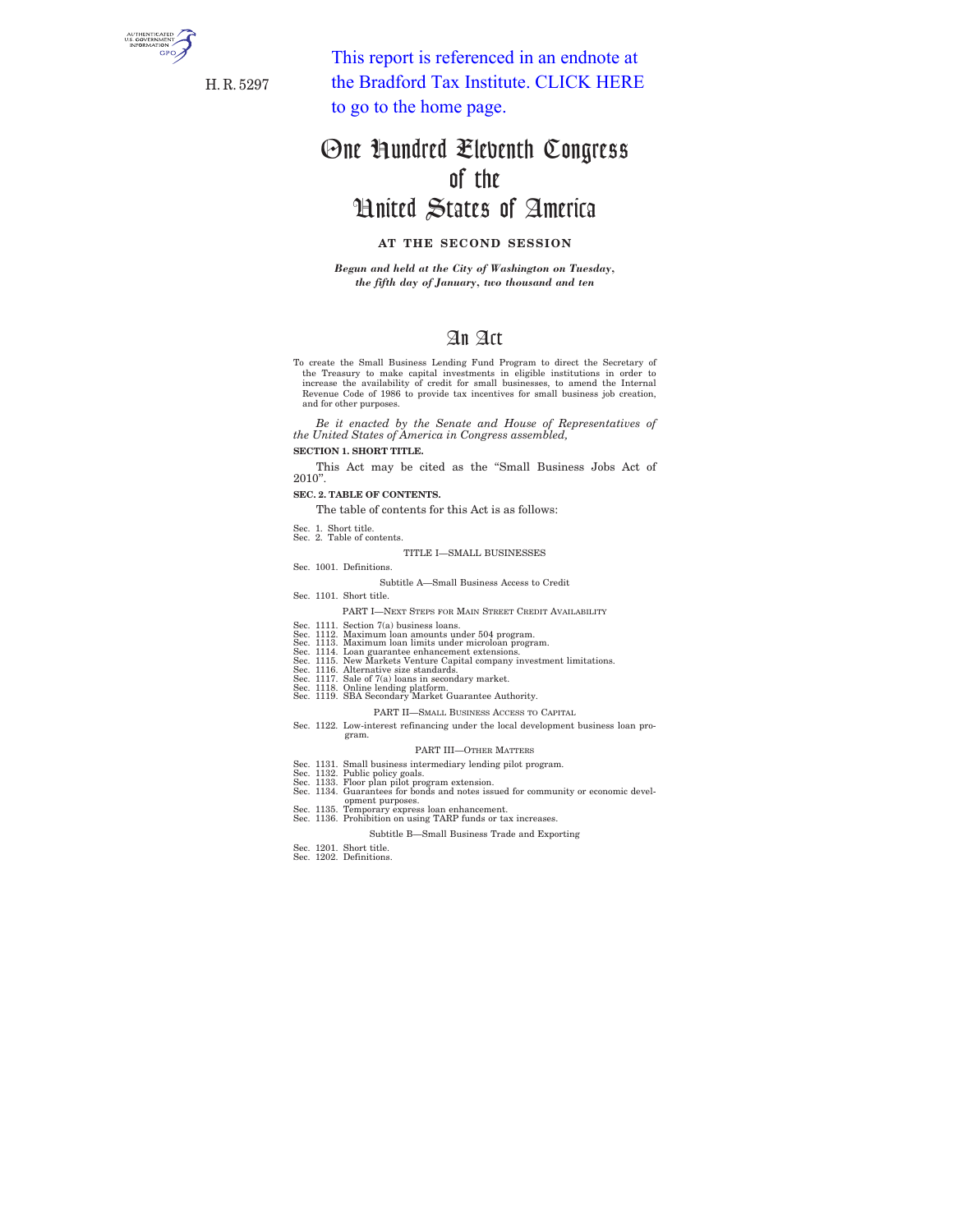

H. R. 5297

This report is referenced in an endnote at [the Bradford Tax Institute. CLICK HERE](http://www.bradfordtaxinstitute.com)  to go to the home page.

# One Hundred Eleventh Congress of the United States of America

## **AT THE SECOND SESSION**

*Begun and held at the City of Washington on Tuesday, the fifth day of January, two thousand and ten* 

## An Act

To create the Small Business Lending Fund Program to direct the Secretary of the Treasury to make capital investments in eligible institutions in order to increase the availability of credit for small businesses, to amend Revenue Code of 1986 to provide tax incentives for small business job creation, and for other purposes.

*Be it enacted by the Senate and House of Representatives of the United States of America in Congress assembled,* 

## **SECTION 1. SHORT TITLE.**

This Act may be cited as the ''Small Business Jobs Act of 2010''.

**SEC. 2. TABLE OF CONTENTS.** 

The table of contents for this Act is as follows:

- Sec. 1. Short title. Sec. 2. Table of contents.
	- TITLE I—SMALL BUSINESSES
- Sec. 1001. Definitions.
	- Subtitle A—Small Business Access to Credit
- Sec. 1101. Short title.
- PART I—NEXT STEPS FOR MAIN STREET CREDIT AVAILABILITY
- 
- 
- 
- Sec. 1111. Section 7(a) business loans.<br>Sec. 1112. Maximum loan amounts under 504 program.<br>Sec. 1112. Maximum loan limits under microloan program.<br>Sec. 1114. Loan guarantee enhancement extensions.<br>Sec. 1115. New Markets Ve
- 
- Sec. 1117. Sale of 7(a) loans in secondary market. Sec. 1118. Online lending platform. Sec. 1119. SBA Secondary Market Guarantee Authority.
- -
	- PART II—SMALL BUSINESS ACCESS TO CAPITAL
- Sec. 1122. Low-interest refinancing under the local development business loan pro- gram.

#### PART III—OTHER MATTERS

- 
- 
- Sec. 1131. Small business intermediary lending pilot program.<br>Sec. 1131. Small business intermediary lending pilot program.<br>Sec. 1133. Floor plan pilot program extension.<br>Sec. 1134. Guarantess for bonds and notes issued fo
- 
- - Subtitle B—Small Business Trade and Exporting
- Sec. 1201. Short title. Sec. 1202. Definitions.
-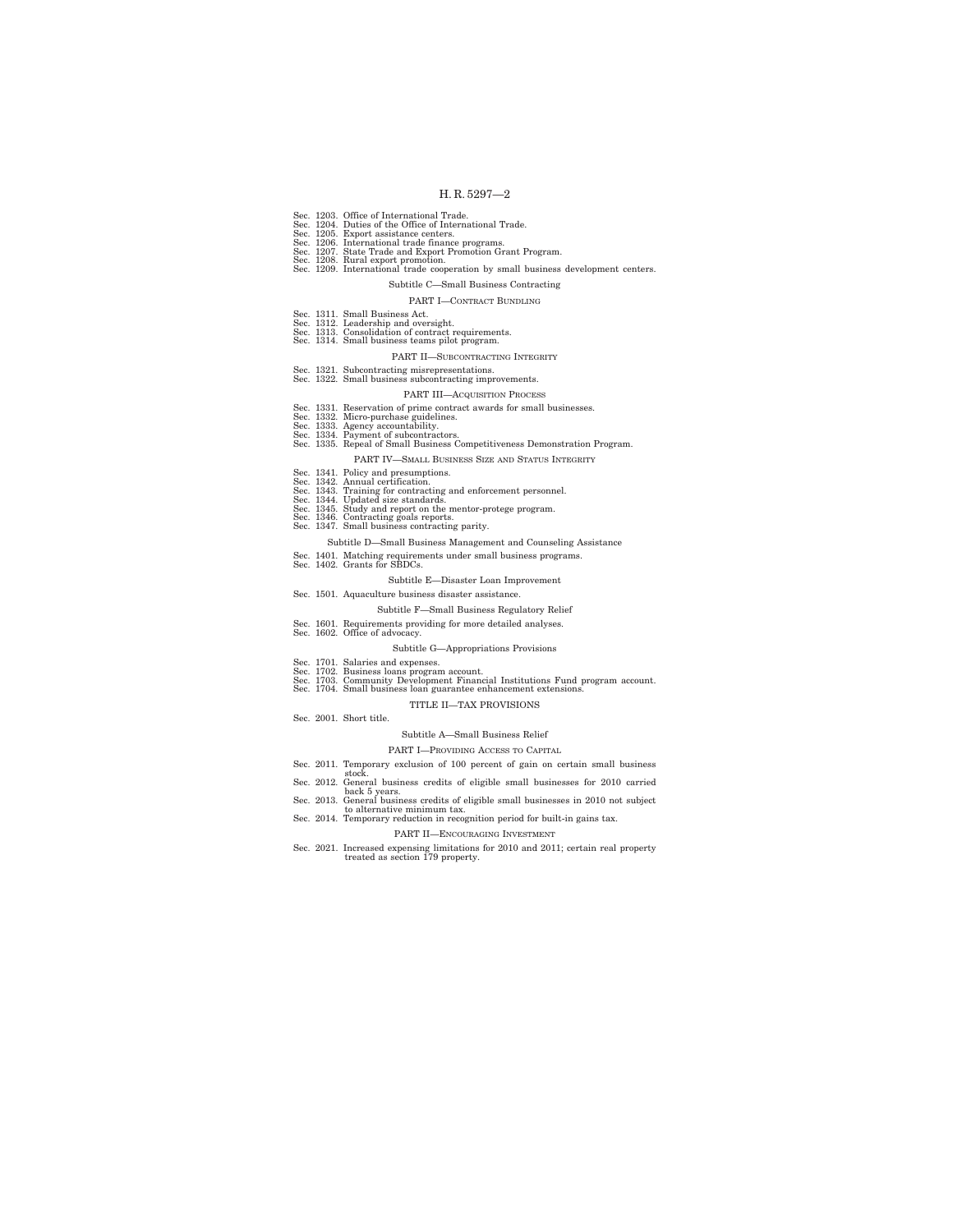- 
- 
- Sec. 1203. Office of International Trade.<br>Sec. 1204. Duties of the Office of International Trade.<br>Sec. 1205. Export assistance centers.<br>Sec. 1206. International trade finance programs.<br>Sec. 1207. State Trade and Export Pro
- 
- Sec. 1208. Rural export promotion. Sec. 1209. International trade cooperation by small business development centers.

## Subtitle C—Small Business Contracting

### PART I—CONTRACT BUNDLING

- Sec. 1311. Small Business Act.
- 
- Sec. 1312. Leadership and oversight. Sec. 1313. Consolidation of contract requirements. Sec. 1314. Small business teams pilot program.

#### PART II—SUBCONTRACTING INTEGRITY

- 
- Sec. 1321. Subcontracting misrepresentations. Sec. 1322. Small business subcontracting improvements.

### PART III—ACQUISITION PROCESS

- 
- 
- 
- 
- Sec. 1331. Reservation of prime contract awards for small businesses.<br>Sec. 1332. Micro-purchase gruidelines.<br>Sec. 1333. Agency accountability.<br>Sec. 1334. Payment of subcontractors.<br>Sec. 1335. Repeal of Small Business Compe
	- PART IV—SMALL BUSINESS SIZE AND STATUS INTEGRITY
- Sec. 1341. Policy and presumptions.
- 
- Sec. 1342. Annual certification.<br>Sec. 1343. Training for contracting and enforcement personnel.<br>Sec. 1344. Updated size standards.<br>Sec. 1345. Study and report on the mentor-protege program.<br>Sec. 1346. Contracting goals rep
- 
- 
- - Subtitle D—Small Business Management and Counseling Assistance
- Sec. 1401. Matching requirements under small business programs. Sec. 1402. Grants for SBDCs.
	-

## Subtitle E—Disaster Loan Improvement

- Sec. 1501. Aquaculture business disaster assistance.
	- Subtitle F—Small Business Regulatory Relief
- Sec. 1601. Requirements providing for more detailed analyses. Sec. 1602. Office of advocacy.
	-

#### Subtitle G—Appropriations Provisions

- 
- 
- Sec. 1701. Salaries and expenses. Sec. 1702. Business loans program account. Sec. 1703. Community Development Financial Institutions Fund program account. Sec. 1704. Small business loan guarantee enhancement extensions.

#### TITLE II—TAX PROVISIONS

Sec. 2001. Short title.

#### Subtitle A—Small Business Relief

## PART I—PROVIDING ACCESS TO CAPITAL

- 
- Sec. 2011. Temporary exclusion of 100 percent of gain on certain small business stock. Sec. 2012. General business credits of eligible small businesses for 2010 carried
- 
- back 5 years. Sec. 2013. General business credits of eligible small businesses in 2010 not subject to alternative minimum tax. Sec. 2014. Temporary reduction in recognition period for built-in gains tax.
- -

#### PART II—ENCOURAGING INVESTMENT

Sec. 2021. Increased expensing limitations for 2010 and 2011; certain real property treated as section 179 property.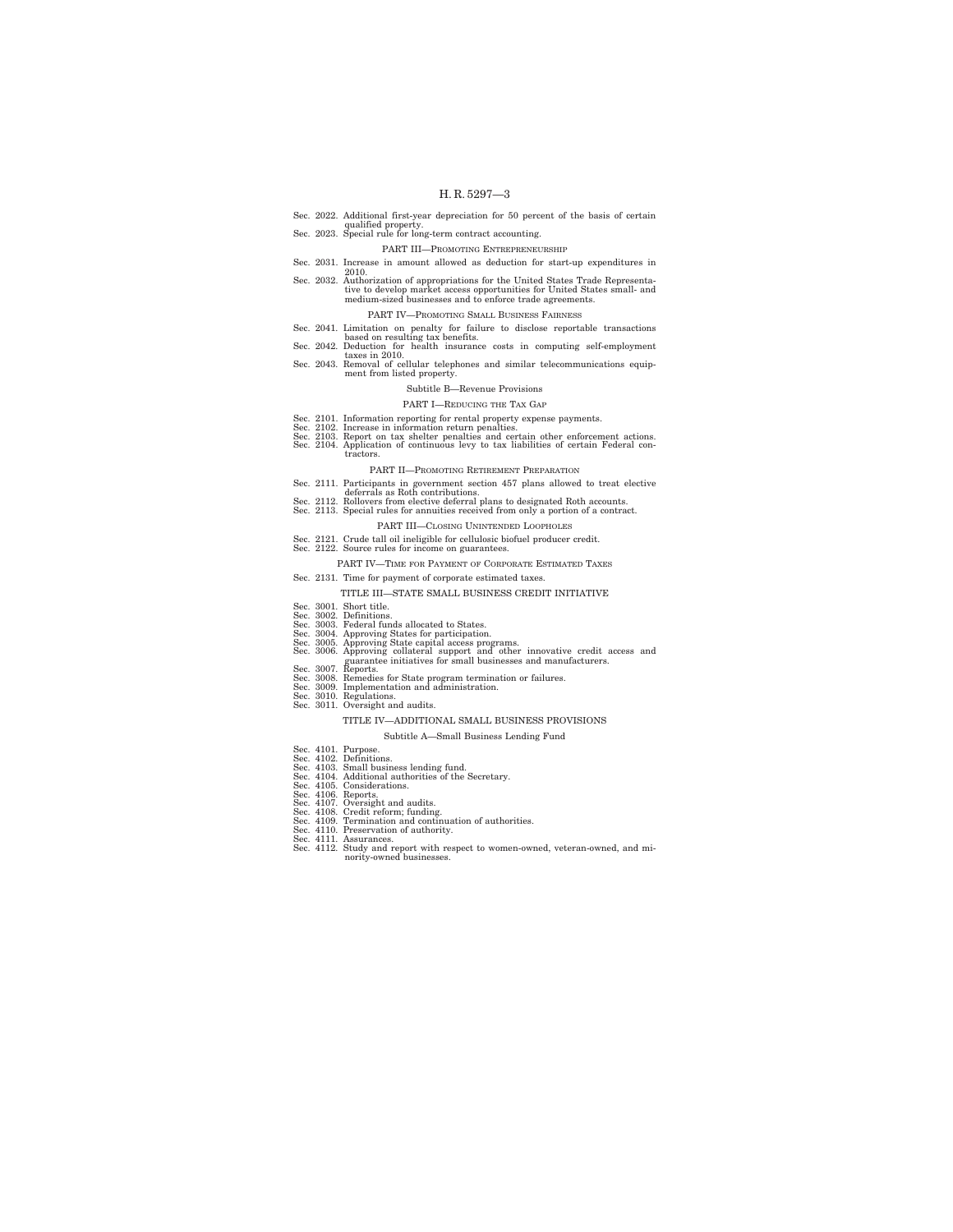Sec. 2022. Additional first-year depreciation for 50 percent of the basis of certain qualified property. Sec. 2023. Special rule for long-term contract accounting.

## PART III—PROMOTING ENTREPRENEURSHIP

- 
- 
- Sec. 2031. Increase in amount allowed as deduction for start-up expenditures in 3ec. 2032. Authorization of appropriations for the United States Trade Representative to develop market access opportunities for United States small- and medium-sized businesses and to enforce trade agreements.

#### PART IV—PROMOTING SMALL BUSINESS FAIRNESS

- Sec. 2041. Limitation on penalty for failure to disclose reportable transactions<br>Sec. 2042. Deduction for health insurance costs in computing self-employment<br>Sec. 2042. Deduction for health insurance costs in computing sel
- -
- Sec. 2043. Removal of cellular telephones and similar telecommunications equip-<br>ment from listed property.

### Subtitle B—Revenue Provisions

#### PART I—REDUCING THE TAX GAP

- 
- 
- Sec. 2101. Information reporting for rental property expense payments.<br>Sec. 2102. Increase in information return penalties.<br>Sec. 2103. Report on tax shelter penalties and certain other enforcement actions.<br>Sec. 2104. Appli tractors.

#### PART II—PROMOTING RETIREMENT PREPARATION

- Sec. 2111. Participants in government section 457 plans allowed to treat elective<br>Sec. 2112. Rollovers from elective deferral plans to designated Roth accounts.<br>Sec. 2112. Rollovers from elective deferral plans to designat
- 
- 

#### PART III—CLOSING UNINTENDED LOOPHOLES

- 
- Sec. 2121. Crude tall oil ineligible for cellulosic biofuel producer credit. Sec. 2122. Source rules for income on guarantees.
	- PART IV—TIME FOR PAYMENT OF CORPORATE ESTIMATED TAXES
- Sec. 2131. Time for payment of corporate estimated taxes.
	- TITLE III—STATE SMALL BUSINESS CREDIT INITIATIVE
- 
- 
- Sec. 3001. Short title. Sec. 3002. Definitions. Sec. 3003. Federal funds allocated to States.
- 
- Sec. 3004. Approving States for participation.<br>
Sec. 3005. Approving State capital access programs.<br>
Sec. 3005. Approving collateral support and other innovative credit access and<br>
Sec. 3007. guarante initiatives for small
- 
- 
- 
- 
- 

#### TITLE IV—ADDITIONAL SMALL BUSINESS PROVISIONS

#### Subtitle A—Small Business Lending Fund

- 
- 
- Sec. 4101. Purpose. Sec. 4102. Definitions. Sec. 4103. Small business lending fund. Sec. 4104. Additional authorities of the Secretary. Sec. 4105. Considerations.
- 
- 
- 
- 
- Sec. 4106. Reports.<br>Sec. 4107. Oversight and audits.<br>Sec. 4108. Credit reform; funding.<br>Sec. 4110. Preservation and continuation of authorities.<br>Sec. 4110. Preservation of authority.
- 
- Sec. 4111. Assurances. Sec. 4112. Study and report with respect to women-owned, veteran-owned, and minority-owned businesse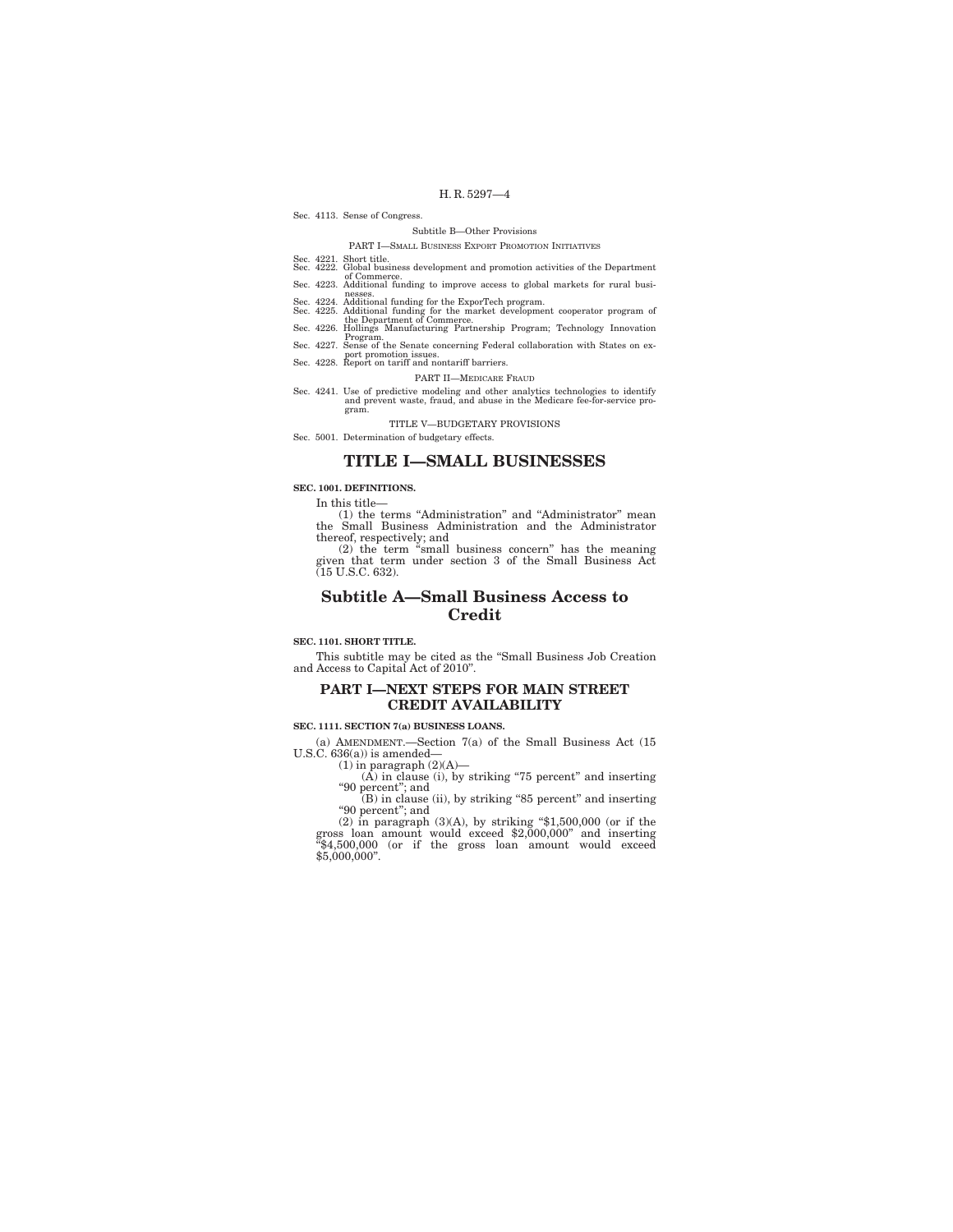#### Sec. 4113. Sense of Congress.

## Subtitle B—Other Provisions

### PART I—SMALL BUSINESS EXPORT PROMOTION INITIATIVES

- Sec. 4221. Short title. Sec. 4222. Global business development and promotion activities of the Department
- of Commerce.<br>Sec. 4223. Additional funding to improve access to global markets for rural busi-<br>Sec. 4223. Additional funding to improve access to global markets for rural busi-
- 
- nesses.<br>Sec. 4224. Additional funding for the ExporTech program.<br>Sec. 4225. Additional funding for the market development cooperator program of<br>the Department of Commerce.<br>Sec. 4226. Hollings Manufacturing Partnership Prog
- 
- 
- Program. Sec. 4227. Sense of the Senate concerning Federal collaboration with States on ex-
- port promotion issues. Sec. 4228. Report on tariff and nontariff barriers.
	- PART II—MEDICARE FRAUD
- Sec. 4241. Use of predictive modeling and other analytics technologies to identify and prevent waste, fraud, and abuse in the Medicare fee-for-service program.

TITLE V—BUDGETARY PROVISIONS

Sec. 5001. Determination of budgetary effects.

## **TITLE I—SMALL BUSINESSES**

## **SEC. 1001. DEFINITIONS.**

In this title—

(1) the terms ''Administration'' and ''Administrator'' mean the Small Business Administration and the Administrator

thereof, respectively; and (2) the term ''small business concern'' has the meaning given that term under section 3 of the Small Business Act (15 U.S.C. 632).

## **Subtitle A—Small Business Access to Credit**

#### **SEC. 1101. SHORT TITLE.**

This subtitle may be cited as the ''Small Business Job Creation and Access to Capital Act of 2010''.

## **PART I—NEXT STEPS FOR MAIN STREET CREDIT AVAILABILITY**

### **SEC. 1111. SECTION 7(a) BUSINESS LOANS.**

(a) AMENDMENT.—Section 7(a) of the Small Business Act (15 U.S.C. 636(a)) is amended—

 $(1)$  in paragraph  $(2)(A)$ —

(A) in clause (i), by striking ''75 percent'' and inserting

''90 percent''; and (B) in clause (ii), by striking ''85 percent'' and inserting ''90 percent''; and

(2) in paragraph  $(3)(A)$ , by striking "\$1,500,000 (or if the gross loan amount would exceed \$2,000,000" and inserting "\$4,500,000" (or if the gross loan amount would exceed  $$5,000,000$ ".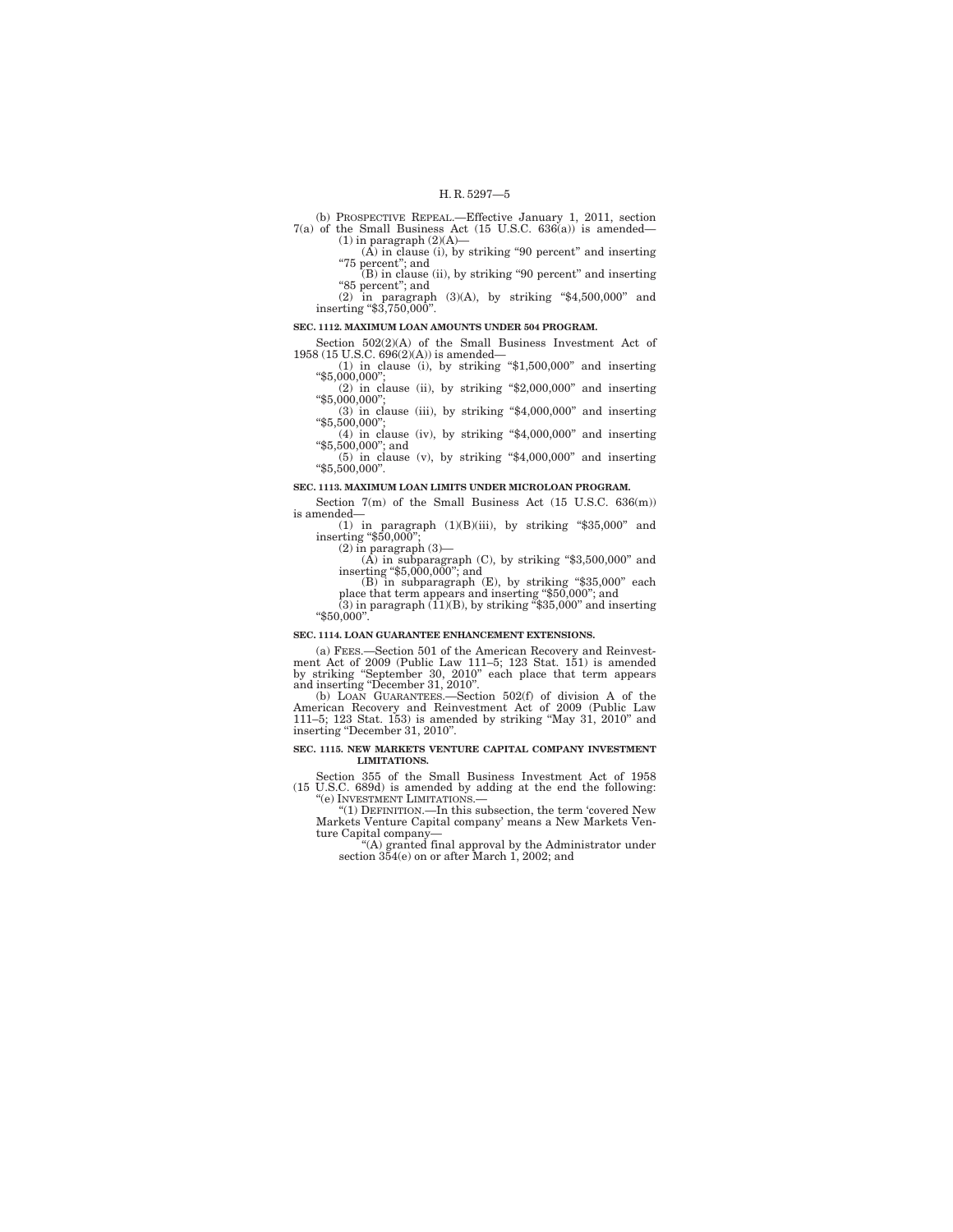(b) PROSPECTIVE REPEAL.—Effective January 1, 2011, section 7(a) of the Small Business Act (15 U.S.C. 636(a)) is amended— (1) in paragraph (2)(A)—

(A) in clause (i), by striking "90 percent" and inserting ''75 percent''; and (B) in clause (ii), by striking ''90 percent'' and inserting

"85 percent"; and

(2) in paragraph (3)(A), by striking ''\$4,500,000'' and inserting ''\$3,750,000''.

#### **SEC. 1112. MAXIMUM LOAN AMOUNTS UNDER 504 PROGRAM.**

Section 502(2)(A) of the Small Business Investment Act of 1958 (15 U.S.C. 696(2)(A)) is amended— $(1)$  in clause (i), by striking "\$1,500,000" and inserting

(1) in clause (i), by striking "\$1,500,000" and inserting  $(2)$  in clause (ii), by striking "\$2,000,000" and inserting "\$5,000,000";

(3) in clause (iii), by striking ''\$4,000,000'' and inserting ''\$5,500,000'';

(4) in clause (iv), by striking " $\frac{4}{3}$ ,000,000" and inserting " $\frac{5}{5}$ ,500,000"; and (5) in clause (v), by striking " $\frac{4}{3}$ ,000,000" and inserting

''\$5,500,000''. **SEC. 1113. MAXIMUM LOAN LIMITS UNDER MICROLOAN PROGRAM.** 

Section 7(m) of the Small Business Act (15 U.S.C. 636(m)) is amended—

(1) in paragraph  $(1)(B)(iii)$ , by striking "\$35,000" and inserting "\$50,000";

(2) in paragraph (3)—

(A) in subparagraph (C), by striking ''\$3,500,000'' and inserting ''\$5,000,000''; and

(B) in subparagraph (E), by striking ''\$35,000'' each place that term appears and inserting ''\$50,000''; and (3) in paragraph (11)(B), by striking ''\$35,000'' and inserting

''\$50,000''.

#### **SEC. 1114. LOAN GUARANTEE ENHANCEMENT EXTENSIONS.**

(a) FEES.—Section 501 of the American Recovery and Reinvestment Act of 2009 (Public Law 111–5; 123 Stat. 151) is amended

by striking "September 30, 2010" each place that term appears<br>and inserting "December 31, 2010".<br>(b) LOAN GUARANTEES.—Section 502(f) of division A of the<br>American Recovery and Reinvestment Act of 2009 (Public Law<br>111–5; 12 inserting "December 31, 2010".

#### **SEC. 1115. NEW MARKETS VENTURE CAPITAL COMPANY INVESTMENT LIMITATIONS.**

Section 355 of the Small Business Investment Act of 1958 (15 U.S.C. 689d) is amended by adding at the end the following: ''(e) INVESTMENT LIMITATIONS.—

''(1) DEFINITION.—In this subsection, the term 'covered New Markets Venture Capital company' means a New Markets Ven-

ture Capital company— ''(A) granted final approval by the Administrator under section 354(e) on or after March 1, 2002; and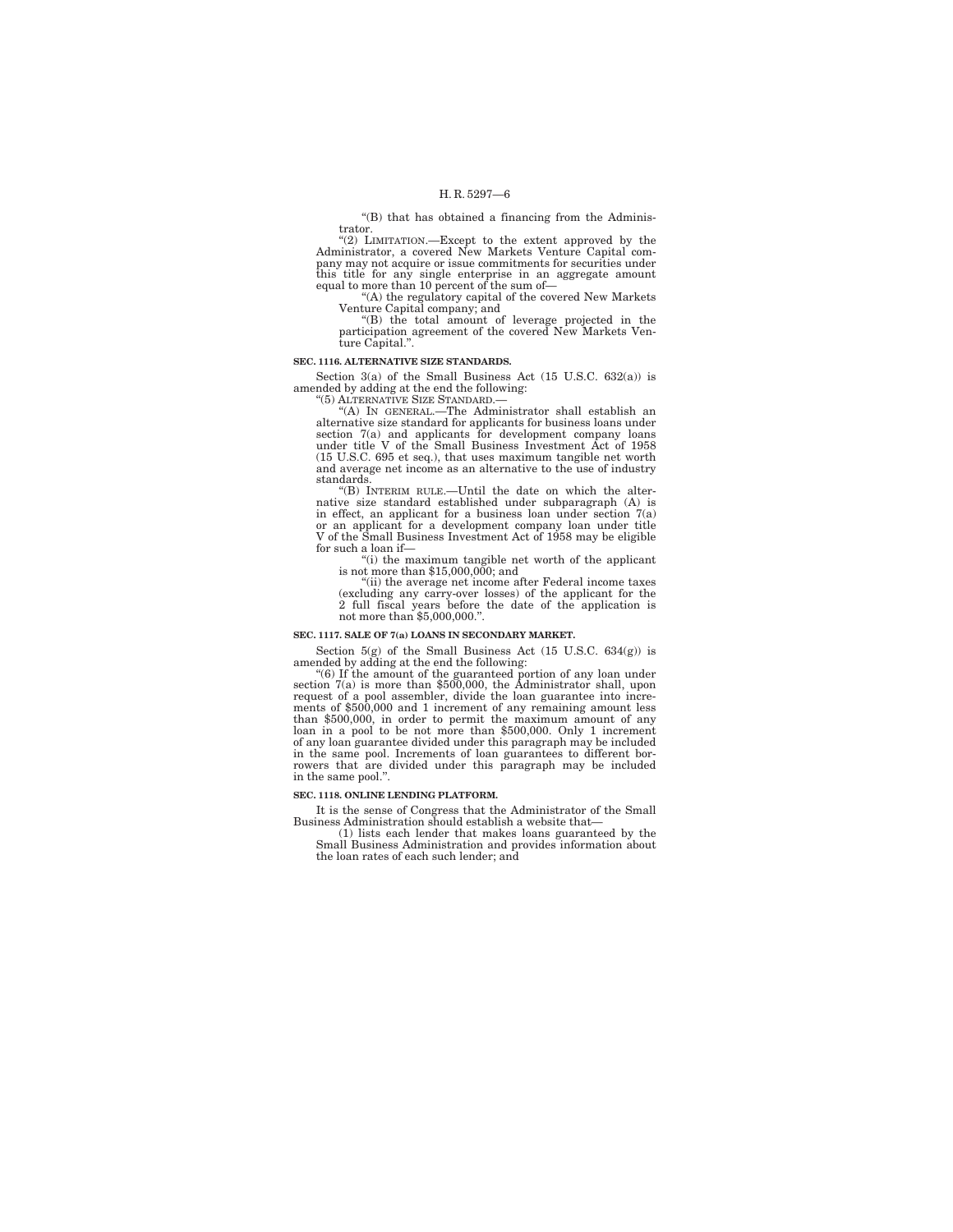''(B) that has obtained a financing from the Administrator.

''(2) LIMITATION.—Except to the extent approved by the Administrator, a covered New Markets Venture Capital company may not acquire or issue commitments for securities under this title for any single enterprise in an aggregate amount equal to more than 10 percent of the sum of—

''(A) the regulatory capital of the covered New Markets

Venture Capital company; and<br>
"(B) the total amount of leverage projected in the<br>
participation agreement of the covered New Markets Venture Capital.''.

#### **SEC. 1116. ALTERNATIVE SIZE STANDARDS.**

Section 3(a) of the Small Business Act (15 U.S.C. 632(a)) is amended by adding at the end the following: ''(5) ALTERNATIVE SIZE STANDARD.—

"(A) IN GENERAL.—The Administrator shall establish an alternative size standard for applicants for business loans under section  $7(a)$  and applicants for development company loans under title V of the Small Business Invest and average net income as an alternative to the use of industry standards.

''(B) INTERIM RULE.—Until the date on which the alternative size standard established under subparagraph (A) is in effect, an applicant for a business loan under section 7(a) or an applicant for a development company loan under title V of the Small Business Investment Act of 1958 may be eligible for such a loan if—<br>"(i) the maximum tangible net worth of the applicant"

is not more than \$15,000,000; and

''(ii) the average net income after Federal income taxes (excluding any carry-over losses) of the applicant for the 2 full fiscal years before the date of the application is not more than \$5,000,000.''.

#### **SEC. 1117. SALE OF 7(a) LOANS IN SECONDARY MARKET.**

Section 5(g) of the Small Business Act (15 U.S.C. 634(g)) is amended by adding at the end the following:

"(6) If the amount of the guaranteed portion of any loan under<br>section  $7(a)$  is more than \$500,000, the Administrator shall, upon<br>request of a pool assembler, divide the loan guarantee into incre-<br>ments of \$500,000 and 1 loan in a pool to be not more than \$500,000. Only 1 increment of any loan guarantee divided under this paragraph may be included in the same pool. Increments of loan guarantees to different borrowers that are divided under this paragraph may be included in the same pool.''.

#### **SEC. 1118. ONLINE LENDING PLATFORM.**

It is the sense of Congress that the Administrator of the Small Business Administration should establish a website that—

(1) lists each lender that makes loans guaranteed by the Small Business Administration and provides information about the loan rates of each such lender; and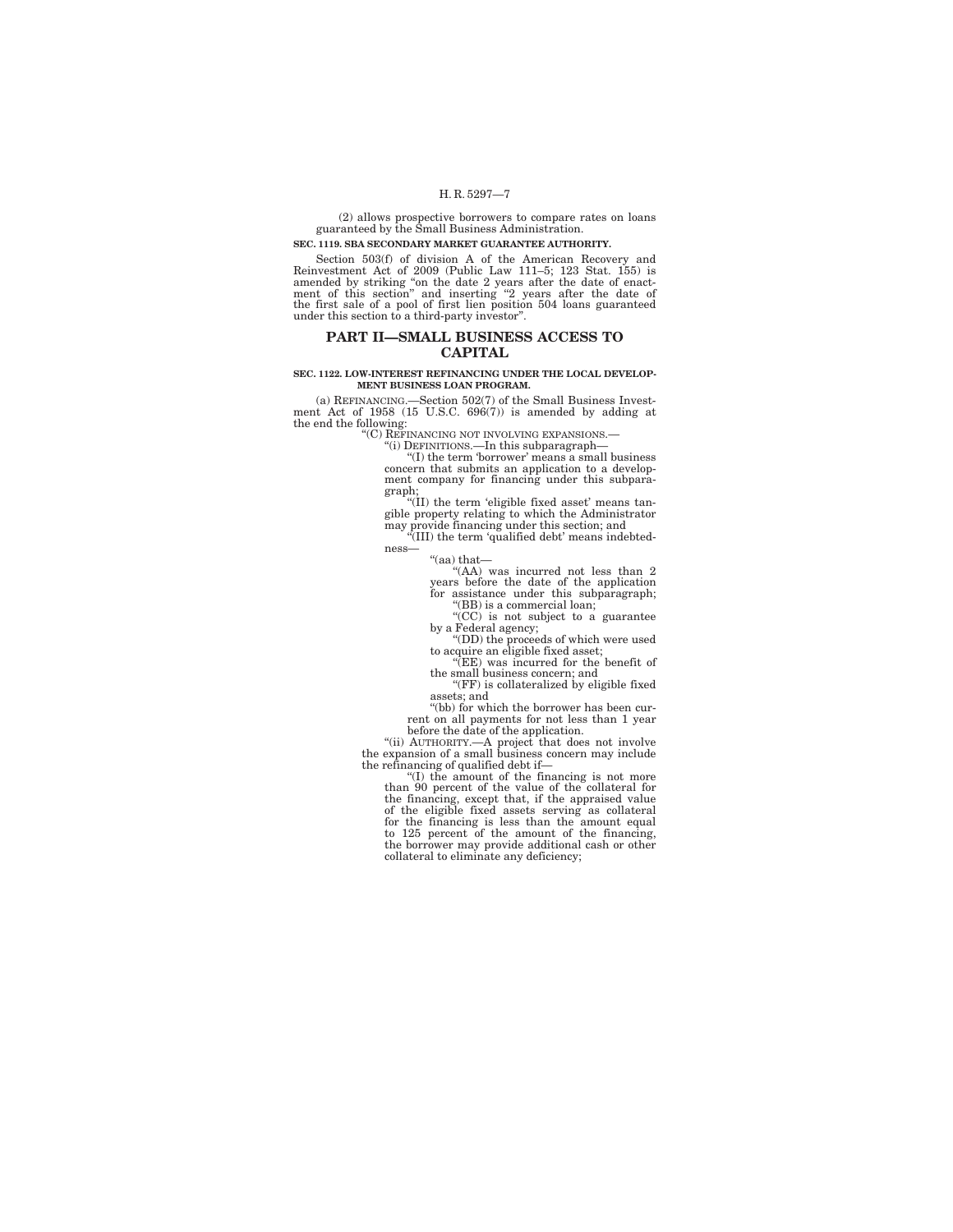(2) allows prospective borrowers to compare rates on loans guaranteed by the Small Business Administration.

## **SEC. 1119. SBA SECONDARY MARKET GUARANTEE AUTHORITY.**

Section 503(f) of division A of the American Recovery and<br>Reinvestment Act of 2009 (Public Law 111–5; 123 Stat. 155) is<br>amended by striking "on the date 2 years after the date of enact-<br>ment of this section" and inserting

## **PART II—SMALL BUSINESS ACCESS TO CAPITAL**

#### **SEC. 1122. LOW-INTEREST REFINANCING UNDER THE LOCAL DEVELOP-MENT BUSINESS LOAN PROGRAM.**

(a) REFINANCING.—Section 502(7) of the Small Business Invest-ment Act of 1958 (15 U.S.C. 696(7)) is amended by adding at the end the following:<br>"C) REFINANCING NOT INVOLVING EXPANSIONS.

''(C) REFINANCING NOT INVOLVING EXPANSIONS.— ''(i) DEFINITIONS.—In this subparagraph— ''(I) the term 'borrower' means a small business concern that submits an application to a development company for financing under this subpara-

graph; ''(II) the term 'eligible fixed asset' means tan-gible property relating to which the Administrator may provide financing under this section; and ''(III) the term 'qualified debt' means indebted-ness—

''(aa) that—

''(AA) was incurred not less than 2 years before the date of the application for assistance under this subparagraph; ''(BB) is a commercial loan;

''(CC) is not subject to a guarantee by a Federal agency; ''(DD) the proceeds of which were used

to acquire an eligible fixed asset; ''(EE) was incurred for the benefit of

the small business concern; and

''(FF) is collateralized by eligible fixed assets; and

''(bb) for which the borrower has been current on all payments for not less than 1 year<br>before the date of the application.

before the date of the application.<br>
"(ii) AUTHORITY.—A project that does not involve<br>
the expansion of a small business concern may include<br>
the refinancing of qualified debt if—<br>
"(1) the amount of the financing is not m the borrower may provide additional cash or other collateral to eliminate any deficiency;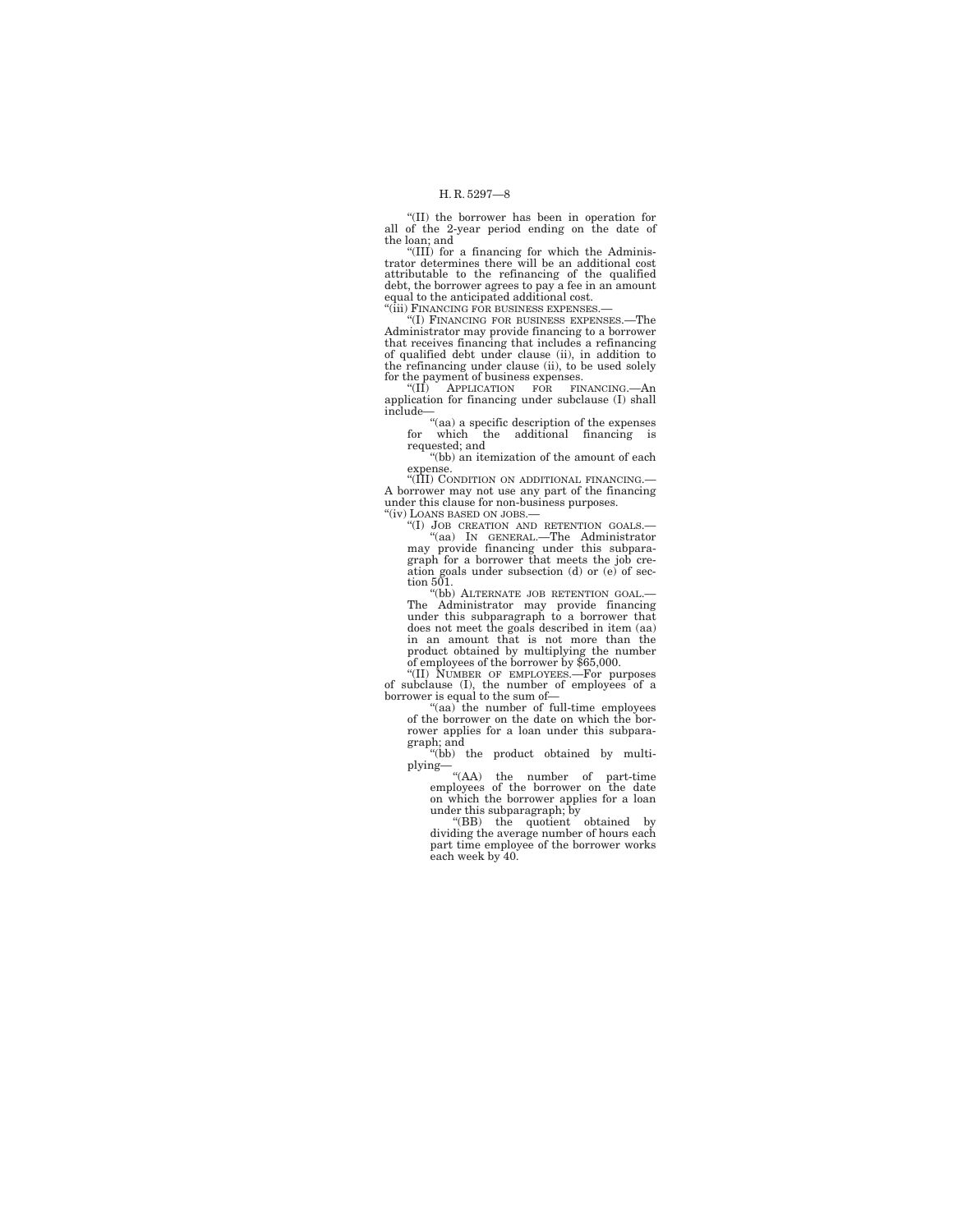''(II) the borrower has been in operation for all of the 2-year period ending on the date of the loan; and

''(III) for a financing for which the Adminis-trator determines there will be an additional cost attributable to the refinancing of the qualified<br>debt, the borrower agrees to pay afee in an amount<br>equal to the anticipated additional cost.<br>"(iii) FINANCING FOR BUSINESS EXPENSES.—

''(I) FINANCING FOR BUSINESS EXPENSES.—The Administrator may provide financing to a borrower that receives financing that includes a refinancing of qualified debt under clause (ii), in addition to the refinancing under clause (ii), to be used solely

for the payment of business expenses.<br>
"(II) APPLICATION FOR FINANCING.—An application for financing under subclause (I) shall include—<br>
"(aa) a specific description of the expenses<br>
for which the additional financing is

requested; and

''(bb) an itemization of the amount of each expense.

"(III) CONDITION ON ADDITIONAL FINANCING. A borrower may not use any part of the financing under this clause for non-business purposes.

''(iv) LOANS BASED ON JOBS.—

"(I) JOB CREATION AND RETENTION GOALS.-''(aa) IN GENERAL.—The Administrator may provide financing under this subpara-graph for a borrower that meets the job creation goals under subsection (d) or (e) of section 501.

''(bb) ALTERNATE JOB RETENTION GOAL.— The Administrator may provide financing under this subparagraph to a borrower that does not meet the goals described in item (aa) in an amount that is not more than the<br>product obtained by multiplying the number<br>of employees of the borrower by \$65,000.<br>"(II) NUMBER OF EMPLOYEES.—For purposes

of subclause (I), the number of employees of a borrower is equal to the sum of—<br>borrower is equal to the sum of—<br>of full-time employees<br>of the borrower on the date on which the bor-

rower applies for a loan under this subpara-

graph; and ''(bb) the product obtained by multiplying—

''(AA) the number of part-time employees of the borrower on the date on which the borrower applies for a loan under this subparagraph; by "(BB) the quotient obtained by dividing the average number of hours each

part time employee of the borrower works each week by 40.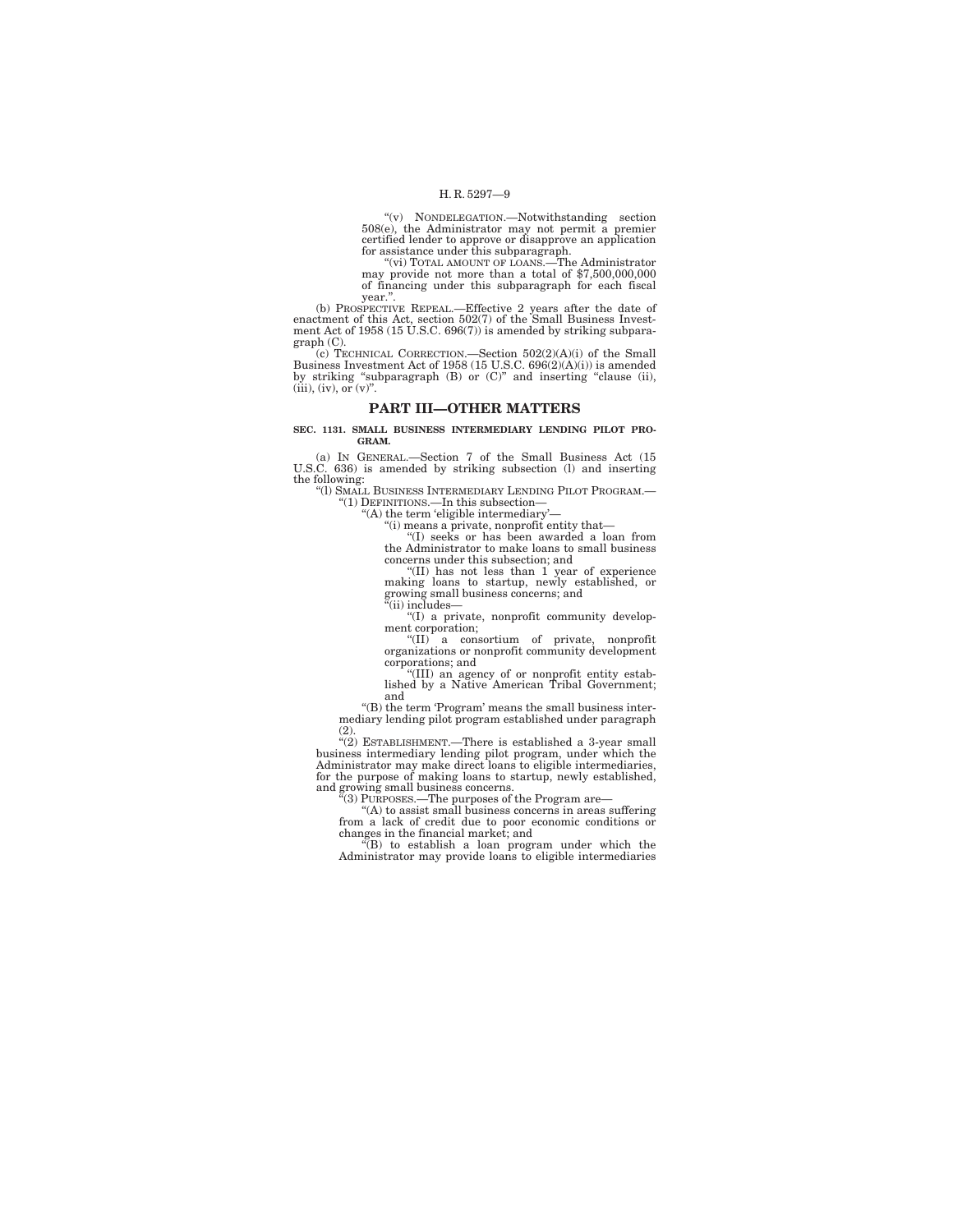''(v) NONDELEGATION.—Notwithstanding section 508(e), the Administrator may not permit a premier certified lender to approve or disapprove an application

for assistance under this subparagraph.<br>"(vi) TOTAL AMOUNT OF LOANS.—The Administrator<br>may provide not more than a total of \$7,500,000,000 of financing under this subparagraph for each fiscal year.''.

(b) PROSPECTIVE REPEAL.—Effective 2 years after the date of enactment of this Act, section 502(7) of the Small Business Invest-ment Act of 1958 (15 U.S.C. 696(7)) is amended by striking subpara-

graph (C).<br>
(c) TECHNICAL CORRECTION.—Section 502(2)(A)(i) of the Small<br>
Business Investment Act of 1958 (15 U.S.C. 696(2)(A)(i)) is amended<br>
by striking "subparagraph (B) or (C)" and inserting "clause (ii),<br>
(iii), (iv),

### **PART III—OTHER MATTERS**

**SEC. 1131. SMALL BUSINESS INTERMEDIARY LENDING PILOT PRO-GRAM.** 

(a) IN GENERAL.—Section 7 of the Small Business Act (15 U.S.C. 636) is amended by striking subsection (l) and inserting the following:

''(l) SMALL BUSINESS INTERMEDIARY LENDING PILOT PROGRAM.— ''(1) DEFINITIONS.—In this subsection— ''(A) the term 'eligible intermediary'—

''(i) means a private, nonprofit entity that—

''(I) seeks or has been awarded a loan from the Administrator to make loans to small business concerns under this subsection; and

''(II) has not less than 1 year of experience making loans to startup, newly established, or growing small business concerns; and

 $\mathrm{^{\tilde{a}}}$ (ii) includes-

''(I) a private, nonprofit community develop-

ment corporation;<br>
"(II) a consortium of private, nonprofit<br>
organizations or nonprofit community development corporations; and

''(III) an agency of or nonprofit entity estab-lished by a Native American Tribal Government; and

''(B) the term 'Program' means the small business intermediary lending pilot program established under paragraph

(2).  $\text{``(2)}$  ESTABLISHMENT.—There is established a 3-year small business intermediary lending pilot program, under which the Administrator may make direct loans to eligible intermediaries, for the purpose of making loan and growing small business concerns.<br>
"(3) PURPOSES.—The purposes of the Program are—<br>
"(A) to assist small business concerns in areas suffering

from a lack of credit due to poor economic conditions or changes in the financial market; and ''(B) to establish a loan program under which the

Administrator may provide loans to eligible intermediaries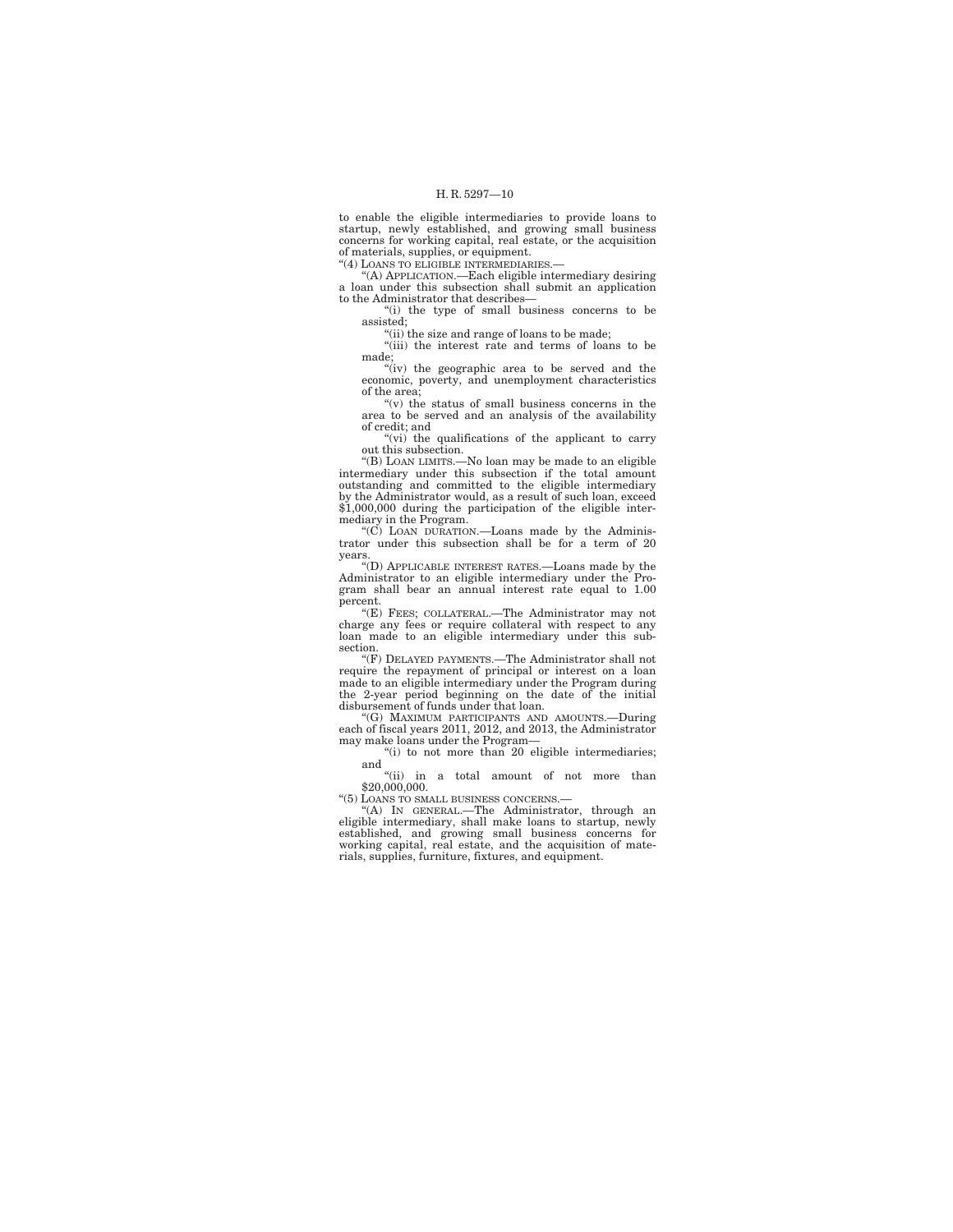to enable the eligible intermediaries to provide loans to startup, newly established, and growing small business concerns for working capital, real estate, or the acquisition of materials, supplies, or equipment.

''(4) LOANS TO ELIGIBLE INTERMEDIARIES.— ''(A) APPLICATION.—Each eligible intermediary desiring a loan under this subsection shall submit an application to the Administrator that describes—

''(i) the type of small business concerns to be assisted;

''(ii) the size and range of loans to be made;

''(iii) the interest rate and terms of loans to be made;

"(iv) the geographic area to be served and the economic, poverty, and unemployment characteristics of the area;

 $''(v)$  the status of small business concerns in the area to be served and an analysis of the availability of credit; and

"(vi) the qualifications of the applicant to carry out this subsection.

''(B) LOAN LIMITS.—No loan may be made to an eligible intermediary under this subsection if the total amount outstanding and committed to the eligible intermediary by the Administrator would, as a result of such loan, exceed \$1,000,000 during the participation of the eligible intermediary in the Program.

''(C) LOAN DURATION.—Loans made by the Adminis-trator under this subsection shall be for a term of 20 years.

''(D) APPLICABLE INTEREST RATES.—Loans made by the Administrator to an eligible intermediary under the Program shall bear an annual interest rate equal to 1.00 percent.

''(E) FEES; COLLATERAL.—The Administrator may not charge any fees or require collateral with respect to any loan made to an eligible intermediary under this subsection.

''(F) DELAYED PAYMENTS.—The Administrator shall not require the repayment of principal or interest on a loan made to an eligible intermediary under the Program during the 2-year period beginning on the date of the initial disbursement of funds under that loan.

''(G) MAXIMUM PARTICIPANTS AND AMOUNTS.—During each of fiscal years 2011, 2012, and 2013, the Administrator may make loans under the Program—<br>"(i) to not more than 20 eligible intermediaries;

and

''(ii) in a total amount of not more than \$20,000,000.

''(5) LOANS TO SMALL BUSINESS CONCERNS.—

''(A) IN GENERAL.—The Administrator, through an eligible intermediary, shall make loans to startup, newly established, and growing small business concerns for working capital, real estate, and the acquisition of materials, supplies, furniture, fixtures, and equipment.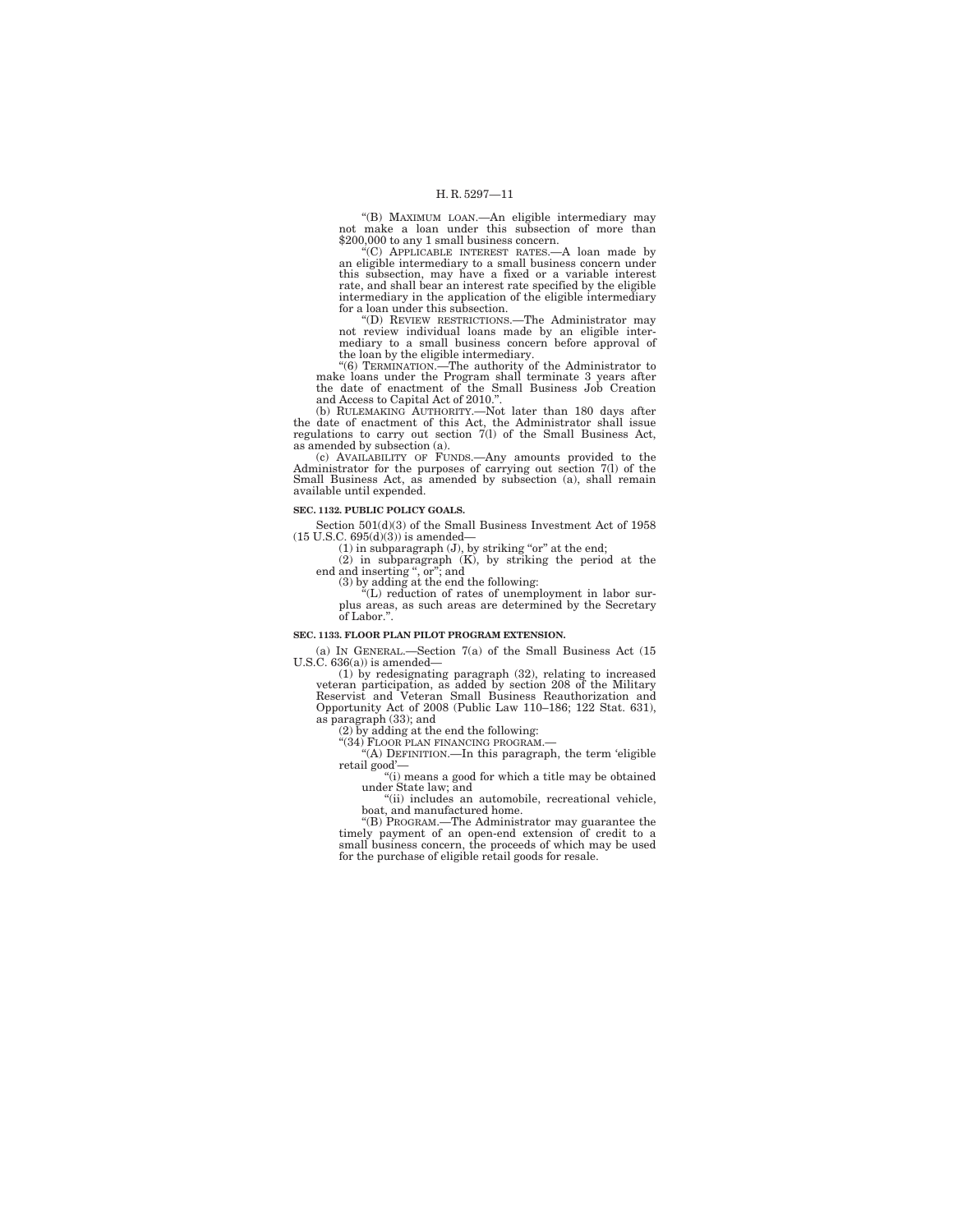''(B) MAXIMUM LOAN.—An eligible intermediary may not make a loan under this subsection of more than

\$200,000 to any 1 small business concern. ''(C) APPLICABLE INTEREST RATES.—A loan made by an eligible intermediary to a small business concern under this subsection, may have a fixed or a variable interest rate, and shall bear an interest rate specified by the eligible intermediary in the application of the eligible intermediary for a loan under this subsection.

''(D) REVIEW RESTRICTIONS.—The Administrator may not review individual loans made by an eligible intermediary to a small business concern before approval of the loan by the eligible intermediary.

''(6) TERMINATION.—The authority of the Administrator to make loans under the Program shall terminate 3 years after the date of enactment of the Small Business Job Creation and Access to Capital Act of 2010.''.

(b) RULEMAKING AUTHORITY.—Not later than 180 days after the date of enactment of this Act, the Administrator shall issue regulations to carry out section 7(l) of the Small Business Act, as amended by subsection (a). (c) AVAILABILITY OF FUNDS.—Any amounts provided to the

Administrator for the purposes of carrying out section 7(l) of the Small Business Act, as amended by subsection (a), shall remain available until expended.

#### **SEC. 1132. PUBLIC POLICY GOALS.**

Section 501(d)(3) of the Small Business Investment Act of 1958

(15 U.S.C. 695(d)(3)) is amended—<br>
(1) in subparagraph (J), by striking "or" at the end;<br>
(2) in subparagraph (K), by striking the period at the<br>
end and inserting ", or"; and

(3) by adding at the end the following: ''(L) reduction of rates of unemployment in labor surplus areas, as such areas are determined by the Secretary of Labor.''.

#### **SEC. 1133. FLOOR PLAN PILOT PROGRAM EXTENSION.**

(a) IN GENERAL.—Section 7(a) of the Small Business Act (15 U.S.C.  $636(a)$ ) is amended-

(1) by redesignating paragraph (32), relating to increased veteran participation, as added by section 208 of the Military Reservist and Veteran Small Business Reauthorization and Opportunity Act of 2008 (Public Law 110–186; 122 Stat. 631), as paragraph (33); and

(2) by adding at the end the following:

''(34) FLOOR PLAN FINANCING PROGRAM.— ''(A) DEFINITION.—In this paragraph, the term 'eligible retail good'—

''(i) means a good for which a title may be obtained under State law; and

''(ii) includes an automobile, recreational vehicle, boat, and manufactured home.

 $'(B)$  PROGRAM.—The Administrator may guarantee the timely payment of an open-end extension of credit to a small business concern, the proceeds of which may be used for the purchase of eligible retail goods for resale.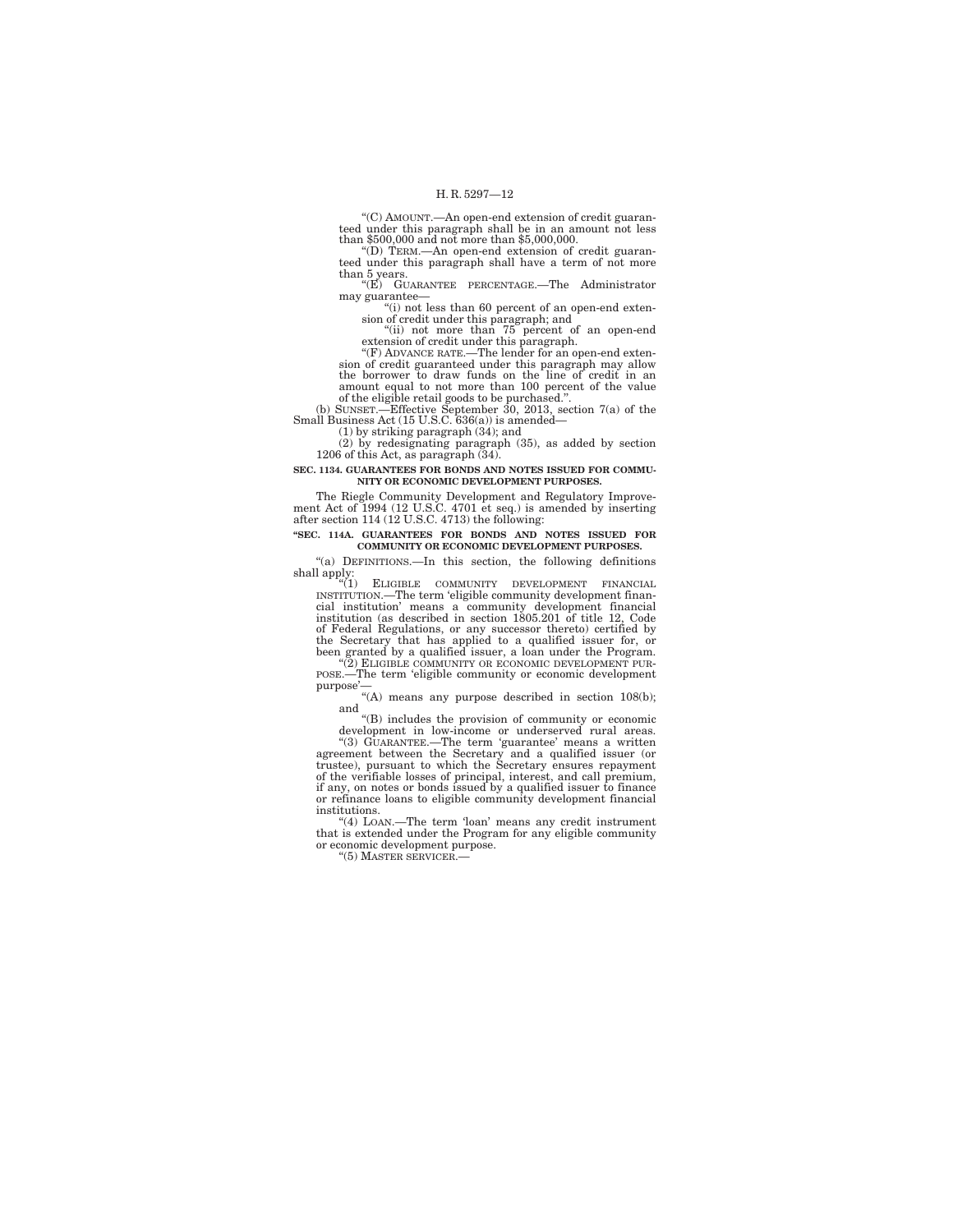''(C) AMOUNT.—An open-end extension of credit guaranteed under this paragraph shall be in an amount not less than \$500,000 and not more than \$5,000,000.

''(D) TERM.—An open-end extension of credit guaranteed under this paragraph shall have a term of not more than 5 years.

''(E) GUARANTEE PERCENTAGE.—The Administrator may guarantee—

"(i) not less than 60 percent of an open-end extension of credit under this paragraph; and ''(ii) not more than 75 percent of an open-end extension of credit under this paragraph.

''(F) ADVANCE RATE.—The lender for an open-end exten-sion of credit guaranteed under this paragraph may allow the borrower to draw funds on the line of credit in an amount equal to not more than 100 percent of the value

of the eligible retail goods to be purchased.''. (b) SUNSET.—Effective September 30, 2013, section 7(a) of the Small Business Act (15 U.S.C. 636(a)) is amended—

(1) by striking paragraph (34); and (2) by redesignating paragraph (35), as added by section 1206 of this Act, as paragraph (34).

#### **SEC. 1134. GUARANTEES FOR BONDS AND NOTES ISSUED FOR COMMU-NITY OR ECONOMIC DEVELOPMENT PURPOSES.**

The Riegle Community Development and Regulatory Improve-ment Act of 1994 (12 U.S.C. 4701 et seq.) is amended by inserting after section 114 (12 U.S.C. 4713) the following:

#### **''SEC. 114A. GUARANTEES FOR BONDS AND NOTES ISSUED FOR COMMUNITY OR ECONOMIC DEVELOPMENT PURPOSES.**

''(a) DEFINITIONS.—In this section, the following definitions shall apply:  $\frac{1}{a(1)}$ 

ELIGIBLE COMMUNITY DEVELOPMENT FINANCIAL INSTITUTION.—The term 'eligible community development financial<br>institution' means a community development financial<br>institution (as described in section 1805.201 of title 12, Code<br>of Federal Regulations, or any successor been granted by a qualified issuer, a loan under the Program.

''(2) ELIGIBLE COMMUNITY OR ECONOMIC DEVELOPMENT PUR- POSE.—The term 'eligible community or economic development purpose'-

"(A) means any purpose described in section 108(b);

and ''(B) includes the provision of community or economic development in low-income or underserved rural areas.

"(3) GUARANTEE.—The term 'guarantee' means a written agreement between the Secretary and a qualified issuer (or trustee), pursuant to which the Secretary ensures repayment of the verifiable losses of principal, interest, or refinance loans to eligible community development financial institutions.

''(4) LOAN.—The term 'loan' means any credit instrument that is extended under the Program for any eligible community or economic development purpose.

''(5) MASTER SERVICER.—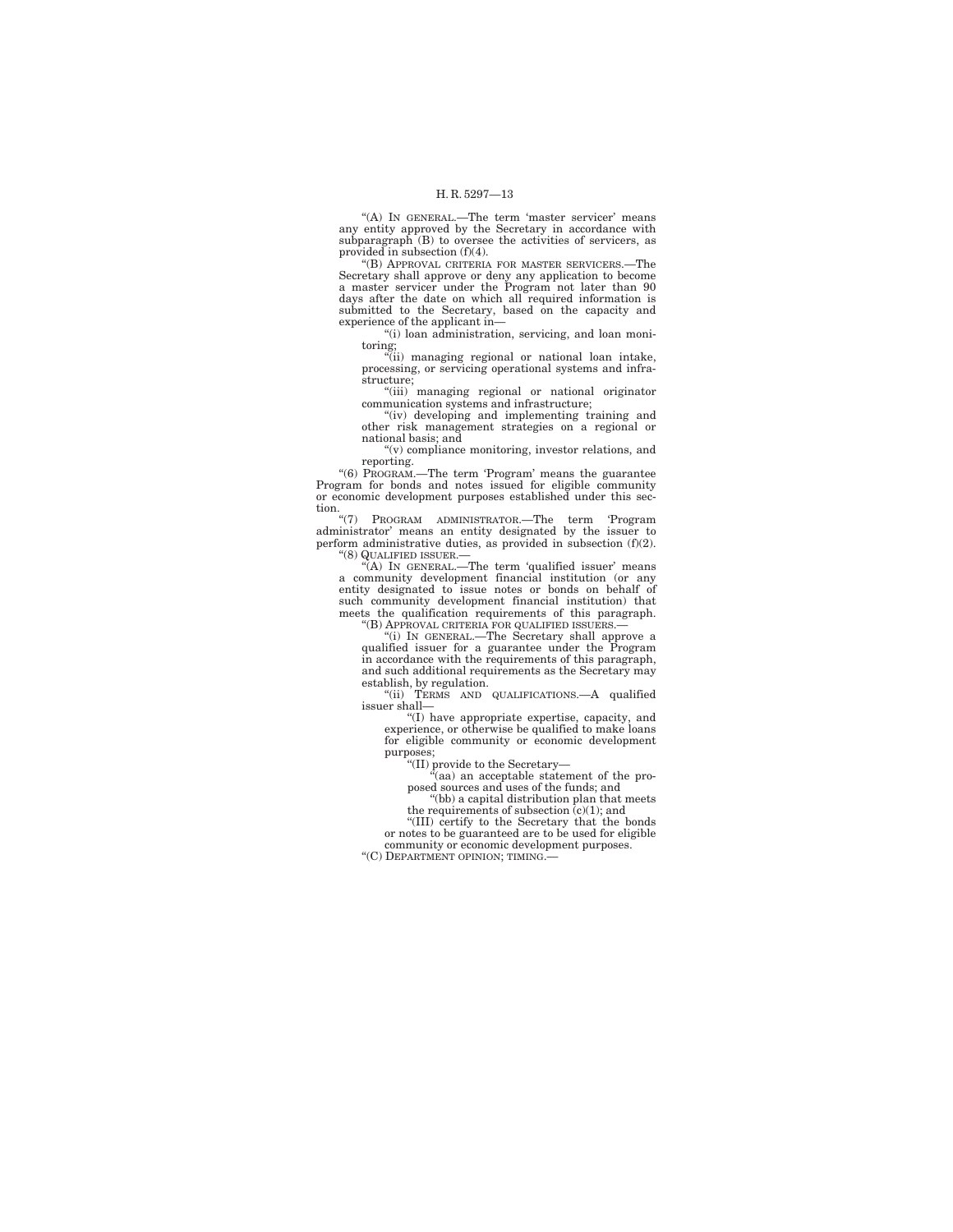"(A) IN GENERAL.—The term 'master servicer' means any entity approved by the Secretary in accordance with subparagraph (B) to oversee the activities of servicers, as provided in subsection (f)(4).

''(B) APPROVAL CRITERIA FOR MASTER SERVICERS.—The Secretary shall approve or deny any application to become a master servicer under the Program not later than 90 days after the date on which all required information is submitted to the Secretary, based on the capacity and experience of the applicant in—

''(i) loan administration, servicing, and loan monitoring;

''(ii) managing regional or national loan intake, processing, or servicing operational systems and infra-

structure;<br>"(iii) managing regional or national originator<br>communication systems and infrastructure;

''(iv) developing and implementing training and other risk management strategies on a regional or

national basis; and ''(v) compliance monitoring, investor relations, and reporting.

''(6) PROGRAM.—The term 'Program' means the guarantee Program for bonds and notes issued for eligible community or economic development purposes established under this section.

''(7) PROGRAM ADMINISTRATOR.—The term 'Program administrator' means an entity designated by the issuer to perform administrative duties, as provided in subsection (f)(2).

''(8) QUALIFIED ISSUER.— ''(A) IN GENERAL.—The term 'qualified issuer' means a community development financial institution (or any entity designated to issue notes or bonds on behalf of such community development financial institution) that meets the qualification requirements of this paragraph. ''(B) APPROVAL CRITERIA FOR QUALIFIED ISSUERS.—

''(i) IN GENERAL.—The Secretary shall approve a qualified issuer for a guarantee under the Program in accordance with the requirements of this paragraph, and such additional requirements as the Secretary may establish, by regulation. ''(ii) TERMS AND QUALIFICATIONS.—A qualified

issuer shall—

''(I) have appropriate expertise, capacity, and experience, or otherwise be qualified to make loans for eligible community or economic development purposes;

''(II) provide to the Secretary—

 $\ddot{a}$ (aa) an acceptable statement of the proposed sources and uses of the funds; and

''(bb) a capital distribution plan that meets the requirements of subsection  $(c)(1)$ ; and

''(III) certify to the Secretary that the bonds or notes to be guaranteed are to be used for eligible community or economic development purposes. "(C) DEPARTMENT OPINION; TIMING.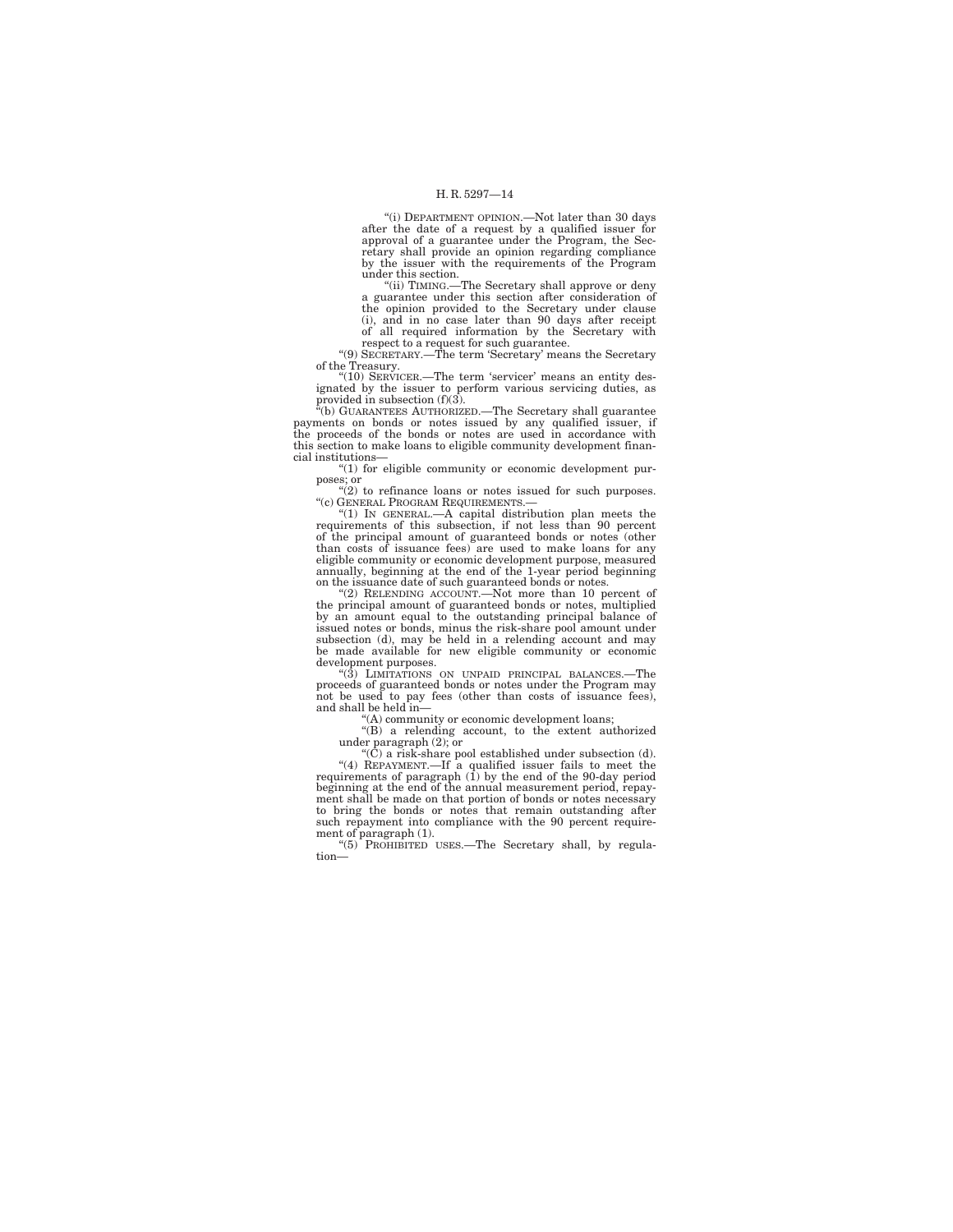''(i) DEPARTMENT OPINION.—Not later than 30 days after the date of a request by a qualified issuer for approval of a guarantee under the Program, the Secretary shall provide an opinion regarding compliance by the issuer with the requirements of the Program

under this section. ''(ii) TIMING.—The Secretary shall approve or deny a guarantee under this section after consideration of the opinion provided to the Secretary under clause (i), and in no case later than 90 days after receipt of all required information by the Secretary with

respect to a request for such guarantee.<br>"(9) SECRETARY.—The term 'Secretary' means the Secretary of the Treasury.<br>"(10) SERVICER.—The term 'servicer' means an entity des-

''(10) SERVICER.—The term 'servicer' means an entity des-ignated by the issuer to perform various servicing duties, as provided in subsection (f)(3).

''(b) GUARANTEES AUTHORIZED.—The Secretary shall guarantee payments on bonds or notes issued by any qualified issuer, if the proceeds of the bonds or notes are used in accordance with this section to make loans to eligible community development financial institutions—

''(1) for eligible community or economic development purposes; or <br>
"(2) to refinance loans or notes issued for such purposes.

"(c) GENERAL PROGRAM REQUIREMENTS.

''(1) IN GENERAL.—A capital distribution plan meets the requirements of this subsection, if not less than 90 percent of the principal amount of guaranteed bonds or notes (other than costs of issuance fees) are used to make loans for any eligible community or economic development purpose, measured annually, beginning at the end of the 1-year period beginning on the issuance date of such guaranteed bonds or notes.

''(2) RELENDING ACCOUNT.—Not more than 10 percent of the principal amount of guaranteed bonds or notes, multiplied by an amount equal to the outstanding principal balance of issued notes or bonds, minus the risk-share pool amount under subsection (d), may be held in a relending account and may be made available for new eligible community or economic development purposes.

''(3) LIMITATIONS ON UNPAID PRINCIPAL BALANCES.—The proceeds of guaranteed bonds or notes under the Program may not be used to pay fees (other than costs of issuance fees), and shall be held in—

''(A) community or economic development loans;

''(B) a relending account, to the extent authorized

under paragraph (2); or<br>
"(C) a risk-share pool established under subsection (d).<br>
"(4) REPAYMENT.—If a qualified issuer fails to meet the<br>
requirements of paragraph (1) by the end of the 90-day period beginning at the end of the annual measurement period, repay-ment shall be made on that portion of bonds or notes necessary to bring the bonds or notes that remain outstanding after such repayment into compliance with the 90 percent requirement of paragraph (1). ''(5) PROHIBITED USES.—The Secretary shall, by regula-

tion—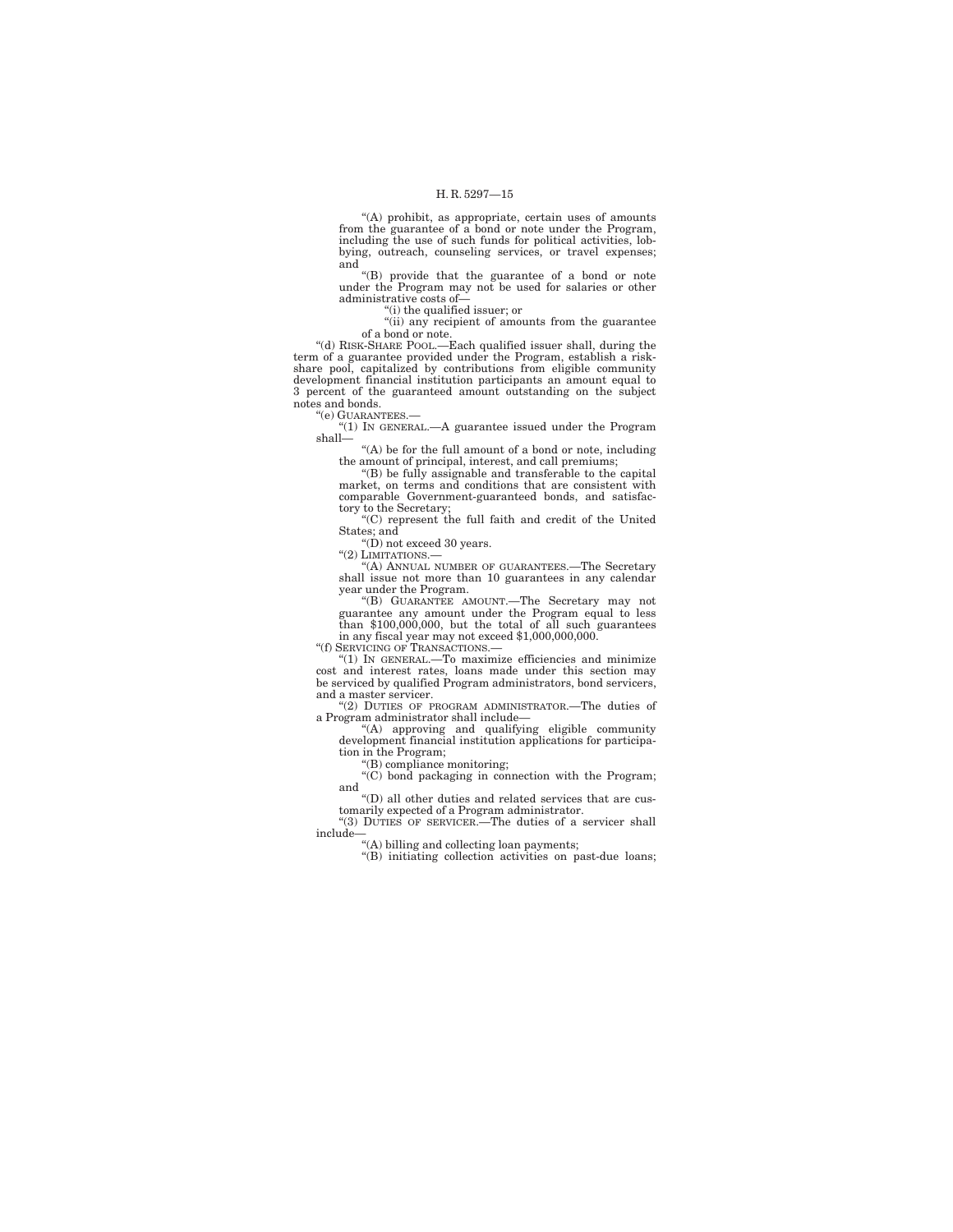''(A) prohibit, as appropriate, certain uses of amounts from the guarantee of a bond or note under the Program, including the use of such funds for political activities, lobbying, outreach, counseling services, or travel expenses; and

''(B) provide that the guarantee of a bond or note under the Program may not be used for salaries or other administrative costs of—

''(i) the qualified issuer; or

''(ii) any recipient of amounts from the guarantee of a bond or note.

''(d) RISK-SHARE POOL.—Each qualified issuer shall, during the term of a guarantee provided under the Program, establish a riskshare pool, capitalized by contributions from eligible community development financial institution participants an amount equal to 3 percent of the guaranteed amount outstanding on the subject notes and bonds.

''(e) GUARANTEES.—

''(1) IN GENERAL.—A guarantee issued under the Program shall—

''(A) be for the full amount of a bond or note, including

the amount of principal, interest, and call premiums; ''(B) be fully assignable and transferable to the capital market, on terms and conditions that are consistent with comparable Government-guaranteed bonds, and satisfactory to the Secretary; ''(C) represent the full faith and credit of the United

States; and

''(D) not exceed 30 years. "(2) LIMITATIONS.

''(A) ANNUAL NUMBER OF GUARANTEES.—The Secretary shall issue not more than 10 guarantees in any calendar year under the Program.

''(B) GUARANTEE AMOUNT.—The Secretary may not guarantee any amount under the Program equal to less than \$100,000,000, but the total of all such guarantees in any fiscal year may not exceed \$1,000,000,000.

''(f) SERVICING OF TRANSACTIONS.—

''(1) IN GENERAL.—To maximize efficiencies and minimize cost and interest rates, loans made under this section may be serviced by qualified Program administrators, bond servicers, and a master servicer.

''(2) DUTIES OF PROGRAM ADMINISTRATOR.—The duties of a Program administrator shall include—

''(A) approving and qualifying eligible community development financial institution applications for participation in the Program;

''(B) compliance monitoring;

''(C) bond packaging in connection with the Program; and

''(D) all other duties and related services that are cus-tomarily expected of a Program administrator. ''(3) DUTIES OF SERVICER.—The duties of a servicer shall

include—

''(A) billing and collecting loan payments;

''(B) initiating collection activities on past-due loans;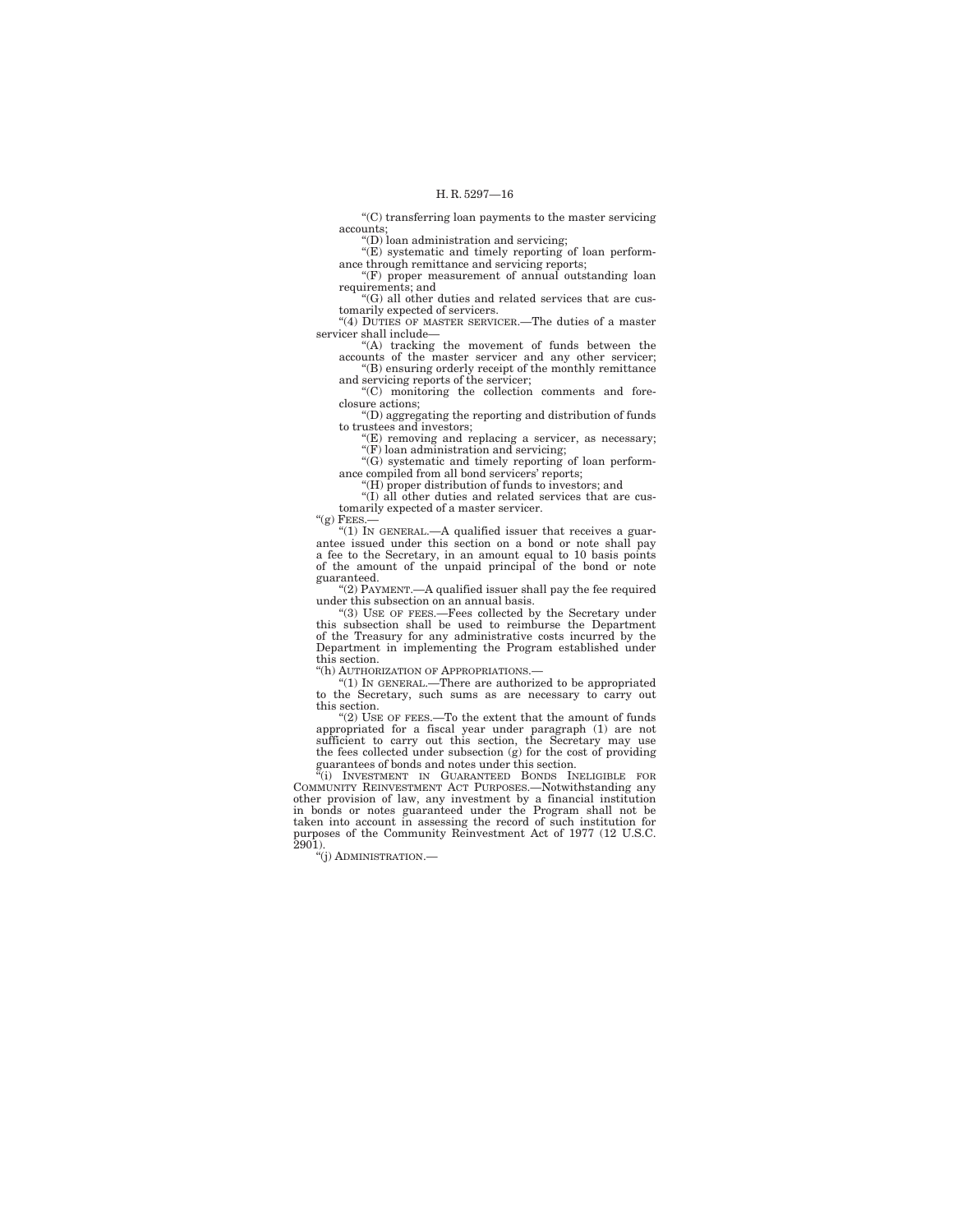''(C) transferring loan payments to the master servicing accounts;

''(D) loan administration and servicing;

 $\mathcal{L}(E)$  systematic and timely reporting of loan perform-

ance through remittance and servicing reports;<br>"(F) proper measurement of annual outstanding loan requirements; and

''(G) all other duties and related services that are customarily expected of servicers.

''(4) DUTIES OF MASTER SERVICER.—The duties of a master servicer shall include—

''(A) tracking the movement of funds between the accounts of the master servicer and any other servicer; ''(B) ensuring orderly receipt of the monthly remittance

and servicing reports of the servicer;

''(C) monitoring the collection comments and foreclosure actions;

''(D) aggregating the reporting and distribution of funds to trustees and investors;

''(E) removing and replacing a servicer, as necessary; ''(F) loan administration and servicing;

''(G) systematic and timely reporting of loan perform-ance compiled from all bond servicers' reports;

" $(H)$  proper distribution of funds to investors; and

''(I) all other duties and related services that are customarily expected of a master servicer.

''(g) FEES.—

''(1) IN GENERAL.—A qualified issuer that receives a guarantee issued under this section on a bond or note shall pay a fee to the Secretary, in an amount equal to 10 basis points of the amount of the unpaid principal of the bond or note guaranteed.

''(2) PAYMENT.—A qualified issuer shall pay the fee required under this subsection on an annual basis. ''(3) USE OF FEES.—Fees collected by the Secretary under

this subsection shall be used to reimburse the Department of the Treasury for any administrative costs incurred by the Department in implementing the Program established under this section.

''(h) AUTHORIZATION OF APPROPRIATIONS.—

''(1) IN GENERAL.—There are authorized to be appropriated to the Secretary, such sums as are necessary to carry out this section.

"(2) USE OF FEES.—To the extent that the amount of funds appropriated for a fiscal year under paragraph (1) are not sufficient to carry out this section, the Secretary may use the fees collected under subsection (g) for the cost of providing guarantees of bonds and notes under t

"(i) INVESTMENT IN GUARANTEED BONDS INELIGIBLE FOR COMMUNITY REINVESTMENT ACT PURPOSES.—Notwithstanding any other provision of law, any investment by a financial institution in bonds or notes guaranteed under the Program shall not be taken into account in assessing the record of such institution for purposes of the Community Reinvestment Act of 1977 (12 U.S.C.  $2901$ ).

''(j) ADMINISTRATION.—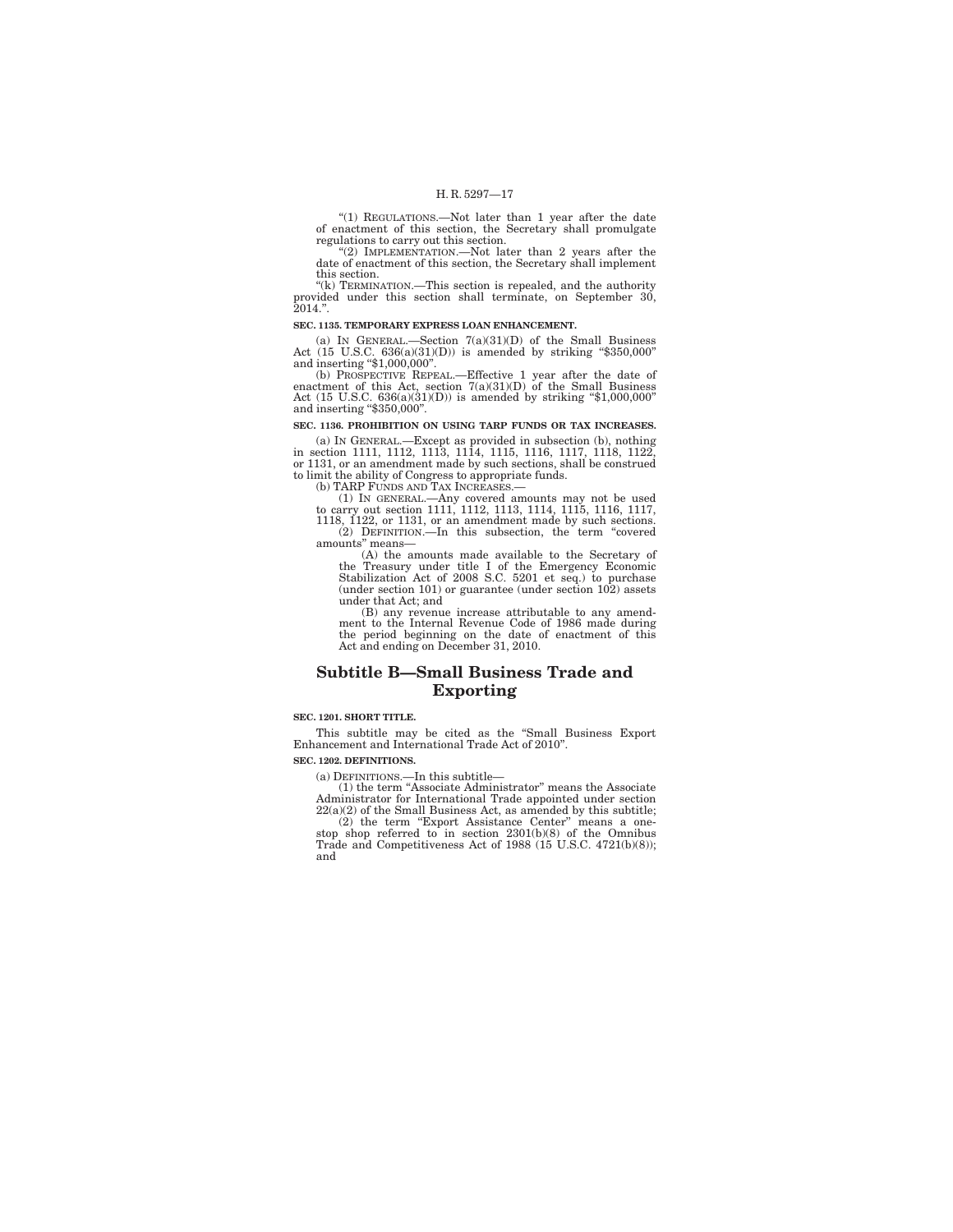''(1) REGULATIONS.—Not later than 1 year after the date of enactment of this section, the Secretary shall promulgate regulations to carry out this section.<br>"(2) IMPLEMENTATION.—Not later than 2 years after the

date of enactment of this section, the Secretary shall implement this section.

''(k) TERMINATION.—This section is repealed, and the authority provided under this section shall terminate, on September 30, 2014.''.

#### **SEC. 1135. TEMPORARY EXPRESS LOAN ENHANCEMENT.**

(a) IN GENERAL.—Section  $7(a)(31)(D)$  of the Small Business Act (15 U.S.C. 636(a)(31)(D)) is amended by striking ''\$350,000'' and inserting ''\$1,000,000''.

(b) PROSPECTIVE REPEAL.—Effective 1 year after the date of enactment of this Act, section  $7(a)(31)(D)$  of the Small Business Act (15 U.S.C. 636(a)(31)(D)) is amended by striking "\$1,000,000" and inserting "\$350,000".

#### **SEC. 1136. PROHIBITION ON USING TARP FUNDS OR TAX INCREASES.**

(a) IN GENERAL.—Except as provided in subsection (b), nothing in section 1111, 1112, 1113, 1114, 1115, 1116, 1117, 1118, 1122, or 1131, or an amendment made by such sections, shall be construed

to limit the ability of Congress to appropriate funds.<br>
(b) TARP FUNDS AND TAX INCREASES.—<br>
(1) IN GENERAL.—Any covered amounts may not be used<br>
to carry out section 1111, 1112, 1113, 1114, 1115, 1116, 1117, 1118, 1122, or 1131, or an amendment made by such sections.

(2) DEFINITION.—In this subsection, the term ''covered amounts'' means— (A) the amounts made available to the Secretary of

the Treasury under title I of the Emergency Economic Stabilization Act of 2008 S.C. 5201 et seq.) to purchase (under section 101) or guarantee (under section 102) assets under that Act; and

(B) any revenue increase attributable to any amendment to the Internal Revenue Code of 1986 made during the period beginning on the date of enactment of this Act and ending on December 31, 2010.

## **Subtitle B—Small Business Trade and Exporting**

#### **SEC. 1201. SHORT TITLE.**

This subtitle may be cited as the ''Small Business Export Enhancement and International Trade Act of 2010''.

## **SEC. 1202. DEFINITIONS.**

(a) DEFINITIONS.—In this subtitle— (1) the term ''Associate Administrator'' means the Associate Administrator for International Trade appointed under section 22(a)(2) of the Small Business Act, as amended by this subtitle; (2) the term ''Export Assistance Center'' means a one-stop shop referred to in section 2301(b)(8) of the Omnibus Trade and Competitiveness Act of 1988 (15 U.S.C. 4721(b)(8));

and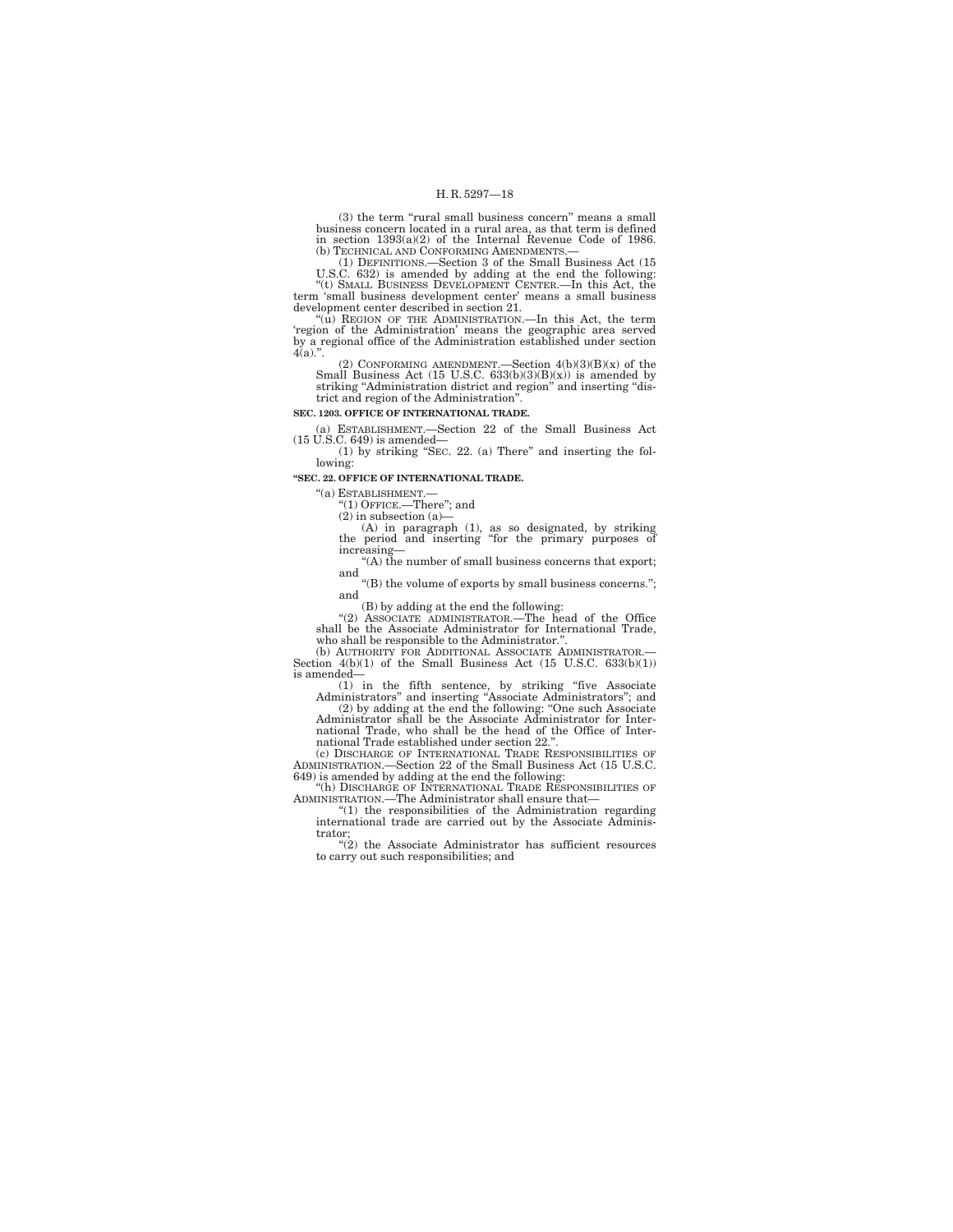(3) the term "rural small business concern" means a small business concern located in a rural area, as that term is defined in section 1393(a)(2) of the Internal Revenue Code of 1986.

(b) TECHNICAL AND CONFORMING AMENDMENTS.—<br>
(1) DEFINITIONS.—Section 3 of the Small Business Act (15<br>
U.S.C. 632) is amended by adding at the end the following:<br>
"(t) SMALL BUSINESS DEVELOPMENT CENTER.—In this Act, the<br>
ter

development center described in section 21. ''(u) REGION OF THE ADMINISTRATION.—In this Act, the term 'region of the Administration' means the geographic area served by a regional office of the Administration established under section  $4(a)$ .".

(2) CONFORMING AMENDMENT.—Section  $4(b)(3)(B)(x)$  of the Small Business Act (15 U.S.C. 633(b)(3)(B)(x)) is amended by striking "Administration district and region" and inserting "district and region of the Administration''.

**SEC. 1203. OFFICE OF INTERNATIONAL TRADE.** 

(a) ESTABLISHMENT.—Section 22 of the Small Business Act (15 U.S.C. 649) is amended—

 $(1)$  by striking "SEC. 22. (a) There" and inserting the following:

### **''SEC. 22. OFFICE OF INTERNATIONAL TRADE.**

"(a)  $ESTABILITYIMENT.$ "(1) OFFICE.—There"; and

(2) in subsection (a)—

(A) in paragraph (1), as so designated, by striking the period and inserting ''for the primary purposes of increasing—

''(A) the number of small business concerns that export; and

''(B) the volume of exports by small business concerns.''; and

(B) by adding at the end the following:

''(2) ASSOCIATE ADMINISTRATOR.—The head of the Office shall be the Associate Administrator for International Trade, who shall be responsible to the Administrator.".<br>
(b) AUTHORITY FOR ADDITIONAL ASSOCIATE ADMINISTRATOR.

Section  $4(b)(1)$  of the Small Business Act (15 U.S.C. 633(b)(1)) is amended—

(1) in the fifth sentence, by striking "five Associate Administrators" and inserting "Associate Administrators"; and  $(2)$  by adding at the end the following: "One such Associate Administrator shall be the Associate Admin

national Trade, who shall be the head of the Office of International Trade established under section 22.''. (c) DISCHARGE OF INTERNATIONAL TRADE RESPONSIBILITIES OF

ADMINISTRATION.—Section 22 of the Small Business Act (15 U.S.C. 649) is amended by adding at the end the following:

''(h) DISCHARGE OF INTERNATIONAL TRADE RESPONSIBILITIES OF ADMINISTRATION.—The Administrator shall ensure that— ''(1) the responsibilities of the Administration regarding

international trade are carried out by the Associate Administrator; ''(2) the Associate Administrator has sufficient resources

to carry out such responsibilities; and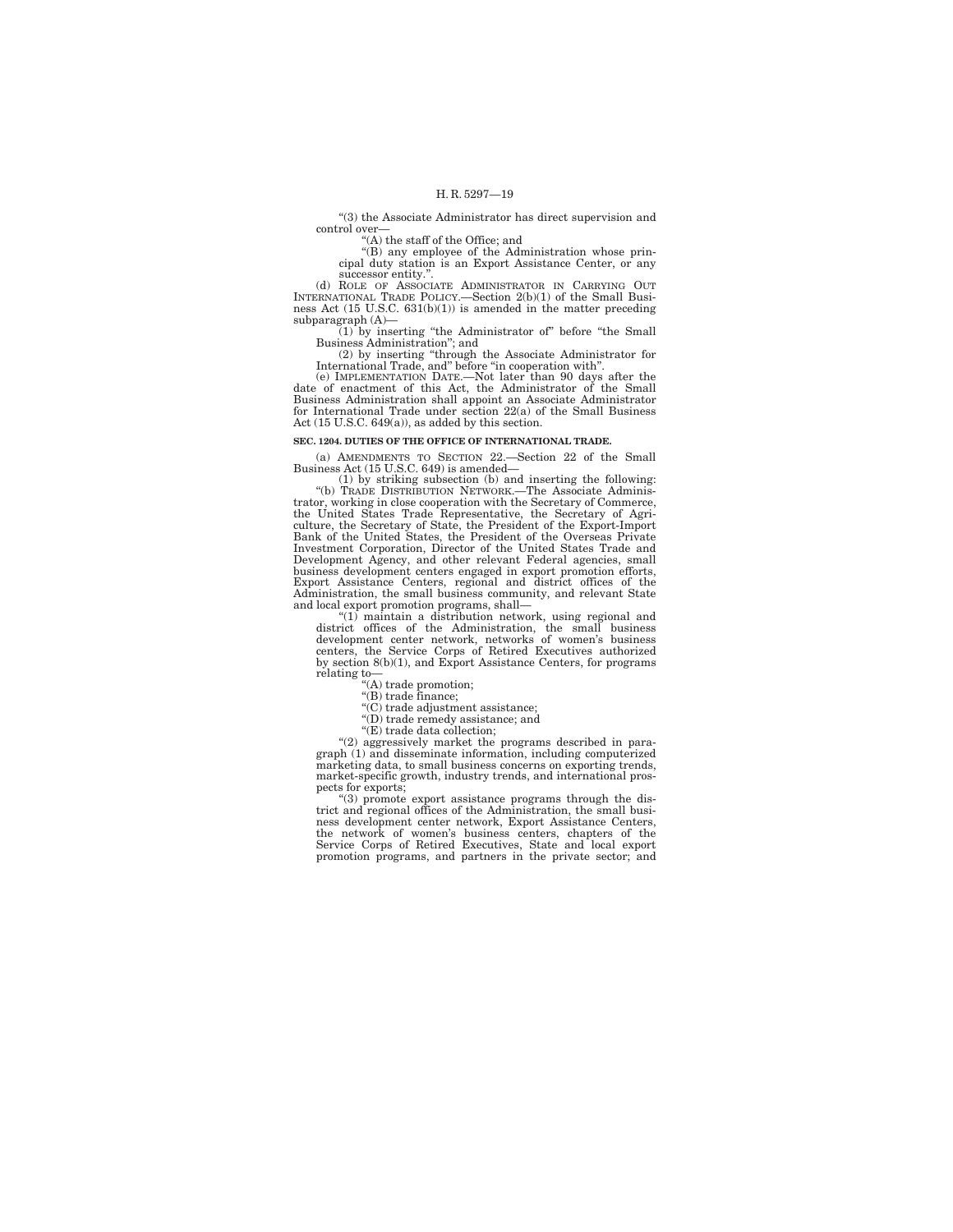''(3) the Associate Administrator has direct supervision and control over—

''(A) the staff of the Office; and ''(B) any employee of the Administration whose principal duty station is an Export Assistance Center, or any successor entity.'

(d) ROLE OF ASSOCIATE ADMINISTRATOR IN CARRYING OUT INTERNATIONAL TRADE POLICY.—Section 2(b)(1) of the Small Busi-ness Act (15 U.S.C. 631(b)(1)) is amended in the matter preceding subparagraph (A)—

(1) by inserting ''the Administrator of'' before ''the Small Business Administration''; and

(2) by inserting ''through the Associate Administrator for International Trade, and'' before ''in cooperation with''.

(e) IMPLEMENTATION DATE.—Not later than 90 days after the date of enactment of this Act, the Administrator of the Small Business Administration shall appoint an Associate Administrator for International Trade under section 22(a) of the Small Business Act (15 U.S.C. 649(a)), as added by this section.

#### **SEC. 1204. DUTIES OF THE OFFICE OF INTERNATIONAL TRADE.**

(a) AMENDMENTS TO SECTION 22.—Section 22 of the Small Business Act (15 U.S.C. 649) is amended—

(1) by striking subsection (b) and inserting the following: ''(b) TRADE DISTRIBUTION NETWORK.—The Associate Administrator, working in close cooperation with the Secretary of Commerce, the United States Trade Representative, the Secretary of Agriculture, the Secretary of State, the President of the Export-Import Bank of the United States, the President of the Overseas Private Investment Corporation, Director of the United States Trade and Development Agency, and other relevant Federal agencies, small business development centers engaged in export promotion efforts, Export Assistance Centers, regional and district offices of the Administration, the small business community, and relevant State and local export promotion programs, shall—

''(1) maintain a distribution network, using regional and district offices of the Administration, the small business development center network, networks of women's business centers, the Service Corps of Retired Executives authorized by section 8(b)(1), and Export Assistance Centers, for programs relating to—

''(A) trade promotion; ''(B) trade finance;

''(C) trade adjustment assistance;

''(D) trade remedy assistance; and

''(E) trade data collection;

''(2) aggressively market the programs described in paragraph (1) and disseminate information, including computerized marketing data, to small business concerns on exporting trends, market-specific growth, industry trends, and international prospects for exports;

''(3) promote export assistance programs through the district and regional offices of the Administration, the small business development center network, Export Assistance Centers, the network of women's business centers, chapters of the Service Corps of Retired Executives, State and local export promotion programs, and partners in the private sector; and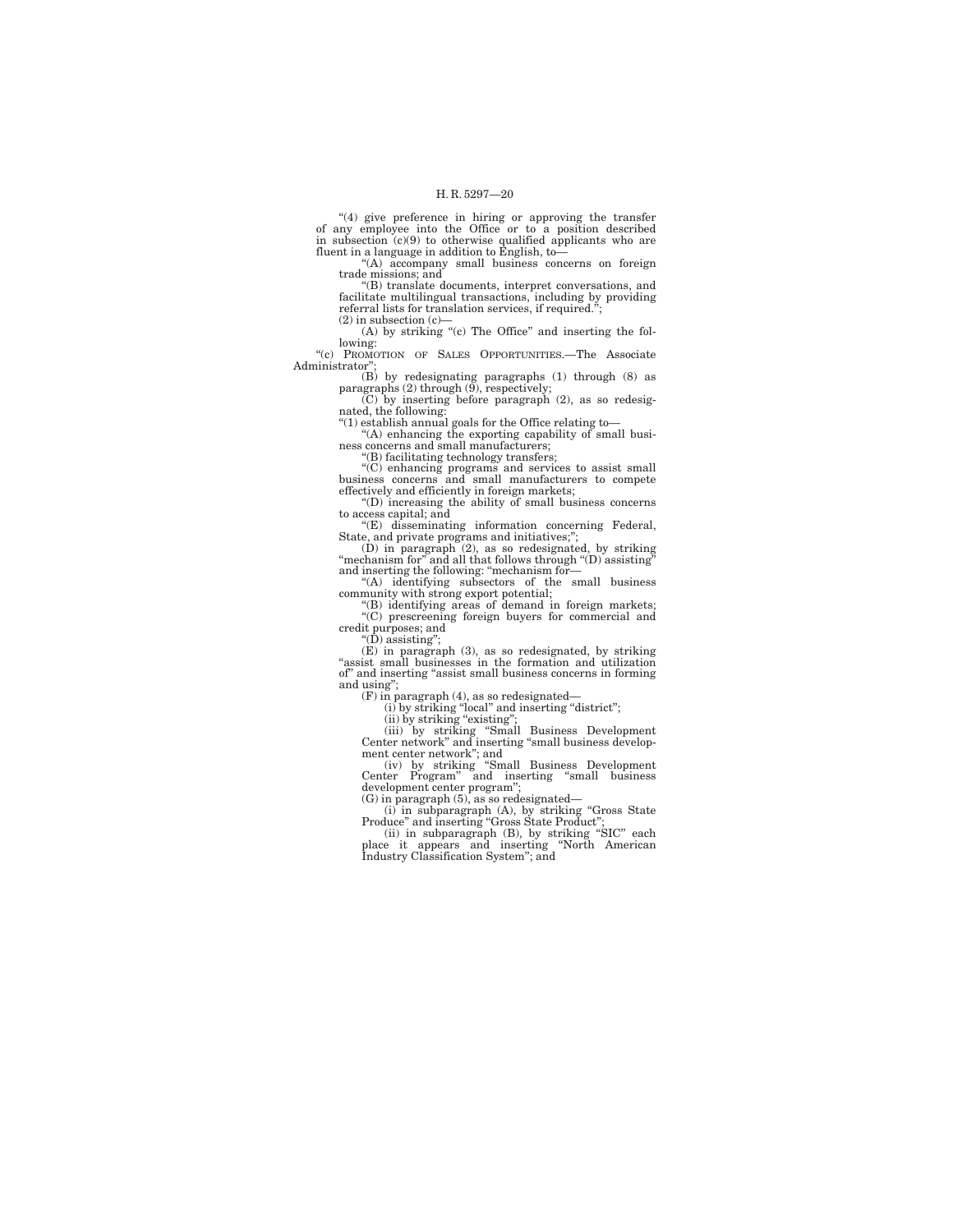"(4) give preference in hiring or approving the transfer<br>of any employee into the Office or to a position described<br>in subsection (c)(9) to otherwise qualified applicants who are<br>fluent in a language in addition to Englis

"(A) accompany small business concerns on foreign

trade missions; and<br>
"(B) translate documents, interpret conversations, and<br>
facilitate multilingual transactions, including by providing<br>
referral lists for translation services, if required."; (2) in subsection (c)—

 $(A)$  by striking "(c) The Office" and inserting the following: ''(c) PROMOTION OF SALES OPPORTUNITIES.—The Associate

Administrator"

(B) by redesignating paragraphs (1) through (8) as paragraphs (2) through (9), respectively; (C) by inserting before paragraph (2), as so redesig-

nated, the following:<br>"(1) establish annual goals for the Office relating to—<br>"(A) enhancing the exporting capability of small busi-<br>ness concerns and small manufacturers;

''(B) facilitating technology transfers;

''(C) enhancing programs and services to assist small business concerns and small manufacturers to compete effectively and efficiently in foreign markets;

''(D) increasing the ability of small business concerns to access capital; and

''(E) disseminating information concerning Federal,

State, and private programs and initiatives;";<br>
(D) in paragraph (2), as so redesignated, by striking<br>
"mechanism for" and all that follows through "(D) assisting"<br>
and inserting the following: "mechanism for—

''(A) identifying subsectors of the small business community with strong export potential; ''(B) identifying areas of demand in foreign markets;

''(C) prescreening foreign buyers for commercial and credit purposes; and ''(D) assisting'';

(E) in paragraph (3), as so redesignated, by striking ''assist small businesses in the formation and utilization of'' and inserting ''assist small business concerns in forming and using'';

(F) in paragraph  $(4)$ , as so redesignated—<br>
(i) by striking "local" and inserting "district";<br>
(ii) by striking "existing";<br>
(iii) by striking "Small Business Development<br>
Center network" and inserting "small business de

ment center network''; and (iv) by striking ''Small Business Development Center Program'' and inserting ''small business development center program'';

(G) in paragraph (5), as so redesignated—<br>
(i) in subparagraph (A), by striking "Gross State<br>
Produce" and inserting "Gross State Product";<br>
(ii) in subparagraph (B), by striking "SIC" each<br>
place it appears and inserting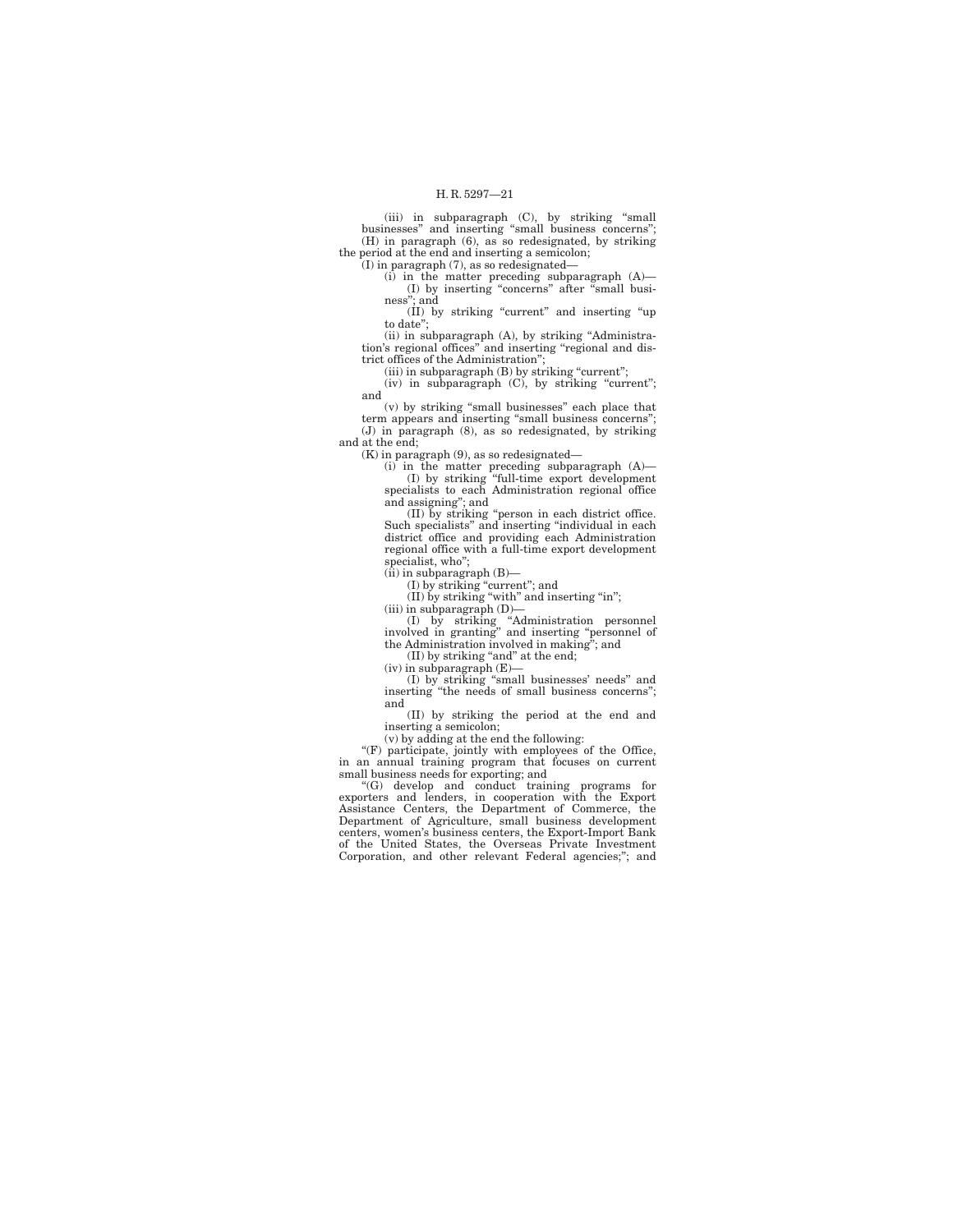(iii) in subparagraph (C), by striking ''small businesses'' and inserting ''small business concerns''; (H) in paragraph (6), as so redesignated, by striking the period at the end and inserting a semicolon;

(I) in paragraph (7), as so redesignated—

(i) in the matter preceding subparagraph (A)— (I) by inserting ''concerns'' after ''small busi-ness''; and

(II) by striking ''current'' and inserting ''up to date'';

(ii) in subparagraph (A), by striking ''Administration's regional offices'' and inserting ''regional and district offices of the Administration'';

(iii) in subparagraph (B) by striking "current";

(iv) in subparagraph (C), by striking "current"; and

(v) by striking ''small businesses'' each place that term appears and inserting ''small business concerns''; (J) in paragraph (8), as so redesignated, by striking and at the end;

(K) in paragraph (9), as so redesignated—

(i) in the matter preceding subparagraph (A)— (I) by striking ''full-time export development specialists to each Administration regional office

and assigning''; and (II) by striking ''person in each district office. Such specialists'' and inserting ''individual in each district office and providing each Administration regional office with a full-time export development specialist, who'';

(ii) in subparagraph (B)—

(I) by striking ''current''; and (II) by striking ''with'' and inserting ''in'';

(iii) in subparagraph (D)— (I) by striking ''Administration personnel involved in granting'' and inserting ''personnel of the Administration involved in making''; and

(II) by striking "and" at the end;

(iv) in subparagraph (E)— (I) by striking ''small businesses' needs'' and inserting ''the needs of small business concerns''; and

(II) by striking the period at the end and inserting a semicolon;

(v) by adding at the end the following:

''(F) participate, jointly with employees of the Office, in an annual training program that focuses on current

small business needs for exporting; and<br>
"(G) develop and conduct training programs for<br>
exporters and lenders, in cooperation with the Export<br>
Assistance Centers, the Department of Commerce, the Department of Agriculture, small business development centers, women's business centers, the Export-Import Bank of the United States, the Overseas Private Investment Corporation, and other relevant Federal agencies;''; and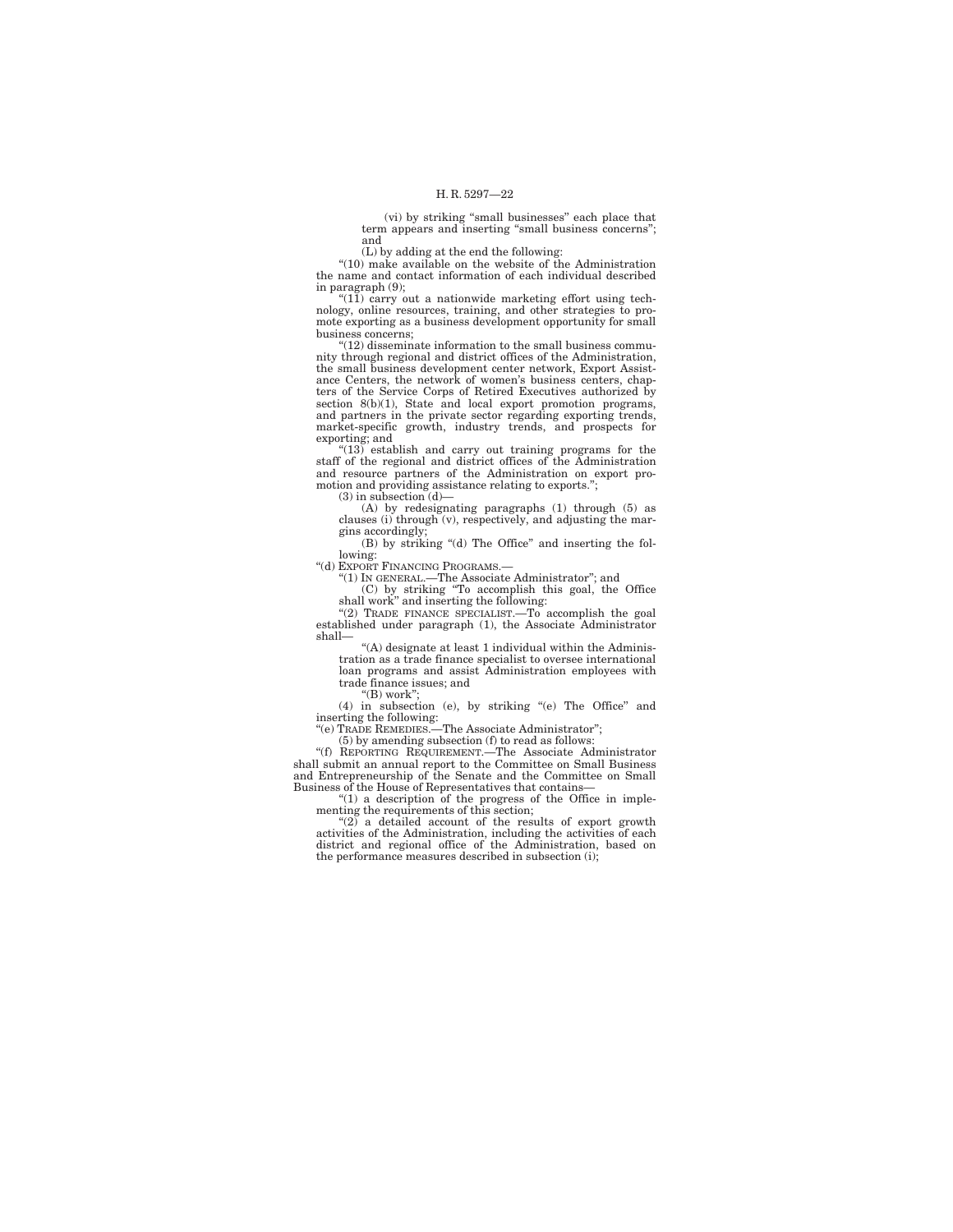(vi) by striking ''small businesses'' each place that term appears and inserting ''small business concerns''; and

(L) by adding at the end the following:<br>
"(10) make available on the website of the Administration<br>
the name and contact information of each individual described in paragraph (9);

''(11) carry out a nationwide marketing effort using tech-nology, online resources, training, and other strategies to pro-mote exporting as a business development opportunity for small business concerns;

''(12) disseminate information to the small business community through regional and district offices of the Administration, the small business development center network, Export Assistance Centers, the network of women's business centers, chap-ters of the Service Corps of Retired Executives authorized by section 8(b)(1), State and local export promotion programs, and partners in the private sector regarding exporting trends, market-specific growth, industry trends, and prospects for exporting; and

''(13) establish and carry out training programs for the staff of the regional and district offices of the Administration and resource partners of the Administration on export promotion and providing assistance relating to exports.'';

(3) in subsection (d)—

(A) by redesignating paragraphs (1) through (5) as clauses (i) through (v), respectively, and adjusting the margins accordingly;

(B) by striking ''(d) The Office'' and inserting the following:

''(d) EXPORT FINANCING PROGRAMS.—

''(1) IN GENERAL.—The Associate Administrator''; and (C) by striking ''To accomplish this goal, the Office shall work'' and inserting the following: ''(2) TRADE FINANCE SPECIALIST.—To accomplish the goal

established under paragraph (1), the Associate Administrator shall—

''(A) designate at least 1 individual within the Administration as a trade finance specialist to oversee international loan programs and assist Administration employees with trade finance issues; and

''(B) work'';

(4) in subsection (e), by striking ''(e) The Office'' and

inserting the following: ''(e) TRADE REMEDIES.—The Associate Administrator''; (5) by amending subsection (f) to read as follows: ''(f) REPORTING REQUIREMENT.—The Associate Administrator shall submit an annual report to the Committee on Small Business and Entrepreneurship of the Senate and the Committee on Small Business of the House of Representatives that contains—

''(1) a description of the progress of the Office in implementing the requirements of this section;

''(2) a detailed account of the results of export growth activities of the Administration, including the activities of each district and regional office of the Administration, based on the performance measures described in subsection (i);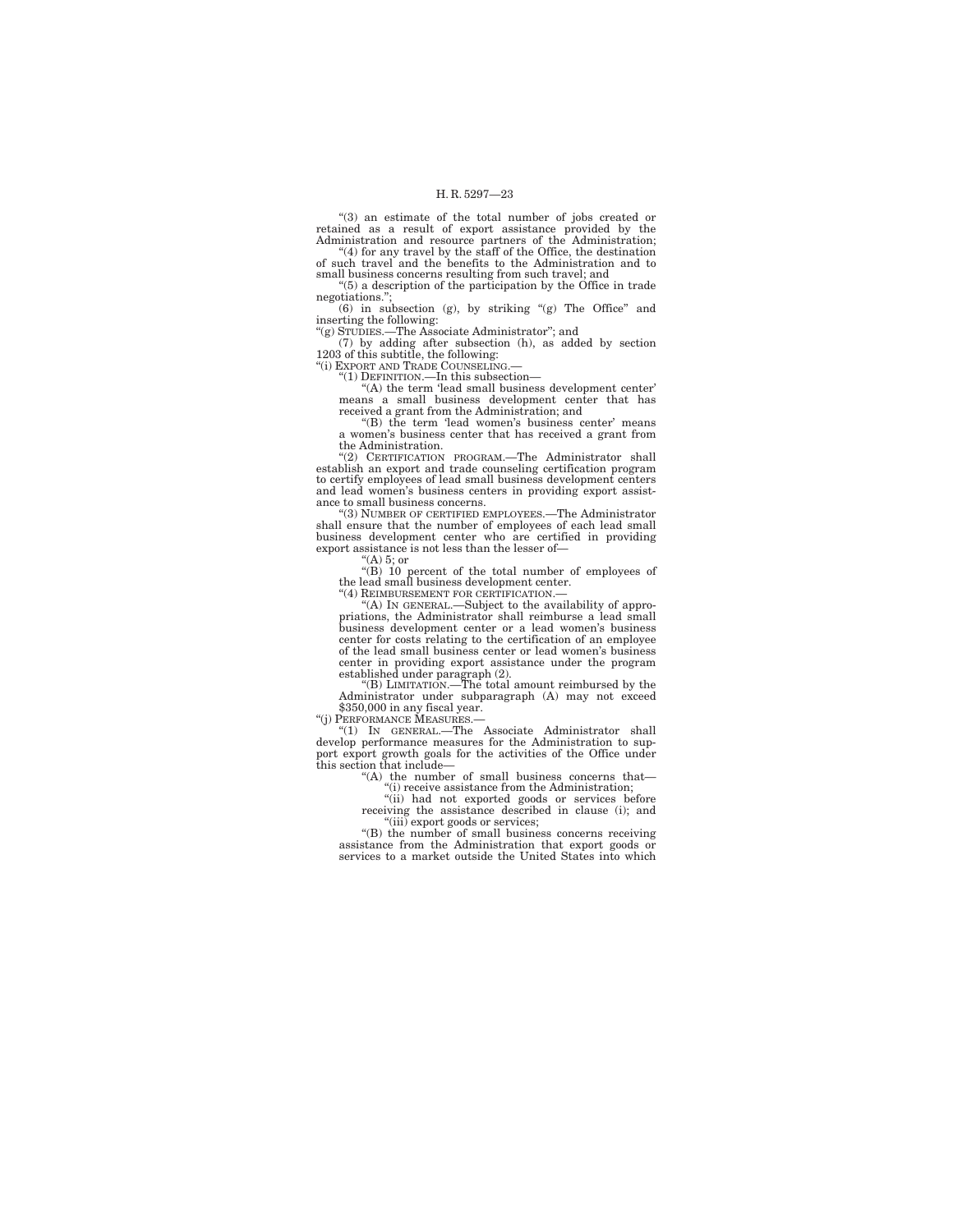''(3) an estimate of the total number of jobs created or retained as a result of export assistance provided by the Administration and resource partners of the Administration; "(4) for any travel by the staff of the Office, the destination

of such travel and the benefits to the Administration and to small business concerns resulting from such travel; and

''(5) a description of the participation by the Office in trade negotiations." (6) in subsection (g), by striking ''(g) The Office'' and

inserting the following:

''(g) STUDIES.—The Associate Administrator''; and (7) by adding after subsection (h), as added by section 1203 of this subtitle, the following:

"(i) EXPORT AND TRADE COUNSELING.

''(1) DEFINITION.—In this subsection—

"(A) the term 'lead small business development center' means a small business development center that has received a grant from the Administration; and

"(B) the term 'lead women's business center' means a women's business center that has received a grant from the Administration.

''(2) CERTIFICATION PROGRAM.—The Administrator shall establish an export and trade counseling certification program to certify employees of lead small business development centers and lead women's business centers in providing export assistance to small business concerns.

''(3) NUMBER OF CERTIFIED EMPLOYEES.—The Administrator shall ensure that the number of employees of each lead small business development center who are certified in providing export assistance is not less than the lesser of—

" $(A)$  5; or

''(B) 10 percent of the total number of employees of the lead small business development center.

''(4) REIMBURSEMENT FOR CERTIFICATION.— ''(A) IN GENERAL.—Subject to the availability of appropriations, the Administrator shall reimburse a lead small business development center or a lead women's business center for costs relating to the certification of an employee of the lead small business center or lead women's business center in providing export assistance under the program established under paragraph (2).

''(B) LIMITATION.—The total amount reimbursed by the Administrator under subparagraph (A) may not exceed \$350,000 in any fiscal year.

''(j) PERFORMANCE MEASURES.—

''(1) IN GENERAL.—The Associate Administrator shall develop performance measures for the Administration to support export growth goals for the activities of the Office under this section that include—

''(A) the number of small business concerns that—

''(i) receive assistance from the Administration; ''(ii) had not exported goods or services before receiving the assistance described in clause (i); and

''(iii) export goods or services;

''(B) the number of small business concerns receiving assistance from the Administration that export goods or services to a market outside the United States into which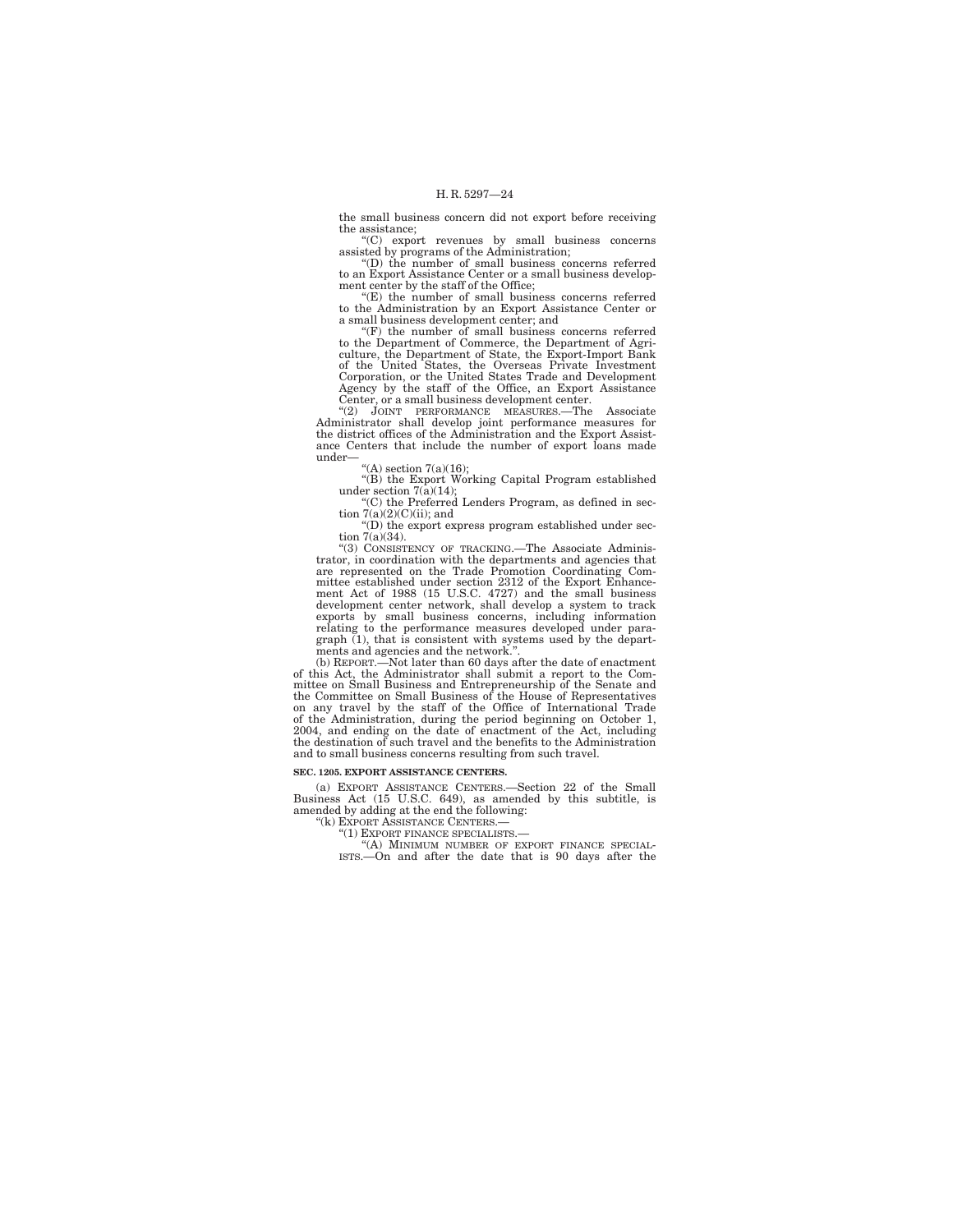the small business concern did not export before receiving the assistance;

''(C) export revenues by small business concerns assisted by programs of the Administration; ''(D) the number of small business concerns referred

to an Export Assistance Center or a small business development center by the staff of the Office;

''(E) the number of small business concerns referred to the Administration by an Export Assistance Center or a small business development center; and

''(F) the number of small business concerns referred to the Department of Commerce, the Department of Agriculture, the Department of State, the Export-Import Bank of the United States, the Overseas Private Investment Corporation, or the United States Trade and Development Agency by the staff of the Office, an Export Assistance Center, or a small business development center.

''(2) JOINT PERFORMANCE MEASURES.—The Associate Administrator shall develop joint performance measures for the district offices of the Administration and the Export Assistance Centers that include the number of export loans made under

"(A) section  $7(a)(16)$ ;

''(B) the Export Working Capital Program established under section 7(a)(14);<br>"(C) the Preferred Lenders Program, as defined in sec-

tion  $7(a)(2)(C)(ii)$ ; and

''(D) the export express program established under section 7(a)(34).

''(3) CONSISTENCY OF TRACKING.—The Associate Administrator, in coordination with the departments and agencies that are represented on the Trade Promotion Coordinating Committee established under section 2312 of the Export Enhance-ment Act of 1988 (15 U.S.C. 4727) and the small business development center network, shall develop a system to track exports by small business concerns, including information relating to the performance measures developed under paragraph (1), that is consistent with systems used by the departments and agencies and the network.''.

(b) REPORT.—Not later than 60 days after the date of enactment of this Act, the Administrator shall submit a report to the Committee on Small Business and Entrepreneurship of the Senate and the Committee on Small Business of the House of Representatives<br>on any travel by the staff of the Office of International Trade<br>of the Administration, during the period beginning on October 1,<br>2004, and ending on the date and to small business concerns resulting from such travel.

#### **SEC. 1205. EXPORT ASSISTANCE CENTERS.**

(a) EXPORT ASSISTANCE CENTERS.—Section 22 of the Small Business Act (15 U.S.C. 649), as amended by this subtitle, is amended by adding at the end the following:

''(k) EXPORT ASSISTANCE CENTERS.—

''(1) EXPORT FINANCE SPECIALISTS.— ''(A) MINIMUM NUMBER OF EXPORT FINANCE SPECIAL-

ISTS.—On and after the date that is 90 days after the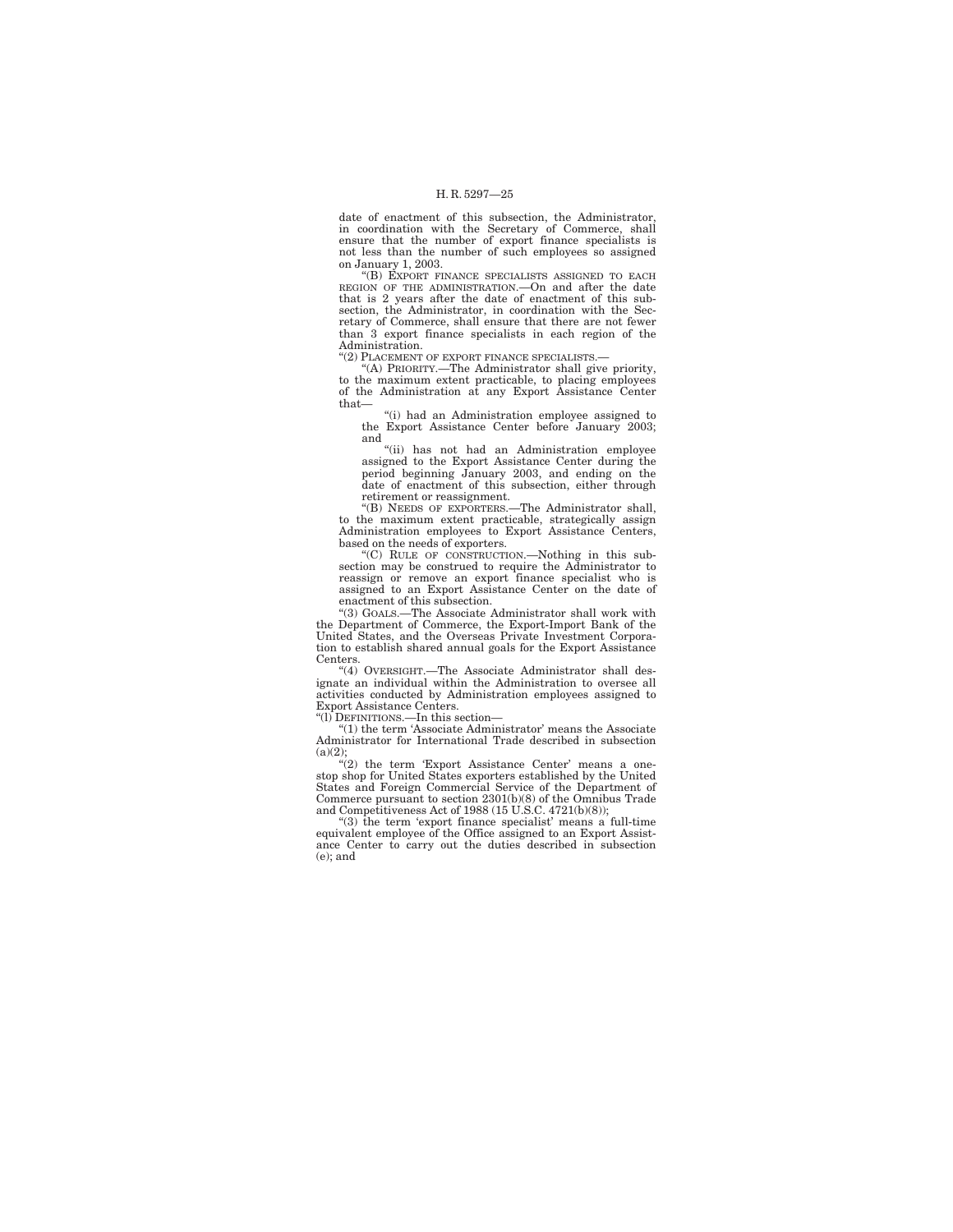date of enactment of this subsection, the Administrator, in coordination with the Secretary of Commerce, shall ensure that the number of export finance specialists is not less than the number of such employees so assigned

on January 1, 2003.<br>"(B) EXPORT FINANCE SPECIALISTS ASSIGNED TO EACH REGION OF THE ADMINISTRATION.—On and after the date that is 2 years after the date of enactment of this subsection, the Administrator, in coordination with the Secretary of Commerce, shall ensure that there are not fewer than 3 export finance specialists in each region of the Administration.

"(2) PLACEMENT OF EXPORT FINANCE SPECIALISTS.

''(A) PRIORITY.—The Administrator shall give priority, to the maximum extent practicable, to placing employees of the Administration at any Export Assistance Center that—

''(i) had an Administration employee assigned to the Export Assistance Center before January 2003; and

''(ii) has not had an Administration employee assigned to the Export Assistance Center during the period beginning January 2003, and ending on the date of enactment of this subsection, either through retirement or reassignment.

''(B) NEEDS OF EXPORTERS.—The Administrator shall, to the maximum extent practicable, strategically assign Administration employees to Export Assistance Centers, based on the needs of exporters.

''(C) RULE OF CONSTRUCTION.—Nothing in this subsection may be construed to require the Administrator to reassign or remove an export finance specialist who is assigned to an Export Assistance Center on the date of enactment of this subsection.

''(3) GOALS.—The Associate Administrator shall work with the Department of Commerce, the Export-Import Bank of the United States, and the Overseas Private Investment Corporation to establish shared annual goals for the Export Assistance Centers.

"(4) OVERSIGHT.—The Associate Administrator shall designate an individual within the Administration to oversee all activities conducted by Administration employees assigned to Export Assistance Centers.

''(l) DEFINITIONS.—In this section—

"(1) the term 'Associate Administrator' means the Associate Administrator for International Trade described in subsection  $(a)(2);$ 

 $\binom{11}{2}$  the term 'Export Assistance Center' means a onestop shop for United States exporters established by the United States and Foreign Commercial Service of the Department of Commerce pursuant to section 2301(b)(8) of the Omnibus Trade and Competitiveness Act of 1988 (15 U.S.C. 4721(b)(8));

''(3) the term 'export finance specialist' means a full-time equivalent employee of the Office assigned to an Export Assistance Center to carry out the duties described in subsection (e); and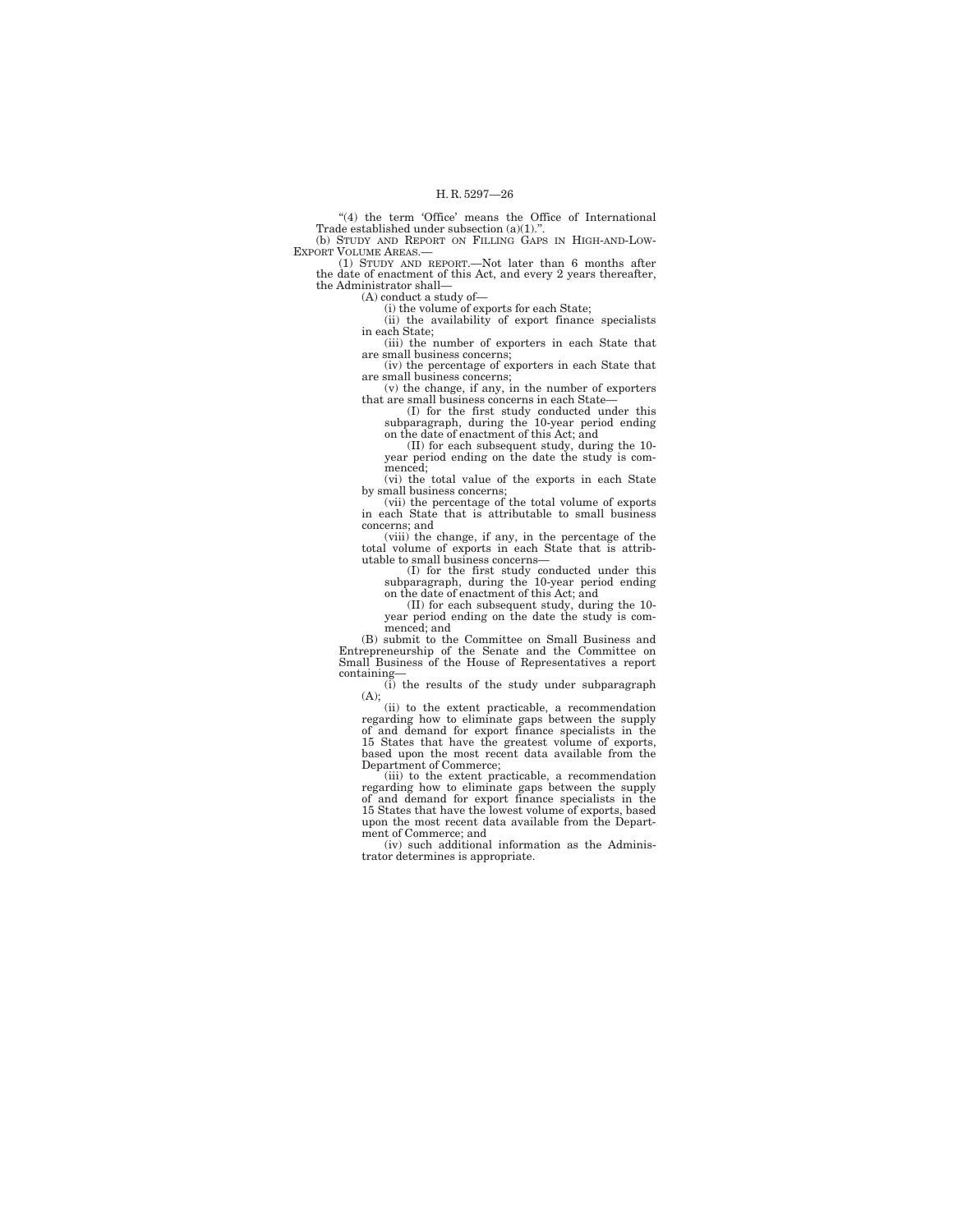"(4) the term 'Office' means the Office of International Trade established under subsection (a)(1)." (b) STUDY AND REPORT ON FILLING GAPS IN HIGH-AND-LOW-

EXPORT VOLUME AREAS.— (1) STUDY AND REPORT.—Not later than 6 months after

the date of enactment of this Act, and every 2 years thereafter, the Administrator shall—

(A) conduct a study of—

(i) the volume of exports for each State;

(ii) the availability of export finance specialists in each State;

(iii) the number of exporters in each State that are small business concerns; (iv) the percentage of exporters in each State that

are small business concerns; (v) the change, if any, in the number of exporters

that are small business concerns in each State—

(I) for the first study conducted under this subparagraph, during the 10-year period ending on the date of enactment of this Act; and

(II) for each subsequent study, during the 10- year period ending on the date the study is commenced;

(vi) the total value of the exports in each State by small business concerns; (vii) the percentage of the total volume of exports

in each State that is attributable to small business concerns; and

(viii) the change, if any, in the percentage of the total volume of exports in each State that is attributable to small business concerns—

(I) for the first study conducted under this subparagraph, during the 10-year period ending on the date of enactment of this Act; and

(II) for each subsequent study, during the 10- year period ending on the date the study is commenced; and

(B) submit to the Committee on Small Business and Entrepreneurship of the Senate and the Committee on Small Business of the House of Representatives a report containing—

(i) the results of the study under subparagraph (A);

(ii) to the extent practicable, a recommendation regarding how to eliminate gaps between the supply of and demand for export finance specialists in the 15 States that have the greatest volume of exports, based upon the most recent data available from the Department of Commerce;

(iii) to the extent practicable, a recommendation regarding how to eliminate gaps between the supply of and demand for export finance specialists in the 15 States that have the lowest volume of exports, based upon the most recent data available from the Department of Commerce; and

(iv) such additional information as the Administrator determines is appropriate.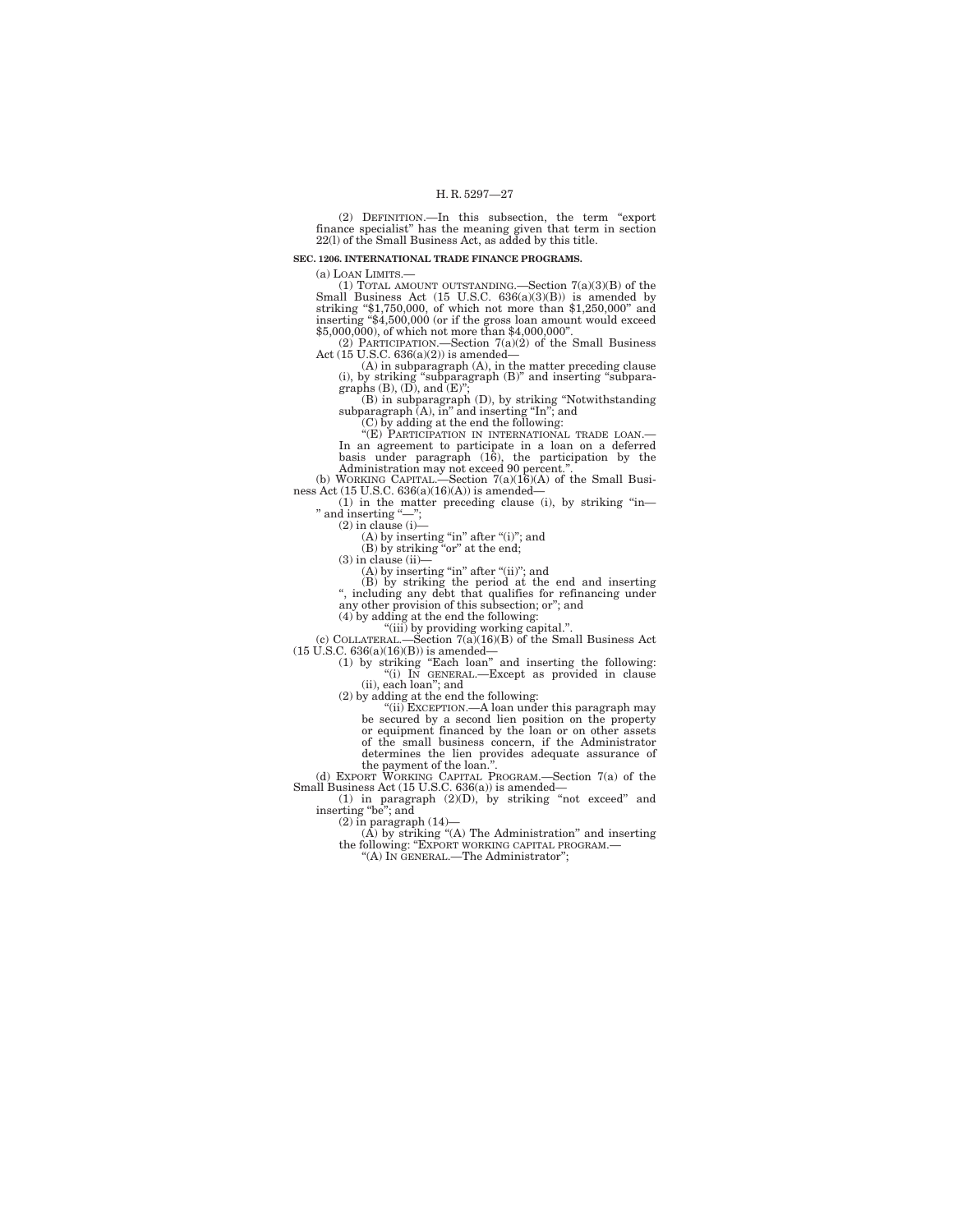(2) DEFINITION.—In this subsection, the term ''export finance specialist'' has the meaning given that term in section 22(l) of the Small Business Act, as added by this title.

### **SEC. 1206. INTERNATIONAL TRADE FINANCE PROGRAMS.**

(a) LOAN LIMITS.—<br>
(1) TOTAL AMOUNT OUTSTANDING.—Section  $7(a)(3)(B)$  of the<br>
Small Business Act (15 U.S.C. 636(a)(3)(B)) is amended by<br>
striking "\$1,750,000, of which not more than \$1,250,000" and<br>
inserting "\$4,500,000 (or

(2) PARTICIPATION.—Section  $7(a)(2)$  of the Small Business<br>Act (15 U.S.C. 636(a)(2)) is amended—

Act (15 U.S.C. 636(a)(2)) is amended—<br>
(A) in subparagraph (A), in the matter preceding clause<br>
(i) by striking "subparagraph (B)" and inserting "subparagraphs (B), (D), and (E)",<br>
(B) in subparagraph (D), by striking "No

In an agreement to participate in a loan on a deferred<br>basis under paragraph (16), the participation by the<br>dministration may not exceed 90 percent.".<br>(b) WORKING CAPITAL.—Section 7(a)(16)(A) of the Small Busi-<br>ness Act (

(1) in the matter preceding clause (i), by striking "in—<br>
" and inserting "--",<br>
(2) in clause (i)—<br>
(A) by inserting "in" after "(i)"; and<br>
(B) by striking "or" at the end;

 $(3)$  in clause  $(ii)$ -

 $(A)$  by inserting "in" after "(ii)"; and

(B) by striking the period at the end and inserting ", including any debt that qualifies for refinancing under any other provision of this subsection; or"; and

(4) by adding at the end the following:

(iii) by providing working capital."<br>
(c) COLLATERAL.—Section  $7(a)(16)(B)$  of the Small Business Act (15 U.S.C. 636(a)(16)(B)) is amended—<br>
(1) by striking "Each loan" and inserting the following:<br>
(i) IN GENERAL.—Except as

(ii), each loan''; and

(2) by adding at the end the following:<br>"(ii) EXCEPTION.—A loan under this paragraph may<br>be secured by a second lien position on the property<br>or equipment financed by the loan or on other assets<br>of the small business conc determines the lien provides adequate assurance of

the payment of the loan.''. (d) EXPORT WORKING CAPITAL PROGRAM.—Section 7(a) of the

Small Business Act (15 U.S.C. 636(a)) is amended—<br>
(1) in paragraph (2)(D), by striking "not exceed" and<br>
inserting "be"; and<br>
(2) in paragraph (14)—

(A) by striking "(A) The Administration" and inserting<br>the following: "EXPORT WORKING CAPITAL PROGRAM.—<br>"(A) IN GENERAL.—The Administrator";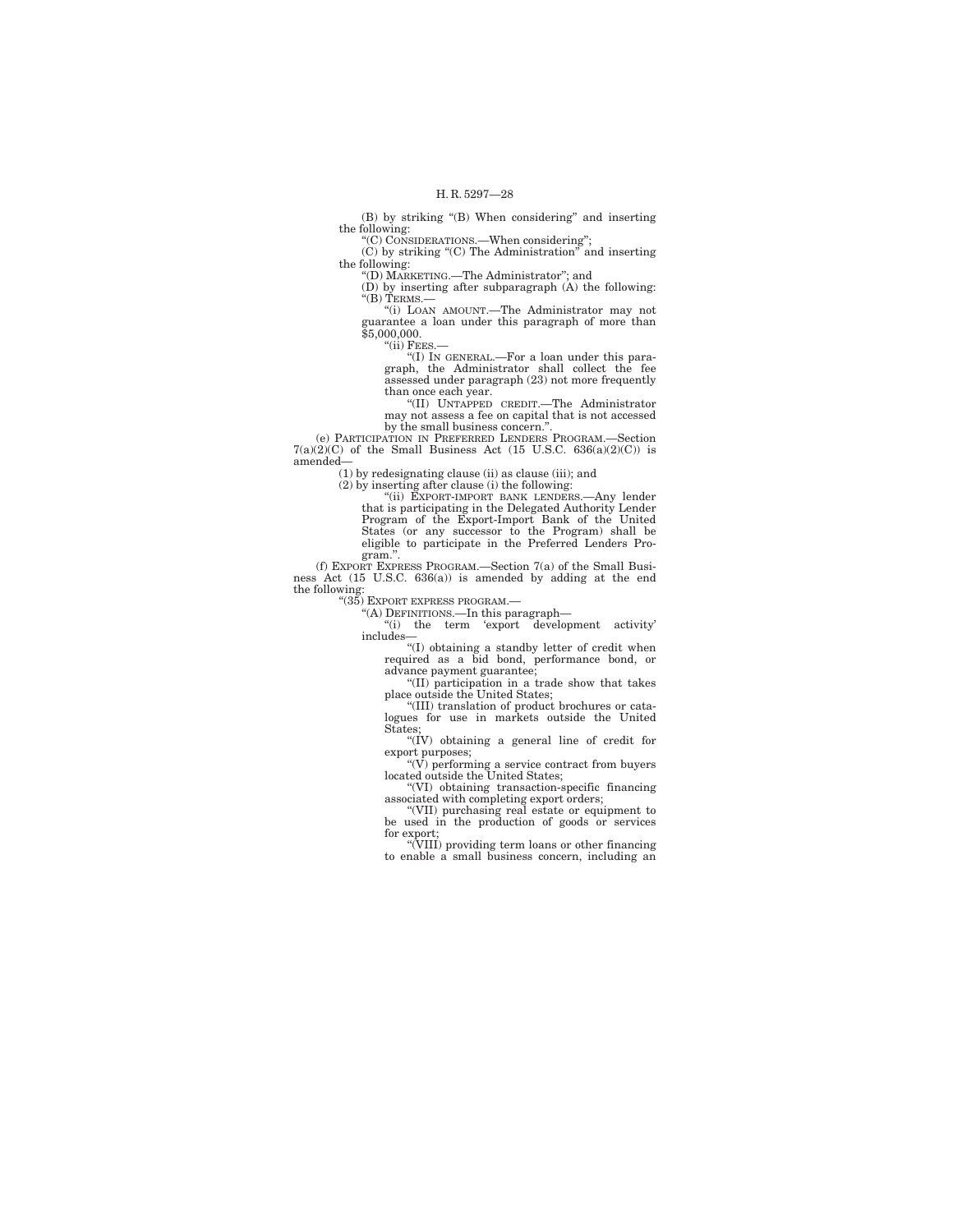(B) by striking "(B) When considering" and inserting the following:

''(C) CONSIDERATIONS.—When considering'';

(C) by striking ''(C) The Administration'' and inserting the following: ''(D) MARKETING.—The Administrator''; and

(D) by inserting after subparagraph (A) the following: ''(B) TERMS.— ''(i) LOAN AMOUNT.—The Administrator may not

guarantee a loan under this paragraph of more than \$5,000,000.

" $(ii)$  FEES.

''(I) IN GENERAL.—For a loan under this paragraph, the Administrator shall collect the fee assessed under paragraph (23) not more frequently than once each year.

''(II) UNTAPPED CREDIT.—The Administrator may not assess a fee on capital that is not accessed by the small business concern."

(e) PARTICIPATION IN PREFERRED LENDERS PROGRAM.—Section  $7(a)(2)(C)$  of the Small Business Act (15 U.S.C. 636(a)(2)(C)) is amended—

 $(1)$  by redesignating clause (ii) as clause (iii); and

 $(2)$  by inserting after clause (i) the following:

''(ii) EXPORT-IMPORT BANK LENDERS.—Any lender that is participating in the Delegated Authority Lender Program of the Export-Import Bank of the United States (or any successor to the Program) shall be eligible to participate in the Preferred Lenders Program.''.

(f) EXPORT EXPRESS PROGRAM.—Section 7(a) of the Small Business Act (15 U.S.C. 636(a)) is amended by adding at the end the following:

''(35) EXPORT EXPRESS PROGRAM.—

''(A) DEFINITIONS.—In this paragraph— ''(i) the term 'export development activity' includes—

''(I) obtaining a standby letter of credit when required as a bid bond, performance bond, or advance payment guarantee;

''(II) participation in a trade show that takes place outside the United States;

''(III) translation of product brochures or catalogues for use in markets outside the United

States;<br>"(IV) obtaining a general line of credit for

export purposes; ''(V) performing a service contract from buyers located outside the United States;

''(VI) obtaining transaction-specific financing

associated with completing export orders; ''(VII) purchasing real estate or equipment to be used in the production of goods or services

for export; ''(VIII) providing term loans or other financing to enable a small business concern, including an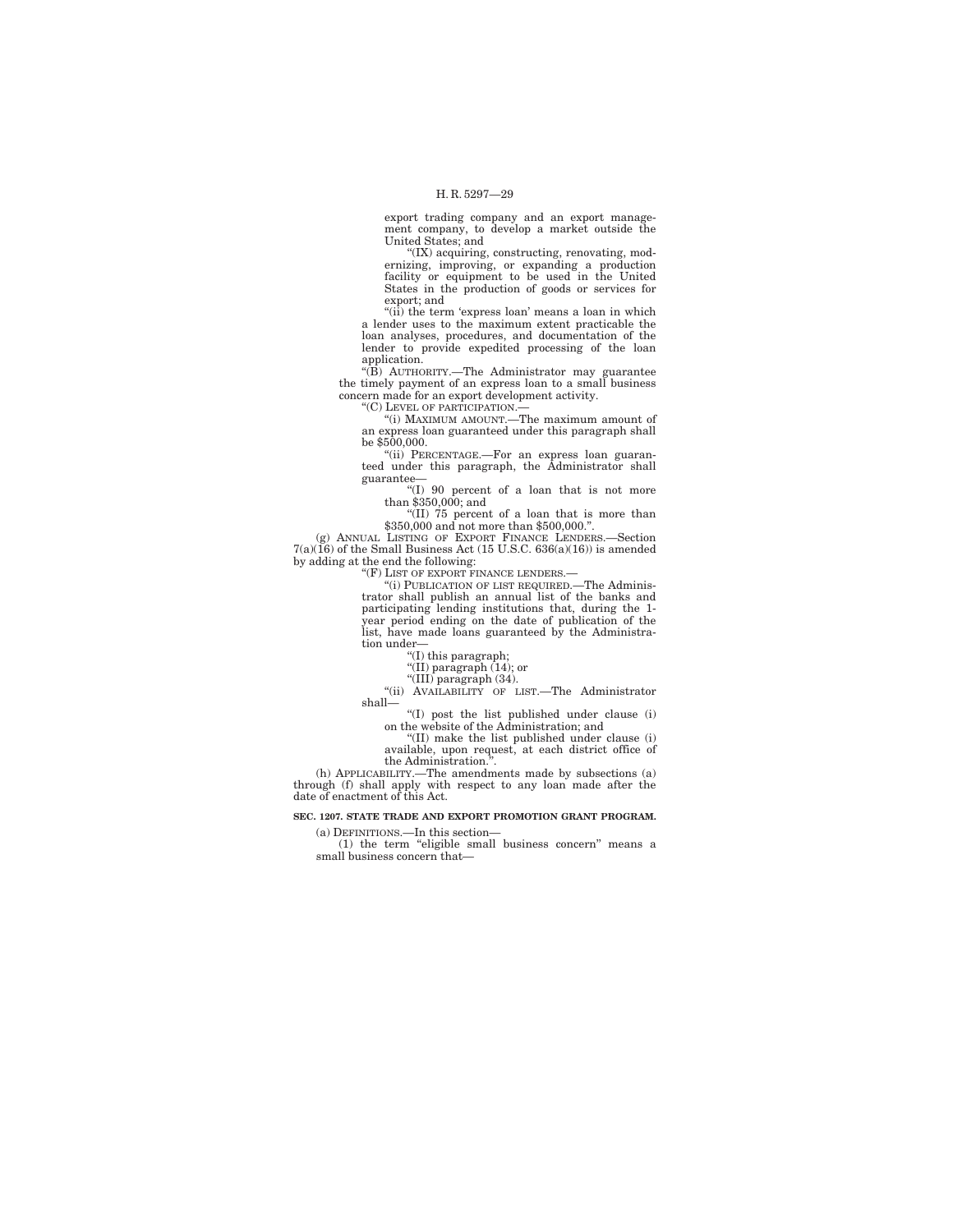export trading company and an export management company, to develop a market outside the United States; and

''(IX) acquiring, constructing, renovating, modernizing, improving, or expanding a production facility or equipment to be used in the United States in the production of goods or services for export; and

"(ii) the term 'express loan' means a loan in which a lender uses to the maximum extent practicable the loan analyses, procedures, and documentation of the lender to provide expedited processing of the loan application.

''(B) AUTHORITY.—The Administrator may guarantee the timely payment of an express loan to a small business concern made for an export development activity.

''(C) LEVEL OF PARTICIPATION.—

''(i) MAXIMUM AMOUNT.—The maximum amount of an express loan guaranteed under this paragraph shall be \$500,000.

''(ii) PERCENTAGE.—For an express loan guaranteed under this paragraph, the Administrator shall guarantee—

''(I) 90 percent of a loan that is not more than \$350,000; and

''(II) 75 percent of a loan that is more than \$350,000 and not more than \$500,000.''.

(g) ANNUAL LISTING OF EXPORT FINANCE LENDERS.—Section  $7(a)(16)$  of the Small Business Act (15 U.S.C. 636(a)(16)) is amended by adding at the end the following:

"(F) LIST OF EXPORT FINANCE LENDERS.-

''(i) PUBLICATION OF LIST REQUIRED.—The Adminis-trator shall publish an annual list of the banks and participating lending institutions that, during the 1- year period ending on the date of publication of the list, have made loans guaranteed by the Administration under—

''(I) this paragraph;

''(II) paragraph (14); or ''(III) paragraph (34).

''(ii) AVAILABILITY OF LIST.—The Administrator shall—

''(I) post the list published under clause (i) on the website of the Administration; and

''(II) make the list published under clause (i) available, upon request, at each district office of the Administration.

(h) APPLICABILITY.—The amendments made by subsections (a) through (f) shall apply with respect to any loan made after the date of enactment of this Act.

## **SEC. 1207. STATE TRADE AND EXPORT PROMOTION GRANT PROGRAM.**

(a) DEFINITIONS.—In this section— (1) the term ''eligible small business concern'' means a small business concern that—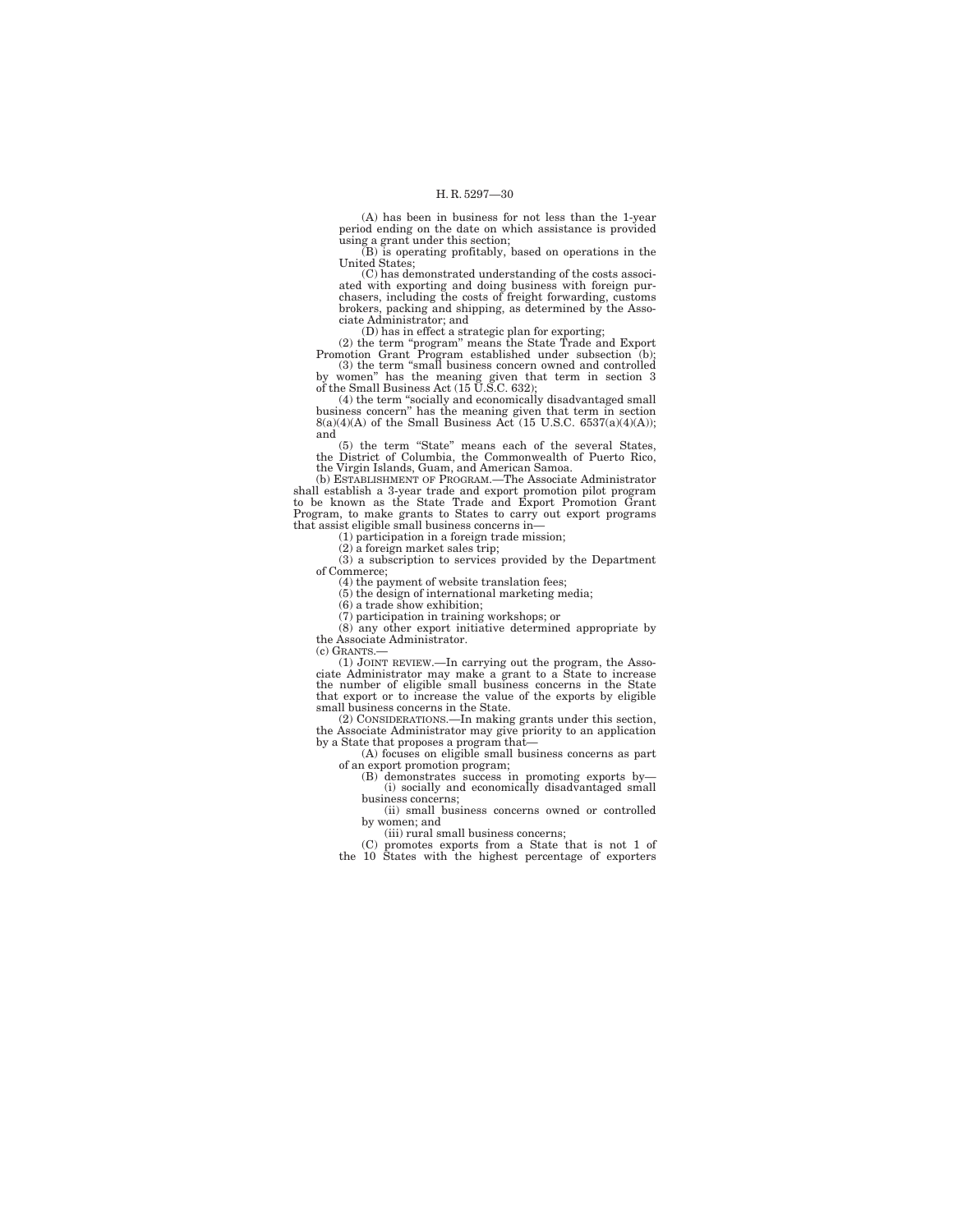(A) has been in business for not less than the 1-year period ending on the date on which assistance is provided using a grant under this section;

(B) is operating profitably, based on operations in the United States;

(C) has demonstrated understanding of the costs associated with exporting and doing business with foreign pur-chasers, including the costs of freight forwarding, customs brokers, packing and shipping, as determined by the Associate Administrator; and

(D) has in effect a strategic plan for exporting;<br>
(2) the term "program" means the State Trade and Export<br>
Promotion Grant Program established under subsection (b);<br>
(3) the term "small business concern owned and controll

by women'' has the meaning given that term in section 3 of the Small Business Act (15 U.S.C. 632); (4) the term ''socially and economically disadvantaged small

business concern'' has the meaning given that term in section 8(a)(4)(A) of the Small Business Act (15 U.S.C. 6537(a)(4)(A)); and

(5) the term ''State'' means each of the several States, the District of Columbia, the Commonwealth of Puerto Rico, the Virgin Islands, Guam, and American Samoa.

(b) ESTABLISHMENT OF PROGRAM.—The Associate Administrator shall establish a 3-year trade and export promotion pilot program to be known as the State Trade and Export Promotion Grant Program, to make grants to States to carry out export programs that assist eligible small business concerns in—

(1) participation in a foreign trade mission;

(2) a foreign market sales trip; (3) a subscription to services provided by the Department

of Commerce;

(4) the payment of website translation fees; (5) the design of international marketing media;

(6) a trade show exhibition;

(7) participation in training workshops; or

(8) any other export initiative determined appropriate by the Associate Administrator.

(c) GRANTS.—

(1) JOINT REVIEW.—In carrying out the program, the Asso-ciate Administrator may make a grant to a State to increase the number of eligible small business concerns in the State that export or to increase the value of the exports by eligible small business concerns in the State.

(2) CONSIDERATIONS.—In making grants under this section, the Associate Administrator may give priority to an application by a State that proposes a program that—

(A) focuses on eligible small business concerns as part

of an export promotion program; (B) demonstrates success in promoting exports by— (i) socially and economically disadvantaged small

business concerns; (ii) small business concerns owned or controlled by women; and

(iii) rural small business concerns; (C) promotes exports from a State that is not 1 of the 10 States with the highest percentage of exporters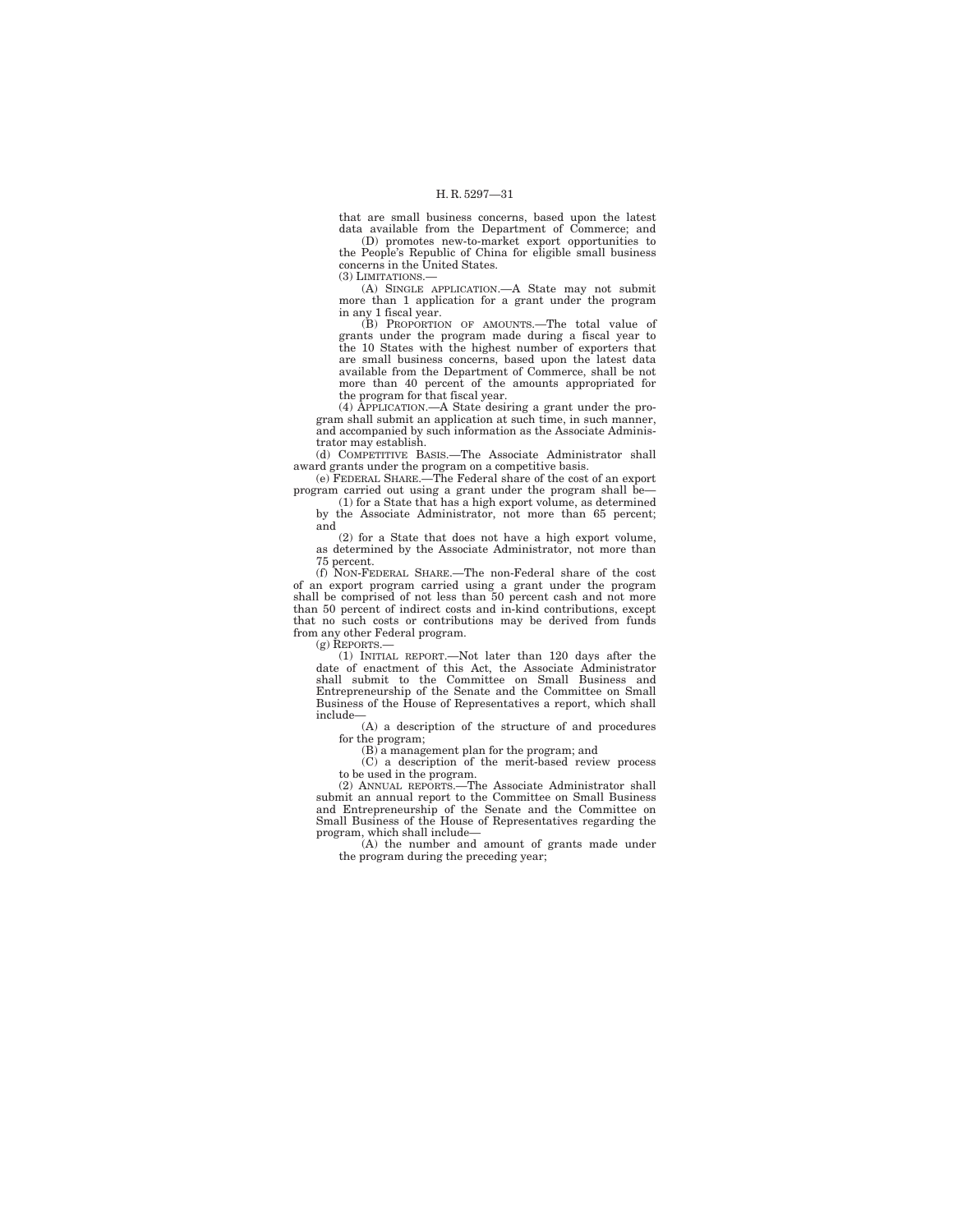that are small business concerns, based upon the latest data available from the Department of Commerce; and

(D) promotes new-to-market export opportunities to the People's Republic of China for eligible small business concerns in the United States.

(3) LIMITATIONS.—

(A) SINGLE APPLICATION.—A State may not submit more than 1 application for a grant under the program in any 1 fiscal year.

(B) PROPORTION OF AMOUNTS.—The total value of grants under the program made during a fiscal year to the 10 States with the highest number of exporters that are small business concerns, based upon the latest data available from the Department of Commerce, shall be not more than 40 percent of the amounts appropriated for the program for that fiscal year.

(4) APPLICATION.—A State desiring a grant under the program shall submit an application at such time, in such manner, and accompanied by such information as the Associate Administrator may establish.

(d) COMPETITIVE BASIS.—The Associate Administrator shall award grants under the program on a competitive basis. (e) FEDERAL SHARE.—The Federal share of the cost of an export

program carried out using a grant under the program shall be—

(1) for a State that has a high export volume, as determined by the Associate Administrator, not more than 65 percent; and

(2) for a State that does not have a high export volume, as determined by the Associate Administrator, not more than 75 percent.

(f) NON-FEDERAL SHARE.—The non-Federal share of the cost of an export program carried using a grant under the program shall be comprised of not less than 50 percent cash and not more than 50 percent of indirect costs and in-kind contributions, except that no such costs or contributions may be derived from funds from any other Federal program.

(g) REPORTS.—

(1) INITIAL REPORT.—Not later than 120 days after the date of enactment of this Act, the Associate Administrator<br>shall submit to the Committee on Small Business and<br>Entrepreneurship of the Senate and the Committee on Small<br>Business of the House of Representatives a report, wh include—

(A) a description of the structure of and procedures for the program;

(B) a management plan for the program; and

(C) a description of the merit-based review process to be used in the program.

(2) ANNUAL REPORTS.—The Associate Administrator shall submit an annual report to the Committee on Small Business and Entrepreneurship of the Senate and the Committee on Small Business of the House of Representatives regarding the program, which shall include—

(A) the number and amount of grants made under the program during the preceding year;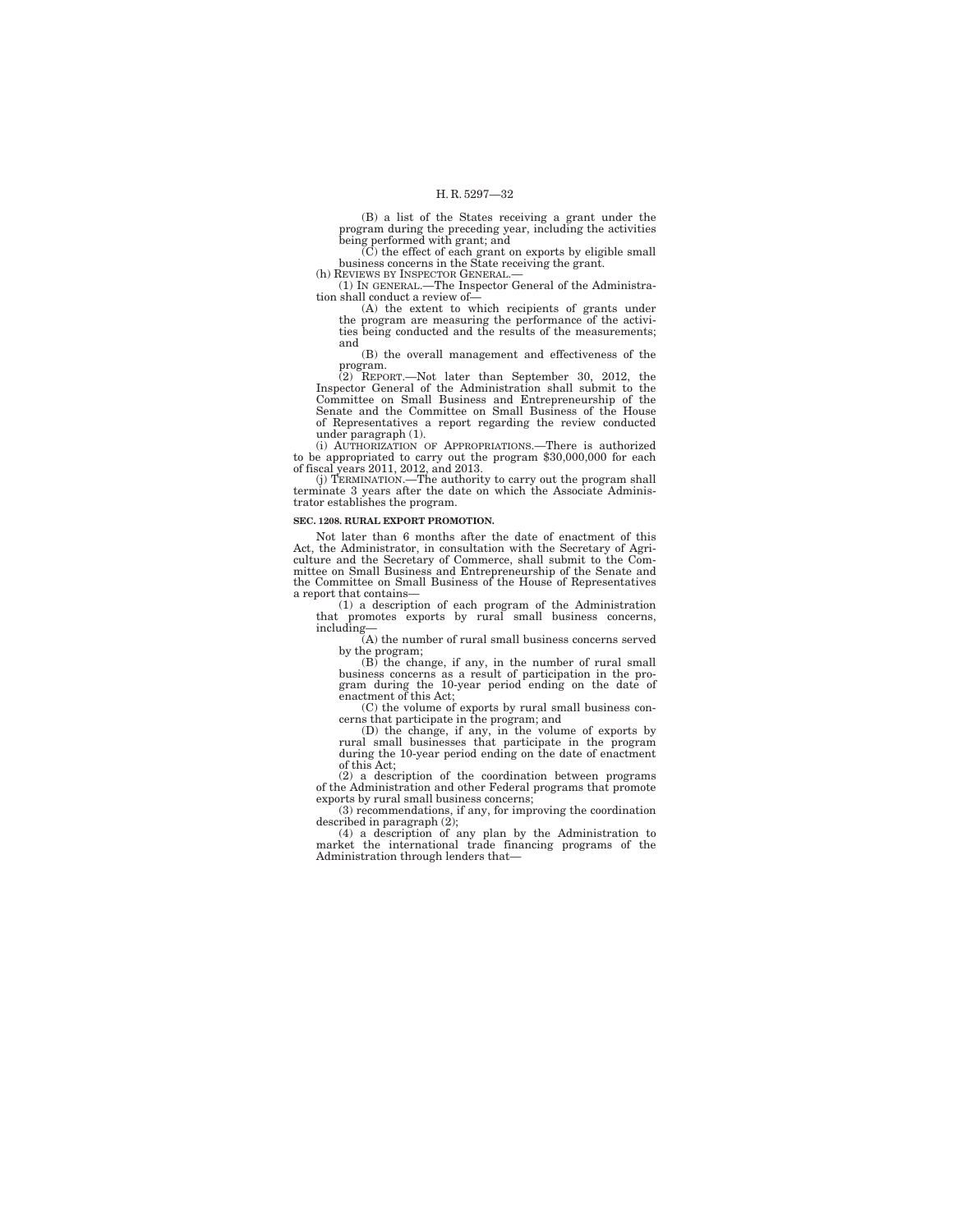(B) a list of the States receiving a grant under the program during the preceding year, including the activities being performed with grant; and

(C) the effect of each grant on exports by eligible small business concerns in the State receiving the grant. (h) REVIEWS BY INSPECTOR GENERAL.—

(1) IN GENERAL.—The Inspector General of the Administration shall conduct a review of—

(A) the extent to which recipients of grants under the program are measuring the performance of the activi-ties being conducted and the results of the measurements; and

(B) the overall management and effectiveness of the

program.<br>
(2) REPORT.—Not later than September 30, 2012, the<br>
Inspector General of the Administration shall submit to the<br>
Committee on Small Business and Entrepreneurship of the Senate and the Committee on Small Business of the House of Representatives a report regarding the review conducted under paragraph (1).

(i) AUTHORIZATION OF APPROPRIATIONS.—There is authorized to be appropriated to carry out the program \$30,000,000 for each of fiscal years 2011, 2012, and 2013.

(j) TERMINATION.—The authority to carry out the program shall terminate 3 years after the date on which the Associate Administrator establishes the program.

## **SEC. 1208. RURAL EXPORT PROMOTION.**

Not later than 6 months after the date of enactment of this Act, the Administrator, in consultation with the Secretary of Agriculture and the Secretary of Commerce, shall submit to the Com-mittee on Small Business and Entrepreneurship of the Senate and the Committee on Small Business of the House of Representatives a report that contains—

(1) a description of each program of the Administration that promotes exports by rural small business concerns,

including— (A) the number of rural small business concerns served by the program;

(B) the change, if any, in the number of rural small business concerns as a result of participation in the pro-gram during the 10-year period ending on the date of enactment of this Act;

(C) the volume of exports by rural small business con-

cerns that participate in the program; and (D) the change, if any, in the volume of exports by rural small businesses that participate in the program during the 10-year period ending on the date of enactment of this Act;

(2) a description of the coordination between programs of the Administration and other Federal programs that promote exports by rural small business concerns;

(3) recommendations, if any, for improving the coordination described in paragraph (2);

(4) a description of any plan by the Administration to market the international trade financing programs of the Administration through lenders that—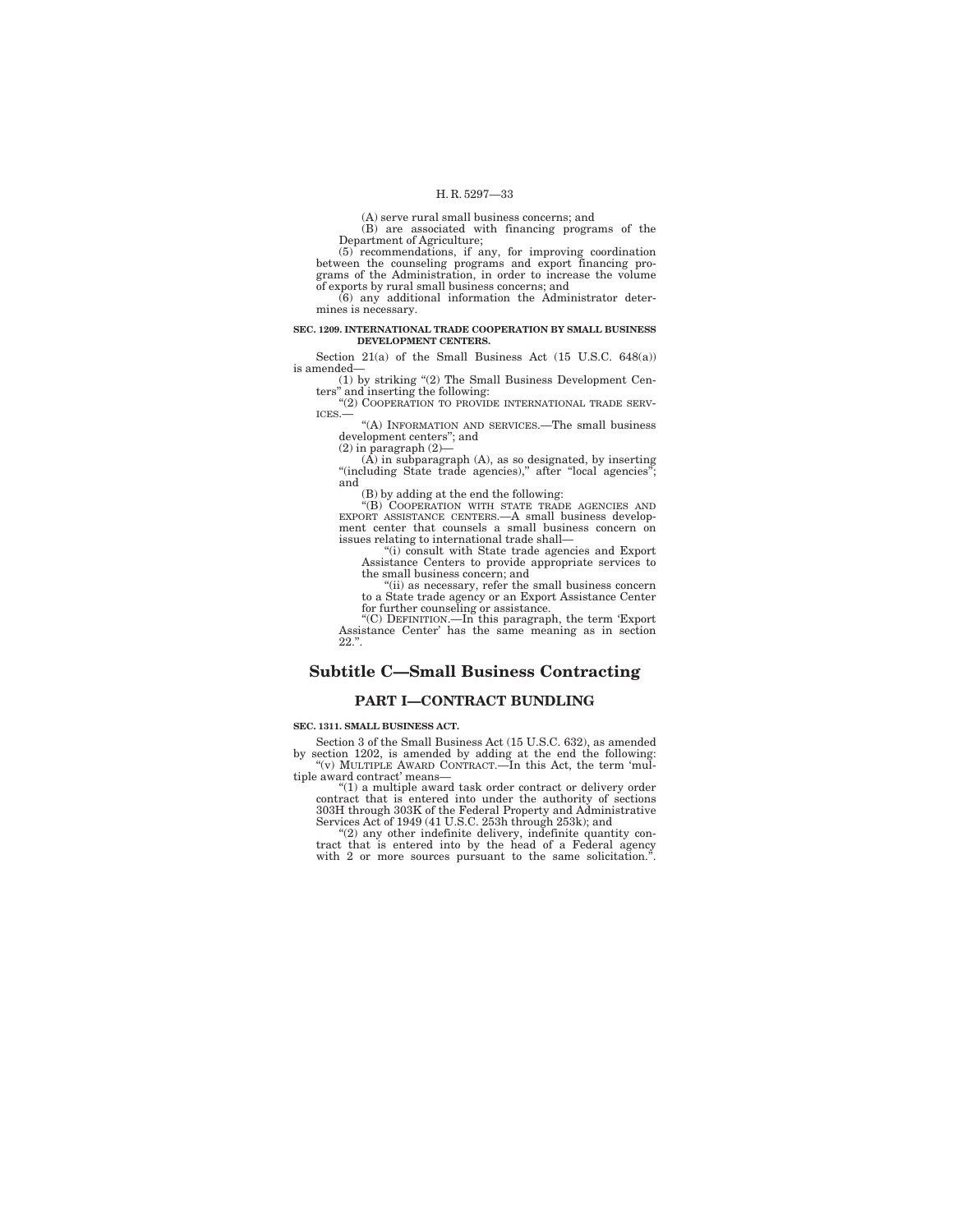(A) serve rural small business concerns; and

(B) are associated with financing programs of the

Department of Agriculture; (5) recommendations, if any, for improving coordination between the counseling programs and export financing pro-grams of the Administration, in order to increase the volume of exports by rural small business concerns; and

(6) any additional information the Administrator determines is necessary.

#### **SEC. 1209. INTERNATIONAL TRADE COOPERATION BY SMALL BUSINESS DEVELOPMENT CENTERS.**

Section 21(a) of the Small Business Act (15 U.S.C. 648(a)) is amended—

(1) by striking ''(2) The Small Business Development Cen-ters'' and inserting the following: ''(2) COOPERATION TO PROVIDE INTERNATIONAL TRADE SERV-

ICES.—

''(A) INFORMATION AND SERVICES.—The small business development centers''; and

 $(2)$  in paragraph  $(2)$ –

 $(A)$  in subparagraph  $(A)$ , as so designated, by inserting "(including State trade agencies)," after "local agencies" and

(B) by adding at the end the following: ''(B) COOPERATION WITH STATE TRADE AGENCIES AND EXPORT ASSISTANCE CENTERS.—A small business development center that counsels a small business concern on issues relating to international trade shall—

''(i) consult with State trade agencies and Export Assistance Centers to provide appropriate services to the small business concern; and

''(ii) as necessary, refer the small business concern to a State trade agency or an Export Assistance Center for further counseling or assistance.

''(C) DEFINITION.—In this paragraph, the term 'Export Assistance Center' has the same meaning as in section  $22.$ ".

## **Subtitle C—Small Business Contracting**

## **PART I—CONTRACT BUNDLING**

**SEC. 1311. SMALL BUSINESS ACT.** 

Section 3 of the Small Business Act (15 U.S.C. 632), as amended by section 1202, is amended by adding at the end the following: "(v) MULTIPLE AWARD CONTRACT.—In this Act, the term 'mul-

tiple award contract' means— ''(1) a multiple award task order contract or delivery order

contract that is entered into under the authority of sections 303H through 303K of the Federal Property and Administrative Services Act of 1949 (41 U.S.C. 253h through 253k); and

''(2) any other indefinite delivery, indefinite quantity con-tract that is entered into by the head of a Federal agency with 2 or more sources pursuant to the same solicitation."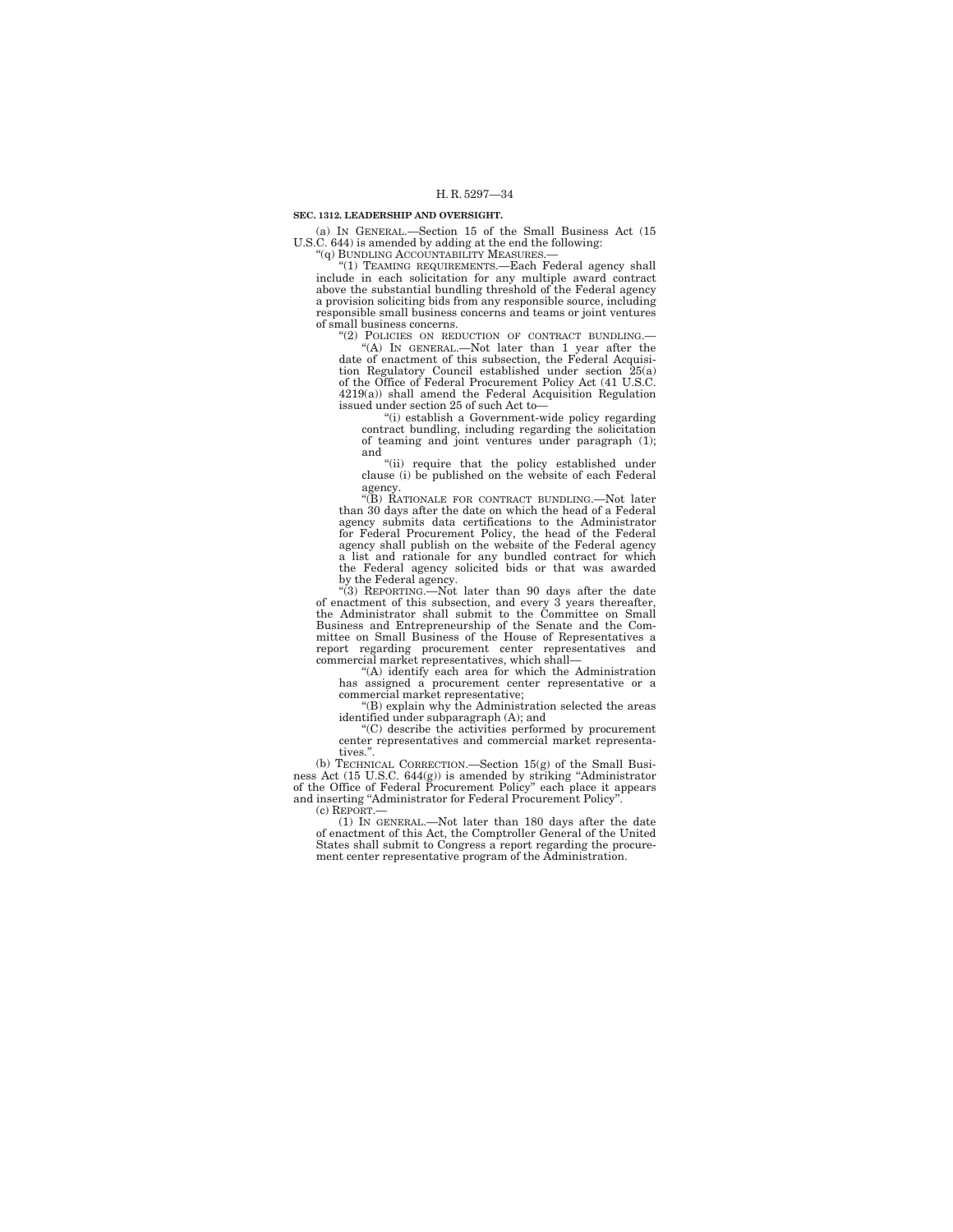#### **SEC. 1312. LEADERSHIP AND OVERSIGHT.**

(a) IN GENERAL.—Section 15 of the Small Business Act (15 U.S.C. 644) is amended by adding at the end the following:

"(q) BUNDLING ACCOUNTABILITY MEASURES.

"(1) TEAMING REQUIREMENTS.-Each Federal agency shall include in each solicitation for any multiple award contract above the substantial bundling threshold of the Federal agency a provision soliciting bids from any responsible source, including responsible small business concerns and teams or joint ventures of small business concerns.

"(2) POLICIES ON REDUCTION OF CONTRACT BUNDLING.

''(A) IN GENERAL.—Not later than 1 year after the date of enactment of this subsection, the Federal Acquisi-tion Regulatory Council established under section 25(a) of the Office of Federal Procurement Policy Act (41 U.S.C. 4219(a)) shall amend the Federal Acquisition Regulation issued under section 25 of such Act to—

''(i) establish a Government-wide policy regarding contract bundling, including regarding the solicitation of teaming and joint ventures under paragraph (1); and

''(ii) require that the policy established under clause (i) be published on the website of each Federal

agency. ''(B) RATIONALE FOR CONTRACT BUNDLING.—Not later than 30 days after the date on which the head of a Federal agency submits data certifications to the Administrator for Federal Procurement Policy, the head of the Federal agency shall publish on the website of the Federal agency a list and rationale for any bundled contract for which the Federal agency solicited bids or that was awarded by the Federal agency. ''(3) REPORTING.—Not later than 90 days after the date

of enactment of this subsection, and every 3 years thereafter, the Administrator shall submit to the Committee on Small Business and Entrepreneurship of the Senate and the Com-mittee on Small Business of the House of Representatives a report regarding procurement center representatives and commercial market representatives, which shall—

''(A) identify each area for which the Administration has assigned a procurement center representative or a commercial market representative;

''(B) explain why the Administration selected the areas identified under subparagraph (A); and

''(C) describe the activities performed by procurement center representatives and commercial market representatives."

(b) TECHNICAL CORRECTION.—Section 15(g) of the Small Business Act (15 U.S.C. 644(g)) is amended by striking ''Administrator of the Office of Federal Procurement Policy'' each place it appears and inserting ''Administrator for Federal Procurement Policy''.

(c) REPORT.—

(1) IN GENERAL.—Not later than 180 days after the date of enactment of this Act, the Comptroller General of the United States shall submit to Congress a report regarding the procurement center representative program of the Administration.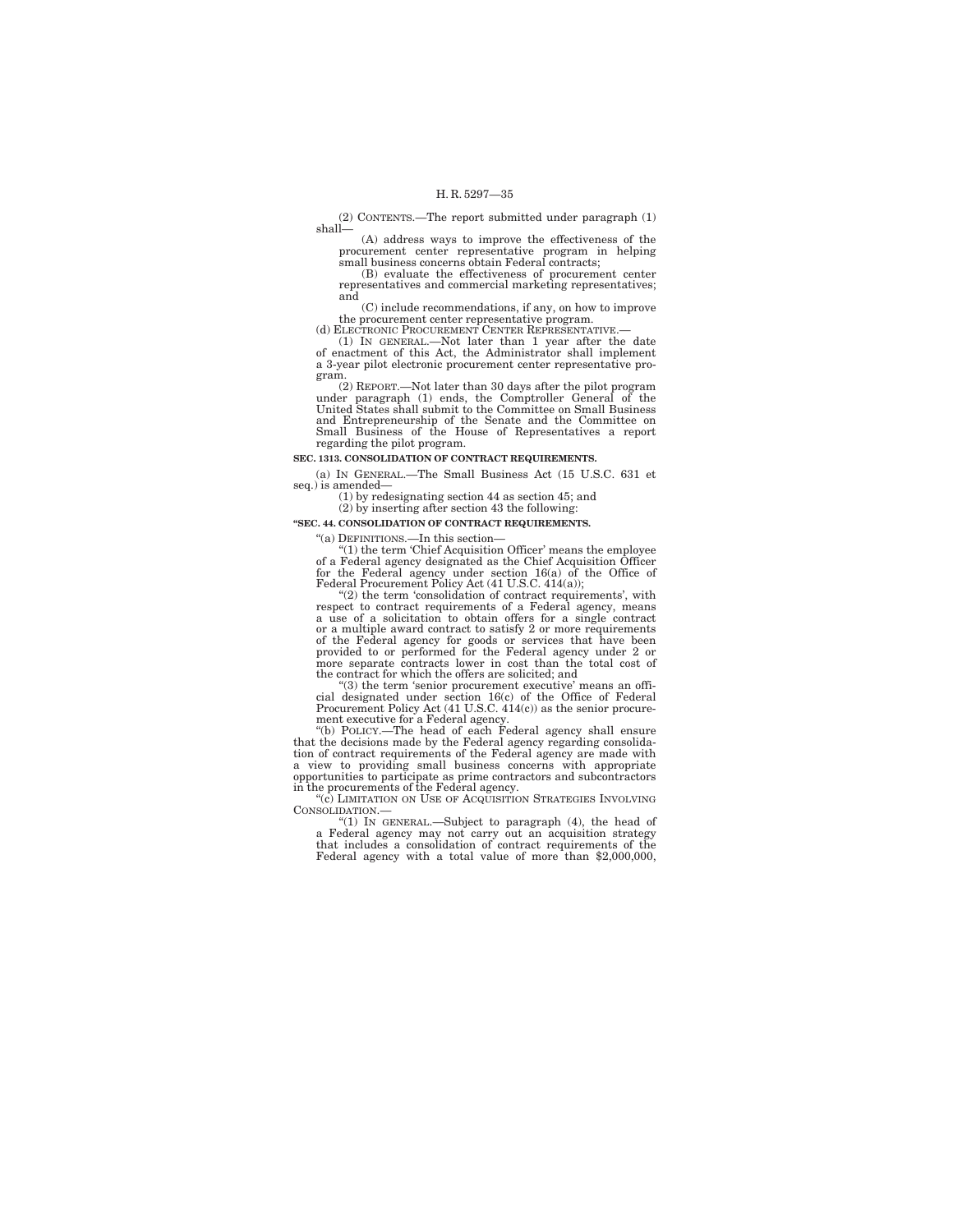(2) CONTENTS.—The report submitted under paragraph (1) shall—

(A) address ways to improve the effectiveness of the procurement center representative program in helping small business concerns obtain Federal contracts;

(B) evaluate the effectiveness of procurement center representatives and commercial marketing representatives; and

(C) include recommendations, if any, on how to improve the procurement center representative program.<br>(d) ELECTRONIC PROCUREMENT CENTER REPRESENTATIVE.

(1) IN GENERAL.—Not later than 1 year after the date of enactment of this Act, the Administrator shall implement a 3-year pilot electronic procurement center representative program.

(2) REPORT.—Not later than 30 days after the pilot program under paragraph (1) ends, the Comptroller General of the United States shall submit to the Committee on Small Business and Entrepreneurship of the Senate and the Committee on Small Business of the House of Representatives a report regarding the pilot program.

## **SEC. 1313. CONSOLIDATION OF CONTRACT REQUIREMENTS.**

(a) IN GENERAL.—The Small Business Act (15 U.S.C. 631 et  $seq.)$  is amended–

(1) by redesignating section 44 as section 45; and

## (2) by inserting after section 43 the following:

## **''SEC. 44. CONSOLIDATION OF CONTRACT REQUIREMENTS.**

''(a) DEFINITIONS.—In this section—

 $(1)$  the term 'Chief Acquisition Officer' means the employee of a Federal agency designated as the Chief Acquisition Officer for the Federal agency under section 16(a) of the Office of Federal Procurement Policy Act (41 U.S.C. 414(a));

''(2) the term 'consolidation of contract requirements', with respect to contract requirements of a Federal agency, means a use of a solicitation to obtain offers for a single contract or a multiple award contract to satisfy 2 or more requirements of the Federal agency for goods or services that have been provided to or performed for the Federal agency under 2 or more separate contracts lower in cost than the total cost of the contract for which the offers are solicited; and

''(3) the term 'senior procurement executive' means an official designated under section 16(c) of the Office of Federal Procurement Policy Act (41 U.S.C. 414(c)) as the senior procure-ment executive for a Federal agency.

''(b) POLICY.—The head of each Federal agency shall ensure that the decisions made by the Federal agency regarding consolidation of contract requirements of the Federal agency are made with a proportion to providing small business concerns with appropriate opportunities to partici in the procurements of the Federal agency.<br>"(c) LIMITATION ON USE OF ACQUISITION STRATEGIES INVOLVING

CONSOLIDATION.—

"(1) IN GENERAL.—Subject to paragraph (4), the head of a Federal agency may not carry out an acquisition strategy that includes a consolidation of contract requirements of the Federal agency with a total value of more than \$2,000,000,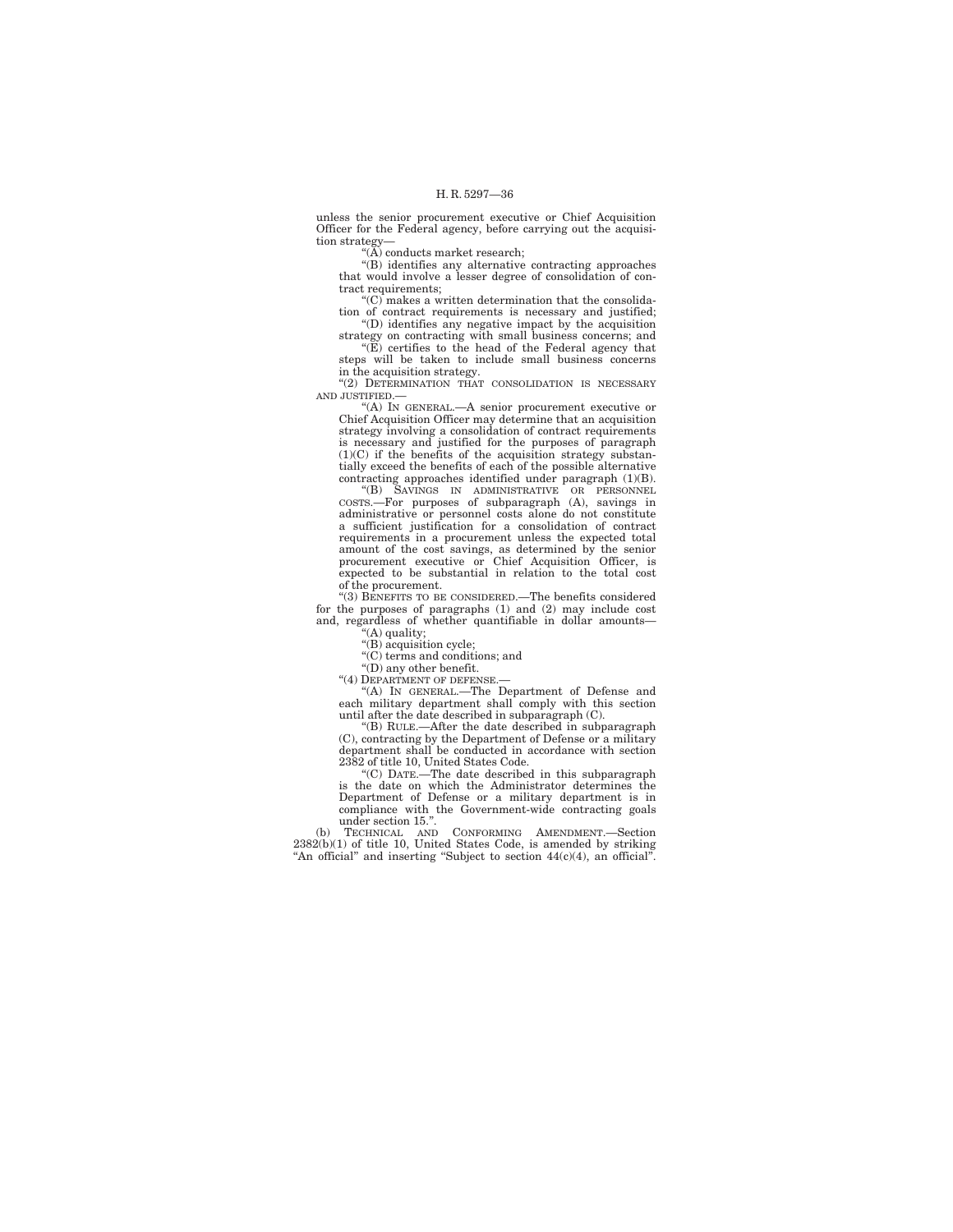unless the senior procurement executive or Chief Acquisition Officer for the Federal agency, before carrying out the acquisition strategy—

''(A) conducts market research;

''(B) identifies any alternative contracting approaches that would involve a lesser degree of consolidation of contract requirements;

 $(C)$  makes a written determination that the consolidation of contract requirements is necessary and justified; ''(D) identifies any negative impact by the acquisition

strategy on contracting with small business concerns; and

"(E) certifies to the head of the Federal agency that steps will be taken to include small business concerns in the acquisition strategy.

''(2) DETERMINATION THAT CONSOLIDATION IS NECESSARY AND JUSTIFIED.—

''(A) IN GENERAL.—A senior procurement executive or Chief Acquisition Officer may determine that an acquisition strategy involving a consolidation of contract requirements is necessary and justified for the purposes of paragraph (1)(C) if the benefits of the acquisition strategy substantially exceed the benefits of each of the possible alternative contracting approaches identified under paragraph (1)(B).

''(B) SAVINGS IN ADMINISTRATIVE OR PERSONNEL COSTS.—For purposes of subparagraph (A), savings in administrative or personnel costs alone do not constitute a sufficient justification for a consolidation of contract requirements in a procurement unless the expected total amount of the cost savings, as determined by the senior procurement executive or Chief Acquisition Officer, is expected to be substantial in relation to the total cost of the procurement.

'(3) BENEFITS TO BE CONSIDERED.—The benefits considered for the purposes of paragraphs (1) and (2) may include cost and, regardless of whether quantifiable in dollar amounts— (A) quality;

''(B) acquisition cycle;

''(C) terms and conditions; and

''(D) any other benefit.

"(4) DEPARTMENT OF DEFENSE.-

''(A) IN GENERAL.—The Department of Defense and each military department shall comply with this section until after the date described in subparagraph (C).

''(B) RULE.—After the date described in subparagraph (C), contracting by the Department of Defense or a military department shall be conducted in accordance with section 2382 of title 10, United States Code.

''(C) DATE.—The date described in this subparagraph is the date on which the Administrator determines the Department of Defense or a military department is in compliance with the Government-wide contracting goals under section 15.''.

(b) TECHNICAL AND CONFORMING AMENDMENT.—Section 2382(b)(1) of title 10, United States Code, is amended by striking "An official" and inserting "Subject to section 44(c)(4), an official".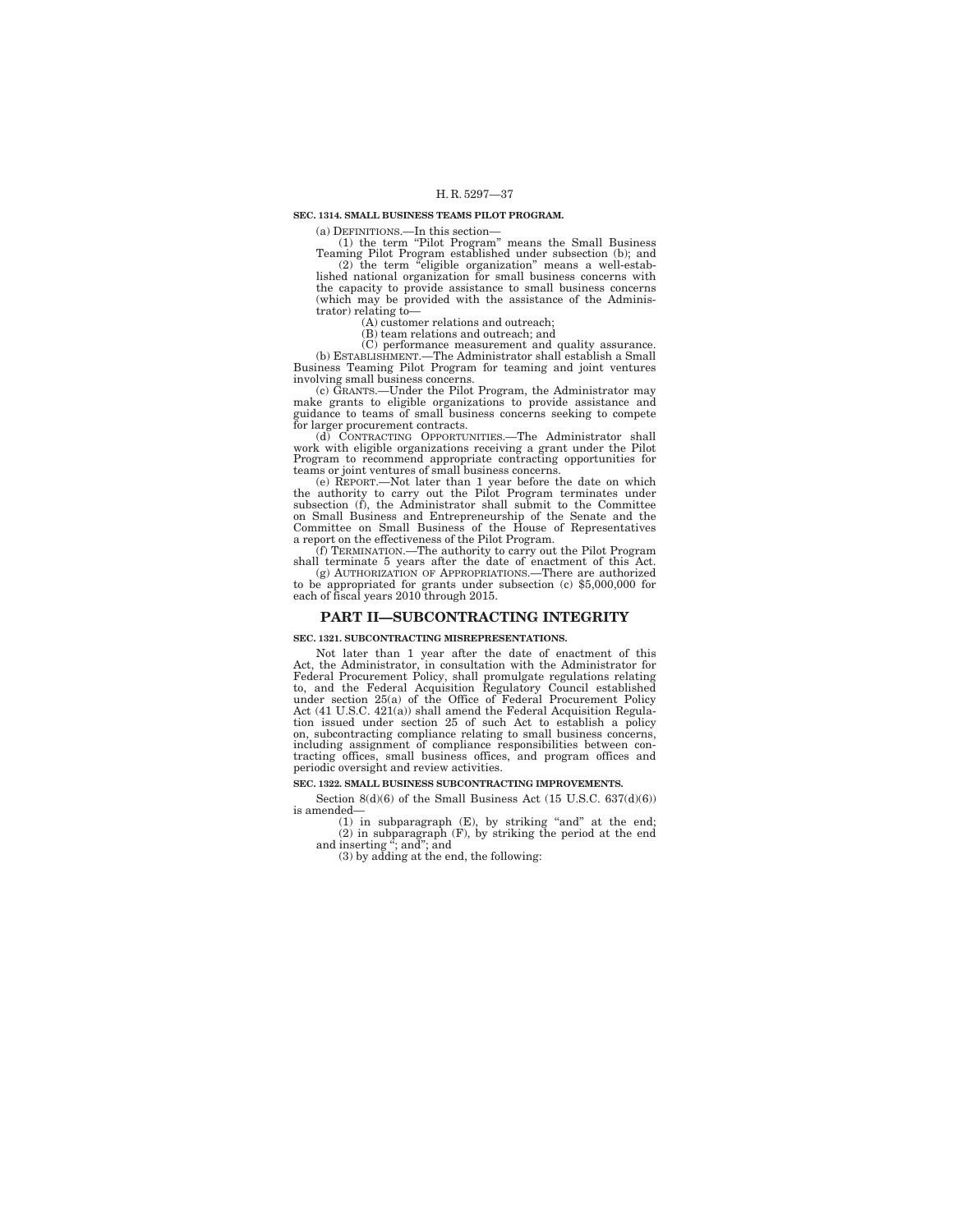#### **SEC. 1314. SMALL BUSINESS TEAMS PILOT PROGRAM.**

(a) DEFINITIONS.—In this section—

(1) the term "Pilot Program" means the Small Business Teaming Pilot Program established under subsection (b); and

(2) the term ''eligible organization'' means a well-established national organization for small business concerns with the capacity to provide assistance to small business concerns (which may be provided with the assistance of the Administrator) relating to—

(A) customer relations and outreach; (B) team relations and outreach; and

(C) performance measurement and quality assurance. (b) ESTABLISHMENT.—The Administrator shall establish a Small Business Teaming Pilot Program for teaming and joint ventures

involving small business concerns. (c) GRANTS.—Under the Pilot Program, the Administrator may make grants to eligible organizations to provide assistance and guidance to teams of small business concerns seeking to compete for larger procurement contracts. (d) CONTRACTING OPPORTUNITIES.—The Administrator shall

work with eligible organizations receiving a grant under the Pilot Program to recommend appropriate contracting opportunities for teams or joint ventures of small business concerns.

(e) REPORT.—Not later than 1 year before the date on which the authority to carry out the Pilot Program terminates under subsection (f), the Administrator shall submit to the Committee on Small Business and Entrepreneurship of the Senate and the Committee on Small Business of the House of Representatives a report on the effectiveness of the Pilot Program.

(f) TERMINATION.—The authority to carry out the Pilot Program shall terminate 5 years after the date of enactment of this Act.

(g) AUTHORIZATION OF APPROPRIATIONS.—There are authorized to be appropriated for grants under subsection (c) \$5,000,000 for each of fiscal years 2010 through 2015.

#### **PART II—SUBCONTRACTING INTEGRITY**

#### **SEC. 1321. SUBCONTRACTING MISREPRESENTATIONS.**

Not later than 1 year after the date of enactment of this Act, the Administrator, in consultation with the Administrator for Federal Procurement Policy, shall promulgate regulations relating to, and the Federal Acquisition Regulatory Council established under section 25(a) of the Office of Federal Procurement Policy Act (41 U.S.C. 421(a)) shall amend the Federal Acquisition Regulation issued under section 25 of such Act to establish a policy on, subcontracting compliance relating to small business concerns, including assignment of compliance responsibilities between contracting offices, small business offices, and program offices and periodic oversight and review activities.

#### **SEC. 1322. SMALL BUSINESS SUBCONTRACTING IMPROVEMENTS.**

Section  $8(d)(6)$  of the Small Business Act (15 U.S.C. 637(d)(6)) is amended—

(1) in subparagraph (E), by striking "and" at the end; (2) in subparagraph (F), by striking the period at the end and inserting "; and"; and "<br>and inserting" (3) by adding at the end, the following: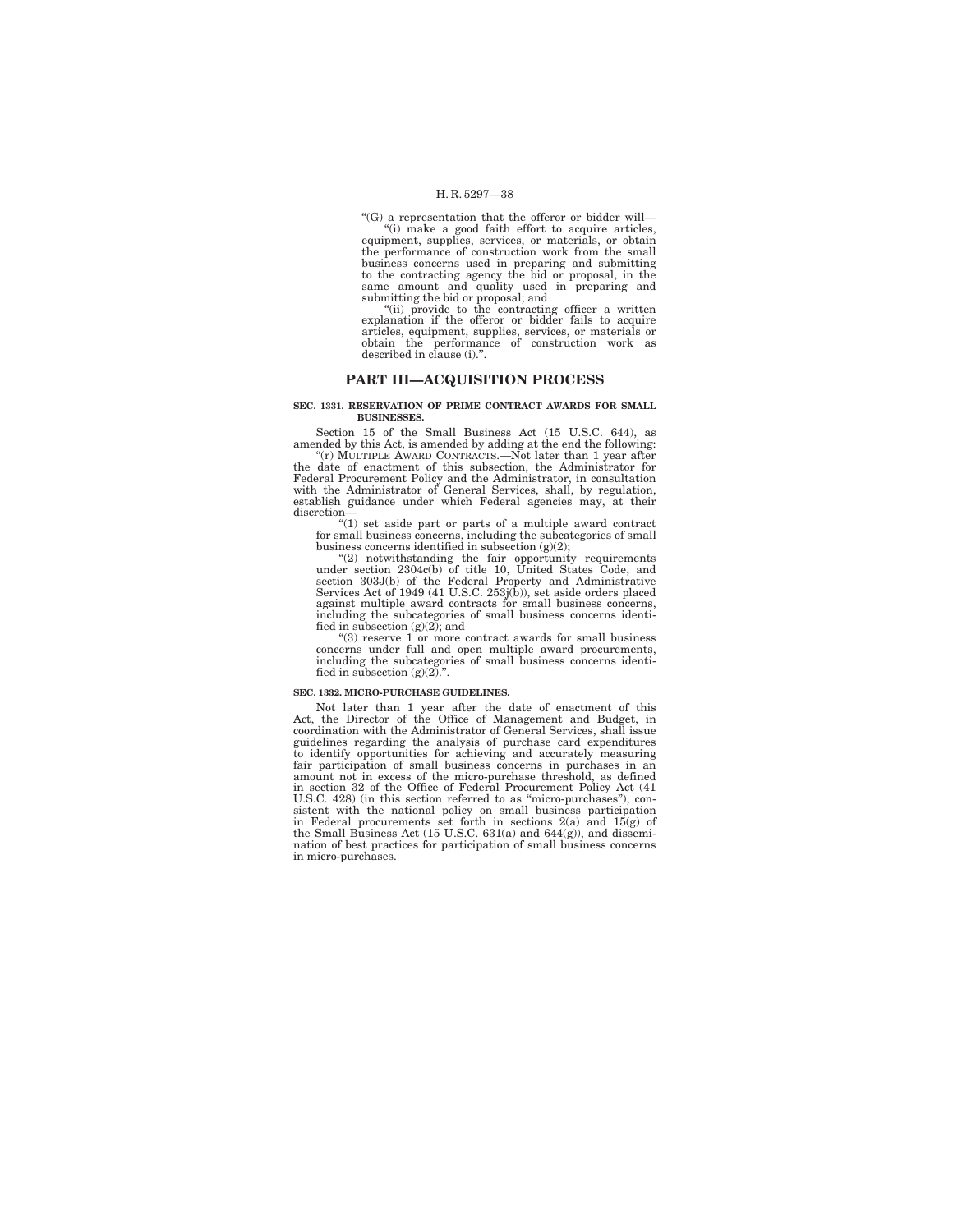''(G) a representation that the offeror or bidder will—

''(i) make a good faith effort to acquire articles, equipment, supplies, services, or materials, or obtain the performance of construction work from the small business concerns used in preparing and submitting to the contracting agency the bid or proposal, in the same amount and quality used in preparing and submitting the bid or proposal; and<br>"(ii) provide to the contracting officer a written

explanation if the offeror or bidder fails to acquire articles, equipment, supplies, services, or materials or obtain the performance of construction work as described in clause (i).''.

### **PART III—ACQUISITION PROCESS**

#### **SEC. 1331. RESERVATION OF PRIME CONTRACT AWARDS FOR SMALL BUSINESSES.**

Section 15 of the Small Business Act (15 U.S.C. 644), as amended by this Act, is amended by adding at the end the following:

''(r) MULTIPLE AWARD CONTRACTS.—Not later than 1 year after the date of enactment of this subsection, the Administrator for Federal Procurement Policy and the Administrator, in consultation with the Administrator of General Services, shall, by regulation, establish guidance under which Federal agencies may, at their discretion—

"(1) set aside part or parts of a multiple award contract for small business concerns, including the subcategories of small business concerns identified in subsection  $(g)(2)$ ;

"(2) notwithstanding the fair opportunity requirements<br>under section 2304c(b) of title 10, United States Code, and<br>section 303J(b) of the Federal Property and Administrative<br>Services Act of 1949 (41 U.S.C. 253j(b)), set as against multiple award contracts for small business concerns, including the subcategories of small business concerns identified in subsection  $(g)(2)$ ; and

''(3) reserve 1 or more contract awards for small business concerns under full and open multiple award procurements, including the subcategories of small business concerns identified in subsection  $(g)(2)$ .".

### **SEC. 1332. MICRO-PURCHASE GUIDELINES.**

Not later than 1 year after the date of enactment of this Act, the Director of the Office of Management and Budget, in coordination with the Administrator of General Services, shall issue guidelines regarding the analysis of purchase card expenditures to identify opportunities for achieving and accurately measuring fair participation of small business concerns in purchases in an amount not in excess of the micro-purchase threshold, as defined in section 32 of the Office of Federal Procurement Policy Act (41 U.S.C. 428) (in this section referred to as "micro-purchases"), consistent with the national policy on small business participation in Federal procurements set forth in sections  $2(a)$  and  $15(g)$  of the Small Business Act nation of best practices for participation of small business concerns in micro-purchases.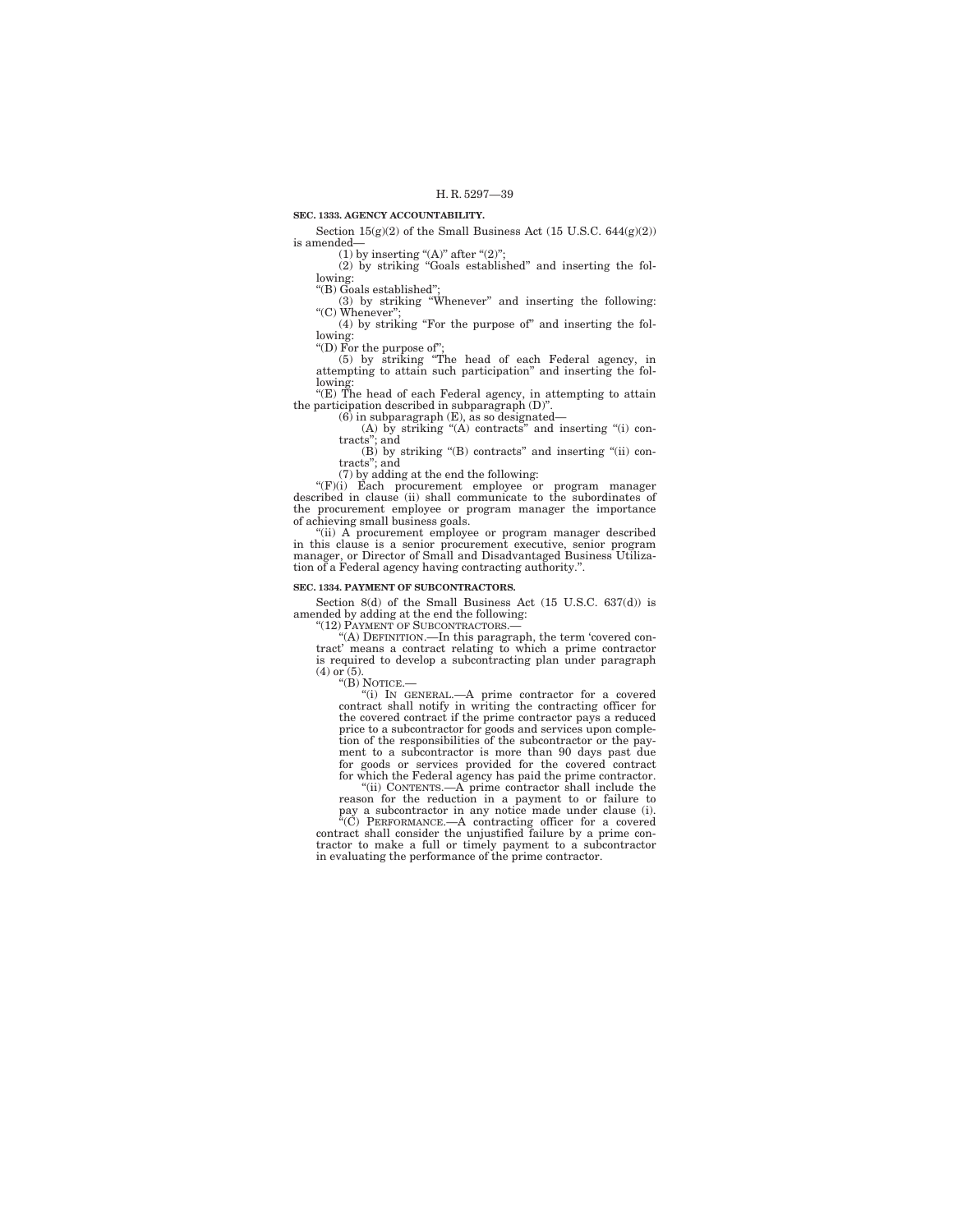### **SEC. 1333. AGENCY ACCOUNTABILITY.**

Section  $15({\rm g})(2)$  of the Small Business Act  $(15$  U.S.C.  $644({\rm g})(2))$ is amended—

(1) by inserting "(A)" after "(2)";<br>(2) by striking "Goals established" and inserting the following:

''(B) Goals established'';

(3) by striking "Whenever" and inserting the following: "(C) Whenever";

(4) by striking ''For the purpose of'' and inserting the following:

''(D) For the purpose of''; (5) by striking ''The head of each Federal agency, in attempting to attain such participation'' and inserting the following:

''(E) The head of each Federal agency, in attempting to attain the participation described in subparagraph (D)''.

(6) in subparagraph (E), as so designated—

(A) by striking ''(A) contracts'' and inserting ''(i) con-tracts''; and

(B) by striking ''(B) contracts'' and inserting ''(ii) con-tracts''; and

(7) by adding at the end the following:

''(F)(i) Each procurement employee or program manager described in clause (ii) shall communicate to the subordinates of the procurement employee or program manager the importance of achieving small business goals.

"(ii) A procurement employee or program manager described in this clause is a senior procurement executive, senior program manager, or Director of Small and Disadvantaged Business Utilization of a Federal agency having contracting authority.''.

### **SEC. 1334. PAYMENT OF SUBCONTRACTORS.**

Section 8(d) of the Small Business Act (15 U.S.C. 637(d)) is amended by adding at the end the following:

"(12) PAYMENT OF SUBCONTRACTORS.

''(A) DEFINITION.—In this paragraph, the term 'covered con-tract' means a contract relating to which a prime contractor is required to develop a subcontracting plan under paragraph (4) or (5).

''(B) NOTICE.—

''(i) IN GENERAL.—A prime contractor for a covered contract shall notify in writing the contracting officer for the covered contract if the prime contractor pays a reduced price to a subcontractor for goods and services upon comple-tion of the responsibilities of the subcontractor or the pay-ment to a subcontractor is more than 90 days past due for goods or services provided for the covered contract for which the Federal agency has paid the prime contractor.

''(ii) CONTENTS.—A prime contractor shall include the reason for the reduction in a payment to or failure to pay a subcontractor in any notice made under clause (i).

''(C) PERFORMANCE.—A contracting officer for a covered contract shall consider the unjustified failure by a prime contractor to make a full or timely payment to a subcontractor in evaluating the performance of the prime contractor.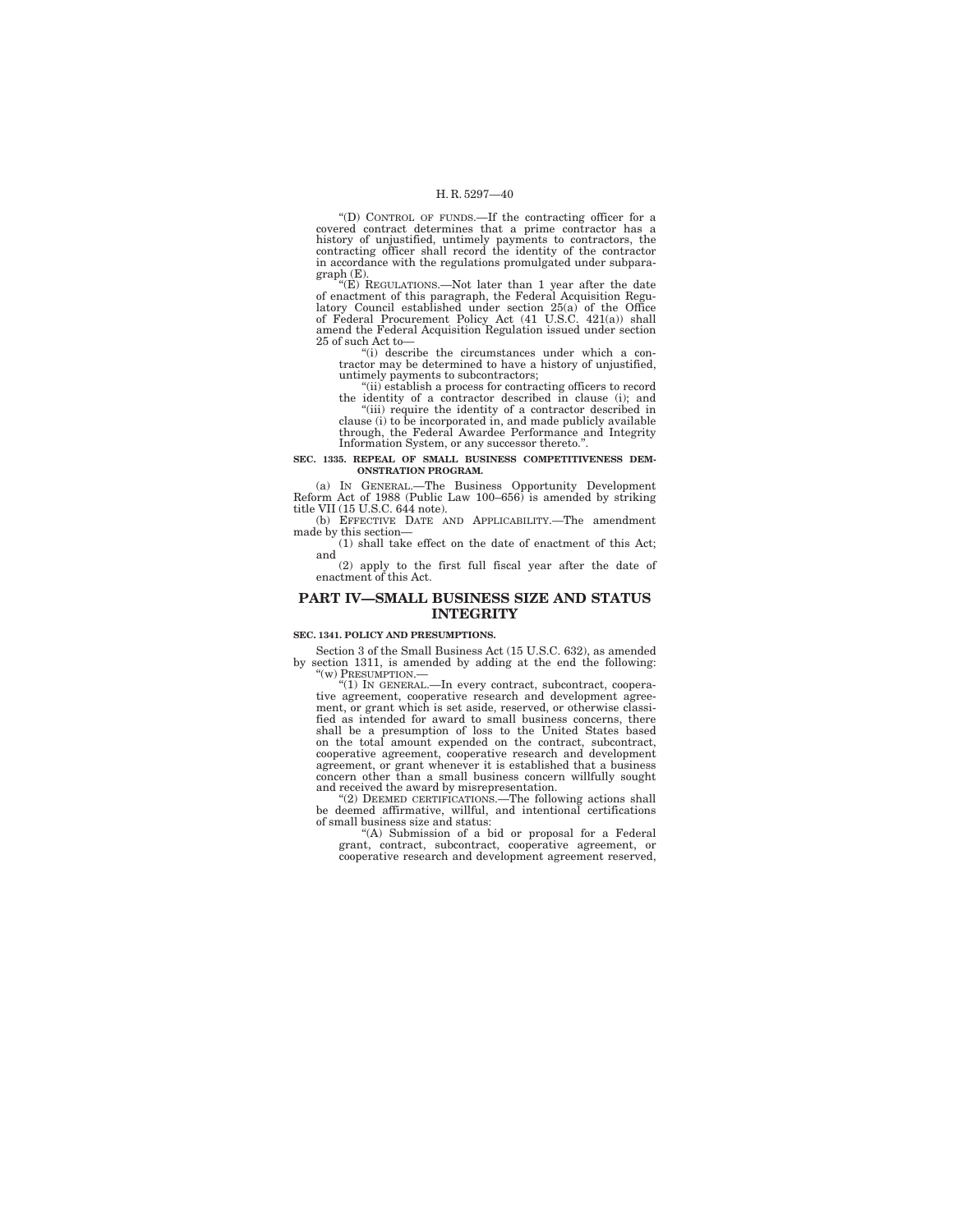''(D) CONTROL OF FUNDS.—If the contracting officer for a covered contract determines that a prime contractor has a history of unjustified, untimely payments to contractors, the contracting officer shall record the identity of the contractor in accordance with the regulations promulgated under subparagraph (E).

"(E) REGULATIONS.—Not later than 1 year after the date<br>of enactment of this paragraph, the Federal Acquisition Regulatory Council established under section 25(a) of the Office<br>of Federal Procurement Policy Act  $(41 \text{ U.S.C.$ 25 of such Act to—

''(i) describe the circumstances under which a contractor may be determined to have a history of unjustified, untimely payments to subcontractors;

''(ii) establish a process for contracting officers to record the identity of a contractor described in clause (i); and "(iii) require the identity of a contractor described in clause (i) to be incorporated in, and made publicly available through, the Federal Awardee Performance and Integrity Information System, or any successor thereto.''.

# **SEC. 1335. REPEAL OF SMALL BUSINESS COMPETITIVENESS DEM-ONSTRATION PROGRAM.**

(a) IN GENERAL.—The Business Opportunity Development Reform Act of 1988 (Public Law 100–656) is amended by striking title VII (15 U.S.C. 644 note).

(b) EFFECTIVE DATE AND APPLICABILITY.—The amendment made by this section—

(1) shall take effect on the date of enactment of this Act; and

(2) apply to the first full fiscal year after the date of enactment of this Act.

## **PART IV—SMALL BUSINESS SIZE AND STATUS INTEGRITY**

#### **SEC. 1341. POLICY AND PRESUMPTIONS.**

Section 3 of the Small Business Act (15 U.S.C. 632), as amended by section 1311, is amended by adding at the end the following: "(w) PRESUMPTION.-

''(1) IN GENERAL.—In every contract, subcontract, cooperative agreement, cooperative research and development agree-ment, or grant which is set aside, reserved, or otherwise classified as intended for award to small business concerns, there shall be a presumption of loss to the United States based on the total amount expended on the contract, subcontract, cooperative agreement, cooperative research and development agreement, or grant whenever it is established that a business concern other than a small business concern willfully sought and received the award by misrepresentation.

"(2) DEEMED CERTIFICATIONS.—The following actions shall be deemed affirmative, willful, and intentional certifications of small business size and status:

''(A) Submission of a bid or proposal for a Federal grant, contract, subcontract, cooperative agreement, or cooperative research and development agreement reserved,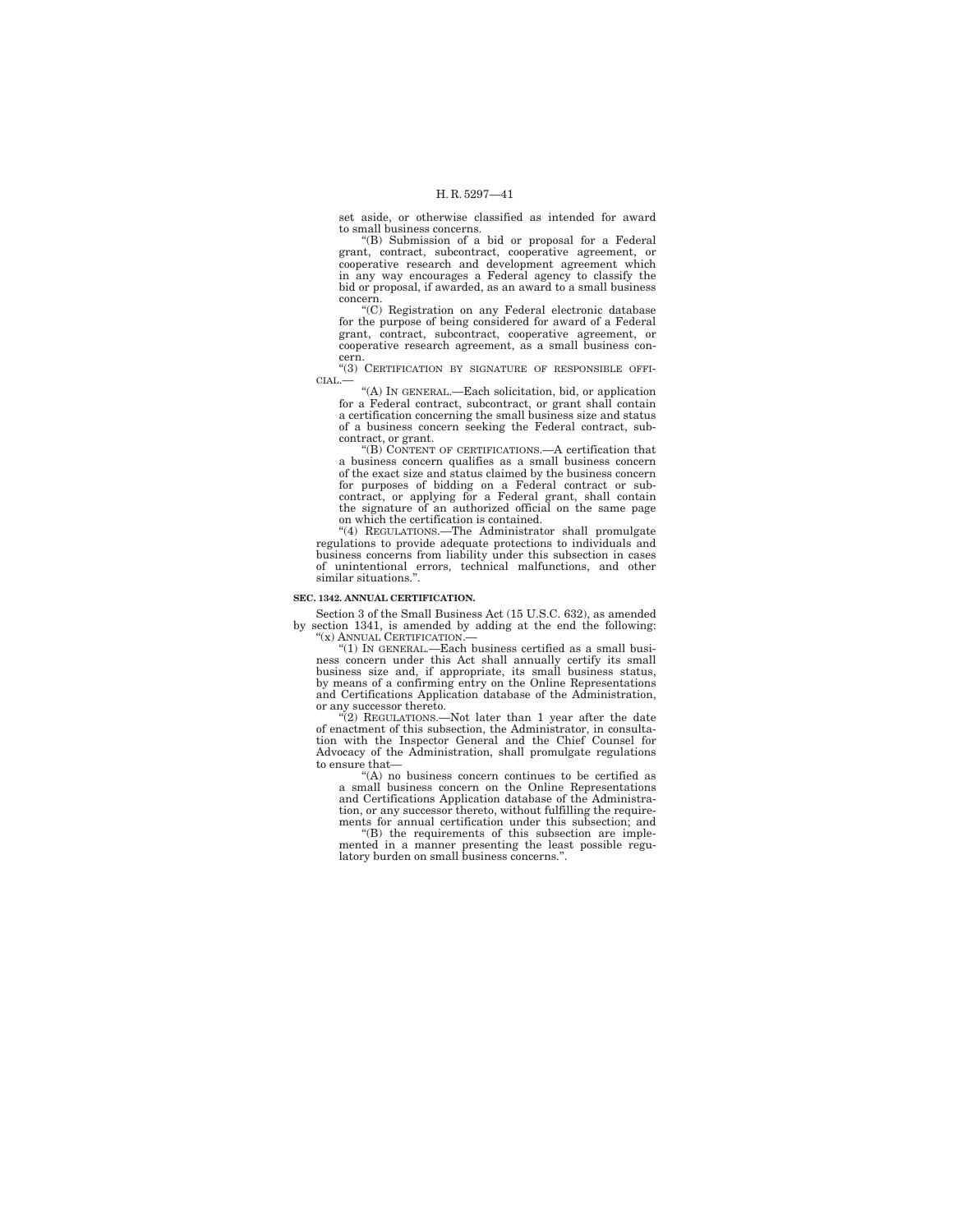set aside, or otherwise classified as intended for award to small business concerns.

''(B) Submission of a bid or proposal for a Federal grant, contract, subcontract, cooperative agreement, or cooperative research and development agreement which in any way encourages a Federal agency to classify the bid or proposal, if awarded, as an award to a small business

concern. ''(C) Registration on any Federal electronic database for the purpose of being considered for award of a Federal grant, contract, subcontract, cooperative agreement, or cooperative research agreement, as a small business concern.

''(3) CERTIFICATION BY SIGNATURE OF RESPONSIBLE OFFI- $CIAL$ .

''(A) IN GENERAL.—Each solicitation, bid, or application for a Federal contract, subcontract, or grant shall contain a certification concerning the small business size and status of a business concern seeking the Federal contract, subcontract, or grant.

''(B) CONTENT OF CERTIFICATIONS.—A certification that a business concern qualifies as a small business concern of the exact size and status claimed by the business concern for purposes of bidding on a Federal contract or subcontract, or applying for a Federal grant, shall contain the signature of an authorized official on the same page on which the certification is contained.

''(4) REGULATIONS.—The Administrator shall promulgate regulations to provide adequate protections to individuals and business concerns from liability under this subsection in cases of unintentional errors, technical malfunctions, and other similar situations.''.

#### **SEC. 1342. ANNUAL CERTIFICATION.**

Section 3 of the Small Business Act (15 U.S.C. 632), as amended

by section 1341, is amended by adding at the end the following:<br>
"(x) ANNUAL CERTIFICATION.—<br>
"(1) IN GENERAL.—Each business certified as a small busi-<br>
ness concern under this Act shall annually certify its small business size and, if appropriate, its small business status, by means of a confirming entry on the Online Representations and Certifications Application database of the Administration, or any successor thereto.

"(2) REGULATIONS.—Not later than 1 year after the date of enactment of this subsection, the Administrator, in consulta-tion with the Inspector General and the Chief Counsel for Advocacy of the Administration, shall promulgate regulations to ensure that—

''(A) no business concern continues to be certified as a small business concern on the Online Representations and Certifications Application database of the Administration, or any successor thereto, without fulfilling the require-<br>ments for annual certification under this subsection; and<br>"(B) the requirements of this subsection are imple-

mented in a manner presenting the least possible regu-latory burden on small business concerns.''.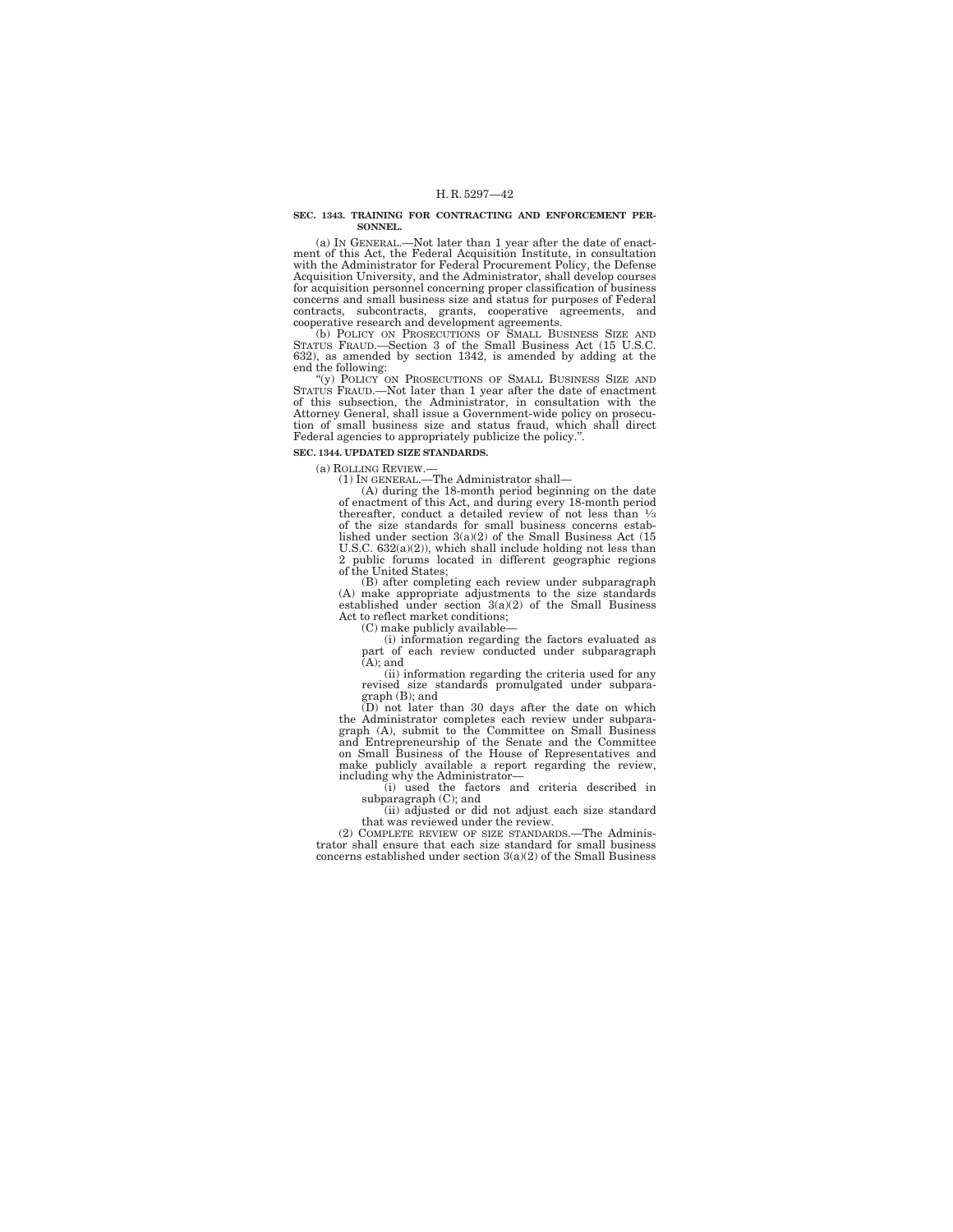#### **SEC. 1343. TRAINING FOR CONTRACTING AND ENFORCEMENT PER-SONNEL.**

(a) IN GENERAL.—Not later than 1 year after the date of enactment of this Act, the Federal Acquisition Institute, in consultation with the Administrator for Federal Procurement Policy, the Defense Acquisition University, and the Administrator, shall develop courses for acquisition personnel concerning proper classification of business concerns and small business size and status for purposes of Federal

contracts, subcontracts, grants, cooperative agreements, and<br>cooperative research and development agreements. (b) POLICY ON PROSECUTIONS OF SMALL BUSINESS SIZE AND<br>STATUS FRAUD.—Section 3 of the Small Business Act (15 U.S. 632), as amended by section 1342, is amended by adding at the end the following:

''(y) POLICY ON PROSECUTIONS OF SMALL BUSINESS SIZE AND STATUS FRAUD.—Not later than 1 year after the date of enactment of this subsection, the Administrator, in consultation with the Attorney General, shall issue a Government-wide policy on prosecution of small business size and status fraud, which shall direct Federal agencies to appropriately publicize the policy.''.

## **SEC. 1344. UPDATED SIZE STANDARDS.**

(a) ROLLING REVIEW.—

(1) IN GENERAL.—The Administrator shall—

(A) during the 18-month period beginning on the date of enactment of this Act, and during every 18-month period thereafter, conduct a detailed review of not less than 1⁄3 of the size standards for small business concerns estab-lished under section 3(a)(2) of the Small Business Act (15 U.S.C. 632(a)(2)), which shall include holding not less than 2 public forums located in different geographic regions of the United States;

(B) after completing each review under subparagraph (A) make appropriate adjustments to the size standards established under section  $3(a)(2)$  of the Small Business Act to reflect market conditions;

(C) make publicly available—

(i) information regarding the factors evaluated as part of each review conducted under subparagraph (A); and

(ii) information regarding the criteria used for any revised size standards promulgated under subparagraph (B); and

 $(D)$  not later than 30 days after the date on which the Administrator completes each review under subparagraph (A), submit to the Committee on Small Business and Entrepreneurship of the Senate and the Committee on Small Business of the House of Representatives and make publicly available a report regarding the review, including why the Administrator—

(i) used the factors and criteria described in subparagraph (C); and

(ii) adjusted or did not adjust each size standard that was reviewed under the review.

(2) COMPLETE REVIEW OF SIZE STANDARDS.—The Administrator shall ensure that each size standard for small business concerns established under section 3(a)(2) of the Small Business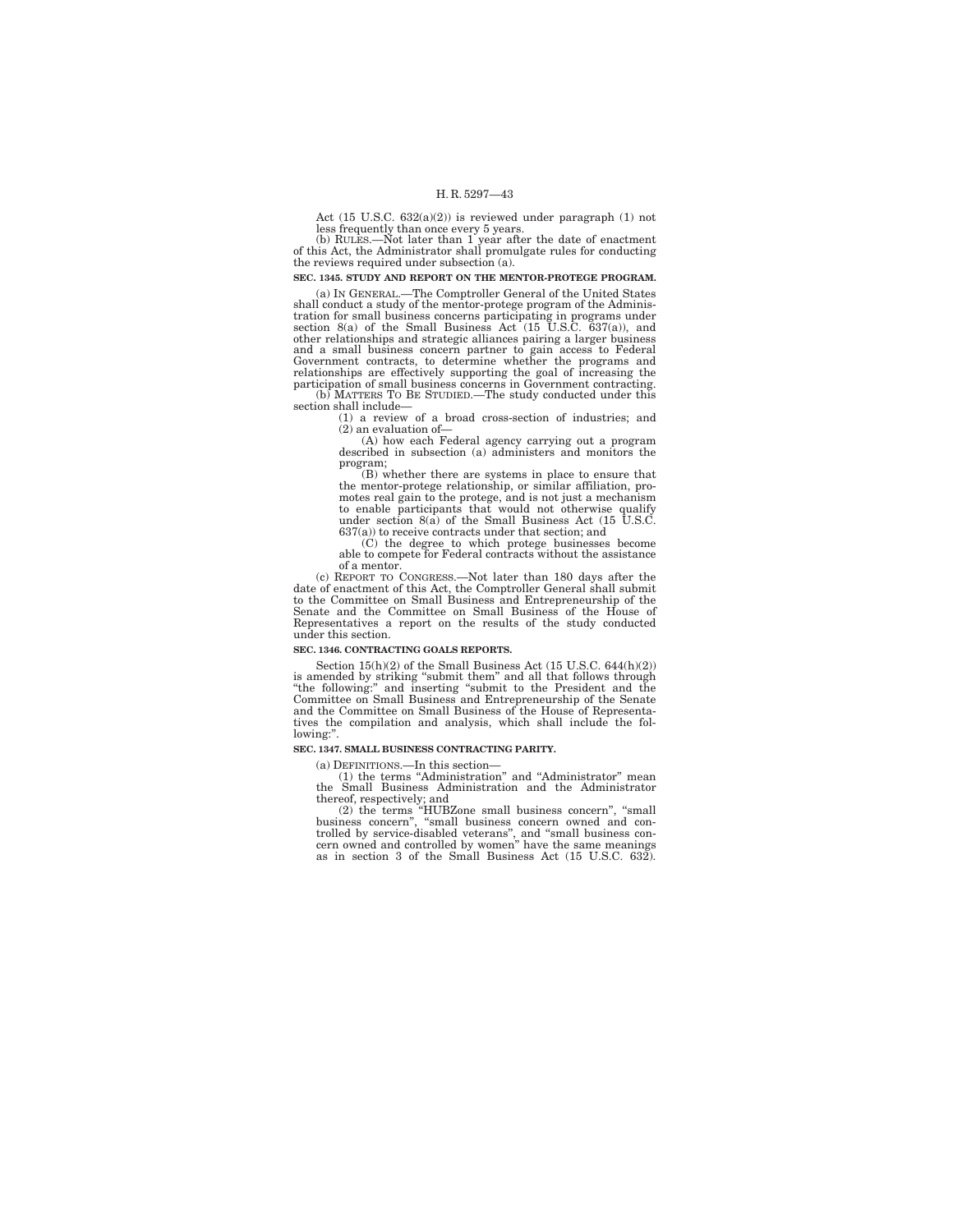Act (15 U.S.C. 632(a)(2)) is reviewed under paragraph (1) not

less frequently than once every 5 years. (b) RULES.—Not later than 1 year after the date of enactment of this Act, the Administrator shall promulgate rules for conducting the reviews required under subsection (a).

**SEC. 1345. STUDY AND REPORT ON THE MENTOR-PROTEGE PROGRAM.** 

(a) IN GENERAL.—The Comptroller General of the United States shall conduct a study of the mentor-protege program of the Administration for small business concerns participating in programs under section  $8(a)$  of the Small Business Act (15 U.S.C. 637(a)), and other relationships and strategic alliances pairing a larger business and a small business concern partner to gain access to Federal Government contracts, to determine whether the programs and relationships are effectively supporting the goal of increasing the participation of small business concerns in Government contracting. (b) MATTERS TO BE STUDIED.—The study conducted under this

section shall include— (1) a review of a broad cross-section of industries; and

(2) an evaluation of—

(A) how each Federal agency carrying out a program described in subsection (a) administers and monitors the program;

(B) whether there are systems in place to ensure that the mentor-protege relationship, or similar affiliation, promotes real gain to the protege, and is not just a mechanism to enable participants that would not otherwise qualify under section 8(a) of the Small Business Act (15 U.S.C. 637(a)) to receive contracts under that section; and

(C) the degree to which protege businesses become able to compete for Federal contracts without the assistance of a mentor.

(c) REPORT TO CONGRESS.—Not later than 180 days after the date of enactment of this Act, the Comptroller General shall submit to the Committee on Small Business and Entrepreneurship of the Senate and the Committee on Small Business of the House of Representatives a report on the results of the study conducted under this section.

### **SEC. 1346. CONTRACTING GOALS REPORTS.**

Section 15(h)(2) of the Small Business Act (15 U.S.C. 644(h)(2)) is amended by striking "submit them" and all that follows through<br>"the following:" and inserting "submit to the President and the<br>Committee on Small Business and Entrepreneurship of the Senate<br>and the Committee on Small Bu tives the compilation and analysis, which shall include the following:''.

### **SEC. 1347. SMALL BUSINESS CONTRACTING PARITY.**

(a) DEFINITIONS.—In this section—

(1) the terms ''Administration'' and ''Administrator'' mean the Small Business Administration and the Administrator

thereof, respectively; and<br>
(2) the terms "HUBZone small business concern", "small<br>
business concern", "small business concern owned and con-<br>
trolled by service-disabled veterans", and "small business con-<br>
cern owned and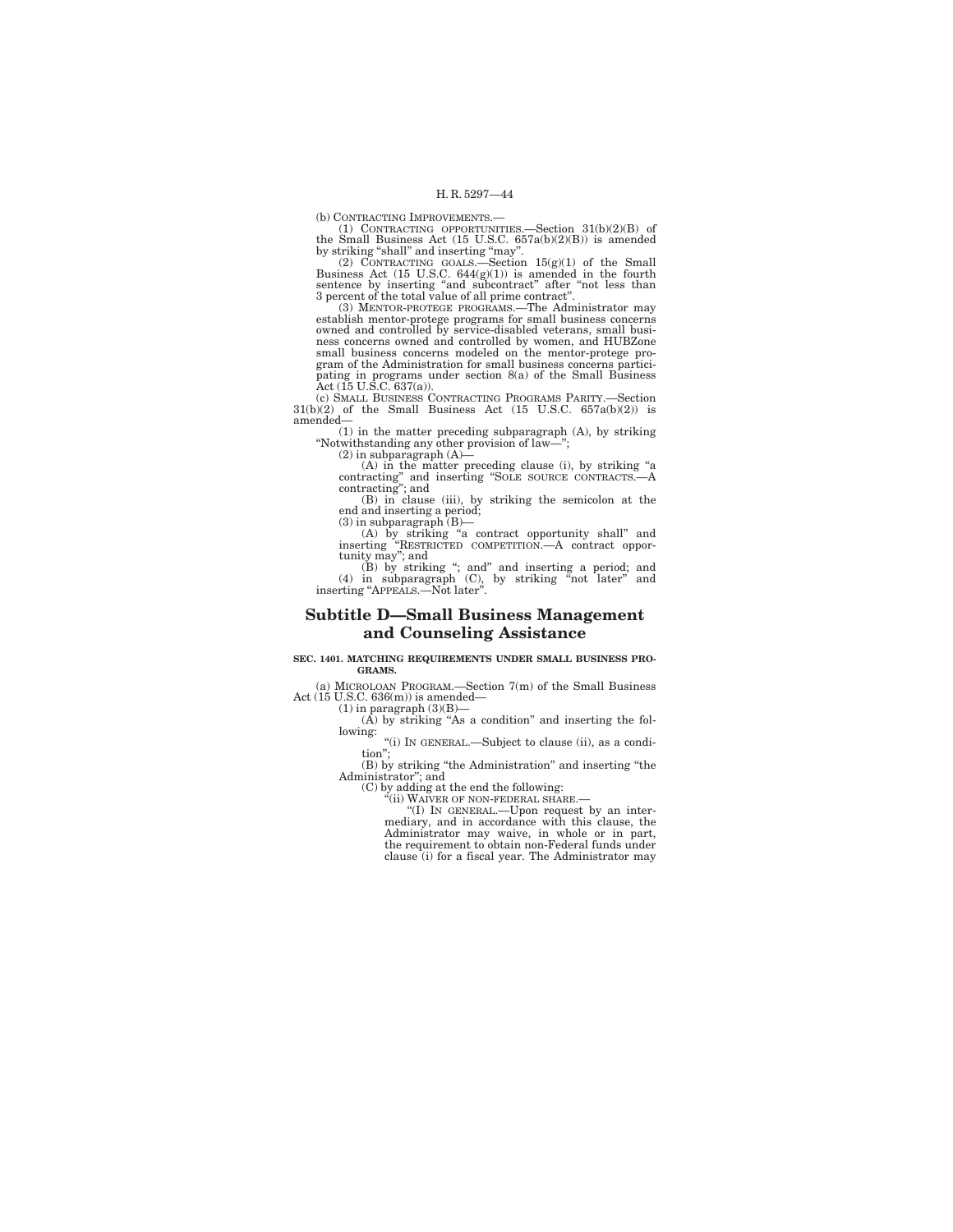(b) CONTRACTING IMPROVEMENTS.—<br>
(b) CONTRACTING OPPORTUNITIES.—Section 31(b)(2)(B) of<br>
the Small Business Act (15 U.S.C. 657a(b)(2)(B)) is amended<br>
by striking "shall" and inserting "may".<br>
(2) CONTRACTING GOALS.—Section

(3) MENTOR-PROTEGE PROGRAMS.—The Administrator may establish mentor-protege programs for small business concerns owned and controlled by service-disabled veterans, small busi-ness concerns owned and controlled by women, and HUBZone small business concerns modeled on the mentor-protege program of the Administration for small business concerns participating in programs under section 8(a) of the Small Business Act (15 U.S.C. 637(a)).

(c) SMALL BUSINESS CONTRACTING PROGRAMS PARITY.—Section 31(b)(2) of the Small Business Act (15 U.S.C. 657a(b)(2)) is amended—

(1) in the matter preceding subparagraph (A), by striking ''Notwithstanding any other provision of law—'';

 $(2)$  in subparagraph  $(A)$ —

(A) in the matter preceding clause (i), by striking "a contracting" and inserting "SOLE SOURCE CONTRACTS.—A contracting"; and

(B) in clause (iii), by striking the semicolon at the end and inserting a period; (3) in subparagraph (B)—

(A) by striking "a contract opportunity shall" and<br>inserting "RESTRICTED COMPETITION.—A contract oppor-<br>tunity may"; and<br>(B) by striking "; and" and inserting a period; and<br>(4) in subparagraph (C), by striking "not later"

## **Subtitle D—Small Business Management and Counseling Assistance**

#### **SEC. 1401. MATCHING REQUIREMENTS UNDER SMALL BUSINESS PRO-GRAMS.**

(a) MICROLOAN PROGRAM.—Section 7(m) of the Small Business Act (15 U.S.C. 636(m)) is amended—

(1) in paragraph  $(3)(B)$ —<br>(A) by striking "As a condition" and inserting the following: ''(i) IN GENERAL.—Subject to clause (ii), as a condi-

tion''; (B) by striking ''the Administration'' and inserting ''the Administrator''; and

(C) by adding at the end the following:<br>"(ii) WAIVER OF NON-FEDERAL SHARE.—<br>"(I) IN GENERAL.—Upon request by an inter-<br>mediary, and in accordance with this clause, the<br>Administrator may waive, in whole or in part,<br>the req clause (i) for a fiscal year. The Administrator may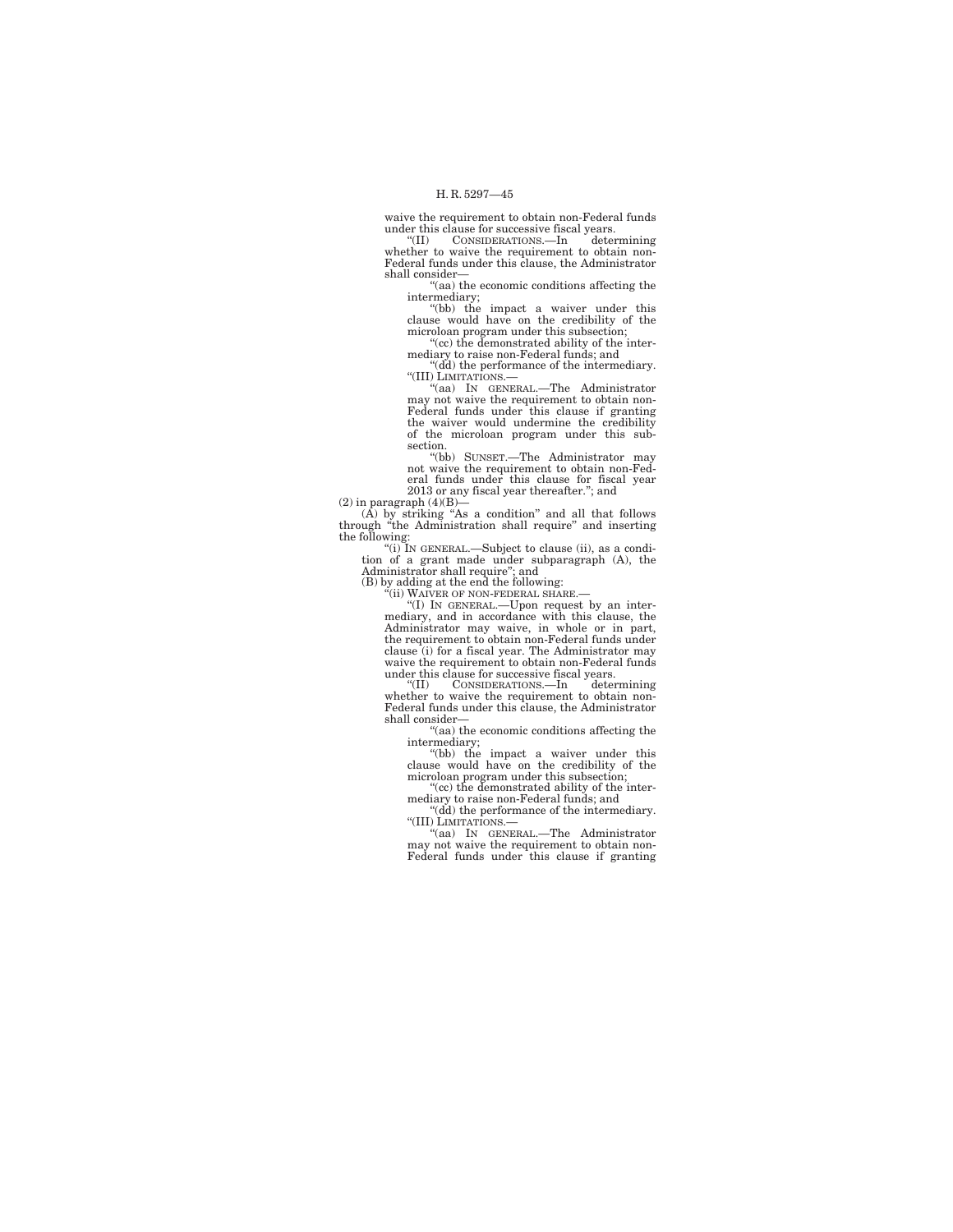waive the requirement to obtain non-Federal funds

under this clause for successive fiscal years. ''(II) CONSIDERATIONS.—In determining whether to waive the requirement to obtain non-Federal funds under this clause, the Administrator shall consider—

''(aa) the economic conditions affecting the intermediary;<br>"(bb) the impact a waiver under this

clause would have on the credibility of the microloan program under this subsection; ''(cc) the demonstrated ability of the inter-

mediary to raise non-Federal funds; and

''(dd) the performance of the intermediary. ''(III) LIMITATIONS.—

''(aa) IN GENERAL.—The Administrator may not waive the requirement to obtain non-Federal funds under this clause if granting the waiver would undermine the credibility of the microloan program under this subsection.

''(bb) SUNSET.—The Administrator may not waive the requirement to obtain non-Federal funds under this clause for fiscal year 2013 or any fiscal year thereafter.''; and

 $(2)$  in paragraph  $(4)(B)$ —

(A) by striking "As a condition" and all that follows<br>through "the Administration shall require" and inserting<br>the following:<br> $(ii)$  IN GENERAL.—Subject to clause (ii), as a condi-<br>tion of a grant made under subparagraph (

(B) by adding at the end the following:<br>"(ii) WAIVER OF NON-FEDERAL SHARE.—<br>"(I) IN GENERAL.—Upon request by an intermediary, and in accordance with this clause, the Administrator may waive, in whole or in part, the requirement to obtain non-Federal funds under clause (i) for a fiscal year. The Administrator may waive the requirement to obtain non-Federal funds under this clause for successive fiscal years.<br>"(II) CONSIDERATIONS.—In determining

''(II) CONSIDERATIONS.—In determining whether to waive the requirement to obtain non-Federal funds under this clause, the Administrator shall consider—

''(aa) the economic conditions affecting the

intermediary;<br>"(bb) the impact a waiver under this clause would have on the credibility of the microloan program under this subsection;

''(cc) the demonstrated ability of the intermediary to raise non-Federal funds; and<br>"(dd) the performance of the intermediary.

''(III) LIMITATIONS.—

''(aa) IN GENERAL.—The Administrator may not waive the requirement to obtain non-Federal funds under this clause if granting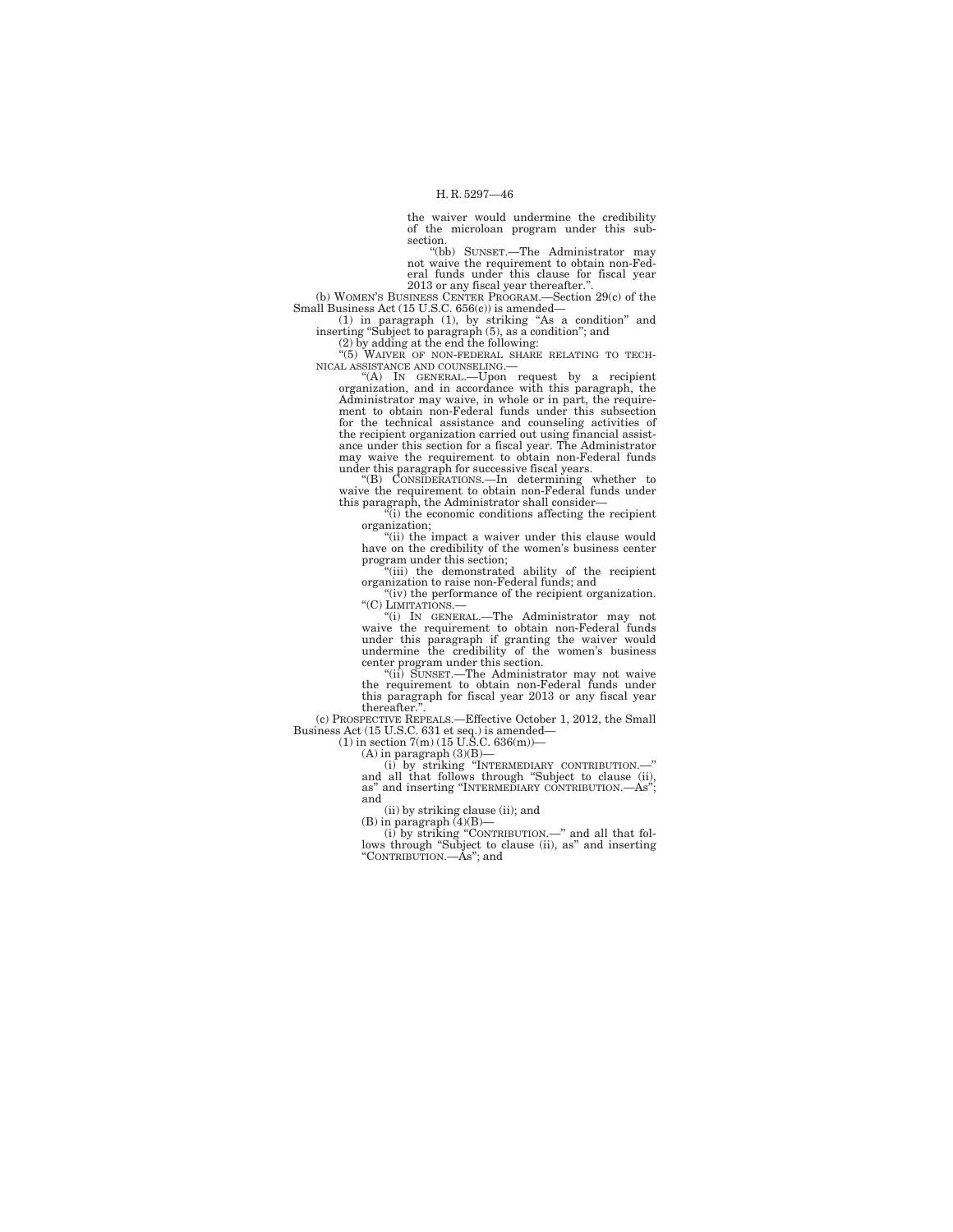the waiver would undermine the credibility of the microloan program under this subsection.

''(bb) SUNSET.—The Administrator may not waive the requirement to obtain non-Federal funds under this clause for fiscal year<br>
2013 or any fiscal year thereafter."<br>
(b) WOMEN'S BUSINESS CENTER PROGRAM.—Section 29(c) of the

Small Business Act (15 U.S.C. 656(c)) is amended—

(1) in paragraph (1), by striking "As a condition" and inserting "Subject to paragraph (5), as a condition"; and (2) by adding at the end the following: "(5) WAIVER OF NON-FEDERAL SHARE RELATING TO TECH-

NICAL ASSISTANCE AND COUNSELING.—

''(A) IN GENERAL.—Upon request by a recipient organization, and in accordance with this paragraph, the Administrator may waive, in whole or in part, the require-ment to obtain non-Federal funds under this subsection for the technical assistance and counseling activities of the recipient organization carried out using financial assistance under this section for a fiscal year. The Administrator may waive the requirement to obtain non-Federal funds under this paragraph for successive fiscal years.

''(B) CONSIDERATIONS.—In determining whether to waive the requirement to obtain non-Federal funds under this paragraph, the Administrator shall consider— ''(i) the economic conditions affecting the recipient

organization;

"(ii) the impact a waiver under this clause would have on the credibility of the women's business center program under this section;

''(iii) the demonstrated ability of the recipient organization to raise non-Federal funds; and

"(iv) the performance of the recipient organization. ''(C) LIMITATIONS.—

''(i) IN GENERAL.—The Administrator may not waive the requirement to obtain non-Federal funds under this paragraph if granting the waiver would undermine the credibility of the women's business center program under this section.

''(ii) SUNSET.—The Administrator may not waive the requirement to obtain non-Federal funds under this paragraph for fiscal year 2013 or any fiscal year

thereafter.''. (c) PROSPECTIVE REPEALS.—Effective October 1, 2012, the Small Business Act (15 U.S.C. 631 et seq.) is amended— (1) in section 7(m) (15 U.S.C. 636(m))—

(A) in paragraph  $(3)(B)$ —

(i) by striking ''INTERMEDIARY CONTRIBUTION.—'' and all that follows through ''Subject to clause (ii), as'' and inserting ''INTERMEDIARY CONTRIBUTION.—As''; and

(ii) by striking clause (ii); and (B) in paragraph  $(4)(B)$ —

(i) by striking ''CONTRIBUTION.—'' and all that fol-lows through ''Subject to clause (ii), as'' and inserting ''CONTRIBUTION.—As''; and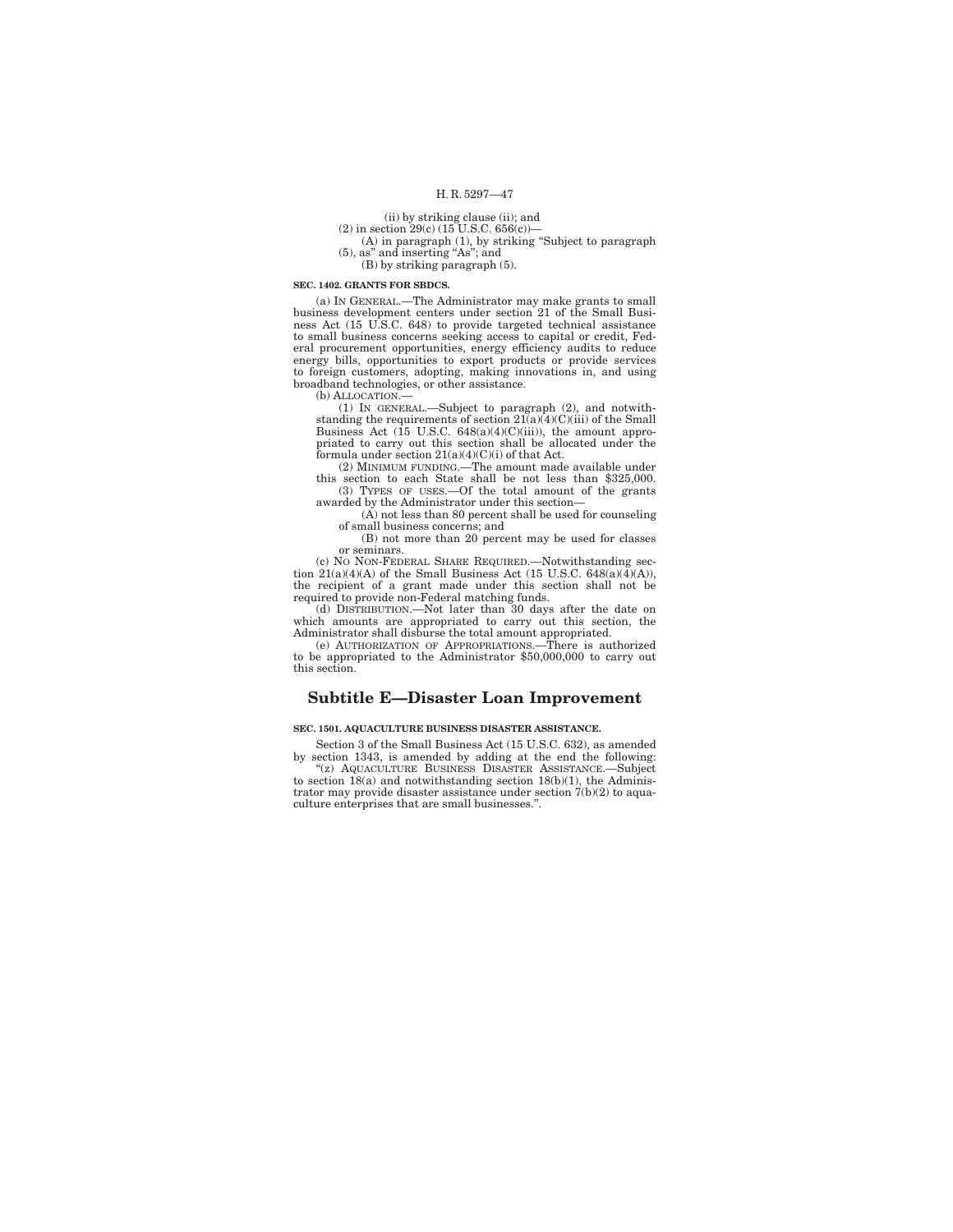## (ii) by striking clause (ii); and

(2) in section  $29(c)$  (15 U.S.C. 656(c))-

(A) in paragraph (1), by striking ''Subject to paragraph (5), as'' and inserting ''As''; and  $(B)$  by striking paragraph  $(5)$ .

### **SEC. 1402. GRANTS FOR SBDCS.**

(a) IN GENERAL.—The Administrator may make grants to small business development centers under section 21 of the Small Business Act (15 U.S.C. 648) to provide targeted technical assistance to small business concerns seeking access to capital or credit, Federal procurement opportunities, energy efficiency audits to reduce energy bills, opportunities to export products or provide services to foreign customers, adopting, making innovations in, and using broadband technologies, or other assistance.

(b) ALLOCATION.—

(1) IN GENERAL.—Subject to paragraph (2), and notwith-standing the requirements of section  $21(a)(4)(C)(iii)$  of the Small Business Act (15 U.S.C. 648(a)(4)(C)(iii)), the amount appropriated to carry out this section shall be allocated under the formula under section 21(a)(4)(C)(i) of that Act.

(2) MINIMUM FUNDING.—The amount made available under this section to each State shall be not less than \$325,000. (3) TYPES OF USES.—Of the total amount of the grants awarded by the Administrator under this section—

(A) not less than 80 percent shall be used for counseling of small business concerns; and

(B) not more than 20 percent may be used for classes or seminars.

(c) NO NON-FEDERAL SHARE REQUIRED.—Notwithstanding section  $21(a)(4)(A)$  of the Small Business Act (15 U.S.C. 648(a)( $\overline{4}$ )(A)), the recipient of a grant made under this section shall not be required to provide non-Federal matching funds.

(d) DISTRIBUTION.—Not later than 30 days after the date on which amounts are appropriated to carry out this section, the Administrator shall disburse the total amount appropriated.

(e) AUTHORIZATION OF APPROPRIATIONS.—There is authorized to be appropriated to the Administrator \$50,000,000 to carry out this section.

## **Subtitle E—Disaster Loan Improvement**

**SEC. 1501. AQUACULTURE BUSINESS DISASTER ASSISTANCE.** 

Section 3 of the Small Business Act (15 U.S.C. 632), as amended by section 1343, is amended by adding at the end the following: ''(z) AQUACULTURE BUSINESS DISASTER ASSISTANCE.—Subject to section  $18(a)$  and notwithstanding section  $18(b)(1)$ , the Adminis-

trator may provide disaster assistance under section  $7(b)(2)$  to aquaculture enterprises that are small businesses.''.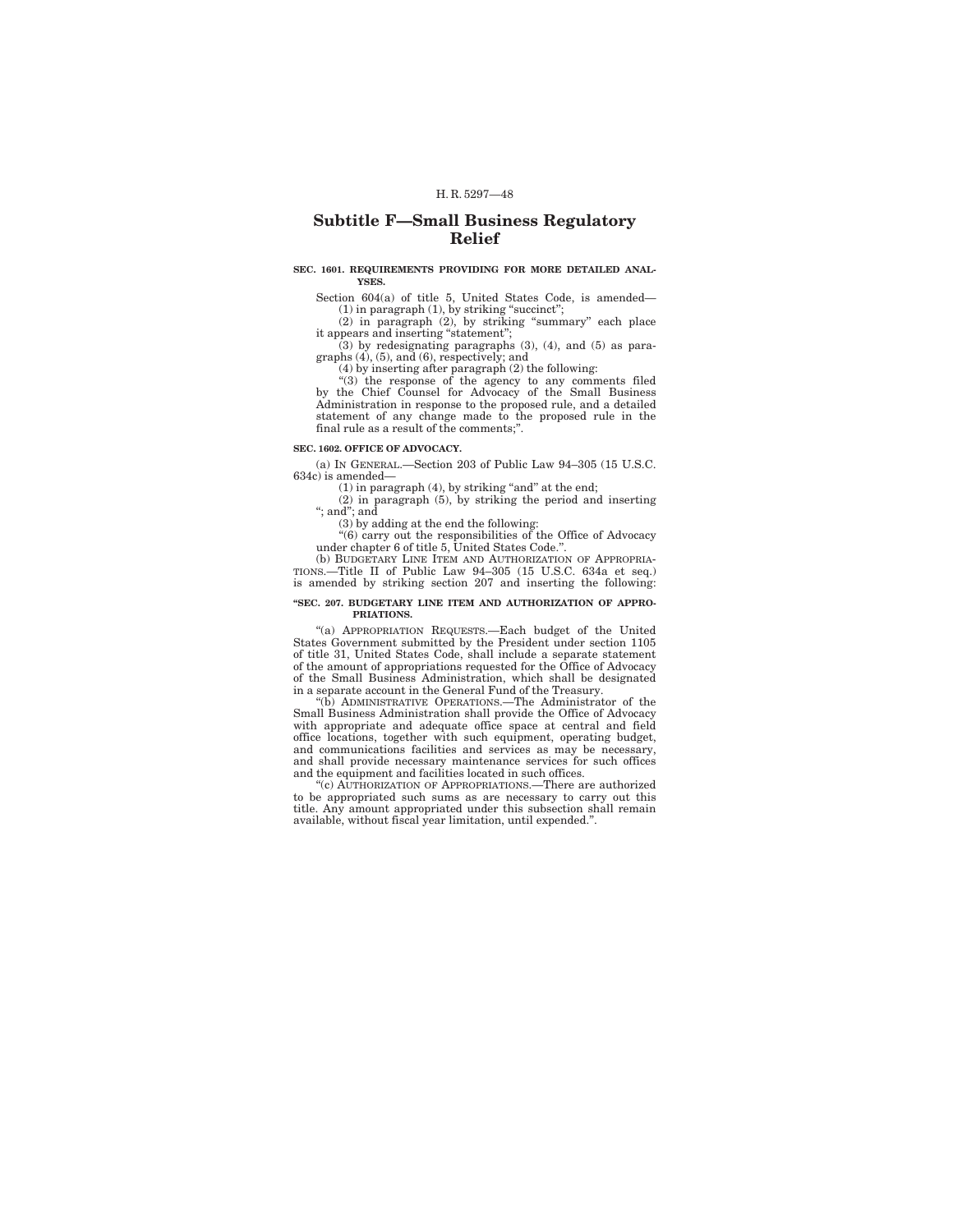## **Subtitle F—Small Business Regulatory Relief**

#### **SEC. 1601. REQUIREMENTS PROVIDING FOR MORE DETAILED ANAL-YSES.**

Section 604(a) of title 5, United States Code, is amended—

(1) in paragraph (1), by striking ''succinct''; (2) in paragraph (2), by striking ''summary'' each place it appears and inserting ''statement'';

 $(3)$  by redesignating paragraphs  $(3)$ ,  $(4)$ , and  $(5)$  as paragraphs  $(4)$ ,  $(5)$ , and  $(6)$ , respectively; and

(4) by inserting after paragraph (2) the following: ''(3) the response of the agency to any comments filed by the Chief Counsel for Advocacy of the Small Business Administration in response to the proposed rule, and a detailed statement of any change made to the proposed rule in the final rule as a result of the comments;''.

### **SEC. 1602. OFFICE OF ADVOCACY.**

(a) IN GENERAL.—Section 203 of Public Law 94–305 (15 U.S.C. 634c) is amended—

 $(1)$  in paragraph  $(4)$ , by striking "and" at the end;

(2) in paragraph (5), by striking the period and inserting ''; and''; and

(3) by adding at the end the following:

''(6) carry out the responsibilities of the Office of Advocacy under chapter 6 of title 5, United States Code.''.

(b) BUDGETARY LINE ITEM AND AUTHORIZATION OF APPROPRIA-TIONS.—Title II of Public Law 94–305 (15 U.S.C. 634a et seq.) is amended by striking section 207 and inserting the following:

#### **''SEC. 207. BUDGETARY LINE ITEM AND AUTHORIZATION OF APPRO-PRIATIONS.**

''(a) APPROPRIATION REQUESTS.—Each budget of the United States Government submitted by the President under section 1105 of title 31, United States Code, shall include a separate statement of the amount of appropriations requested for the Office of Advocacy of the Small Business Administration, which shall be designated in a separate account in the General Fund of the Treasury.

''(b) ADMINISTRATIVE OPERATIONS.—The Administrator of the Small Business Administration shall provide the Office of Advocacy with appropriate and adequate office space at central and field office locations, together with such equipment, operating budget, and communications facilities and services as may be necessary, and shall provide necessary maintenance services for such offices and the equipment and facilities located in such offices.

''(c) AUTHORIZATION OF APPROPRIATIONS.—There are authorized to be appropriated such sums as are necessary to carry out this title. Any amount appropriated under this subsection shall remain available, without fiscal year limitation, until expended.''.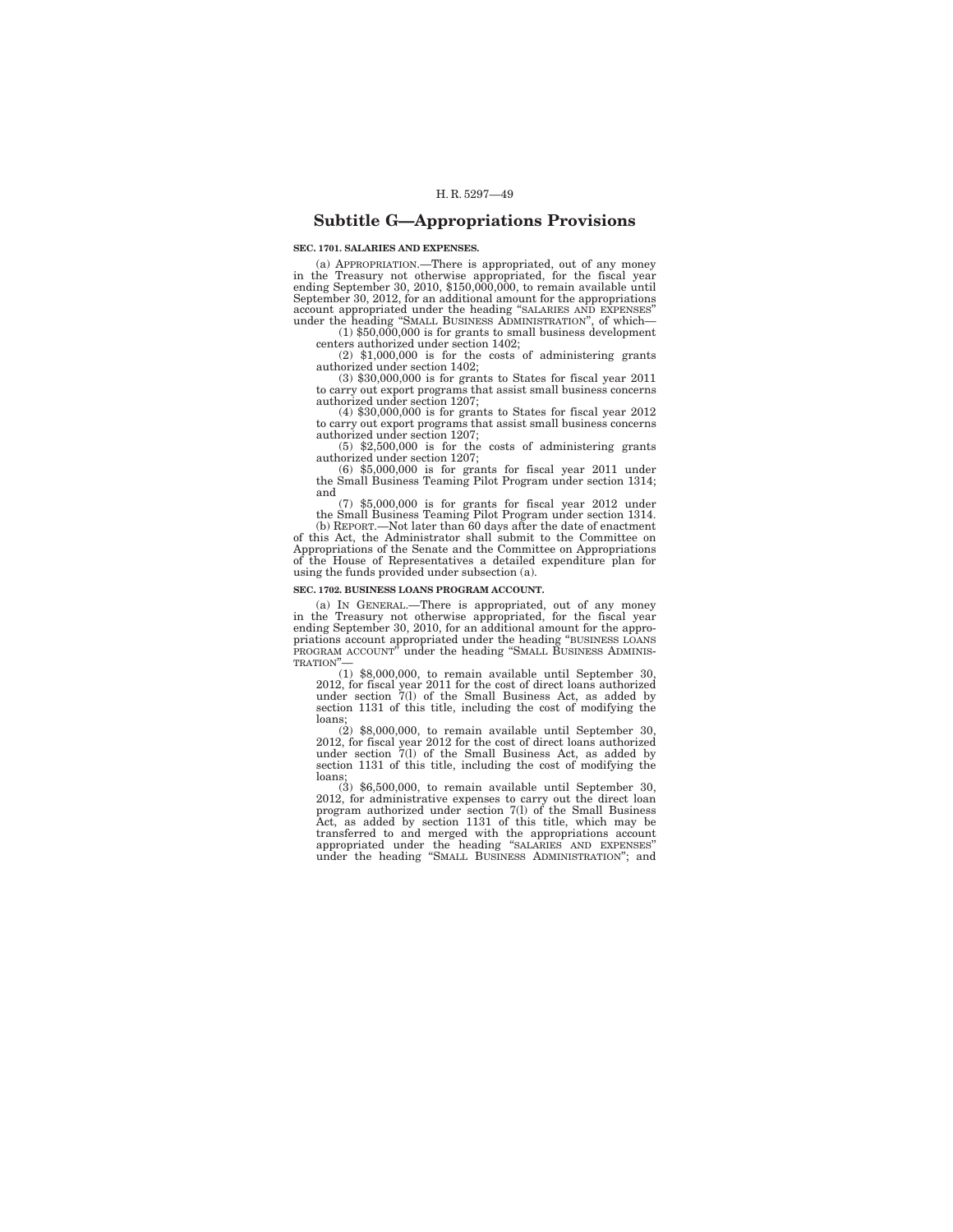## **Subtitle G—Appropriations Provisions**

**SEC. 1701. SALARIES AND EXPENSES.** 

(a) APPROPRIATION.—There is appropriated, out of any money in the Treasury not otherwise appropriated, for the fiscal year ending September 30, 2010, \$150,000,000, to remain available until September 30, 2012, for an additional amount for the appropriations<br>account appropriated under the heading "SMLARIES AND EXPENSES"<br>under the heading "SMALL BUSINESS ADMINISTRATION", of which—<br>(1) \$50,000,000 is for grants

centers authorized under section 1402;

 $(2)$  \$1,000,000 is for the costs of administering grants authorized under section 1402;

(3) \$30,000,000 is for grants to States for fiscal year 2011 to carry out export programs that assist small business concerns authorized under section 1207;

(4) \$30,000,000 is for grants to States for fiscal year 2012 to carry out export programs that assist small business concerns authorized under section 1207;

(5) \$2,500,000 is for the costs of administering grants authorized under section 1207;

(6) \$5,000,000 is for grants for fiscal year 2011 under the Small Business Teaming Pilot Program under section 1314; and

(7) \$5,000,000 is for grants for fiscal year 2012 under the Small Business Teaming Pilot Program under section 1314.

(b) REPORT.—Not later than 60 days after the date of enactment of this Act, the Administrator shall submit to the Committee on Appropriations of the Senate and the Committee on Appropriations of the House of Representatives a detailed expenditure plan for using the funds provided under subsection (a).

## **SEC. 1702. BUSINESS LOANS PROGRAM ACCOUNT.**

(a) IN GENERAL.—There is appropriated, out of any money in the Treasury not otherwise appropriated, for the fiscal year ending September 30, 2010, for an additional amount for the appropriations account appropriated under the heading ''BUSINESS LOANS PROGRAM ACCOUNT" under the heading "SMALL BUSINESS ADMINIS-TRATION''—

(1) \$8,000,000, to remain available until September 30, 2012, for fiscal year 2011 for the cost of direct loans authorized under section 7(l) of the Small Business Act, as added by section 1131 of this title, including the cost of modifying the loans;

(2)  $$8,000,000$ , to remain available until September 30, 2012, for fiscal year 2012 for the cost of direct loans authorized under section  $7(1)$  of the Small Business Act, as added by section 1131 of this title, includin

loans; (3) \$6,500,000, to remain available until September 30, 2012, for administrative expenses to carry out the direct loan program authorized under section 7(l) of the Small Business Act, as added by section 1131 of th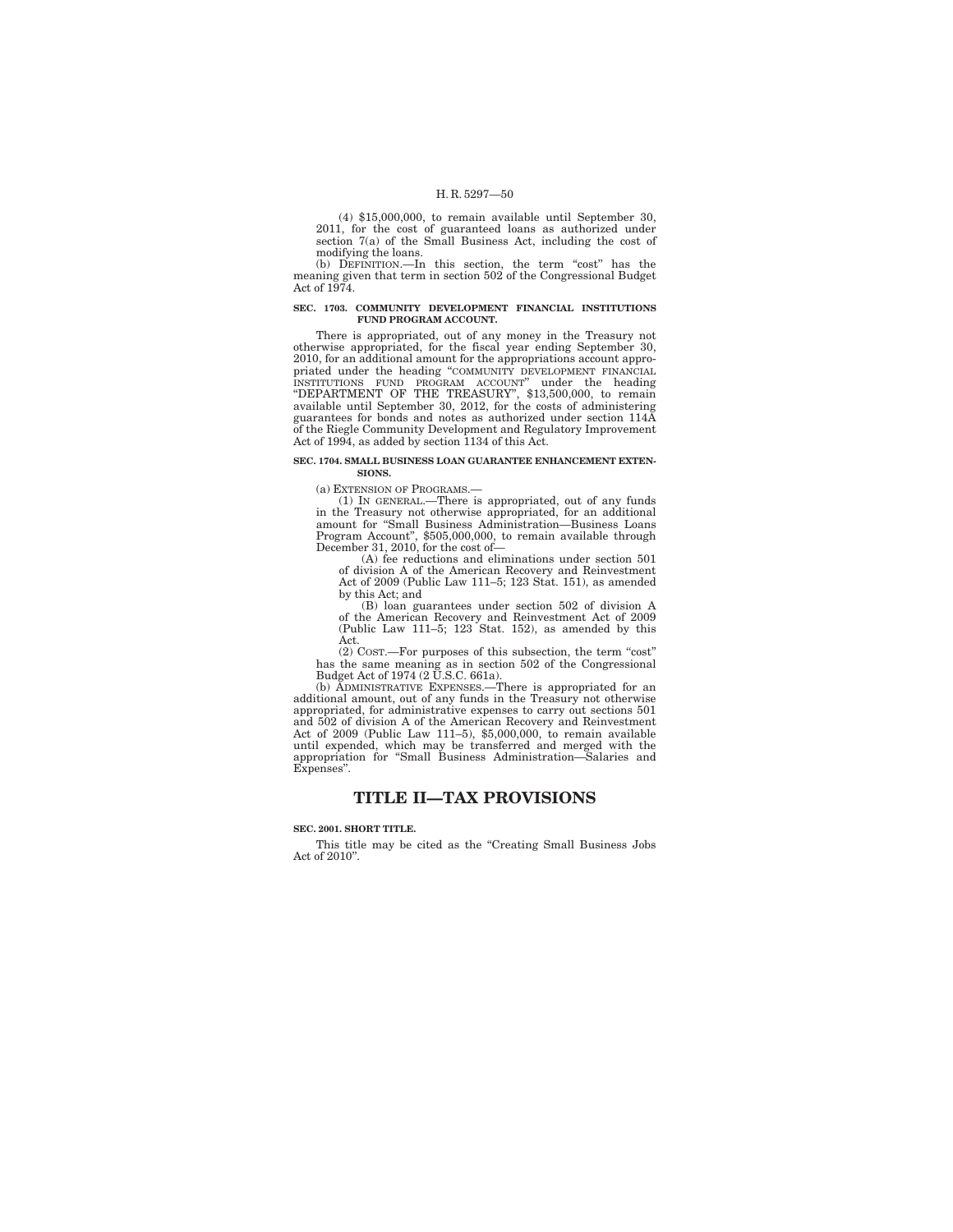(4) \$15,000,000, to remain available until September 30, 2011, for the cost of guaranteed loans as authorized under section 7(a) of the Small Business Act, including the cost of modifying the loans.

(b) DEFINITION.—In this section, the term "cost" has the meaning given that term in section 502 of the Congressional Budget Act of 1974.

#### **SEC. 1703. COMMUNITY DEVELOPMENT FINANCIAL INSTITUTIONS FUND PROGRAM ACCOUNT.**

There is appropriated, out of any money in the Treasury not otherwise appropriated, for the fiscal year ending September 30, 2010, for an additional amount for the appropriations account appropriated under the heading "COMMUNITY DEVELOPMENT FINANCIAL<br>INSTITUTIONS FUND PROGRAM ACCOUNT" under the heading<br>"DEPARTMENT OF THE TREASURY", \$13,500,000, to remain<br>available until September 30, 2012, for the costs of admi guarantees for bonds and notes as authorized under section 114A of the Riegle Community Development and Regulatory Improvement Act of 1994, as added by section 1134 of this Act.

#### **SEC. 1704. SMALL BUSINESS LOAN GUARANTEE ENHANCEMENT EXTEN-SIONS.**

(a) EXTENSION OF PROGRAMS.—

(1) IN GENERAL.—There is appropriated, out of any funds in the Treasury not otherwise appropriated, for an additional amount for ''Small Business Administration—Business Loans Program Account'', \$505,000,000, to remain available through December 31, 2010, for the cost of—

(A) fee reductions and eliminations under section 501 of division A of the American Recovery and Reinvestment Act of 2009 (Public Law 111–5; 123 Stat. 151), as amended by this Act; and

(B) loan guarantees under section 502 of division A of the American Recovery and Reinvestment Act of 2009 (Public Law 111–5; 123 Stat. 152), as amended by this Act.

(2) COST.—For purposes of this subsection, the term ''cost'' has the same meaning as in section 502 of the Congressional Budget Act of 1974 (2 U.S.C. 661a).<br>(b) ADMINISTRATIVE EXPENSES.—There is appropriated for an

additional amount, out of any funds in the Treasury not otherwise appropriated, for administrative expenses to carry out sections 501 and 502 of division A of the American Recovery and Reinvestment Act of 2009 (Public Law 111–5), \$5,000,000, to remain available until expended, which may be transferred and merged with the appropriation for ''Small Business Administration—Salaries and Expenses''.

## **TITLE II—TAX PROVISIONS**

#### **SEC. 2001. SHORT TITLE.**

This title may be cited as the ''Creating Small Business Jobs Act of 2010''.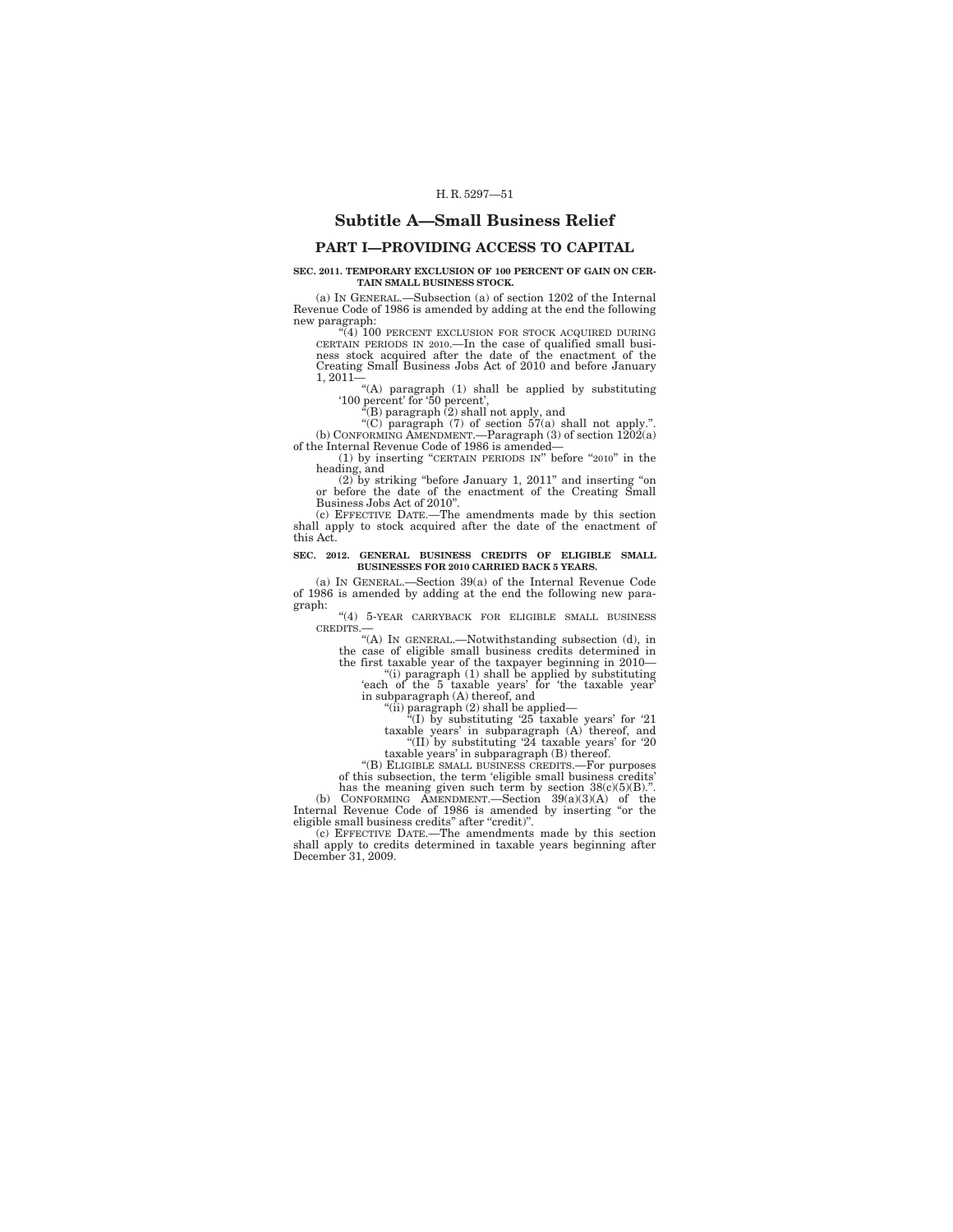## **Subtitle A—Small Business Relief**

## **PART I—PROVIDING ACCESS TO CAPITAL**

#### **SEC. 2011. TEMPORARY EXCLUSION OF 100 PERCENT OF GAIN ON CER-TAIN SMALL BUSINESS STOCK.**

(a) IN GENERAL.—Subsection (a) of section 1202 of the Internal Revenue Code of 1986 is amended by adding at the end the following new paragraph:

''(4) 100 PERCENT EXCLUSION FOR STOCK ACQUIRED DURING CERTAIN PERIODS IN 2010.—In the case of qualified small busi-ness stock acquired after the date of the enactment of the Creating Small Business Jobs Act of 2010 and before January

1, 2011— ''(A) paragraph (1) shall be applied by substituting '100 percent' for '50 percent',

''(B) paragraph (2) shall not apply, and ''(C) paragraph (7) of section 57(a) shall not apply.''. (b) CONFORMING AMENDMENT.—Paragraph (3) of section 1202(a) of the Internal Revenue Code of 1986 is amended—

(1) by inserting "CERTAIN PERIODS IN" before "2010" in the heading, and

(2) by striking ''before January 1, 2011'' and inserting ''on or before the date of the enactment of the Creating Small Business Jobs Act of 2010".

(c) EFFECTIVE DATE.—The amendments made by this section shall apply to stock acquired after the date of the enactment of this Act.

#### **SEC. 2012. GENERAL BUSINESS CREDITS OF ELIGIBLE SMALL BUSINESSES FOR 2010 CARRIED BACK 5 YEARS.**

(a) IN GENERAL.—Section 39(a) of the Internal Revenue Code of 1986 is amended by adding at the end the following new paragraph:

''(4) 5-YEAR CARRYBACK FOR ELIGIBLE SMALL BUSINESS CREDITS.— ''(A) IN GENERAL.—Notwithstanding subsection (d), in

the case of eligible small business credits determined in the first taxable year of the taxpayer beginning in 2010—

''(i) paragraph (1) shall be applied by substituting 'each of the 5 taxable years' for 'the taxable year'

in subparagraph (A) thereof, and<br>
"(ii) paragraph (2) shall be applied—<br>
"(I) by substituting '25 taxable years' for '21<br>
taxable years' in subparagraph (A) thereof, and<br>
"(II) by substituting '24 taxable years' for '20

taxable years' in subparagraph (B) thereof. ''(B) ELIGIBLE SMALL BUSINESS CREDITS.—For purposes of this subsection, the term 'eligible small business credits'

has the meaning given such term by section 38(c)(5)(B).''.<br>
(b) CONFORMING AMENDMENT.—Section 39(a)(3)(A) of the Internal Revenue Code of 1986 is amended by inserting "or the

eligible small business credits'' after ''credit)''. (c) EFFECTIVE DATE.—The amendments made by this section

shall apply to credits determined in taxable years beginning after December 31, 2009.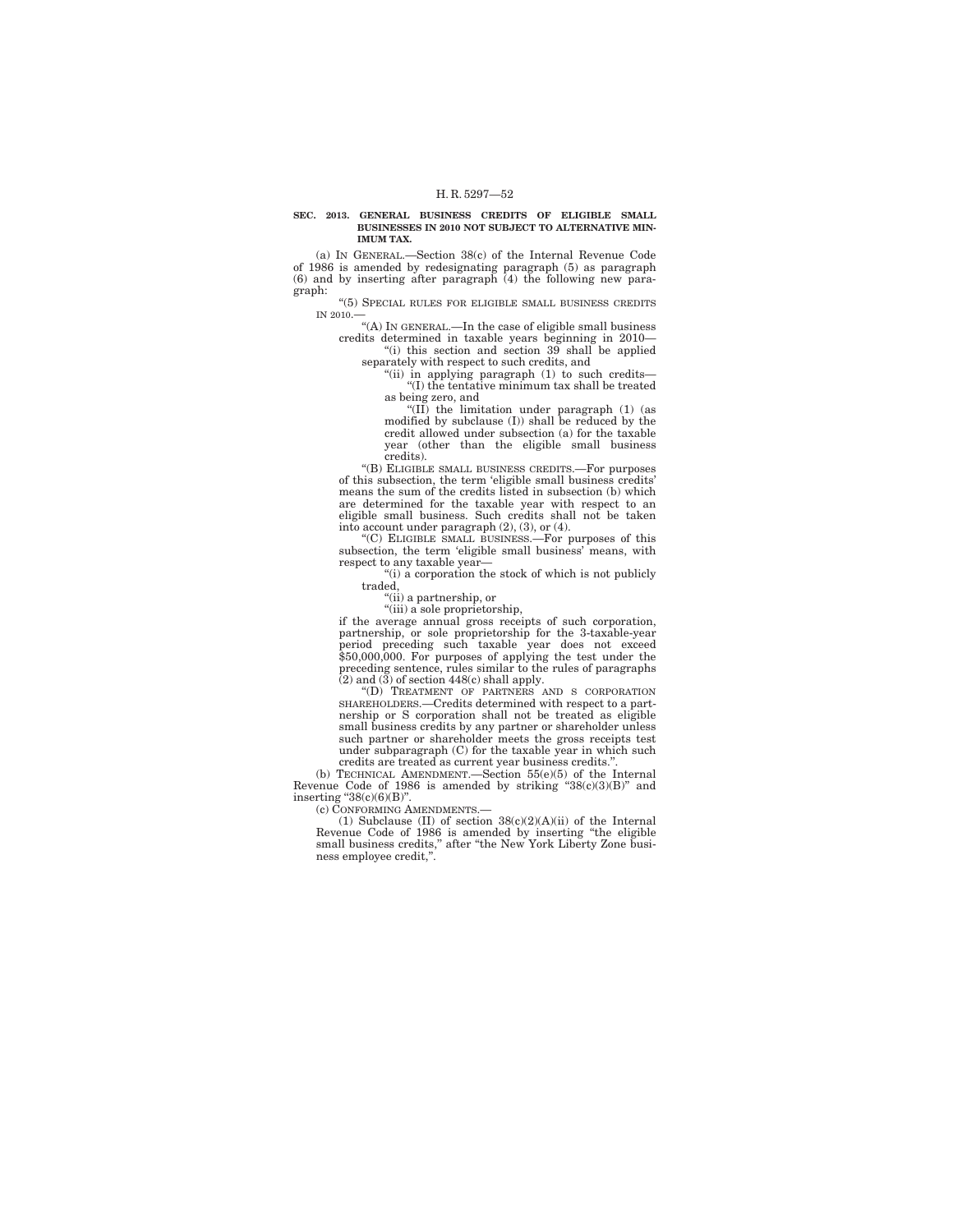#### **SEC. 2013. GENERAL BUSINESS CREDITS OF ELIGIBLE SMALL BUSINESSES IN 2010 NOT SUBJECT TO ALTERNATIVE MIN-IMUM TAX.**

(a) IN GENERAL.—Section 38(c) of the Internal Revenue Code of 1986 is amended by redesignating paragraph (5) as paragraph (6) and by inserting after paragraph (4) the following new paragraph:

''(5) SPECIAL RULES FOR ELIGIBLE SMALL BUSINESS CREDITS IN 2010.—<br>"(A) In GENERAL.—In the case of eligible small business

credits determined in taxable years beginning in 2010— ''(i) this section and section 39 shall be applied

separately with respect to such credits, and "(ii) in applying paragraph (1) to such credits-

''(I) the tentative minimum tax shall be treated as being zero, and

''(II) the limitation under paragraph (1) (as modified by subclause (I)) shall be reduced by the credit allowed under subsection (a) for the taxable year (other than the eligible small business credits).

''(B) ELIGIBLE SMALL BUSINESS CREDITS.—For purposes of this subsection, the term 'eligible small business credits' means the sum of the credits listed in subsection (b) which are determined for the taxable year with respect to an eligible small business. Such credits shall not be taken into account under paragraph  $(2)$ ,  $(3)$ , or  $(4)$ .<br>"(C) ELIGIBLE SMALL BUSINESS.—For purposes of this

subsection, the term 'eligible small business' means, with respect to any taxable year—

"(i) a corporation the stock of which is not publicly traded,

''(ii) a partnership, or

''(iii) a sole proprietorship, if the average annual gross receipts of such corporation, partnership, or sole proprietorship for the 3-taxable-year period preceding such taxable year does not exceed \$50,000,000. For purposes of applying the test under the preceding sentence, rules similar to the rules of paragraphs (2) and (3) of section 448(c) shall apply.

''(D) TREATMENT OF PARTNERS AND S CORPORATION SHAREHOLDERS.—Credits determined with respect to a partnership or S corporation shall not be treated as eligible small business credits by any partner or shareholder unless such partner or shareholder meets the gross receipts test under subparagraph (C) for the taxable year in which such credits are treated as current year business credits.''.

(b) TECHNICAL AMENDMENT.—Section  $55(e)(5)$  of the Internal Revenue Code of 1986 is amended by striking "38(c)(3)(B)" and inserting " $38(c)(6)(B)$ ".

(c) CONFORMING AMENDMENTS.—

(1) Subclause (II) of section 38(c)(2)(A)(ii) of the Internal Revenue Code of 1986 is amended by inserting ''the eligible small business credits,'' after ''the New York Liberty Zone business employee credit,''.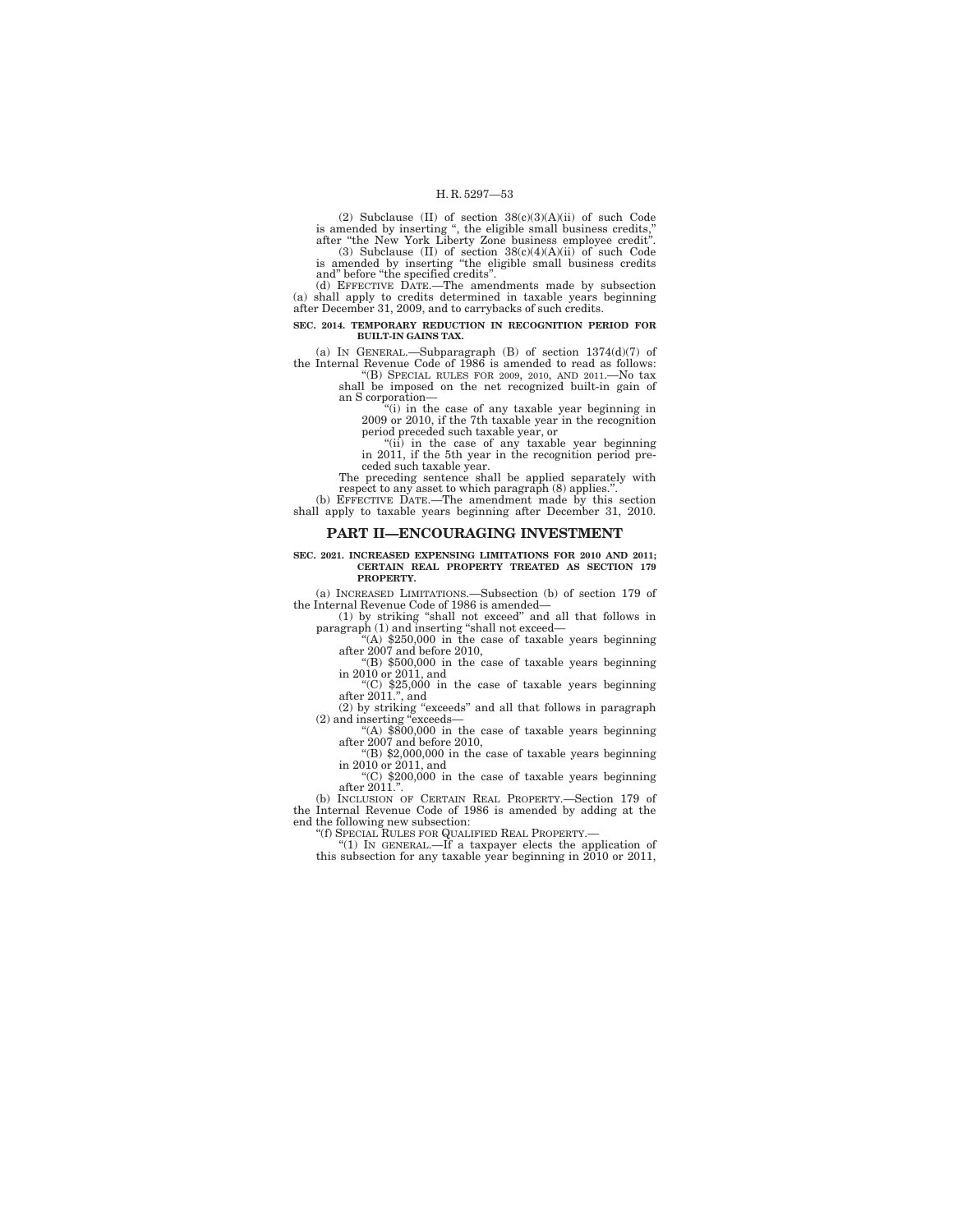(2) Subclause (II) of section  $38(c)(3)(A)(ii)$  of such Code<br>is amended by inserting ", the eligible small business credits,"<br>after "the New York Liberty Zone business employee credit".<br>(3) Subclause (II) of section  $38(c)(4)(A)(ii$ 

and'' before ''the specified credits''.

(d) EFFECTIVE DATE.—The amendments made by subsection (a) shall apply to credits determined in taxable years beginning after December 31, 2009, and to carrybacks of such credits.

**SEC. 2014. TEMPORARY REDUCTION IN RECOGNITION PERIOD FOR BUILT-IN GAINS TAX.** 

(a) IN GENERAL.—Subparagraph (B) of section 1374(d)(7) of the Internal Revenue Code of 1986 is amended to read as follows: "(B) SPECIAL RULES FOR 2009, 2010, AND 2011.—No tax

shall be imposed on the net recognized built-in gain of an S corporation—

''(i) in the case of any taxable year beginning in 2009 or 2010, if the 7th taxable year in the recognition period preceded such taxable year, or ''(ii) in the case of any taxable year beginning in 2011, if the 5th year in the recognition period pre-

ceded such taxable year.

The preceding sentence shall be applied separately with respect to any asset to which paragraph (8) applies.''.

(b) EFFECTIVE DATE.—The amendment made by this section shall apply to taxable years beginning after December 31, 2010.

#### **PART II—ENCOURAGING INVESTMENT**

#### **SEC. 2021. INCREASED EXPENSING LIMITATIONS FOR 2010 AND 2011; CERTAIN REAL PROPERTY TREATED AS SECTION 179 PROPERTY.**

(a) INCREASED LIMITATIONS.—Subsection (b) of section 179 of the Internal Revenue Code of 1986 is amended—

(1) by striking ''shall not exceed'' and all that follows in paragraph (1) and inserting "shall not exceed—<br>"(A) \$250,000 in the case of taxable years beginning"

after 2007 and before 2010, ''(B) \$500,000 in the case of taxable years beginning

in 2010 or 2011, and

''(C) \$25,000 in the case of taxable years beginning after 2011.'', and (2) by striking ''exceeds'' and all that follows in paragraph (2) and inserting ''exceeds—

''(A) \$800,000 in the case of taxable years beginning after 2007 and before 2010, ''(B) \$2,000,000 in the case of taxable years beginning

in 2010 or 2011, and

 $(C)$  \$200,000 in the case of taxable years beginning

after 2011.''. (b) INCLUSION OF CERTAIN REAL PROPERTY.—Section 179 of the Internal Revenue Code of 1986 is amended by adding at the end the following new subsection:

''(f) SPECIAL RULES FOR QUALIFIED REAL PROPERTY.— ''(1) IN GENERAL.—If a taxpayer elects the application of this subsection for any taxable year beginning in 2010 or 2011,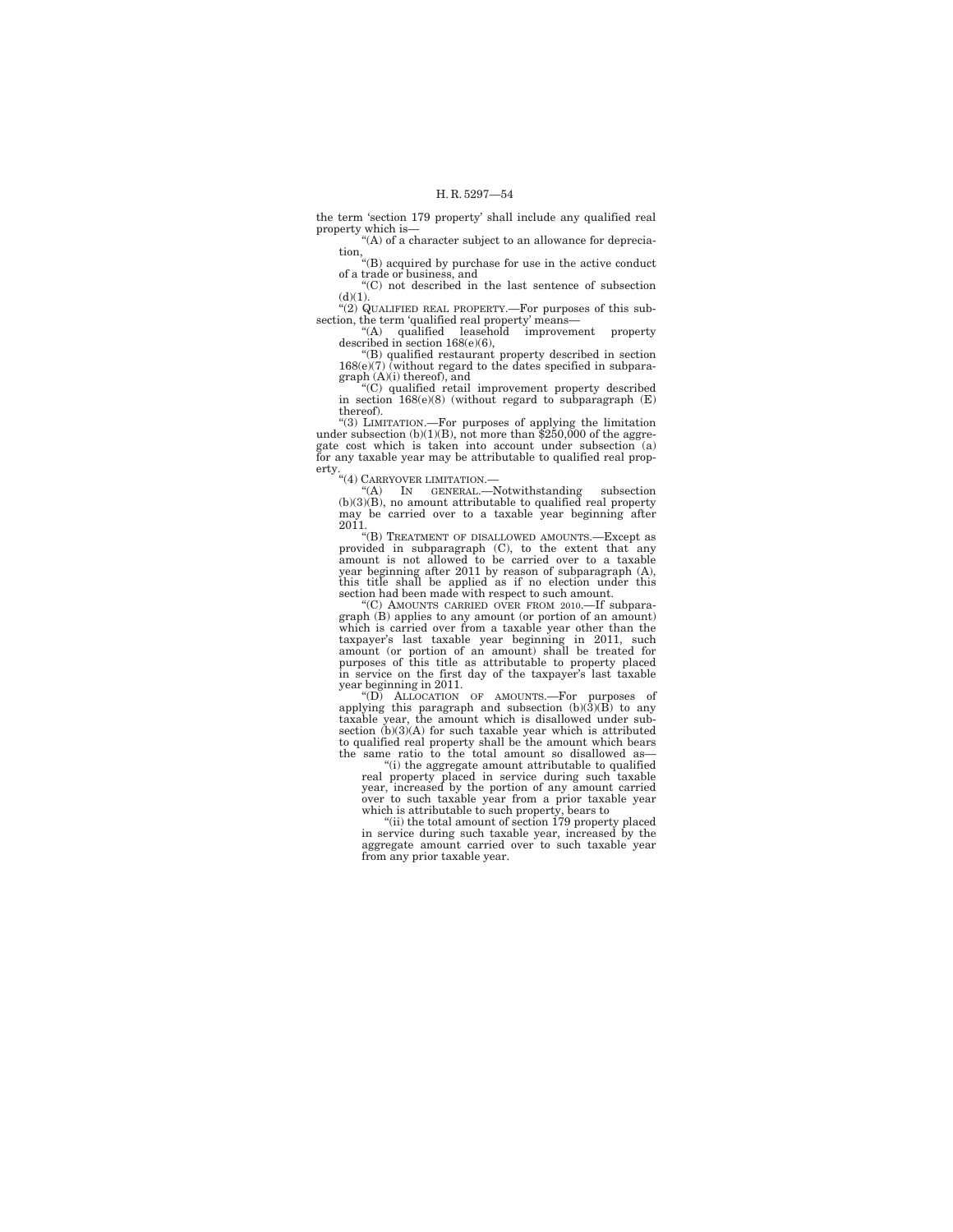the term 'section 179 property' shall include any qualified real property which is—

''(A) of a character subject to an allowance for depreciation,

''(B) acquired by purchase for use in the active conduct of a trade or business, and

''(C) not described in the last sentence of subsection  $(d)(1)$ .

''(2) QUALIFIED REAL PROPERTY.—For purposes of this subsection, the term 'qualified real property' means—<br>
"(A) qualified leasehold improvement property<br>
described in section 168(e)(6),<br>
"(B) qualified restaurant property described in section

168(e)(7) (without regard to the dates specified in subparagraph (A)(i) thereof), and ''(C) qualified retail improvement property described

in section 168(e)(8) (without regard to subparagraph (E) thereof).

"(3) LIMITATION.—For purposes of applying the limitation under subsection  $(b)(1)(B)$ , not more than \$250,000 of the aggregate cost which is taken into account under subsection (a) for any taxable year may be attributable to qualified real prop-

erty.<br>
"(4) CARRYOVER LIMITATION.—<br>
(b)(3)(B), no amount attributable to qualified real property<br>
may be carried over to a taxable year beginning after<br>
2011.

 $2011$ .<br>
"(B) TREATMENT OF DISALLOWED AMOUNTS.—Except as<br>
"(B) TREATMENT OF DISALLOWED AMOUNTS.—Except as provided in subparagraph (C), to the extent that any amount is not allowed to be carried over to a taxable year beginning after 2011 by reason of subparagraph (A), this title shall be applied as if no election under this section had been made with respect to such amount.

''(C) AMOUNTS CARRIED OVER FROM 2010.—If subparagraph (B) applies to any amount (or portion of an amount) which is carried over from a taxable year other than the taxpayer's last taxable year beginning in 2011, such amount (or portion of an amount) shall be treated for purposes of this title as attributable to property placed in service on the first day of the taxpayer's last taxable year beginning in 2011.

''(D) ALLOCATION OF AMOUNTS.—For purposes of applying this paragraph and subsection (b)(3)(B) to any taxable year, the amount which is disallowed under subsection (b)(3)(A) for such taxable year which is attributed to qualified real property shall be the amount which bears the same ratio to the total amount so disallowed as—

''(i) the aggregate amount attributable to qualified real property placed in service during such taxable year, increased by the portion of any amount carried over to such taxable year from a prior taxable year which is attributable to such property, bears to

"(ii) the total amount of section 179 property placed in service during such taxable year, increased by the aggregate amount carried over to such taxable year from any prior taxable year.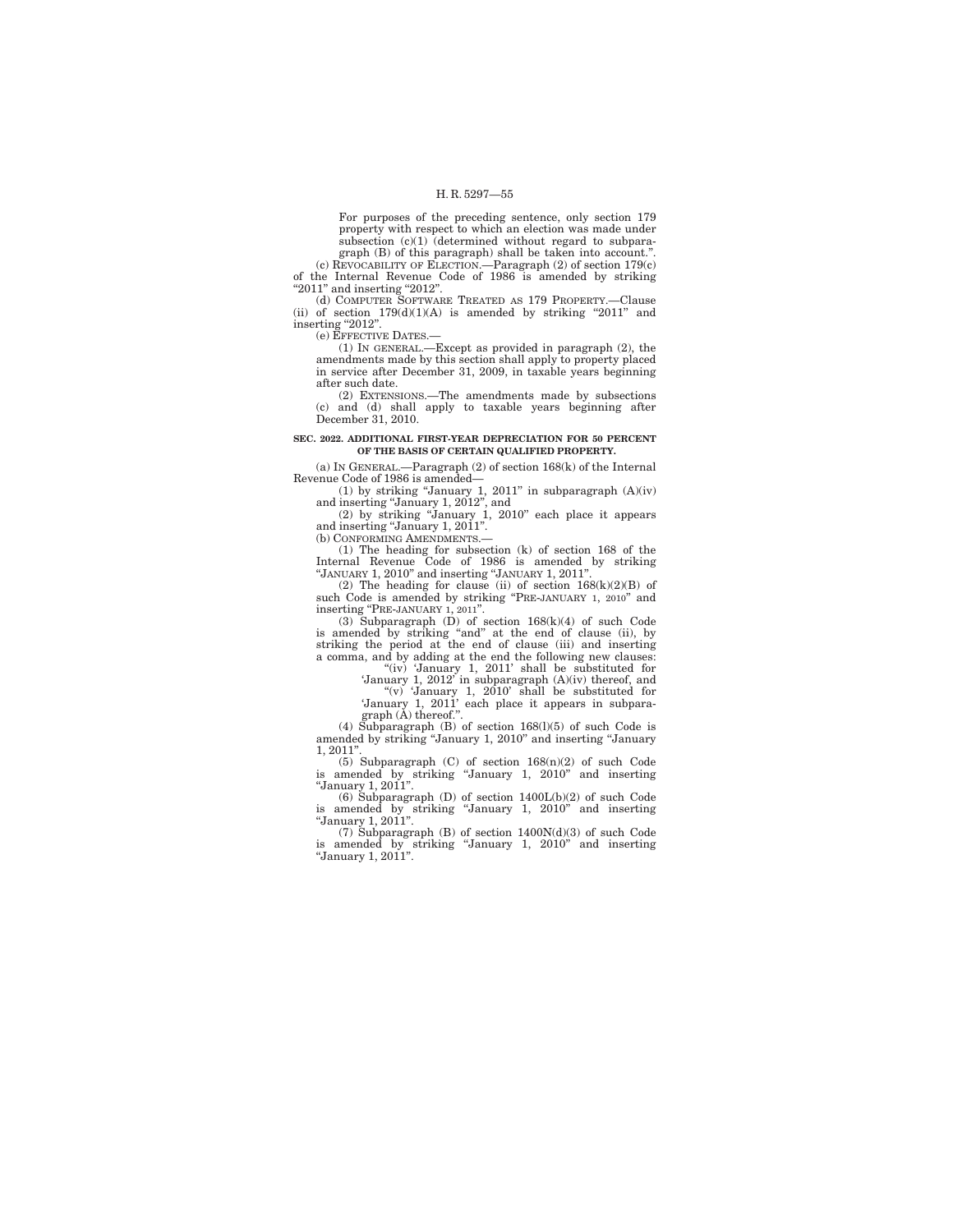For purposes of the preceding sentence, only section 179 property with respect to which an election was made under subsection (c)(1) (determined without regard to subparagraph (B) of this paragraph) shall be taken into account.''. (c) REVOCABILITY OF ELECTION.—Paragraph (2) of section 179(c)

of the Internal Revenue Code of 1986 is amended by striking "2011" and inserting "2012".<br>
(d) COMPUTER SOFTWARE TREATED AS 179 PROPERTY.—Clause

(ii) of section  $179(d)(1)(A)$  is amended by striking "2011" and inserting "2012".

(e) EFFECTIVE DATES.—

(1) IN GENERAL.—Except as provided in paragraph (2), the amendments made by this section shall apply to property placed in service after December 31, 2009, in taxable years beginning after such date.

(2) EXTENSIONS.—The amendments made by subsections (c) and (d) shall apply to taxable years beginning after December 31, 2010.

#### **SEC. 2022. ADDITIONAL FIRST-YEAR DEPRECIATION FOR 50 PERCENT OF THE BASIS OF CERTAIN QUALIFIED PROPERTY.**

(a) IN GENERAL.—Paragraph (2) of section 168(k) of the Internal<br>Revenue Code of 1986 is amended—<br>(1) by striking "January 1, 2011" in subparagraph (A)(iv)<br>and inserting "January 1, 2012", and<br>(2) by striking "January 1, 2

(b) CONFORMING AMENDMENTS.

(1) The heading for subsection (k) of section 168 of the Internal Revenue Code of 1986 is amended by striking ''JANUARY 1, 2010'' and inserting ''JANUARY 1, 2011''.

(2) The heading for clause (ii) of section  $168(k)(2)(B)$  of such Code is amended by striking "PRE-JANUARY 1, 2010" and

inserting "PRE-JANUARY 1, 2011".<br>
(3) Subparagraph (D) of section 168(k)(4) of such Code<br>
is amended by striking "and" at the end of clause (iii) and<br>
striking the period at the end of clause (iii) and inserting a comma, and by adding at the end the following new clauses:

"(iv) 'January 1, 2011' shall be substituted for 'January 1, 2012' in subparagraph (A)(iv) thereof, and "(v) 'January 1, 2010' shall be substituted for 'January 1, 2011' each place it appears in subpara-

 $graph$   $(\AA)$  thereof."

(4) Subparagraph  $(B)$  of section 168(1)(5) of such Code is amended by striking ''January 1, 2010'' and inserting ''January 1, 2011"

(5) Subparagraph (C) of section 168(n)(2) of such Code is amended by striking ''January 1, 2010'' and inserting ''January 1, 2011''.

(6) Subparagraph (D) of section 1400L(b)(2) of such Code is amended by striking ''January 1, 2010'' and inserting ''January 1, 2011''.

(7) Subparagraph (B) of section 1400N(d)(3) of such Code is amended by striking ''January 1, 2010'' and inserting ''January 1, 2011''.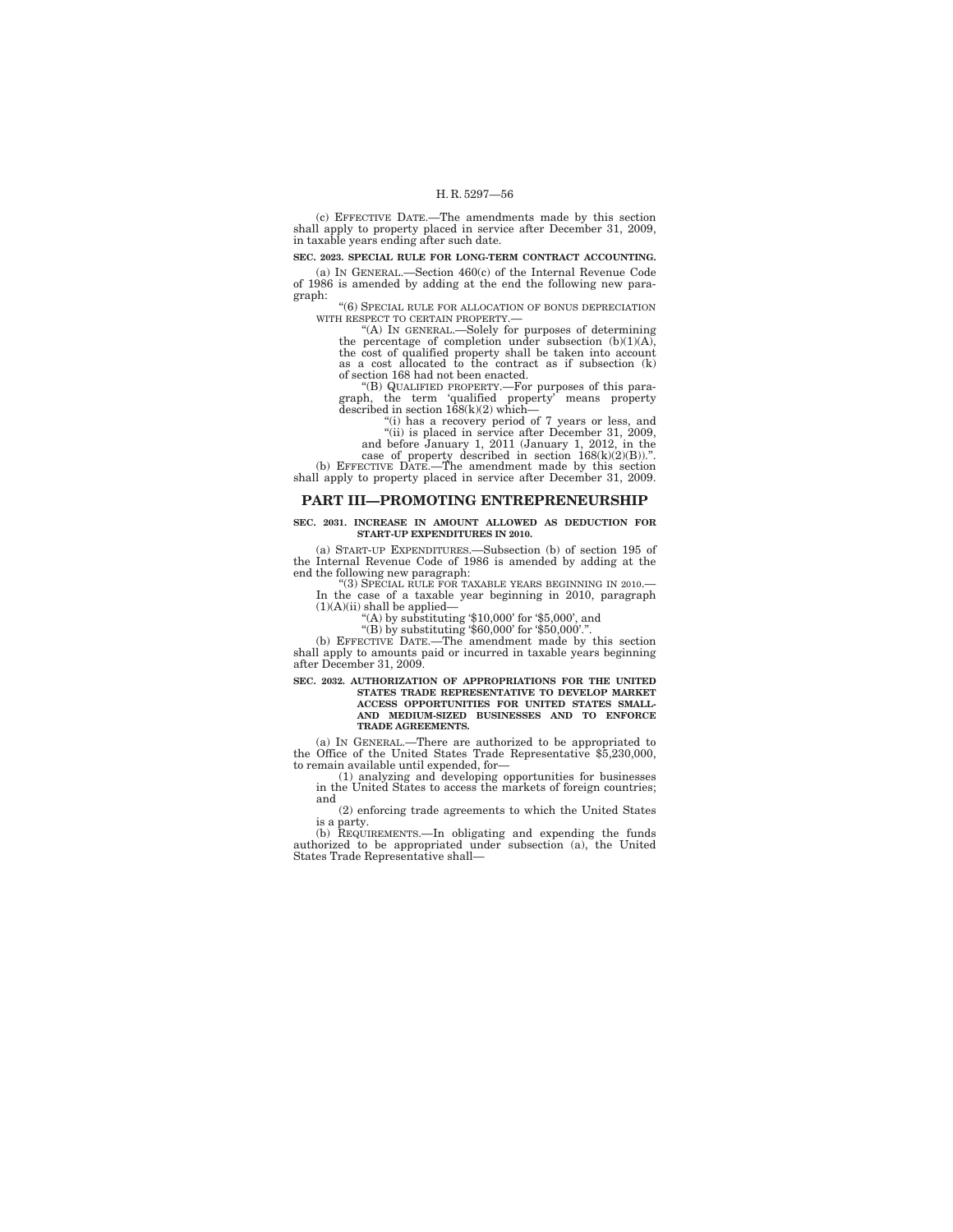(c) EFFECTIVE DATE.—The amendments made by this section shall apply to property placed in service after December 31, 2009, in taxable years ending after such date.

**SEC. 2023. SPECIAL RULE FOR LONG-TERM CONTRACT ACCOUNTING.** 

(a) IN GENERAL.—Section 460(c) of the Internal Revenue Code of 1986 is amended by adding at the end the following new paragraph:

''(6) SPECIAL RULE FOR ALLOCATION OF BONUS DEPRECIATION WITH RESPECT TO CERTAIN PROPERTY.-

"(A) IN GENERAL.—Solely for purposes of determining the percentage of completion under subsection  $(b)(1)(A)$ , the cost of qualified property shall be taken into account as a cost allocated to the contract as if subsection (k) of section 168 had not been enacted.

''(B) QUALIFIED PROPERTY.—For purposes of this para-graph, the term 'qualified property' means property described in section 168(k)(2) which—

''(i) has a recovery period of 7 years or less, and ''(ii) is placed in service after December 31, 2009, and before January 1, 2011 (January 1, 2012, in the

case of property described in section  $168(k)(2)(B)$ .".<br>(b) EFFECTIVE DATE.—The amendment made by this section shall apply to property placed in service after December 31, 2009.

### **PART III—PROMOTING ENTREPRENEURSHIP**

#### **SEC. 2031. INCREASE IN AMOUNT ALLOWED AS DEDUCTION FOR START-UP EXPENDITURES IN 2010.**

(a) START-UP EXPENDITURES.—Subsection (b) of section 195 of the Internal Revenue Code of 1986 is amended by adding at the end the following new paragraph:

''(3) SPECIAL RULE FOR TAXABLE YEARS BEGINNING IN 2010.— In the case of a taxable year beginning in 2010, paragraph  $(1)(A)(ii)$  shall be applied-

''(A) by substituting '\$10,000' for '\$5,000', and ''(B) by substituting '\$60,000' for '\$50,000'.''. (b) EFFECTIVE DATE.—The amendment made by this section shall apply to amounts paid or incurred in taxable years beginning after December 31, 2009.

## **SEC. 2032. AUTHORIZATION OF APPROPRIATIONS FOR THE UNITED STATES TRADE REPRESENTATIVE TO DEVELOP MARKET ACCESS OPPORTUNITIES FOR UNITED STATES SMALL-AND MEDIUM-SIZED BUSINESSES AND TO ENFORCE TRADE AGREEMENTS.**

(a) IN GENERAL.—There are authorized to be appropriated to the Office of the United States Trade Representative \$5,230,000, to remain available until expended, for—

(1) analyzing and developing opportunities for businesses in the United States to access the markets of foreign countries; and

(2) enforcing trade agreements to which the United States is a party.

(b) REQUIREMENTS.—In obligating and expending the funds authorized to be appropriated under subsection (a), the United States Trade Representative shall—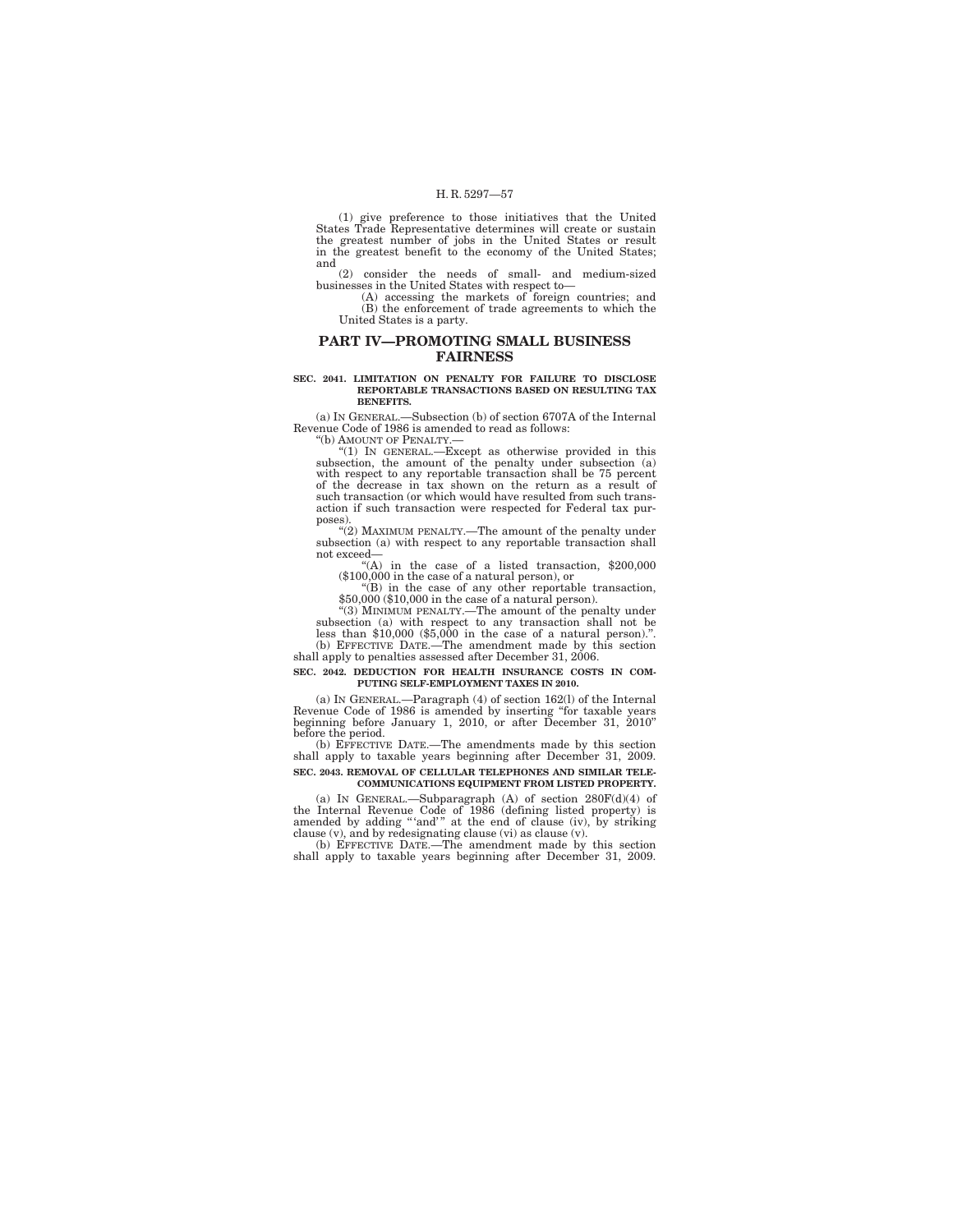(1) give preference to those initiatives that the United States Trade Representative determines will create or sustain the greatest number of jobs in the United States or result in the greatest henefit to the economy of the United States; and

(2) consider the needs of small- and medium-sized businesses in the United States with respect to—

(A) accessing the markets of foreign countries; and (B) the enforcement of trade agreements to which the United States is a party.

## **PART IV—PROMOTING SMALL BUSINESS FAIRNESS**

#### **SEC. 2041. LIMITATION ON PENALTY FOR FAILURE TO DISCLOSE REPORTABLE TRANSACTIONS BASED ON RESULTING TAX BENEFITS.**

(a) IN GENERAL.—Subsection (b) of section 6707A of the Internal Revenue Code of 1986 is amended to read as follows: (b) AMOUNT OF PENALTY.

''(1) IN GENERAL.—Except as otherwise provided in this subsection, the amount of the penalty under subsection (a) with respect to any reportable transaction shall be 75 percent of the decrease in tax shown on the return as a result of such transaction (or which would have resulted from such transaction if such transaction were respected for Federal tax purposes).

''(2) MAXIMUM PENALTY.—The amount of the penalty under subsection (a) with respect to any reportable transaction shall not exceed—

''(A) in the case of a listed transaction, \$200,000 (\$100,000 in the case of a natural person), or ''(B) in the case of any other reportable transaction,

\$50,000 (\$10,000 in the case of a natural person).

''(3) MINIMUM PENALTY.—The amount of the penalty under subsection (a) with respect to any transaction shall not be less than \$10,000 (\$5,000 in the case of a natural person).''. (b) EFFECTIVE DATE.—The amendment made by this section

### shall apply to penalties assessed after December 31, 2006. **SEC. 2042. DEDUCTION FOR HEALTH INSURANCE COSTS IN COM-PUTING SELF-EMPLOYMENT TAXES IN 2010.**

(a) IN GENERAL.—Paragraph (4) of section 162(l) of the Internal Revenue Code of 1986 is amended by inserting ''for taxable years beginning before January 1, 2010, or after December 31, 2010'' before the period.

(b) EFFECTIVE DATE.—The amendments made by this section shall apply to taxable years beginning after December 31, 2009. **SEC. 2043. REMOVAL OF CELLULAR TELEPHONES AND SIMILAR TELE-COMMUNICATIONS EQUIPMENT FROM LISTED PROPERTY.** 

(a) IN GENERAL.—Subparagraph (A) of section  $280F(d)(4)$  of the Internal Revenue Code of 1986 (defining listed property) is amended by adding "iand" at the end of clause (iv), by striking clause (v), and by redesignating cl

(b) EFFECTIVE DATE.—The amendment made by this section shall apply to taxable years beginning after December 31, 2009.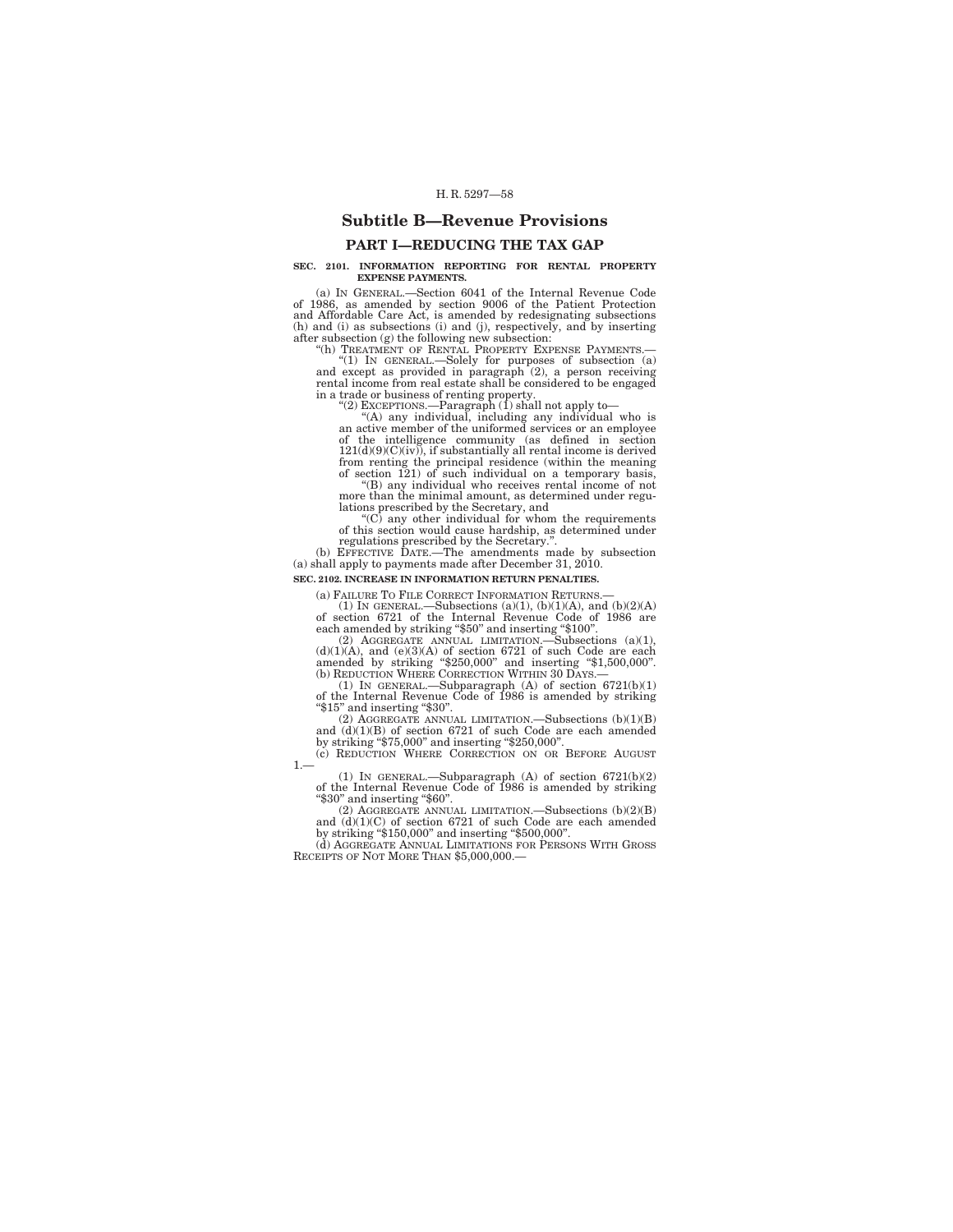## **Subtitle B—Revenue Provisions**

## **PART I—REDUCING THE TAX GAP**

### **SEC. 2101. INFORMATION REPORTING FOR RENTAL PROPERTY EXPENSE PAYMENTS.**

(a) IN GENERAL.—Section 6041 of the Internal Revenue Code of 1986, as amended by section 9006 of the Patient Protection and Affordable Care Act, is amended by redesignating subsections (h) and (i) as subsections (i) and (j), respectively, and by inserting after subsection (g) the following new subsection:<br>after subsection (g) the following new subsection:<br>"(h) TREATMENT OF RENTAL PROPERTY EXPENSE PAYMENTS.

''(h) TREATMENT OF RENTAL PROPERTY EXPENSE PAYMENTS.— ''(1) IN GENERAL.—Solely for purposes of subsection (a) and except as provided in paragraph (2), a person receiving rental income from real estate shall be considered to be engaged in a trade or business of renting property.<br>
"(2) EXCEPTIONS.—Paragraph (1) shall not apply to—

''(A) any individual, including any individual who is an active member of the uniformed services or an employee of the intelligence community (as defined in section  $121(d)(9)(C)(iv)$ , if substantially all rental income is derived from renting the principal residence (within the meaning of section 121) of such individual on a temporary basis,

''(B) any individual who receives rental income of not more than the minimal amount, as determined under regulations prescribed by the Secretary, and ''(C) any other individual for whom the requirements

of this section would cause hardship, as determined under regulations prescribed by the Secretary.

(b) EFFECTIVE DATE.—The amendments made by subsection (a) shall apply to payments made after December 31, 2010.

**SEC. 2102. INCREASE IN INFORMATION RETURN PENALTIES.** 

(a) FAILURE TO FILE CORRECT INFORMATION RETURNS.—<br>
(1) IN GENERAL.—Subsections (a)(1), (b)(1)(A), and (b)(2)(A)<br>
of section 6721 of the Internal Revenue Code of 1986 are<br>
each amended by striking "\$50" and inserting "\$100

 $(d)(1)(A)$ , and  $(e)(3)(A)$  of section 6721 of such Code are each amended by striking "\$250,000" and inserting "\$1,500,000".

(b) REDUCTION WHERE CORRECTION WITHIN 30 DAYS.—<br>
(1) IN GENERAL.—Subparagraph (A) of section 6721(b)(1)<br>
of the Internal Revenue Code of 1986 is amended by striking<br>
"\$15" and inserting "\$30".<br>
(2) AGGREGATE ANNUAL LIMITA

and (d)(1)(B) of section 6721 of such Code are each amended<br>by striking "\$75,000" and inserting "\$250,000".<br>(c) REDUCTION WHERE CORRECTION ON OR BEFORE AUGUST

 $1 -$ 

(1) IN GENERAL.—Subparagraph (A) of section 6721(b)(2) of the Internal Revenue Code of 1986 is amended by striking ''\$30'' and inserting ''\$60''. (2) AGGREGATE ANNUAL LIMITATION.—Subsections (b)(2)(B)

and  $(d)(1)(C)$  of section 6721 of such Code are each amended by striking ''\$150,000'' and inserting ''\$500,000''.

(d) AGGREGATE ANNUAL LIMITATIONS FOR PERSONS WITH GROSS RECEIPTS OF NOT MORE THAN \$5,000,000.—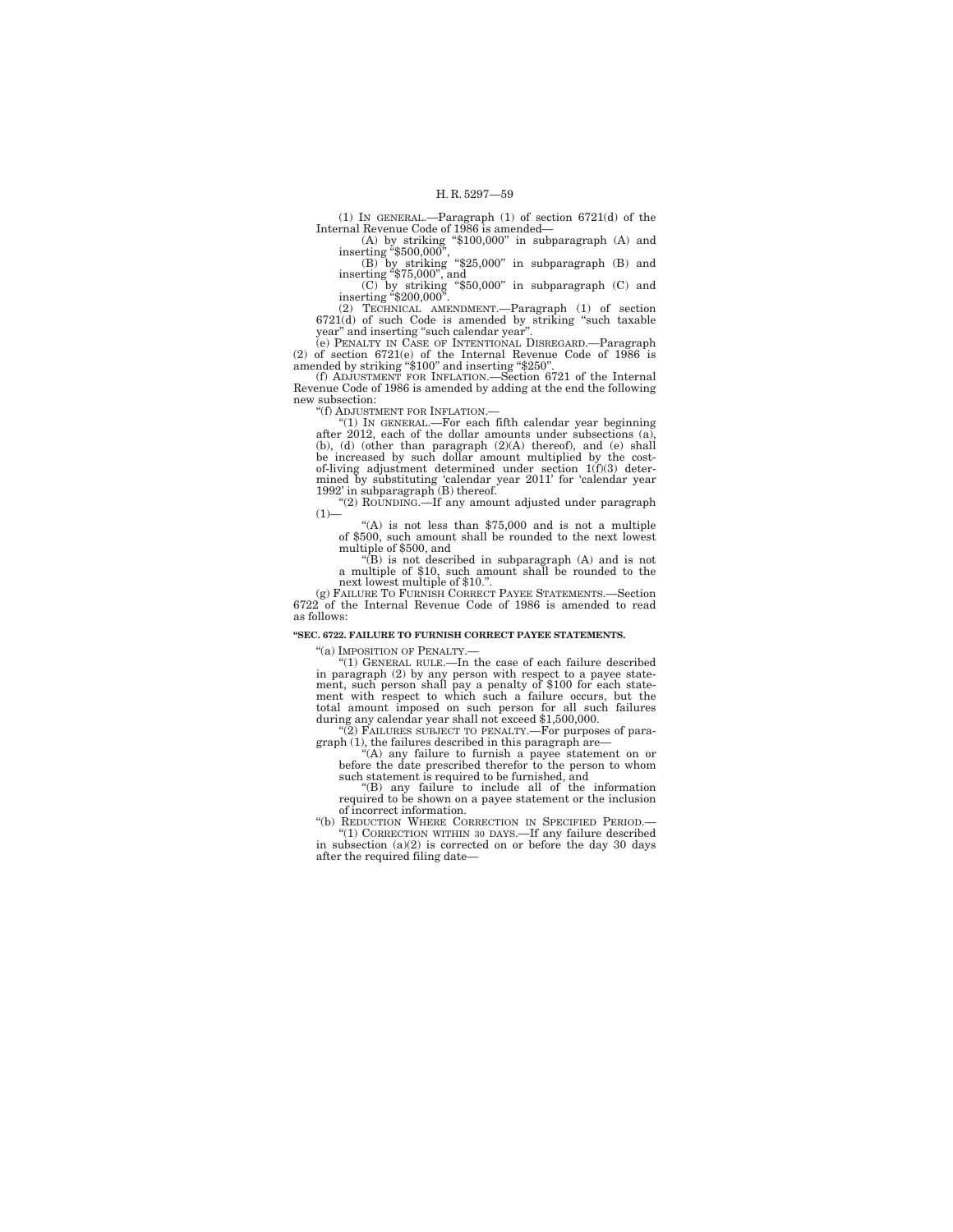(1) IN GENERAL.—Paragraph (1) of section 6721(d) of the<br>Internal Revenue Code of 1986 is amended—<br>inserting "\$100,000" in subparagraph (A) and<br>inserting "\$500,000",<br>(B) by striking "\$25,000" in subparagraph (B) and<br>insert

(2) TECHNICAL AMENDMENT.—Paragraph (1) of section 6721(d) of such Code is amended by striking ''such taxable year'' and inserting ''such calendar year''.

(e) PENALTY IN CASE OF INTENTIONAL DISREGARD.—Paragraph (2) of section 6721(e) of the Internal Revenue Code of 1986 is amended by striking "\$100" and inserting "\$250".

(f) ADJUSTMENT FOR INFLATION.—Section 6721 of the Internal Revenue Code of 1986 is amended by adding at the end the following new subsection:

''(f) ADJUSTMENT FOR INFLATION.—

"(1) IN GENERAL.—For each fifth calendar year beginning<br>after 2012, each of the dollar amounts under subsections (a),<br>(b), (d) (other than paragraph (2)(A) thereof), and (e) shall<br>be increased by such dollar amount multip mined by substituting 'calendar year 2011' for 'calendar year 1992' in subparagraph (B) thereof.

''(2) ROUNDING.—If any amount adjusted under paragraph  $(1)$ —

''(A) is not less than \$75,000 and is not a multiple of \$500, such amount shall be rounded to the next lowest multiple of \$500, and

''(B) is not described in subparagraph (A) and is not a multiple of \$10, such amount shall be rounded to the next lowest multiple of \$10."

(g) FAILURE TO FURNISH CORRECT PAYEE STATEMENTS.—Section 6722 of the Internal Revenue Code of 1986 is amended to read as follows:

### **''SEC. 6722. FAILURE TO FURNISH CORRECT PAYEE STATEMENTS.**

"(a) IMPOSITION OF PENALTY.-

''(1) GENERAL RULE.—In the case of each failure described in paragraph (2) by any person with respect to a payee statement, such person shall pay a penalty of \$100 for each state-<br>ment with respect to which such a failure occurs, but the<br>total amount imposed on such person for all such failures<br>during any calendar year shall not exceed \$

<sup>(2)</sup> FAILURES SUBJECT TO PENALTY.—For purposes of paragraph (1), the failures described in this paragraph are— ''(A) any failure to furnish a payee statement on or

before the date prescribed therefor to the person to whom such statement is required to be furnished, and

''(B) any failure to include all of the information required to be shown on a payee statement or the inclusion of incorrect information.

''(b) REDUCTION WHERE CORRECTION IN SPECIFIED PERIOD.— ''(1) CORRECTION WITHIN 30 DAYS.—If any failure described in subsection (a)(2) is corrected on or before the day 30 days

after the required filing date—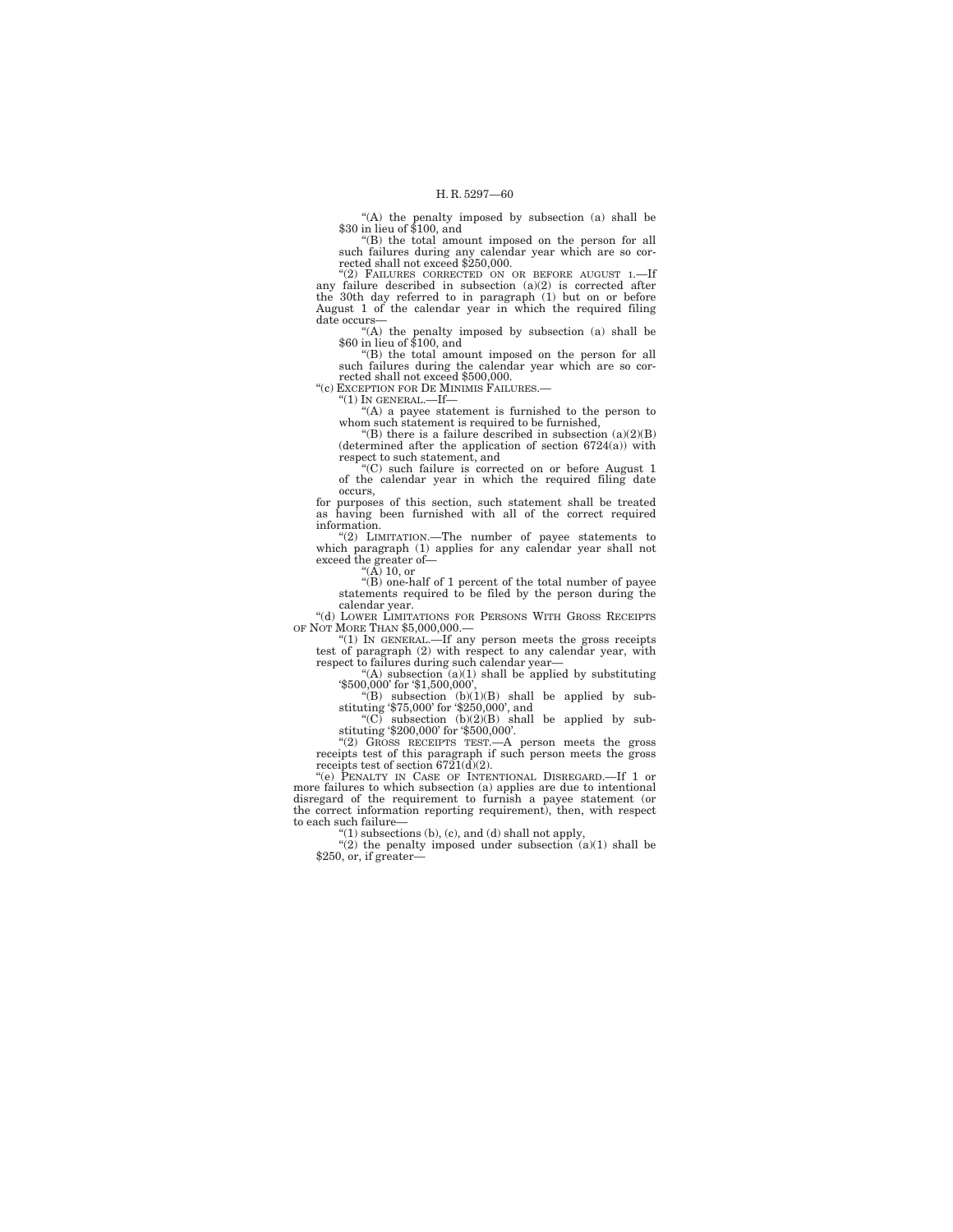''(A) the penalty imposed by subsection (a) shall be \$30 in lieu of \$100, and

''(B) the total amount imposed on the person for all such failures during any calendar year which are so corrected shall not exceed \$250,000.

'(2) FAILURES CORRECTED ON OR BEFORE AUGUST 1.any failure described in subsection  $(a)(2)$  is corrected after the 30th day referred to in paragraph  $(1)$  but on or before August 1 of the calendar year in which the required filing date occurs—

''(A) the penalty imposed by subsection (a) shall be \$60 in lieu of \$100, and

''(B) the total amount imposed on the person for all such failures during the calendar year which are so cor-rected shall not exceed \$500,000. ''(c) EXCEPTION FOR DE MINIMIS FAILURES.—

 $"(1)$  In GENERAL. $\overline{\phantom{a}}$ If-

"(A) a payee statement is furnished to the person to whom such statement is required to be furnished,

"(B) there is a failure described in subsection  $(a)(2)(B)$ (determined after the application of section 6724(a)) with respect to such statement, and

''(C) such failure is corrected on or before August 1 of the calendar year in which the required filing date occurs,

for purposes of this section, such statement shall be treated as having been furnished with all of the correct required information.

''(2) LIMITATION.—The number of payee statements to which paragraph (1) applies for any calendar year shall not exceed the greater of— ''(A) 10, or

''(B) one-half of 1 percent of the total number of payee statements required to be filed by the person during the

calendar year. ''(d) LOWER LIMITATIONS FOR PERSONS WITH GROSS RECEIPTS

OF NOT MORE THAN \$5,000,000.—<br>
"(1) IN GENERAL.—If any person meets the gross receipts<br>
test of paragraph (2) with respect to any calendar year, with<br>
respect to failures during such calendar year—

"(A) subsection (a)(1) shall be applied by substituting<br>
"\$500,000' for '\$1,500,000',<br>
"(B) subsection (b)(1)(B) shall be applied by substituting '\$75,000' for '\$250,000', and<br>
"(C) subsection (b)(2)(B) shall be applied b

stituting '\$200,000' for '\$500,000'.<br>
"(2) GROSS RECEIPTS TEST.—A person meets the gross receipts test of this paragraph if such person meets the gross receipts test of section 6721(d)(2).

''(e) PENALTY IN CASE OF INTENTIONAL DISREGARD.—If 1 or more failures to which subsection (a) applies are due to intentional disregard of the requirement to furnish a payee statement (or the correct information reporting requirement), then, with respect to each such failure—

"(1) subsections (b), (c), and (d) shall not apply, "(2) the penalty imposed under subsection  $(a)(1)$  shall be \$250, or, if greater—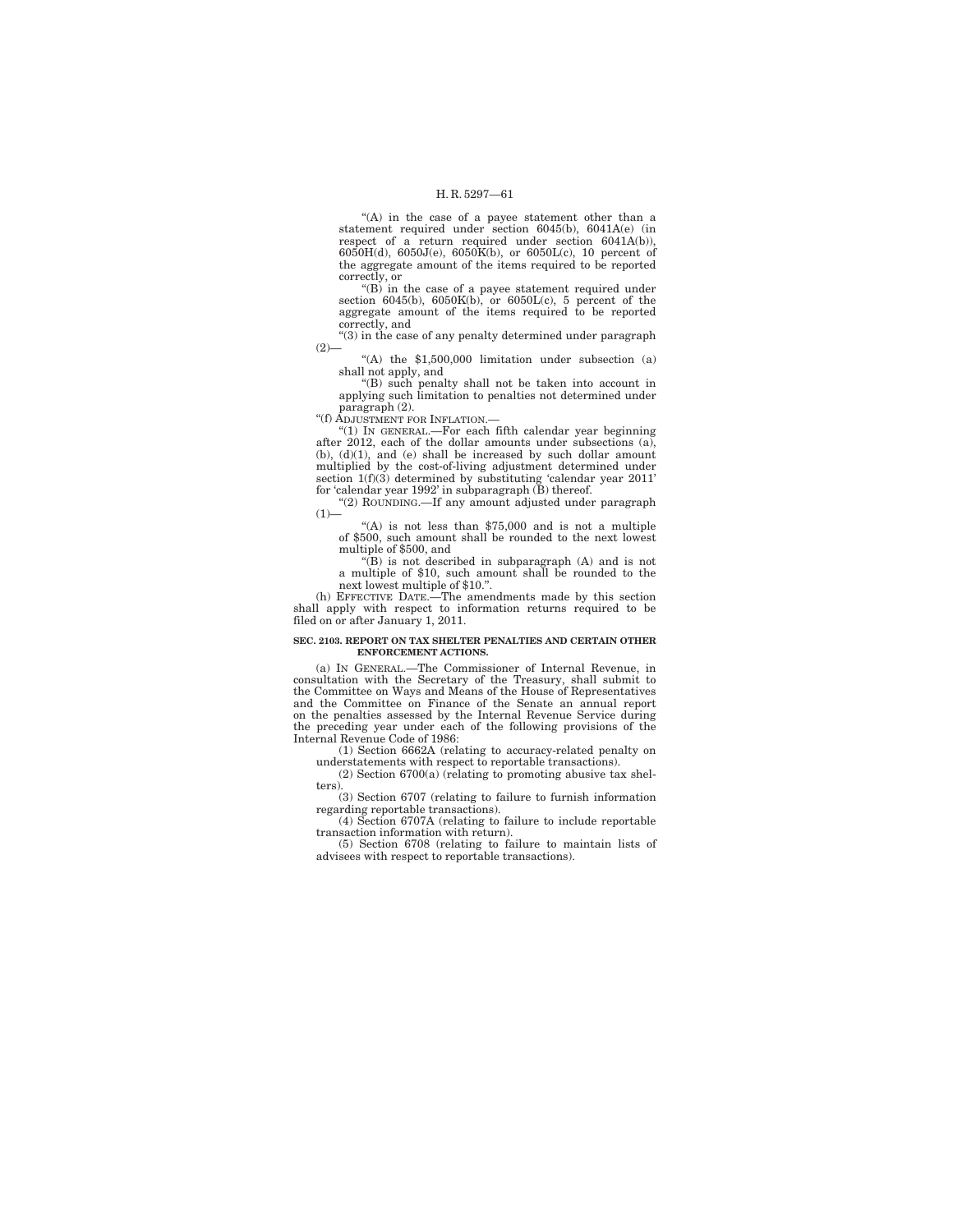"(A) in the case of a payee statement other than a statement required under section  $6045(b)$ ,  $6041A(e)$  (in respect of a return required under section 6041A(b)), 6050H(d), 6050J(e), 6050K(b), or 6050L(c), 10 percent of the aggregate amount of the items required to be reported correctly, or

''(B) in the case of a payee statement required under section 6045(b), 6050K(b), or 6050L(c), 5 percent of the aggregate amount of the items required to be reported correctly, and

''(3) in the case of any penalty determined under paragraph  $(2)$ —

''(A) the \$1,500,000 limitation under subsection (a) shall not apply, and

''(B) such penalty shall not be taken into account in applying such limitation to penalties not determined under paragraph (2).

''(f) ADJUSTMENT FOR INFLATION.—

''(1) IN GENERAL.—For each fifth calendar year beginning after 2012, each of the dollar amounts under subsections (a), (b), (d)(1), and (e) shall be increased by such dollar amount multiplied by the cost-of-living adjustment determined under section 1(f)(3) determined by substituting 'calendar year 2011' for 'calendar year 1992' in subparagraph (B) thereof.

''(2) ROUNDING.—If any amount adjusted under paragraph  $(1)$ —

 $(A)$  is not less than \$75,000 and is not a multiple of \$500, such amount shall be rounded to the next lowest multiple of \$500, and

''(B) is not described in subparagraph (A) and is not a multiple of \$10, such amount shall be rounded to the

next lowest multiple of \$10.".<br>
(h) EFFECTIVE DATE.—The amendments made by this section<br>
shall apply with respect to information returns required to be<br>
filed on or after January 1, 2011.

#### **SEC. 2103. REPORT ON TAX SHELTER PENALTIES AND CERTAIN OTHER ENFORCEMENT ACTIONS.**

(a) IN GENERAL.—The Commissioner of Internal Revenue, in consultation with the Secretary of the Treasury, shall submit to the Committee on Ways and Means of the House of Representatives and the Committee on Finance of the Senate an annual report on the penalties assessed by the Internal Revenue Service during the preceding year under each of the following provisions of the Internal Revenue Code of 1986:

(1) Section 6662A (relating to accuracy-related penalty on understatements with respect to reportable transactions).

(2) Section 6700(a) (relating to promoting abusive tax shelters).

(3) Section 6707 (relating to failure to furnish information regarding reportable transactions).

(4) Section 6707A (relating to failure to include reportable transaction information with return).

(5) Section 6708 (relating to failure to maintain lists of advisees with respect to reportable transactions).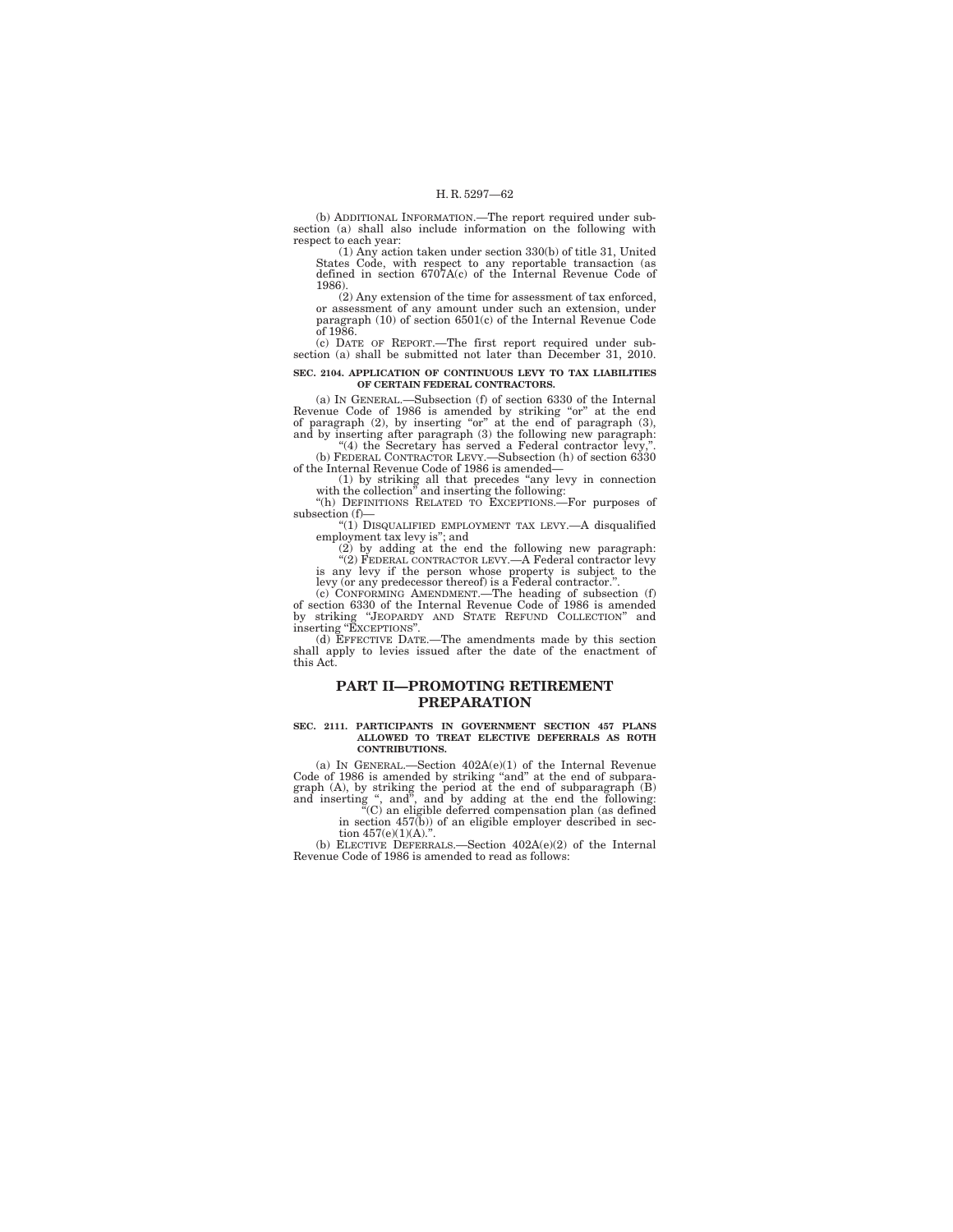(b) ADDITIONAL INFORMATION.—The report required under subsection (a) shall also include information on the following with respect to each year:

(1) Any action taken under section 330(b) of title 31, United States Code, with respect to any reportable transaction (as defined in section 6707A(c) of the Internal Revenue Code of 1986).

(2) Any extension of the time for assessment of tax enforced, or assessment of any amount under such an extension, under paragraph (10) of section 6501(c) of the Internal Revenue Code  $\overline{\alpha}$ f 1986

(c) DATE OF REPORT.—The first report required under subsection (a) shall be submitted not later than December 31, 2010.

#### **SEC. 2104. APPLICATION OF CONTINUOUS LEVY TO TAX LIABILITIES OF CERTAIN FEDERAL CONTRACTORS.**

(a) IN GENERAL.—Subsection (f) of section 6330 of the Internal Revenue Code of 1986 is amended by striking "or" at the end<br>of paragraph (2), by inserting "or" at the end of paragraph (3),<br>and by inserting after paragraph (3) the following new paragraph:<br>"(4) the Secretary has served

of the Internal Revenue Code of 1986 is amended—

(1) by striking all that precedes ''any levy in connection with the collection'' and inserting the following: ''(h) DEFINITIONS RELATED TO EXCEPTIONS.—For purposes of

subsection (f)—

''(1) DISQUALIFIED EMPLOYMENT TAX LEVY.—A disqualified

employment tax levy is"; and<br>
(2) by adding at the end the following new paragraph:<br>
"(2) FEDERAL CONTRACTOR LEVY.—A Federal contractor levy is any levy if the person whose property is subject to the

levy (or any predecessor thereof) is a Federal contractor.''. (c) CONFORMING AMENDMENT.—The heading of subsection (f) of section 6330 of the Internal Revenue Code of 1986 is amended by striking "JEOPARDY AND STATE REFUND COLLECTION" and inserting "EXCEPTIONS".<br>(d) EFFECTIVE DATE.—The amendments made by this section

shall apply to levies issued after the date of the enactment of this Act.

## **PART II—PROMOTING RETIREMENT PREPARATION**

#### **SEC. 2111. PARTICIPANTS IN GOVERNMENT SECTION 457 PLANS ALLOWED TO TREAT ELECTIVE DEFERRALS AS ROTH CONTRIBUTIONS.**

(a) IN GENERAL.—Section 402A(e)(1) of the Internal Revenue Code of 1986 is amended by striking "and" at the end of subparagraph (A), by striking the period at the end of subparagraph (B) and inserting ", and", and by adding at the end the following: " $(0)$  an eligible deferred co

in section 457(b)) of an eligible employer described in section  $457(e)(1)(A)$ .

(b) ELECTIVE DEFERRALS.—Section 402A(e)(2) of the Internal Revenue Code of 1986 is amended to read as follows: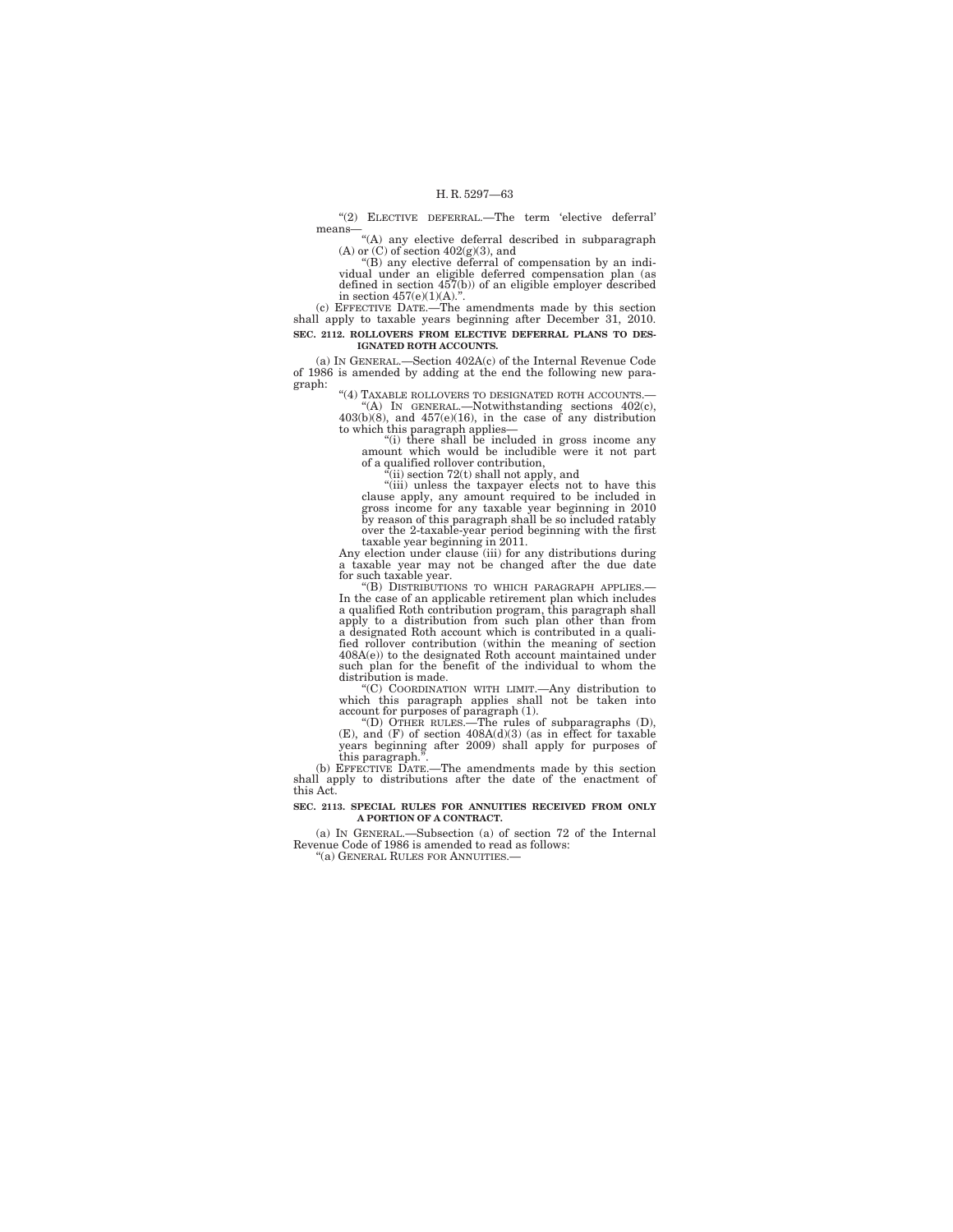''(2) ELECTIVE DEFERRAL.—The term 'elective deferral' means— ''(A) any elective deferral described in subparagraph

(A) or (C) of section  $402(g)(3)$ , and<br>"(B) any elective deferral of compensation by an indi-

vidual under an eligible deferred compensation plan (as defined in section 457(b)) of an eligible employer described in section  $457(e)(1)(A)$ .".

(c) EFFECTIVE DATE.—The amendments made by this section shall apply to taxable years beginning after December 31, 2010. **SEC. 2112. ROLLOVERS FROM ELECTIVE DEFERRAL PLANS TO DES-IGNATED ROTH ACCOUNTS.** 

(a) IN GENERAL.—Section 402A(c) of the Internal Revenue Code of 1986 is amended by adding at the end the following new paragraph:

''(4) TAXABLE ROLLOVERS TO DESIGNATED ROTH ACCOUNTS.— ''(A) IN GENERAL.—Notwithstanding sections 402(c), 403(b)(8), and 457(e)(16), in the case of any distribution

to which this paragraph applies—<br>
"(i) there shall be included in gross income any<br>
amount which would be includible were it not part

of a qualified rollover contribution,

 $\text{``(iii)}$  section 72(t) shall not apply, and  $\text{``(iii)}$  unless the taxpayer elects not to have this clause apply, any amount required to be included in gross income for any taxable year beginning in 2010 by reason of this paragraph shall be so included ratably over the 2-taxable-year period beginning with the first taxable year beginning in 2011.

Any election under clause (iii) for any distributions during a taxable year may not be changed after the due date for such taxable year.<br>
"(B) DISTRIBUTIONS TO WHICH PARAGRAPH APPLIES.

In the case of an applicable retirement plan which includes a qualified Roth contribution program, this paragraph shall apply to a distribution from such plan other than from a designated Roth account which is contributed in a qualified rollover contribution (within the meaning of section 408A(e)) to the designated Roth account maintained under such plan for the benefit of the individual to whom the distribution is made.

"(C) COORDINATION WITH LIMIT.—Any distribution to<br>which this paragraph applies shall not be taken into<br>account for purposes of paragraph (1).<br>"(D) OTHER RULES.—The rules of subparagraphs (D),<br>(E), and (F) of section 408A(

years beginning after 2009) shall apply for purposes of this paragraph.<sup>5</sup>

(b) EFFECTIVE DATE.—The amendments made by this section shall apply to distributions after the date of the enactment of this Act.

#### **SEC. 2113. SPECIAL RULES FOR ANNUITIES RECEIVED FROM ONLY A PORTION OF A CONTRACT.**

(a) IN GENERAL.—Subsection (a) of section 72 of the Internal Revenue Code of 1986 is amended to read as follows: ''(a) GENERAL RULES FOR ANNUITIES.—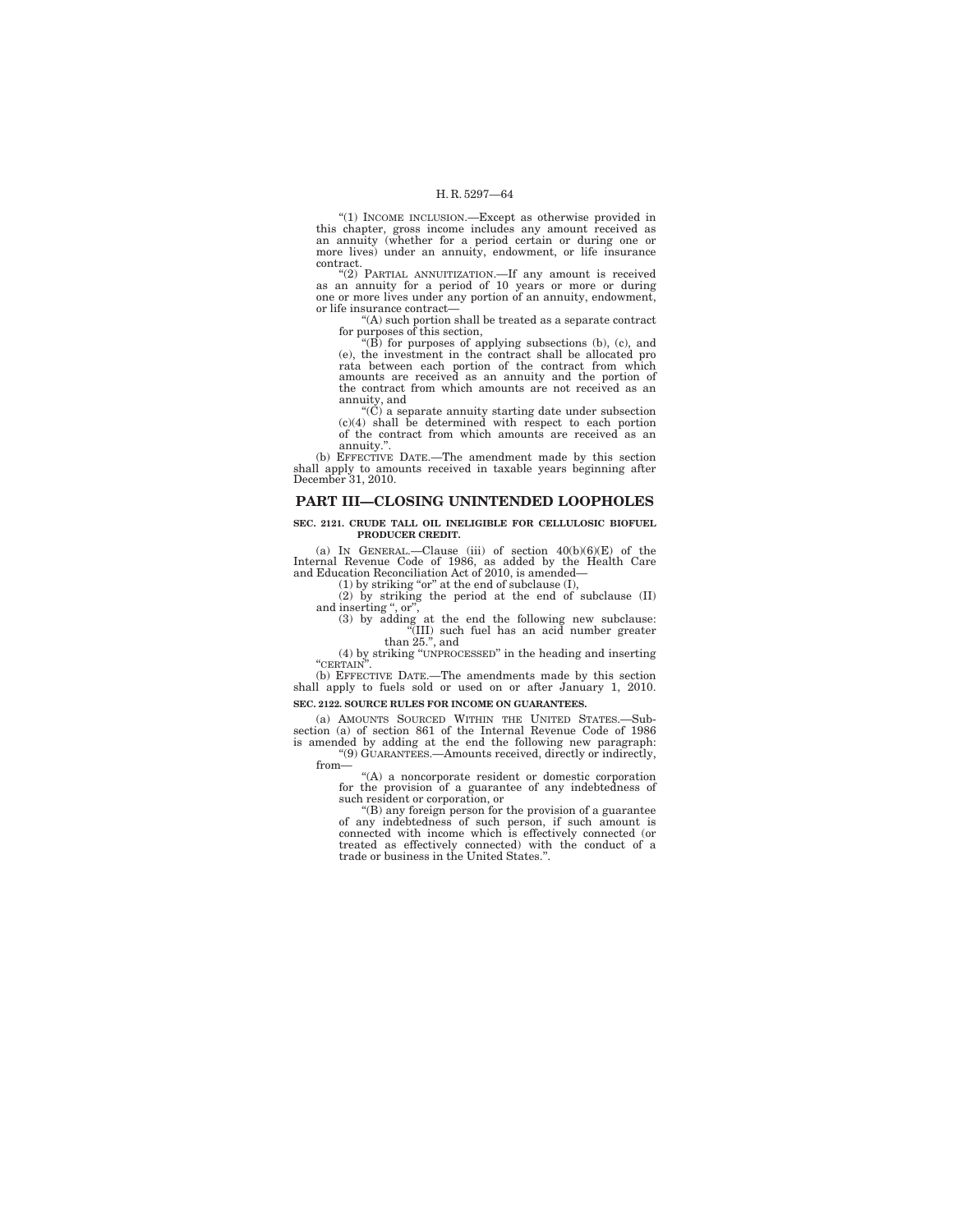''(1) INCOME INCLUSION.—Except as otherwise provided in this chapter, gross income includes any amount received as an annuity (whether for a period certain or during one or more lives) under an annuity, endowment, or life insurance contract.

''(2) PARTIAL ANNUITIZATION.—If any amount is received as an annuity for a period of 10 years or more or during one or more lives under any portion of an annuity, endowment, or life insurance contract—

''(A) such portion shall be treated as a separate contract for purposes of this section, ''(B) for purposes of applying subsections (b), (c), and

(e), the investment in the contract shall be allocated pro rata between each portion of the contract from which amounts are received as an annuity and the portion of the contract from which amounts are not received as an annuity, and

''(C) a separate annuity starting date under subsection (c)(4) shall be determined with respect to each portion of the contract from which amounts are received as an annuity.''.

(b) EFFECTIVE DATE.—The amendment made by this section shall apply to amounts received in taxable years beginning after December 31, 2010.

## **PART III—CLOSING UNINTENDED LOOPHOLES**

#### **SEC. 2121. CRUDE TALL OIL INELIGIBLE FOR CELLULOSIC BIOFUEL PRODUCER CREDIT.**

(a) IN GENERAL.—Clause (iii) of section  $40(b)(6)(E)$  of the Internal Revenue Code of 1986, as added by the Health Care and Education Reconciliation Act of 2010, is amended—

(1) by striking "or" at the end of subclause  $(I)$ ,  $(2)$  by striking the period at the end of subclause  $(II)$ 

and inserting ", or",  $(3)$  by adding at the end the following new subclause:

''(III) such fuel has an acid number greater than 25.'', and

(4) by striking ''UNPROCESSED'' in the heading and inserting ''CERTAIN''.

(b) EFFECTIVE DATE.—The amendments made by this section shall apply to fuels sold or used on or after January 1, 2010. **SEC. 2122. SOURCE RULES FOR INCOME ON GUARANTEES.** 

(a) AMOUNTS SOURCED WITHIN THE UNITED STATES.—Subsection (a) of section 861 of the Internal Revenue Code of 1986 is amended by adding at the end the following new paragraph:

''(9) GUARANTEES.—Amounts received, directly or indirectly, from—

''(A) a noncorporate resident or domestic corporation for the provision of a guarantee of any indebtedness of such resident or corporation, or ''(B) any foreign person for the provision of a guarantee

of any indebtedness of such person, if such amount is connected with income which is effectively connected (or treated as effectively connected) with the conduct of a trade or business in the United States.''.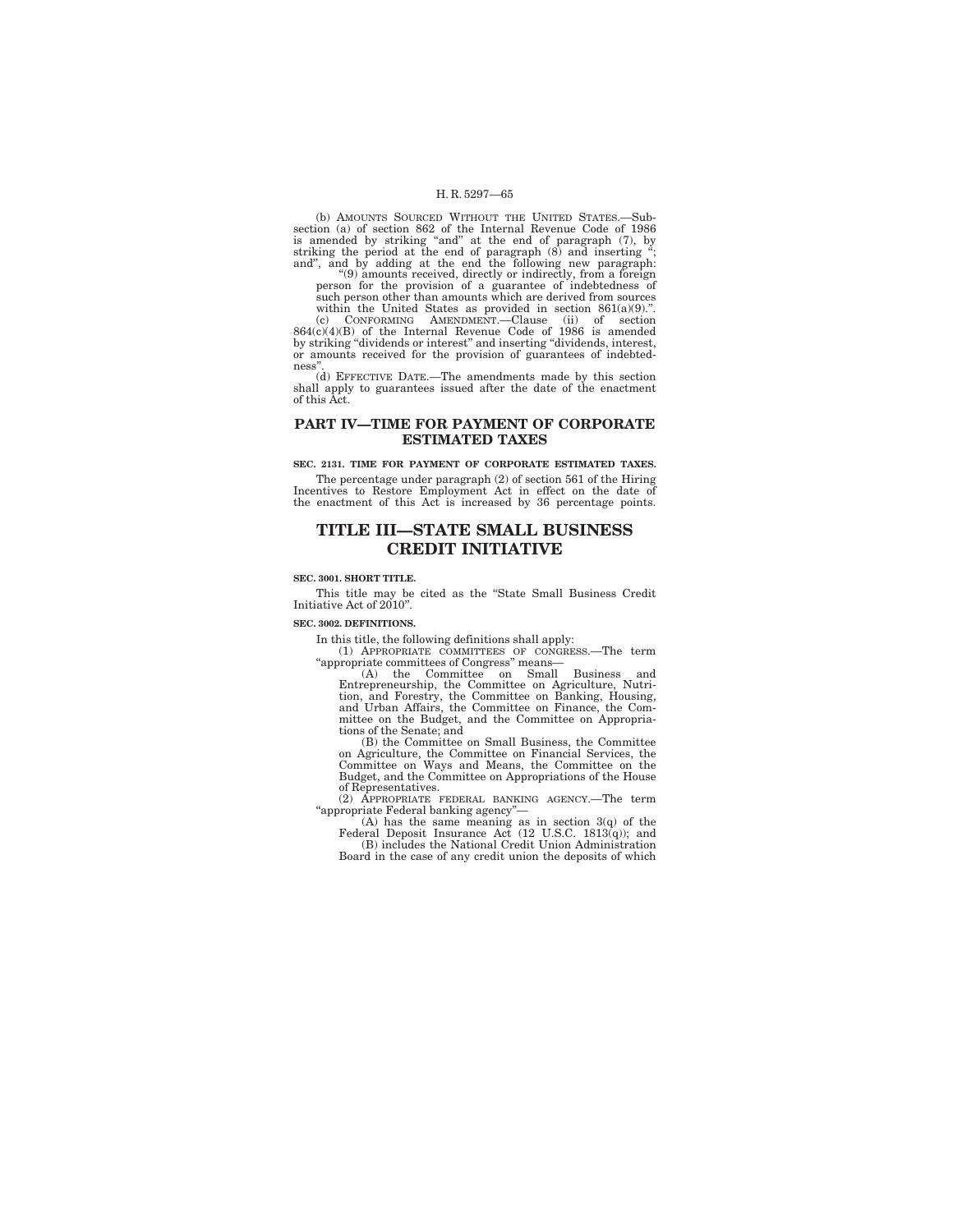(b) AMOUNTS SOURCED WITHOUT THE UNITED STATES.—Subsection (a) of section 862 of the Internal Revenue Code of 1986 is amended by striking "and" at the end of paragraph (7), by striking the period at the end of paragraph (8

''(9) amounts received, directly or indirectly, from a foreign person for the provision of a guarantee of indebtedness of such person other than amounts which are derived from sources

within the United States as provided in section 861(a)(9).".<br>
(c) CONFORMING AMENDMENT.—Clause (ii) of section<br>
864(c)(4)(B) of the Internal Revenue Code of 1986 is amended<br>by striking "dividends or interest" and insertin or amounts received for the provision of guarantees of indebtedness''.

(d) EFFECTIVE DATE.—The amendments made by this section shall apply to guarantees issued after the date of the enactment of this Act.

## **PART IV—TIME FOR PAYMENT OF CORPORATE ESTIMATED TAXES**

## **SEC. 2131. TIME FOR PAYMENT OF CORPORATE ESTIMATED TAXES.**

The percentage under paragraph (2) of section 561 of the Hiring Incentives to Restore Employment Act in effect on the date of the enactment of this Act is increased by 36 percentage points.

## **TITLE III—STATE SMALL BUSINESS CREDIT INITIATIVE**

#### **SEC. 3001. SHORT TITLE.**

This title may be cited as the ''State Small Business Credit Initiative Act of 2010''.

**SEC. 3002. DEFINITIONS.** 

In this title, the following definitions shall apply:

(1) APPROPRIATE COMMITTEES OF CONGRESS.—The term ''appropriate committees of Congress'' means—

(A) the Committee on Small Business and<br>Entrepreneurship, the Committee on Agriculture, Nutri-<br>tion, and Forestry, the Committee on Banking, Housing,<br>and Urban Affairs, the Committee on Finance, the Com-<br>mittee on the Budg

(B) the Committee on Small Business, the Committee on Agriculture, the Committee on Financial Services, the Committee on Ways and Means, the Committee on the Budget, and the Committee on Appropriations of the House of Representatives.

(2) APPROPRIATE FEDERAL BANKING AGENCY.—The term ''appropriate Federal banking agency''—

(A) has the same meaning as in section 3(q) of the Federal Deposit Insurance Act (12 U.S.C. 1813(q)); and (B) includes the National Credit Union Administration Board in the case of any credit union the deposits of which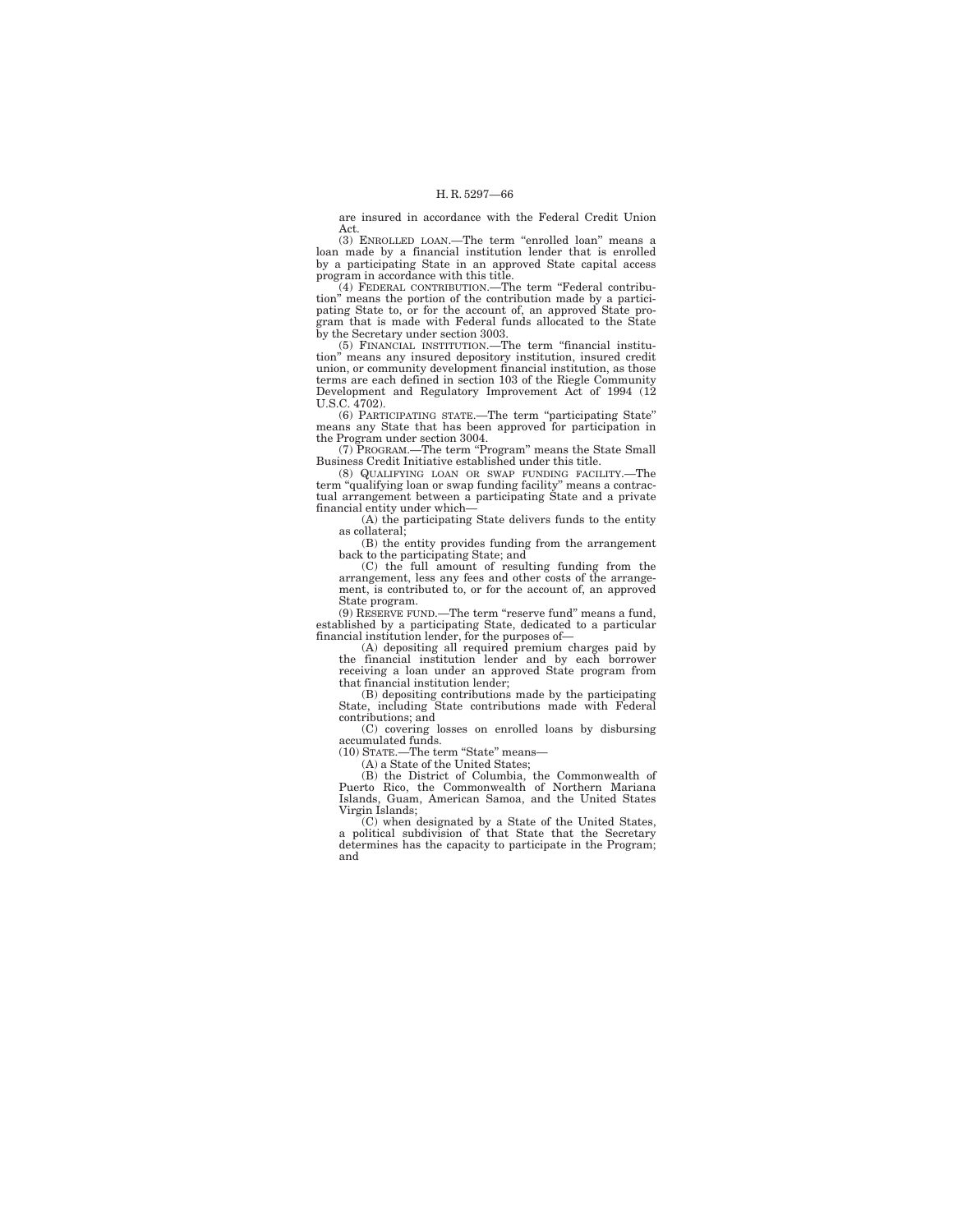are insured in accordance with the Federal Credit Union Act.

(3) ENROLLED LOAN.—The term "enrolled loan" means a loan made by a financial institution lender that is enrolled by a participating State in an approved State capital access program in accordance with this title.

(4) FEDERAL CONTRIBUTION.—The term ''Federal contribution'' means the portion of the contribution made by a partici-pating State to, or for the account of, an approved State program that is made with Federal funds allocated to the State by the Secretary under section 3003.

(5) FINANCIAL INSTITUTION.—The term ''financial institution'' means any insured depository institution, insured credit union, or community development financial institution, as those terms are each defined in section 103 of the Riegle Community Development and Regulatory Improvement Act of 1994 (12 U.S.C. 4702).

(6) PARTICIPATING STATE.—The term ''participating State'' means any State that has been approved for participation in the Program under section 3004.

(7) PROGRAM.—The term "Program" means the State Small

Business Credit Initiative established under this title. (8) QUALIFYING LOAN OR SWAP FUNDING FACILITY.—The term ''qualifying loan or swap funding facility'' means a contractual arrangement between a participating State and a private financial entity under which—

(A) the participating State delivers funds to the entity as collateral;

(B) the entity provides funding from the arrangement back to the participating State; and (C) the full amount of resulting funding from the

arrangement, less any fees and other costs of the arrangement, is contributed to, or for the account of, an approved State program.

(9) RESERVE FUND.—The term ''reserve fund'' means a fund, established by a participating State, dedicated to a particular financial institution lender, for the purposes of—

(A) depositing all required premium charges paid by the financial institution lender and by each borrower receiving a loan under an approved State program from that financial institution lender; (B) depositing contributions made by the participating

State, including State contributions made with Federal contributions; and

(C) covering losses on enrolled loans by disbursing accumulated funds. (10) STATE.—The term ''State'' means—

(A) a State of the United States;

(B) the District of Columbia, the Commonwealth of Puerto Rico, the Commonwealth of Northern Mariana Islands, Guam, American Samoa, and the United States Virgin Islands;

(C) when designated by a State of the United States, a political subdivision of that State that the Secretary determines has the capacity to participate in the Program; and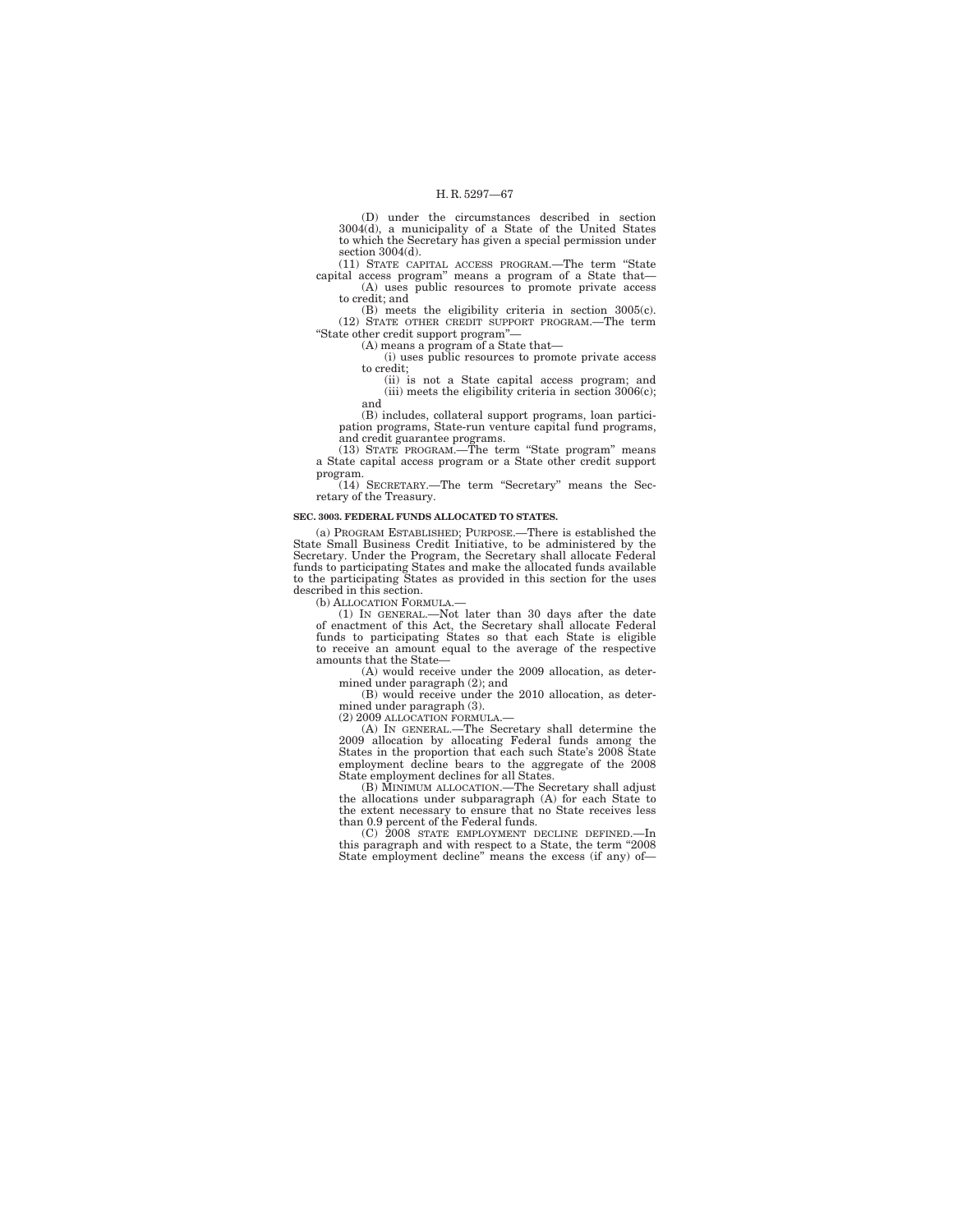(D) under the circumstances described in section 3004(d), a municipality of a State of the United States to which the Secretary has given a special permission under section 3004(d).

(11) STATE CAPITAL ACCESS PROGRAM.—The term ''State capital access program'' means a program of a State that— (A) uses public resources to promote private access

to credit; and (B) meets the eligibility criteria in section 3005(c). (12) STATE OTHER CREDIT SUPPORT PROGRAM.—The term

''State other credit support program''— (A) means a program of a State that—

(i) uses public resources to promote private access to credit;

(ii) is not a State capital access program; and (iii) meets the eligibility criteria in section 3006(c); and

(B) includes, collateral support programs, loan participation programs, State-run venture capital fund programs,

and credit guarantee programs. (13) STATE PROGRAM.—The term ''State program'' means a State capital access program or a State other credit support program.

(14) SECRETARY.—The term ''Secretary'' means the Secretary of the Treasury.

#### **SEC. 3003. FEDERAL FUNDS ALLOCATED TO STATES.**

(a) PROGRAM ESTABLISHED; PURPOSE.—There is established the State Small Business Credit Initiative, to be administered by the Secretary. Under the Program, the Secretary shall allocate Federal funds to participating States and make the allocated funds available to the participating States as provided in this section for the uses described in this section.

(b) ALLOCATION FORMULA.

(1) IN GENERAL.—Not later than 30 days after the date of enactment of this Act, the Secretary shall allocate Federal funds to participating States so that each State is eligible to receive an amount equal to the average of the respective amounts that the State—

(A) would receive under the 2009 allocation, as determined under paragraph (2); and<br>(B) would receive under the 2010 allocation, as deter-

mined under paragraph (3).

(2) 2009 ALLOCATION FORMULA.—

(A) IN GENERAL.—The Secretary shall determine the 2009 allocation by allocating Federal funds among the States in the proportion that each such State's 2008 State employment decline bears to the aggregate of the 2008 State employment declines for all States.

(B) MINIMUM ALLOCATION.—The Secretary shall adjust the allocations under subparagraph (A) for each State to the extent necessary to ensure that no State receives less than 0.9 percent of the Federal funds. (C) 2008 STATE EMPLOYMENT DECLINE DEFINED.—In

this paragraph and with respect to a State, the term ''2008 State employment decline'' means the excess (if any) of—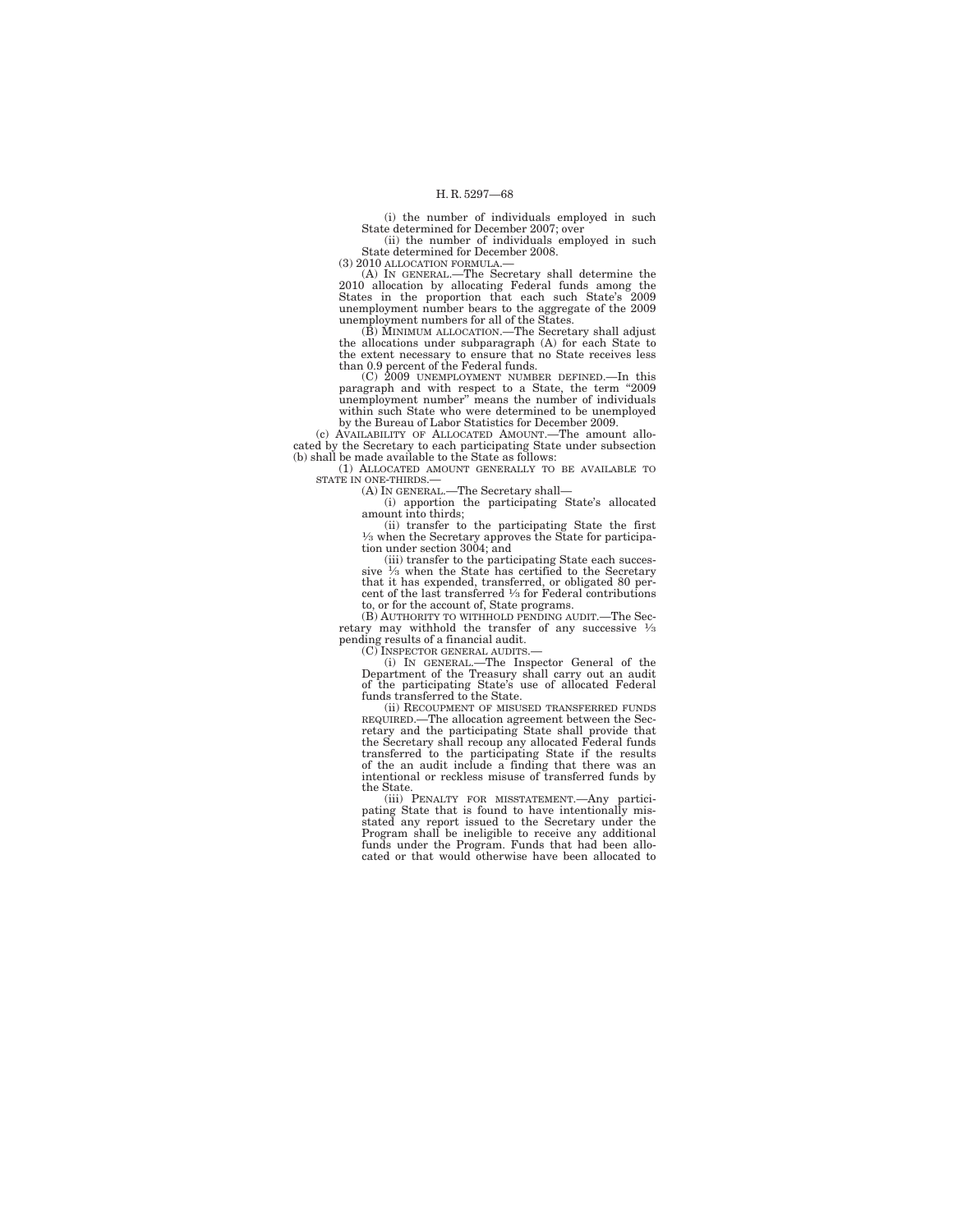(i) the number of individuals employed in such State determined for December 2007; over

(ii) the number of individuals employed in such State determined for December 2008.

(3) 2010 ALLOCATION FORMULA.—

(A) IN GENERAL.—The Secretary shall determine the 2010 allocation by allocating Federal funds among the States in the proportion that each such State's 2009 unemployment number bears to the aggregate of the 2009 unemployment numbers for all of the States.

(B) MINIMUM ALLOCATION.—The Secretary shall adjust the allocations under subparagraph (A) for each State to the extent necessary to ensure that no State receives less than 0.9 percent of the Federal funds.

(C) 2009 UNEMPLOYMENT NUMBER DEFINED.—In this paragraph and with respect to a State, the term "2009 unemployment number" means the number of individuals within such State who were determined to be unemployed by the Bureau of Labor Statistics for December 2009.

(c) AVAILABILITY OF ALLOCATED AMOUNT.—The amount allocated by the Secretary to each participating State under subsection (b) shall be made available to the State as follows:

(1) ALLOCATED AMOUNT GENERALLY TO BE AVAILABLE TO STATE IN ONE-THIRDS.—

(A) IN GENERAL.—The Secretary shall—

(i) apportion the participating State's allocated amount into thirds;

(ii) transfer to the participating State the first 1⁄3 when the Secretary approves the State for participa-tion under section 3004; and

(iii) transfer to the participating State each successive  $\frac{1}{3}$  when the State has certified to the Secretary that it has expended, transferred, or obligated 80 percent of the last transferred  $\frac{1}{3}$  for Federal contributions to, or for the account of, State programs.

(B) AUTHORITY TO WITHHOLD PENDING AUDIT.—The Secretary may withhold the transfer of any successive  $\frac{1}{3}$ pending results of a financial audit.

(C) INSPECTOR GENERAL AUDITS.— (i) IN GENERAL.—The Inspector General of the Department of the Treasury shall carry out an audit of the participating State's use of allocated Federal funds transferred to the State.

(ii) RECOUPMENT OF MISUSED TRANSFERRED FUNDS REQUIRED.—The allocation agreement between the Sec-retary and the participating State shall provide that the Secretary shall recoup any allocated Federal funds transferred to the participating State if the results of the an audit include a finding that there was an intentional or reckless misuse of transferred funds by

the State. (iii) PENALTY FOR MISSTATEMENT.—Any partici-pating State that is found to have intentionally mis-stated any report issued to the Secretary under the Program shall be ineligible to receive any additional funds under the Program. Funds that had been allocated or that would otherwise have been allocated to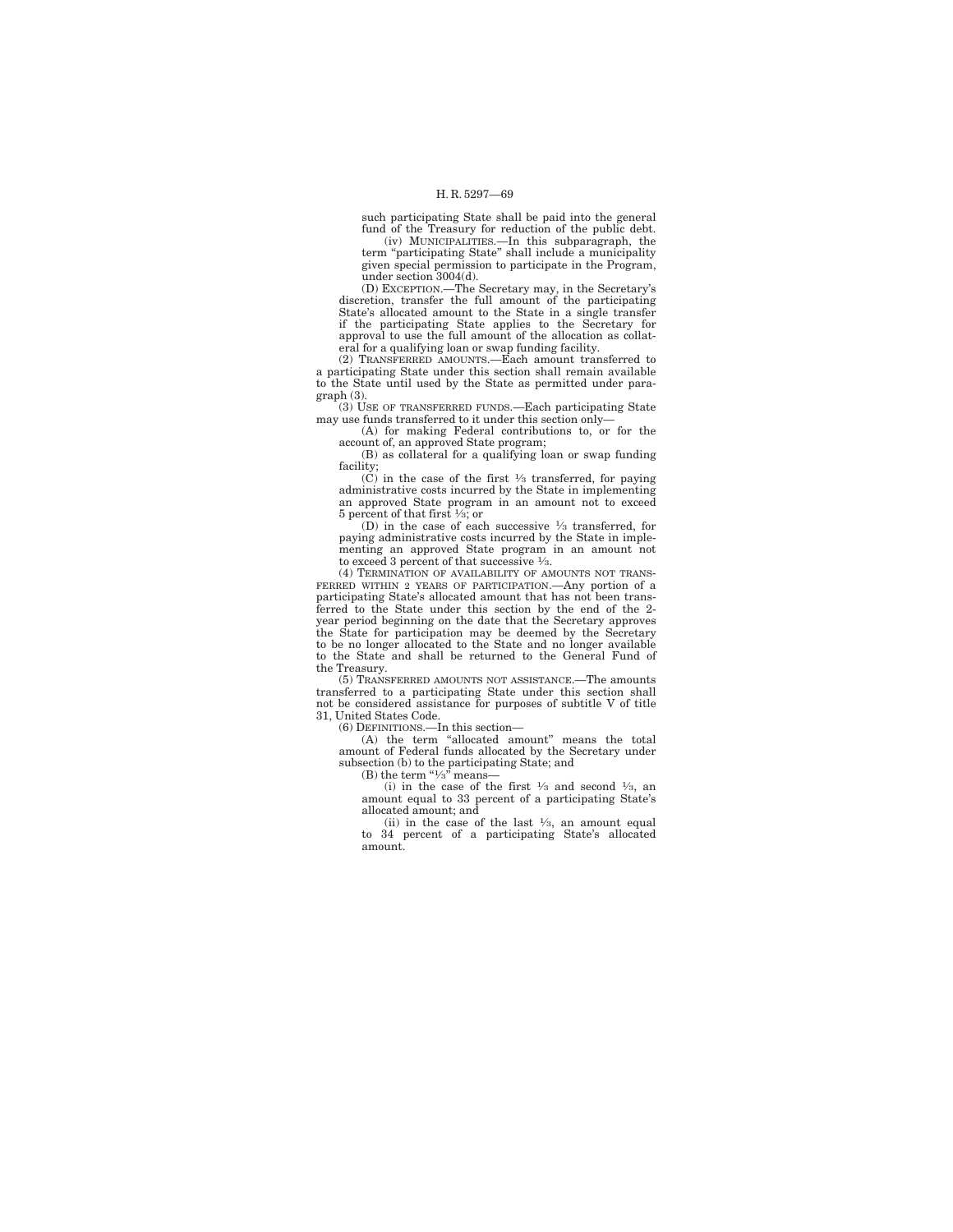such participating State shall be paid into the general fund of the Treasury for reduction of the public debt.

(iv) MUNICIPALITIES.—In this subparagraph, the term ''participating State'' shall include a municipality given special permission to participate in the Program, under section 3004(d).

(D) EXCEPTION.—The Secretary may, in the Secretary's discretion, transfer the full amount of the participating State's allocated amount to the State in a single transfer if the participating State applies to the Secretary for approval to use the full amount of the allocation as collateral for a qualifying loan or swap funding facility.

(2) TRANSFERRED AMOUNTS.—Each amount transferred to a participating State under this section shall remain available to the State until used by the State as permitted under paragraph (3).

(3) USE OF TRANSFERRED FUNDS.—Each participating State may use funds transferred to it under this section only—

(A) for making Federal contributions to, or for the account of, an approved State program;

(B) as collateral for a qualifying loan or swap funding facility;<br>(C) in the case of the first  $\frac{1}{3}$  transferred, for paying

administrative costs incurred by the State in implementing an approved State program in an amount not to exceed 5 percent of that first 1⁄3; or

(D) in the case of each successive 1⁄3 transferred, for paying administrative costs incurred by the State in implementing an approved State program in an amount not to exceed 3 percent of that successive 1/3.

(4) TERMINATION OF AVAILABILITY OF AMOUNTS NOT TRANS-FERRED WITHIN 2 YEARS OF PARTICIPATION.—Any portion of a participating State's allocated amount that has not been transferred to the State under this section by the end of the 2- year period beginning on the date that the Secretary approves the State for participation may be deemed by the Secretary to be no longer allocated to the State and no longer available to the State and shall be returned to the General Fund of the Treasury.

(5) TRANSFERRED AMOUNTS NOT ASSISTANCE.—The amounts transferred to a participating State under this section shall not be considered assistance for purposes of subtitle V of title 31, United States Code.

(6) DEFINITIONS.—In this section—

(A) the term ''allocated amount'' means the total amount of Federal funds allocated by the Secretary under subsection (b) to the participating State; and

(B) the term " $\frac{1}{3}$ " means-

(i) in the case of the first  $\frac{1}{3}$  and second  $\frac{1}{3}$ , and amount equal to 33 percent of a participating State's allocated amount; and

(ii) in the case of the last  $\frac{1}{3}$ , an amount equal to 34 percent of a participating State's allocated amount.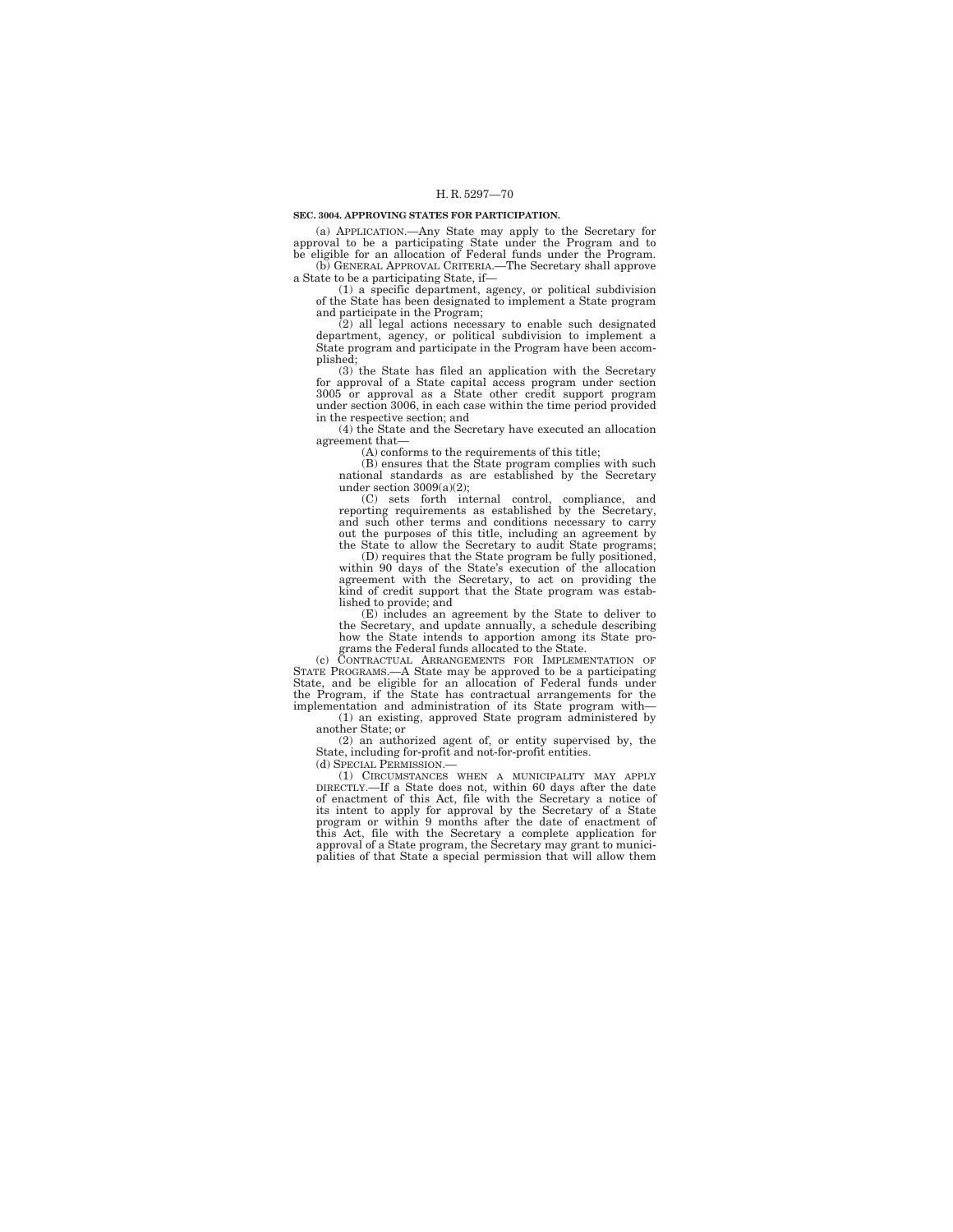#### **SEC. 3004. APPROVING STATES FOR PARTICIPATION.**

(a) APPLICATION.—Any State may apply to the Secretary for approval to be a participating State under the Program and to be eligible for an allocation of Federal funds under the Program. (b) GENERAL APPROVAL CRITERIA.—The Secretary shall approve a State to be a participating State, if—

(1) a specific department, agency, or political subdivision of the State has been designated to implement a State program and participate in the Program;

(2) all legal actions necessary to enable such designated department, agency, or political subdivision to implement a State program and participate in the Program have been accomplished;

(3) the State has filed an application with the Secretary for approval of a State capital access program under section 3005 or approval as a State other credit support program under section 3006, in each case within the time period provided in the respective section; and

(4) the State and the Secretary have executed an allocation agreement that—

(A) conforms to the requirements of this title;

(B) ensures that the State program complies with such national standards as are established by the Secretary under section 3009(a)(2);

(C) sets forth internal control, compliance, and reporting requirements as established by the Secretary, and such other terms and conditions necessary to carry out the purposes of this title, including an agreement by the State to allow the Secretary to audit State programs;

(D) requires that the State program be fully positioned, within 90 days of the State's execution of the allocation agreement with the Secretary, to act on providing the kind of credit support that the State program was established to provide; and

(E) includes an agreement by the State to deliver to the Secretary, and update annually, a schedule describing how the State intends to apportion among its State pro-grams the Federal funds allocated to the State.

(c) CONTRACTUAL ARRANGEMENTS FOR IMPLEMENTATION OF STATE PROGRAMS.—A State may be approved to be a participating State, and be eligible for an allocation of Federal funds under the Program, if the State has contractual arrangements for the implementation and administration of its State program with—

(1) an existing, approved State program administered by another State; or (2) an authorized agent of, or entity supervised by, the

State, including for-profit and not-for-profit entities. (d) SPECIAL PERMISSION.—

(1) CIRCUMSTANCES WHEN A MUNICIPALITY MAY APPLY DIRECTLY.—If a State does not, within 60 days after the date of enactment of this Act, file with the Secretary a notice of<br>its intent to apply for approval by the Secretary of a State<br>program or within 9 months after the date of enactment of<br>this Act, file with the Secretary a compl approval of a State program, the Secretary may grant to municipalities of that State a special permission that will allow them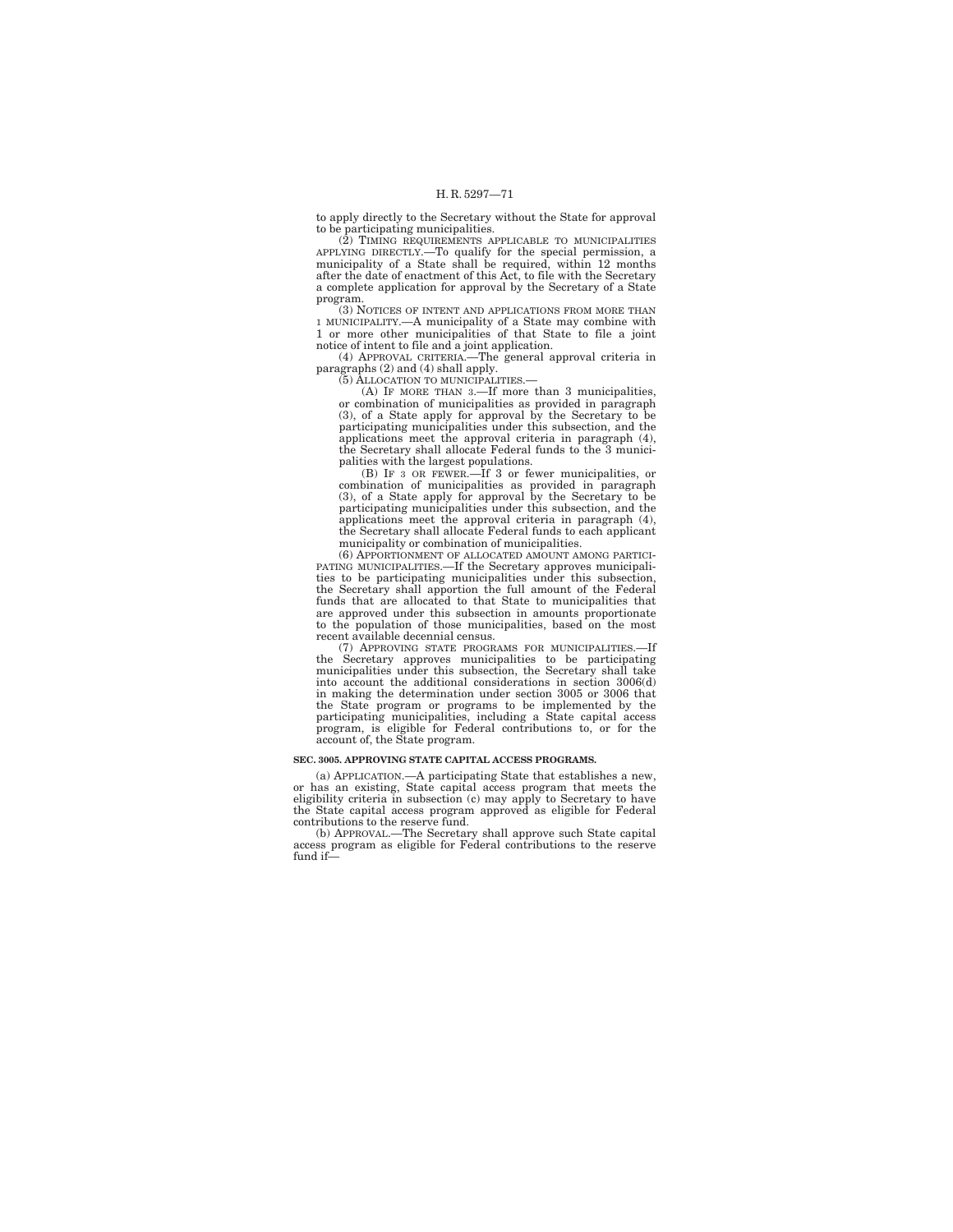to apply directly to the Secretary without the State for approval to be participating municipalities.

(2) TIMING REQUIREMENTS APPLICABLE TO MUNICIPALITIES APPLYING DIRECTLY.—To qualify for the special permission, a municipality of a State shall be required, within 12 months after the date of enactment of this Act, to file with the Secretary a complete application for approval by the Secretary of a State

program. (3) NOTICES OF INTENT AND APPLICATIONS FROM MORE THAN 1 MUNICIPALITY.—A municipality of a State may combine with 1 or more other municipalities of that State to file a joint notice of intent to file and a joint application.

(4) APPROVAL CRITERIA.—The general approval criteria in paragraphs (2) and (4) shall apply.

(5) ALLOCATION TO MUNICIPALITIES.— (A) IF MORE THAN 3.—If more than 3 municipalities, or combination of municipalities as provided in paragraph (3), of a State apply for approval by the Secretary to be participating municipalities under this subsection, and the applications meet the approval criteria in paragraph (4), the Secretary shall allocate Federal funds to the 3 municipalities with the largest populations. (B) IF 3 OR FEWER.—If 3 or fewer municipalities, or

combination of municipalities as provided in paragraph (3), of a State apply for approval by the Secretary to be participating municipalities under this subsection, and the applications meet the approval criteria in paragraph (4), the Secretary shall allocate Federal funds to each applicant municipality or combination of municipalities.

(6) APPORTIONMENT OF ALLOCATED AMOUNT AMONG PARTICI-PATING MUNICIPALITIES.—If the Secretary approves municipalities to be participating municipalities under this subsection, the Secretary shall apportion the full amount of the Federal funds that are allocated to that State to municipalities that are approved under this subsection in amounts proportionate to the population of those municipalities, based on the most recent available decennial census.

(7) APPROVING STATE PROGRAMS FOR MUNICIPALITIES.—If the Secretary approves municipalities to be participating municipalities under this subsection, the Secretary shall take into account the additional considerations in section 3006(d) in making the determination under section 3005 or 3006 that the State program or programs to be implemented by the participating municipalities, including a State capital access program, is eligible for Federal contributions to, or for the account of, the State program.

## **SEC. 3005. APPROVING STATE CAPITAL ACCESS PROGRAMS.**

(a) APPLICATION.—A participating State that establishes a new, or has an existing, State capital access program that meets the eligibility criteria in subsection (c) may apply to Secretary to have the State capital access program approved as eligible for Federal contributions to the reserve fund.

(b) APPROVAL.—The Secretary shall approve such State capital access program as eligible for Federal contributions to the reserve fund if—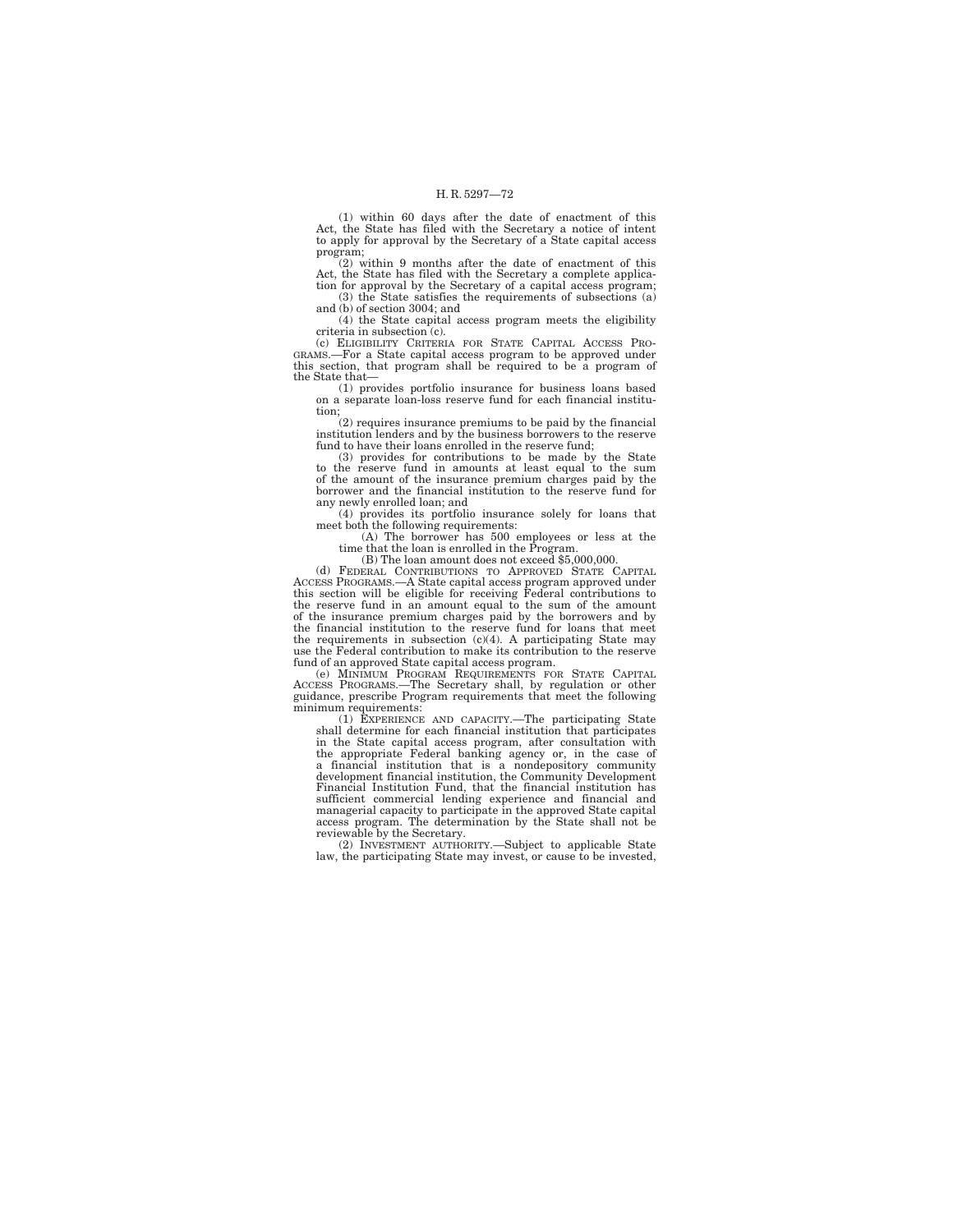(1) within 60 days after the date of enactment of this Act, the State has filed with the Secretary a notice of intent to apply for approval by the Secretary of a State capital access program;

(2) within 9 months after the date of enactment of this Act, the State has filed with the Secretary a complete application for approval by the Secretary of a capital access program;

(3) the State satisfies the requirements of subsections (a) and (b) of section 3004; and

(4) the State capital access program meets the eligibility criteria in subsection (c).<br>
(c) ELIGIBILITY CRITERIA FOR STATE CAPITAL ACCESS PRO-

GRAMS.—For a State capital access program to be approved under this section, that program shall be required to be a program of the State that—

(1) provides portfolio insurance for business loans based on a separate loan-loss reserve fund for each financial institution;

(2) requires insurance premiums to be paid by the financial institution lenders and by the business borrowers to the reserve

fund to have their loans enrolled in the reserve fund; (3) provides for contributions to be made by the State to the reserve fund in amounts at least equal to the sum of the amount of the insurance premium charges paid by the borrower and the financial institution to the reserve fund for any newly enrolled loan; and

(4) provides its portfolio insurance solely for loans that meet both the following requirements:

(A) The borrower has 500 employees or less at the

 $(B)$  The loan amount does not exceed \$5,000,000.

(d) FEDERAL CONTRIBUTIONS TO APPROVED STATE CAPITAL ACCESS PROGRAMS.—A State capital access program approved under this section will be eligible for receiving Federal contributions to the reserve fund in an amount equal to the sum of the amount of the insurance premium charges paid by the borrowers and by the financial institution to the reserve fund for loans that meet the requirements in subsection (c)(4). A participating State may use the Federal contribution to make its contribution to the reserve fund of an approved State capital access program.

(e) MINIMUM PROGRAM REQUIREMENTS FOR STATE CAPITAL ACCESS PROGRAMS.—The Secretary shall, by regulation or other guidance, prescribe Program requirements that meet the following minimum requirements:

(1) EXPERIENCE AND CAPACITY.—The participating State shall determine for each financial institution that participates in the State capital access program, after consultation with the appropriate Federal banking agency or, in the case of a financial institution that is a nondepository community development financial institution, the Community Development Financial Institution Fund, that the financial institution has sufficient commercial lending experience and financial and managerial capacity to participate in the approved State capital access program. The determination by the State shall not be reviewable by the Secretary. (2) INVESTMENT AUTHORITY.—Subject to applicable State

law, the participating State may invest, or cause to be invested,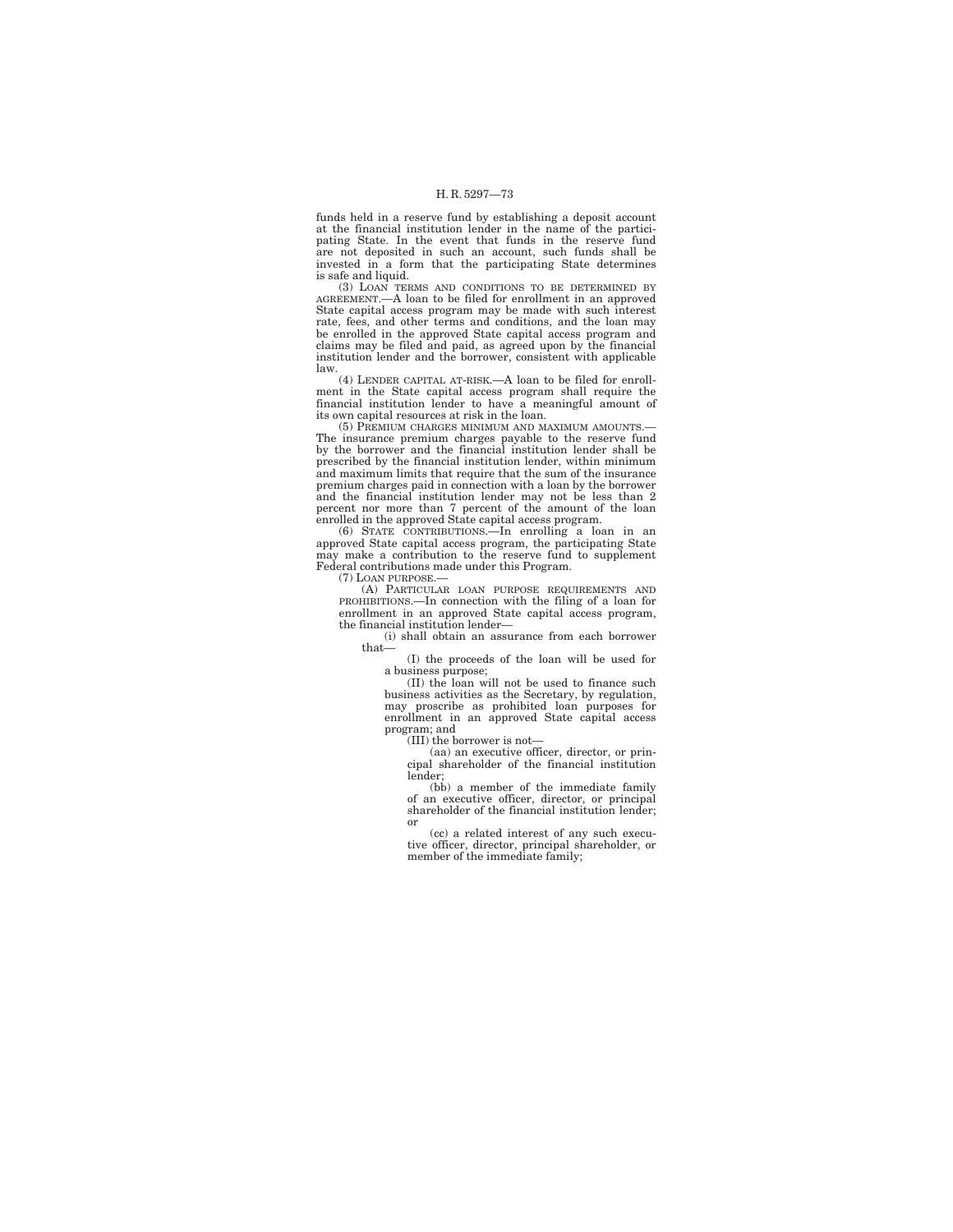funds held in a reserve fund by establishing a deposit account at the financial institution lender in the name of the participating State. In the event that funds in the reserve fund are not deposited in such an account, such funds shall be invested in a form that the participating State determines is safe and liquid.

(3) LOAN TERMS AND CONDITIONS TO BE DETERMINED BY AGREEMENT.—A loan to be filed for enrollment in an approved State capital access program may be made with such interest rate, fees, and other terms and conditions, and the loan may be enrolled in the approved State capital access program and claims may be filed and paid, as agreed upon by the financial institution lender and the borrower, consistent with applicable law.

(4) LENDER CAPITAL AT-RISK.—A loan to be filed for enrollment in the State capital access program shall require the financial institution lender to have a meaningful amount of its own capital resources at risk in the loan.

(5) PREMIUM CHARGES MINIMUM AND MAXIMUM AMOUNTS.— The insurance premium charges payable to the reserve fund by the borrower and the financial institution lender shall be prescribed by the financial institution lender, within minimum and maximum limits that require that the sum of the insurance premium charges paid in connection with a loan by the borrower and the financial institution lender may not be less than 2 percent nor more than 7 percent of the amount of the loan enrolled in the approved State capital access program.

(6) STATE CONTRIBUTIONS.—In enrolling a loan in an approved State capital access program, the participating State may make a contribution to the reserve fund to supplement Federal contributions made under this Program.

(7) LOAN PURPOSE.—

(A) PARTICULAR LOAN PURPOSE REQUIREMENTS AND PROHIBITIONS.—In connection with the filing of a loan for enrollment in an approved State capital access program, the financial institution lender—

(i) shall obtain an assurance from each borrower that—

(I) the proceeds of the loan will be used for a business purpose;

(II) the loan will not be used to finance such business activities as the Secretary, by regulation, may proscribe as prohibited loan purposes for enrollment in an approved State capital access program; and (III) the borrower is not—

(aa) an executive officer, director, or principal shareholder of the financial institution lender;

(bb) a member of the immediate family of an executive officer, director, or principal shareholder of the financial institution lender; or

(cc) a related interest of any such executive officer, director, principal shareholder, or member of the immediate family;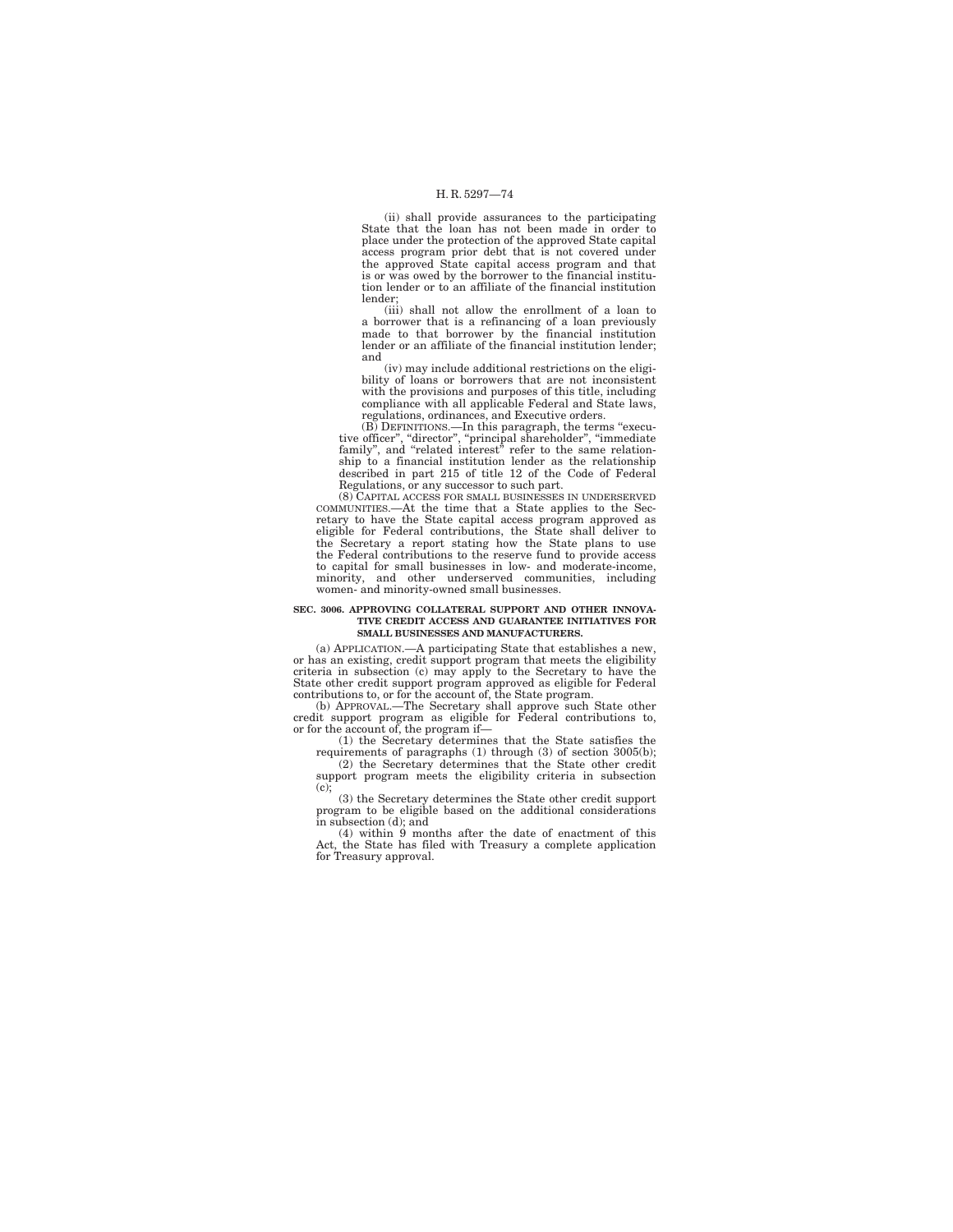(ii) shall provide assurances to the participating State that the loan has not been made in order to place under the protection of the approved State capital access program prior debt that is not covered under the approved State capital access program and that is or was owed by the borrower to the financial institution lender or to an affiliate of the financial institution

lender; (iii) shall not allow the enrollment of a loan to a borrower that is a refinancing of a loan previously made to that borrower by the financial institution lender or an affiliate of the financial institution lender; and

(iv) may include additional restrictions on the eligibility of loans or borrowers that are not inconsistent with the provisions and purposes of this title, including compliance with all applicable Federal and State laws, regulations, ordinances, and Executive orders.

(B) DEFINITIONS.—In this paragraph, the terms "execu-<br>tive officer", "director", "principal shareholder", "immediate<br>family", and "related interest" refer to the same relationship to a financial institution lender as the relationship described in part 215 of title 12 of the Code of Federal Regulations, or any successor to such part.

(8) CAPITAL ACCESS FOR SMALL BUSINESSES IN UNDERSERVED COMMUNITIES.—At the time that a State applies to the Secretary to have the State capital access program approved as eligible for Federal contributions, the State shall deliver to the Secretary a report stating how the State plans to use the Federal contributions to the reserve fund to provide access to capital for small businesses in low- and moderate-income, minority, and other underserved communities, including women- and minority-owned small businesses.

#### **SEC. 3006. APPROVING COLLATERAL SUPPORT AND OTHER INNOVA-TIVE CREDIT ACCESS AND GUARANTEE INITIATIVES FOR SMALL BUSINESSES AND MANUFACTURERS.**

(a) APPLICATION.—A participating State that establishes a new, or has an existing, credit support program that meets the eligibility criteria in subsection (c) may apply to the Secretary to have the State other credit support program approved as eligible for Federal contributions to, or for the account of, the State program.

(b) APPROVAL.—The Secretary shall approve such State other credit support program as eligible for Federal contributions to, or for the account of, the program if— (1) the Secretary determines that the State satisfies the

requirements of paragraphs (1) through (3) of section 3005(b); (2) the Secretary determines that the State other credit support program meets the eligibility criteria in subsection (c);

(3) the Secretary determines the State other credit support program to be eligible based on the additional considerations in subsection (d); and (4) within 9 months after the date of enactment of this

Act, the State has filed with Treasury a complete application for Treasury approval.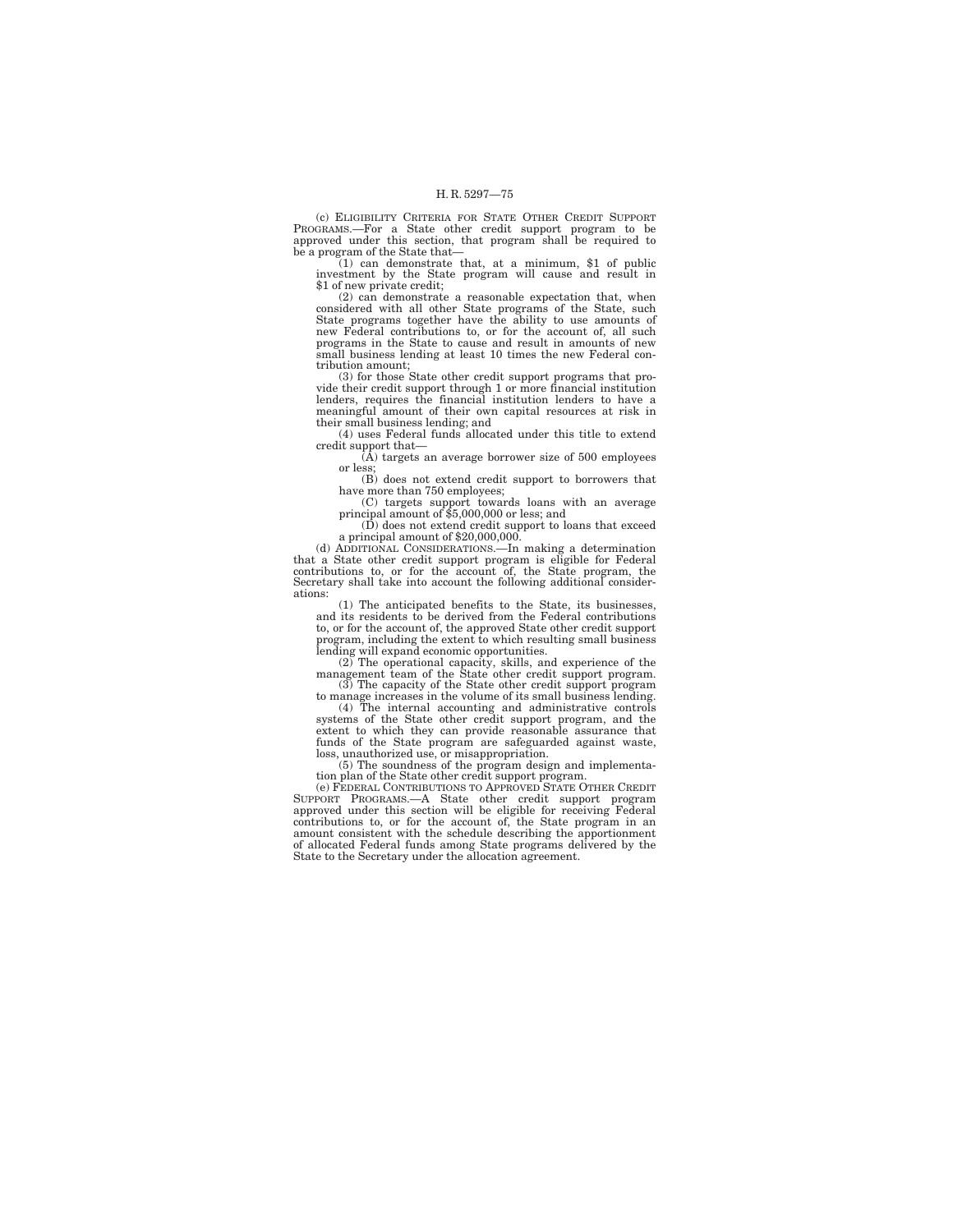(c) ELIGIBILITY CRITERIA FOR STATE OTHER CREDIT SUPPORT PROGRAMS.—For a State other credit support program to be approved under this section, that program shall be required to be a program of the State that-

 $(1)$  can demonstrate that, at a minimum, \$1 of public investment by the State program will cause and result in \$1 of new private credit;

(2) can demonstrate a reasonable expectation that, when considered with all other State programs of the State, such State programs together have the ability to use amounts of new Federal contributions to, or for the account of, all such programs in the State to cause and result in amounts of new small business lending at least 10 times the new Federal contribution amount;

(3) for those State other credit support programs that provide their credit support through 1 or more financial institution lenders, requires the financial institution lenders to have a meaningful amount of their own capital resources at risk in their small business lending; and

(4) uses Federal funds allocated under this title to extend credit support that—

 $(\hat{A})$  targets an average borrower size of 500 employees or less;

(B) does not extend credit support to borrowers that have more than 750 employees;

(C) targets support towards loans with an average principal amount of \$5,000,000 or less; and

(D) does not extend credit support to loans that exceed a principal amount of \$20,000,000.

(d) ADDITIONAL CONSIDERATIONS.—In making a determination that a State other credit support program is eligible for Federal contributions to, or for the account of, the State program, the Secretary shall take into account the following additional considerations:

(1) The anticipated benefits to the State, its businesses, and its residents to be derived from the Federal contributions to, or for the account of, the approved State other credit support program, including the extent to which resulting small business

lending will expand economic opportunities. (2) The operational capacity, skills, and experience of the management team of the State other credit support program. (3) The capacity of the State other credit support program to manage increases in the volume of its small business lending.

(4) The internal accounting and administrative controls systems of the State other credit support program, and the extent to which they can provide reasonable assurance that funds of the State program are safeguarded again loss, unauthorized use, or misappropriation.

(5) The soundness of the program design and implementation plan of the State other credit support program.

(e) FEDERAL CONTRIBUTIONS TO APPROVED STATE OTHER CREDIT SUPPORT PROGRAMS.—A State other credit support program approved under this section will be eligible for receiving Federal contributions to, or for the account of, the State program in an amount consistent with the schedule describing the apportionment of allocated Federal funds among State programs delivered by the State to the Secretary under the allocation agreement.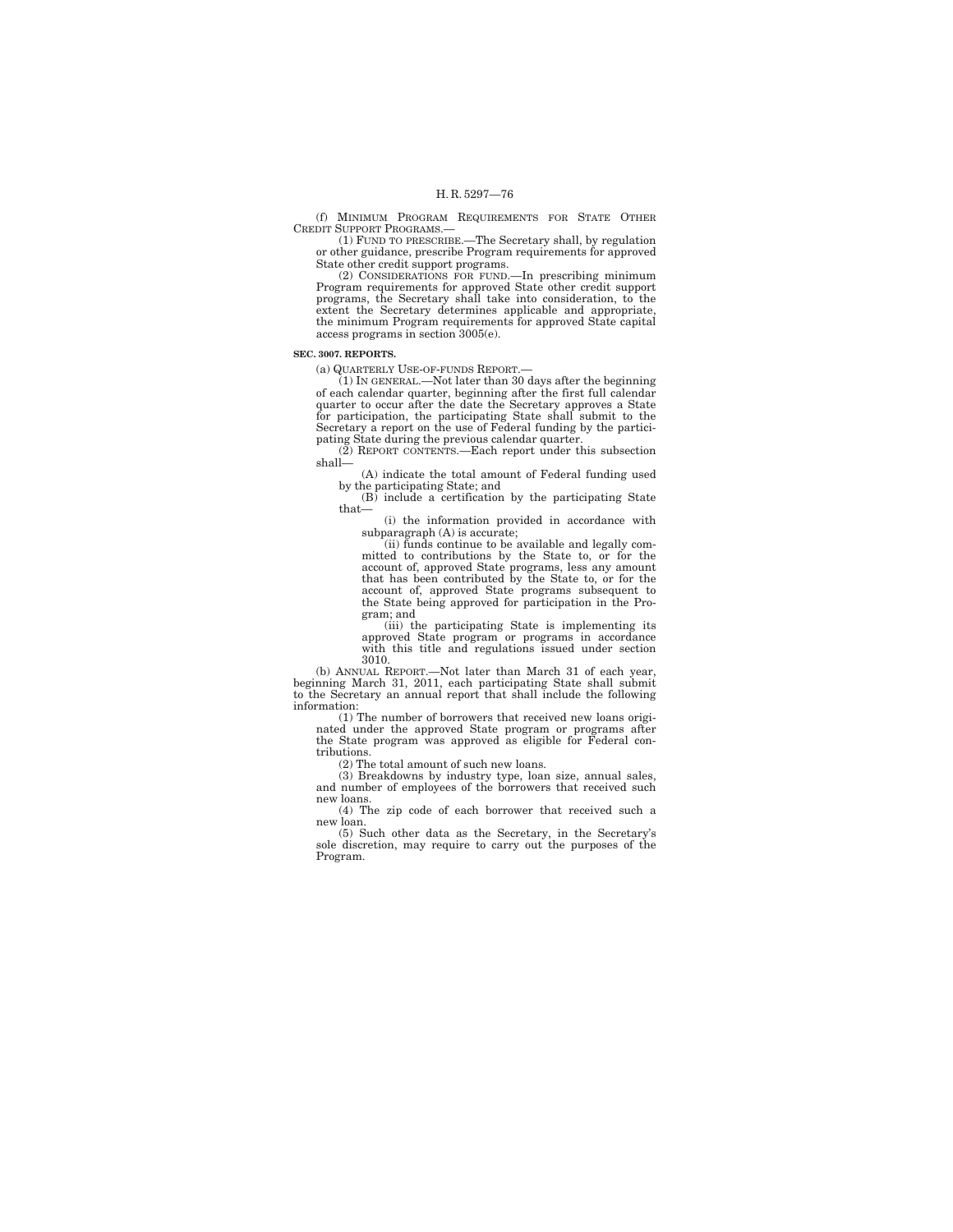(f) MINIMUM PROGRAM REQUIREMENTS FOR STATE OTHER CREDIT SUPPORT PROGRAMS.—

(1) FUND TO PRESCRIBE.—The Secretary shall, by regulation or other guidance, prescribe Program requirements for approved

State other credit support programs. (2) CONSIDERATIONS FOR FUND.—In prescribing minimum Program requirements for approved State other credit support programs, the Secretary shall take into consideration, to the extent the Secretary determines applicable and appropriate, the minimum Program requirements for approved State capital access programs in section 3005(e).

## **SEC. 3007. REPORTS.**

(a) QUARTERLY USE-OF-FUNDS REPORT.—

(1) IN GENERAL.—Not later than 30 days after the beginning of each calendar quarter, beginning after the first full calendar quarter to occur after the date the Secretary approves a State for participation, the participating State shall submit to the Secretary a report on the use of Federal funding by the participating State during the previous calendar quarter.

(2) REPORT CONTENTS.—Each report under this subsection shall—

(A) indicate the total amount of Federal funding used by the participating State; and (B) include a certification by the participating State

that—

(i) the information provided in accordance with subparagraph (A) is accurate;

(ii) funds continue to be available and legally committed to contributions by the State to, or for the account of, approved State programs, less any amount that has been contributed by the State to, or for the account of, approved State programs subsequent to the State being approved for participation in the Program; and

(iii) the participating State is implementing its approved State program or programs in accordance with this title and regulations issued under section 3010.

(b) ANNUAL REPORT.—Not later than March 31 of each year, beginning March 31, 2011, each participating State shall submit to the Secretary an annual report that shall include the following information:

(1) The number of borrowers that received new loans originated under the approved State program or programs after the State program was approved as eligible for Federal contributions.

(2) The total amount of such new loans.

(3) Breakdowns by industry type, loan size, annual sales, and number of employees of the borrowers that received such new loans.

(4) The zip code of each borrower that received such a new loan.

(5) Such other data as the Secretary, in the Secretary's sole discretion, may require to carry out the purposes of the Program.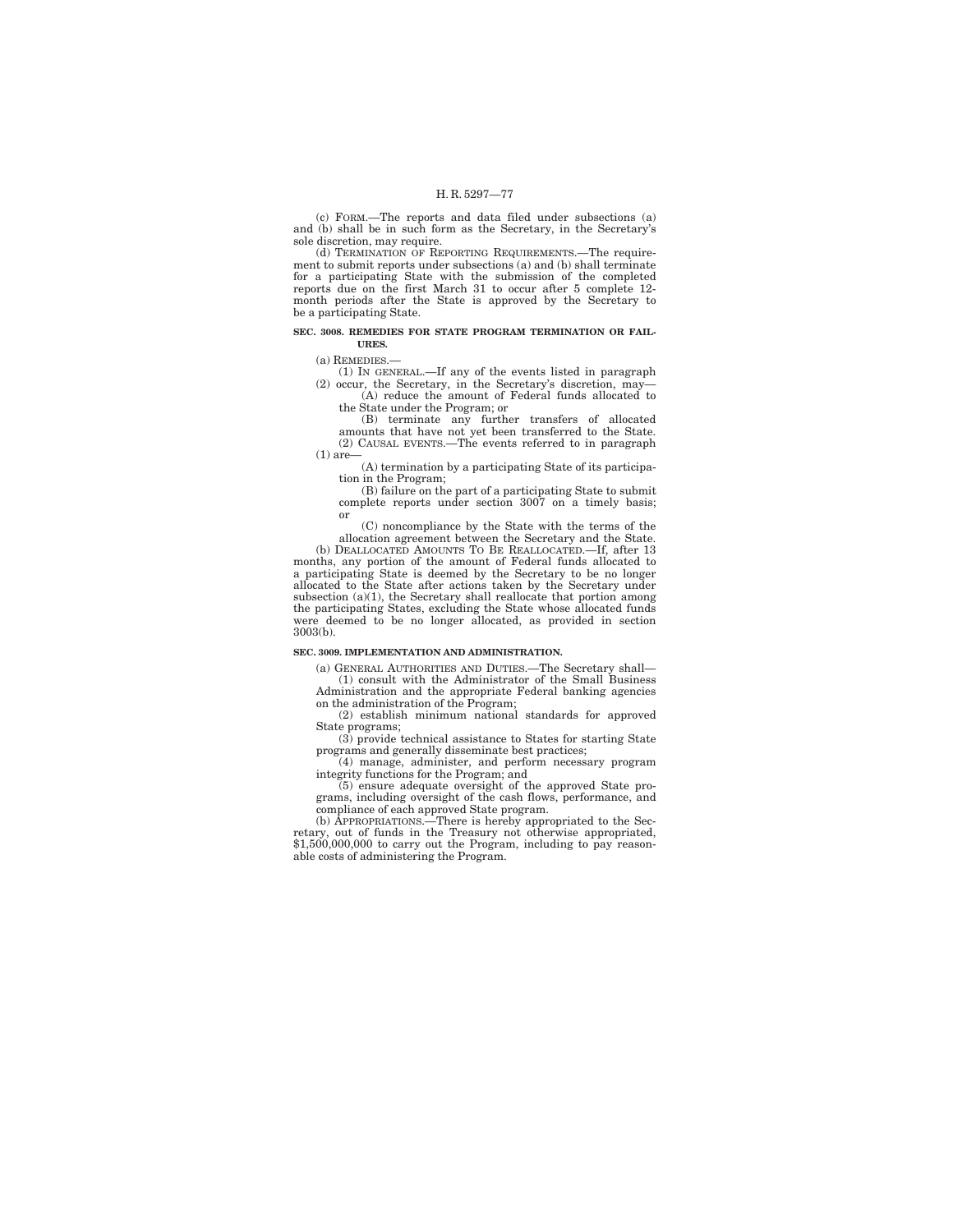(c) FORM.—The reports and data filed under subsections (a) and (b) shall be in such form as the Secretary, in the Secretary's sole discretion, may require.

(d) TERMINATION OF REPORTING REQUIREMENTS.—The requirement to submit reports under subsections (a) and (b) shall terminate for a participating State with the submission of the completed reports due on the first March 31 to occur after 5 complete 12- month periods after the State is approved by the Secretary to be a participating State.

### **SEC. 3008. REMEDIES FOR STATE PROGRAM TERMINATION OR FAIL-URES.**

(a) REMEDIES.—

(1) IN GENERAL.—If any of the events listed in paragraph (2) occur, the Secretary, in the Secretary's discretion, may—

(A) reduce the amount of Federal funds allocated to the State under the Program; or

(B) terminate any further transfers of allocated amounts that have not yet been transferred to the State. (2) CAUSAL EVENTS.—The events referred to in paragraph  $(1)$  are

(A) termination by a participating State of its participation in the Program;

(B) failure on the part of a participating State to submit complete reports under section 3007 on a timely basis; or

(C) noncompliance by the State with the terms of the allocation agreement between the Secretary and the State.

(b) DEALLOCATED AMOUNTS TO BE REALLOCATED.—If, after 13 months, any portion of the amount of Federal funds allocated to a participating State is deemed by the Secretary to be no longer allocated to the State after actions taken by the Secretary under subsection (a)(1), the Secretary shall reallocate that portion among the participating States, excluding the State whose allocated funds were deemed to be no longer allocated, as provided in section 3003(b).

## **SEC. 3009. IMPLEMENTATION AND ADMINISTRATION.**

(a) GENERAL AUTHORITIES AND DUTIES.—The Secretary shall— (1) consult with the Administrator of the Small Business

Administration and the appropriate Federal banking agencies on the administration of the Program;

(2) establish minimum national standards for approved State programs;

(3) provide technical assistance to States for starting State programs and generally disseminate best practices;

(4) manage, administer, and perform necessary program integrity functions for the Program; and

(5) ensure adequate oversight of the approved State programs, including oversight of the cash flows, performance, and

compliance of each approved State program. (b) APPROPRIATIONS.—There is hereby appropriated to the Sec-retary, out of funds in the Treasury not otherwise appropriated, \$1,500,000,000 to carry out the Program, including to pay reasonable costs of administering the Program.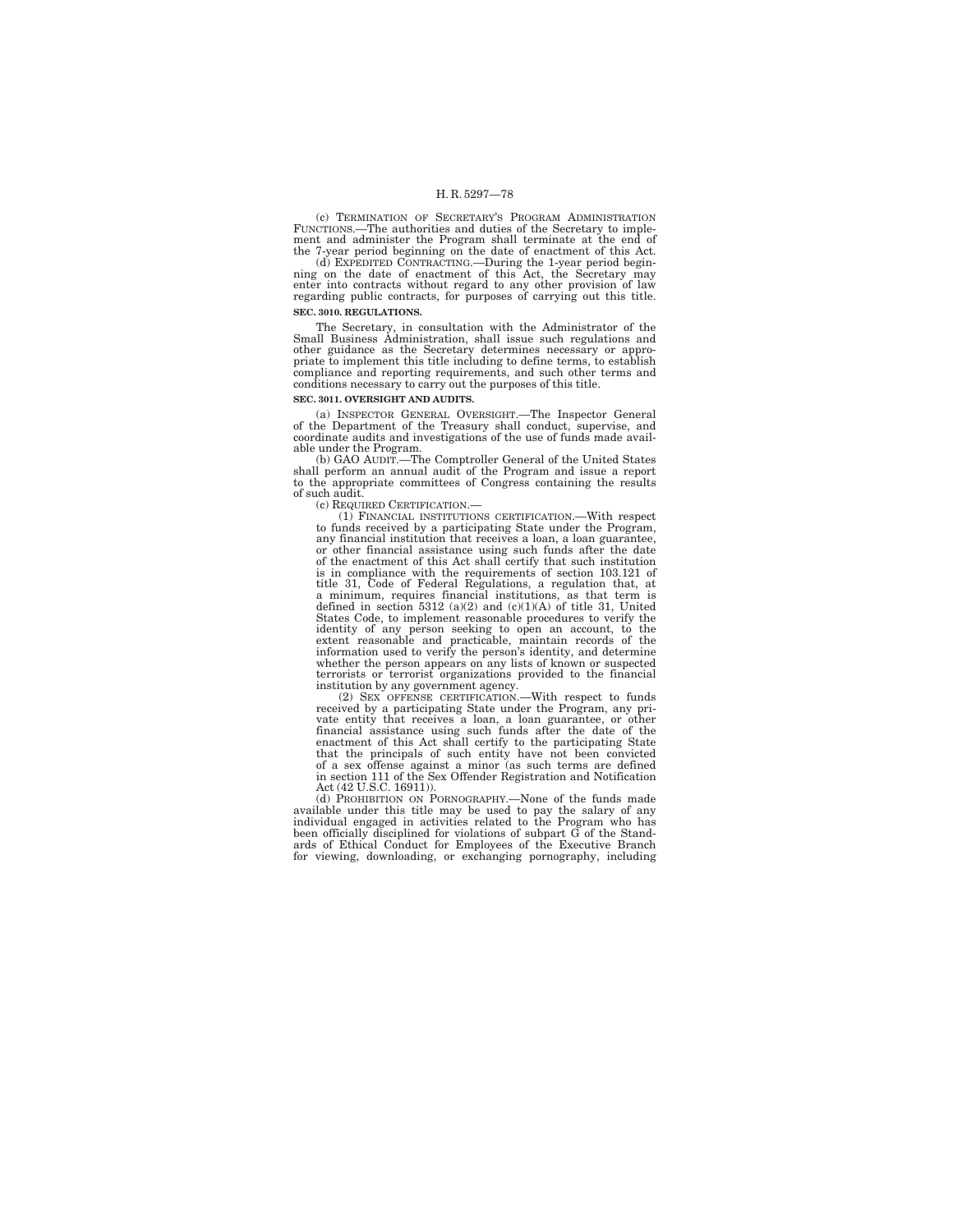(c) TERMINATION OF SECRETARY'S PROGRAM ADMINISTRATION FUNCTIONS.—The authorities and duties of the Secretary to implement and administer the Program shall terminate at the end of<br>the 7-year period beginning on the date of enactment of this Act.<br>(d) EXPEDITED CONTRACTING.—During the 1-year period begin-

ning on the date of enactment of this Act, the Secretary may enter into contracts without regard to any other provision of law regarding public contracts, for purposes of carrying out this title. **SEC. 3010. REGULATIONS.** 

The Secretary, in consultation with the Administrator of the Small Business Administration, shall issue such regulations and other guidance as the Secretary determines necessary or appropriate to implement this title including to define terms, to establish compliance and reporting requirements, and such other terms and conditions necessary to carry out the purposes of this title.

## **SEC. 3011. OVERSIGHT AND AUDITS.**

(a) INSPECTOR GENERAL OVERSIGHT.—The Inspector General of the Department of the Treasury shall conduct, supervise, and coordinate audits and investigations of the use of funds made available under the Program.

(b) GAO AUDIT.—The Comptroller General of the United States shall perform an annual audit of the Program and issue a report to the appropriate committees of Congress containing the results of such audit.<br>(c) REQUIRED CERTIFICATION.—

(1) FINANCIAL INSTITUTIONS CERTIFICATION.—With respect to funds received by a participating State under the Program, any financial institution that receives a loan, a loan guarantee, or other financial assistance using such funds after the date of the enactment of this Act shall certify that such institution is in compliance with the requirements of section 103.121 of title 31, Code of Federal Regulations, a regulation that, at a minimum, requires financial institutions, as that term is defined in section 5312 (a)(2) and (c)(1)(A) of title 31, United States Code, to implement reasonable procedures to verify the identity of any person seeking to open an account, to the extent reasonable and practicable, maintain records of the information used to verify the person's identity, and determine whether the person appears on any lists of known or suspected terrorists or terrorist organizations provided to the financial institution by any government agency.

(2) SEX OFFENSE CERTIFICATION.—With respect to funds received by a participating State under the Program, any pri-vate entity that receives a loan, a loan guarantee, or other financial assistance using such funds after the date of the enactment of this Act shall certify to the participating State that the principals of such entity have not been convicted of a sex offense against a minor (as such terms are defined in section 111 of the Sex Offender Registration and Notification

Act (42 U.S.C. 16911)).<br>
(d) PROHIBITION ON PORNOGRAPHY.—None of the funds made<br>
available under this title may be used to pay the salary of any<br>
individual engaged in activities related to the Program who has been officially disciplined for violations of subpart G of the Stand-ards of Ethical Conduct for Employees of the Executive Branch for viewing, downloading, or exchanging pornography, including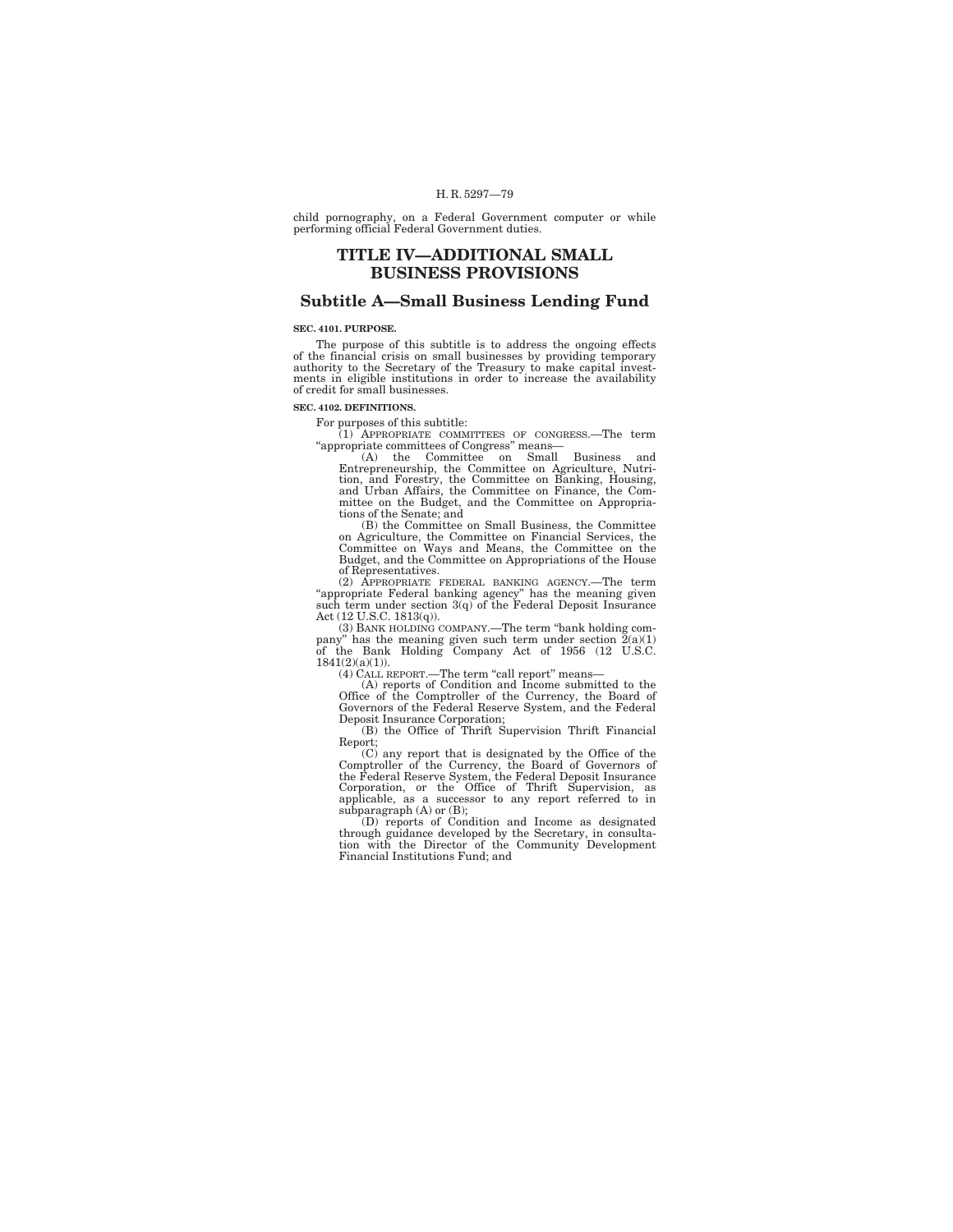child pornography, on a Federal Government computer or while performing official Federal Government duties.

# **TITLE IV—ADDITIONAL SMALL BUSINESS PROVISIONS**

# **Subtitle A—Small Business Lending Fund**

## **SEC. 4101. PURPOSE.**

The purpose of this subtitle is to address the ongoing effects of the financial crisis on small businesses by providing temporary authority to the Secretary of the Treasury to make capital investments in eligible institutions in order to increase the availability of credit for small businesses.

#### **SEC. 4102. DEFINITIONS.**

For purposes of this subtitle:<br>
(1) APPROPRIATE COMMITTEES OF CONGRESS.—The term<br>
"appropriate committees of Congress" means—<br>
(A) the Committee on Small Business and

Entrepreneurship, the Committee on Agriculture, Nutri-tion, and Forestry, the Committee on Banking, Housing, and Urban Affairs, the Committee on Finance, the Committee on the Budget, and the Committee on Appropria-tions of the Senate; and

(B) the Committee on Small Business, the Committee on Agriculture, the Committee on Financial Services, the Committee on Ways and Means, the Committee on the Budget, and the Committee on Appropriations of the House

of Representatives. (2) APPROPRIATE FEDERAL BANKING AGENCY.—The term ''appropriate Federal banking agency'' has the meaning given such term under section 3(q) of the Federal Deposit Insurance Act (12 U.S.C. 1813(q)).

(3) BANK HOLDING COMPANY.—The term "bank holding com-<br>pany" has the meaning given such term under section 2(a)(1)<br>of the Bank Holding Company Act of 1956 (12 U.S.C.<br>1841(2)(a)(1)).

(4) CALL REPORT.—The term "call report" means-

(A) reports of Condition and Income submitted to the Office of the Comptroller of the Currency, the Board of Governors of the Federal Reserve System, and the Federal Deposit Insurance Corporation;

(B) the Office of Thrift Supervision Thrift Financial

Report; (C) any report that is designated by the Office of the Comptroller of the Currency, the Board of Governors of<br>the Federal Reserve System, the Federal Deposit Insurance<br>Corporation, or the Office of Thrift Supervision, as<br>applicable, as a successor to any report referred to in<br>

(D) reports of Condition and Income as designated through guidance developed by the Secretary, in consulta-tion with the Director of the Community Development Financial Institutions Fund; and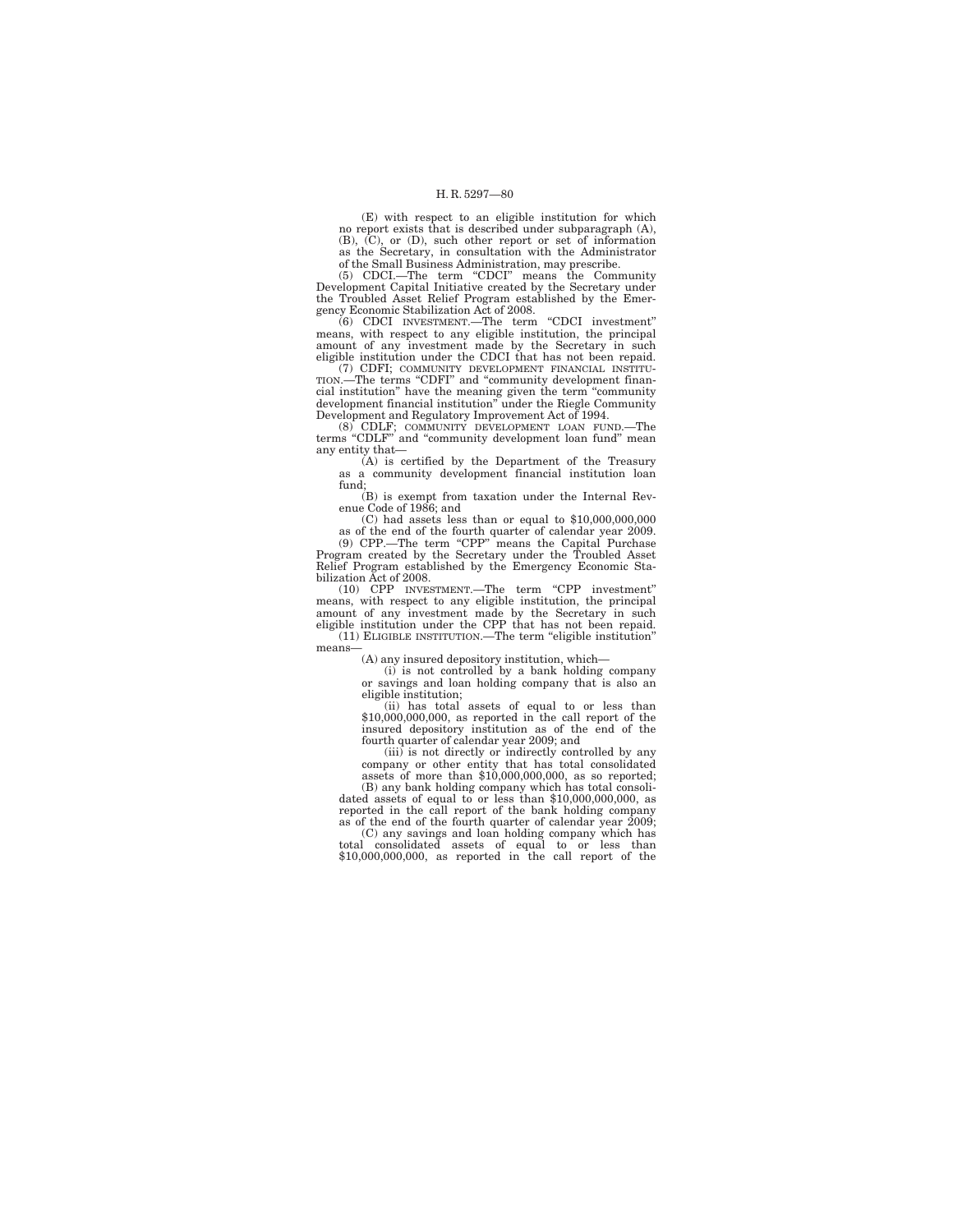(E) with respect to an eligible institution for which no report exists that is described under subparagraph (A), (B), (C), or (D), such other report or set of information as the Secretary, in consultation with the Administrator

of the Small Business Administration, may prescribe. (5) CDCI.—The term ''CDCI'' means the Community Development Capital Initiative created by the Secretary under the Troubled Asset Relief Program established by the Emergency Economic Stabilization Act of 2008.

(6) CDCI INVESTMENT.—The term ''CDCI investment'' means, with respect to any eligible institution, the principal amount of any investment made by the Secretary in such eligible institution under the CDCI that has not been repaid.

(7) CDFI; COMMUNITY DEVELOPMENT FINANCIAL INSTITU-TION.—The terms "CDFI" and "community development financial institution'' have the meaning given the term ''community development financial institution'' under the Riegle Community Development and Regulatory Improvement Act of 1994.

(8) CDLF; COMMUNITY DEVELOPMENT LOAN FUND.—The terms ''CDLF'' and ''community development loan fund'' mean any entity that—

(A) is certified by the Department of the Treasury as a community development financial institution loan fund;

(B) is exempt from taxation under the Internal Revenue Code of 1986; and

(C) had assets less than or equal to \$10,000,000,000

as of the end of the fourth quarter of calendar year 2009. (9) CPP.—The term ''CPP'' means the Capital Purchase Program created by the Secretary under the Troubled Asset Relief Program established by the Emergency Economic Stabilization Act of 2008.

(10) CPP INVESTMENT.—The term ''CPP investment'' means, with respect to any eligible institution, the principal amount of any investment made by the Secretary in such eligible institution under the CPP that has not been repaid. (11) ELIGIBLE INSTITUTION.—The term ''eligible institution''

means—

(A) any insured depository institution, which— (i) is not controlled by a bank holding company

or savings and loan holding company that is also an eligible institution;

(ii) has total assets of equal to or less than \$10,000,000,000, as reported in the call report of the insured depository institution as of the end of the fourth quarter of calendar year 2009; and (iii) is not directly or indirectly controlled by any company or other entity that has total consolidated

assets of more than \$10,000,000,000, as so reported;

(B) any bank holding company which has total consolidated assets of equal to or less than \$10,000,000,000, as reported in the call report of the bank holding company

as of the end of the fourth quarter of calendar year 2009; (C) any savings and loan holding company which has total consolidated assets of equal to or less than \$10,000,000,000, as reported in the call report of the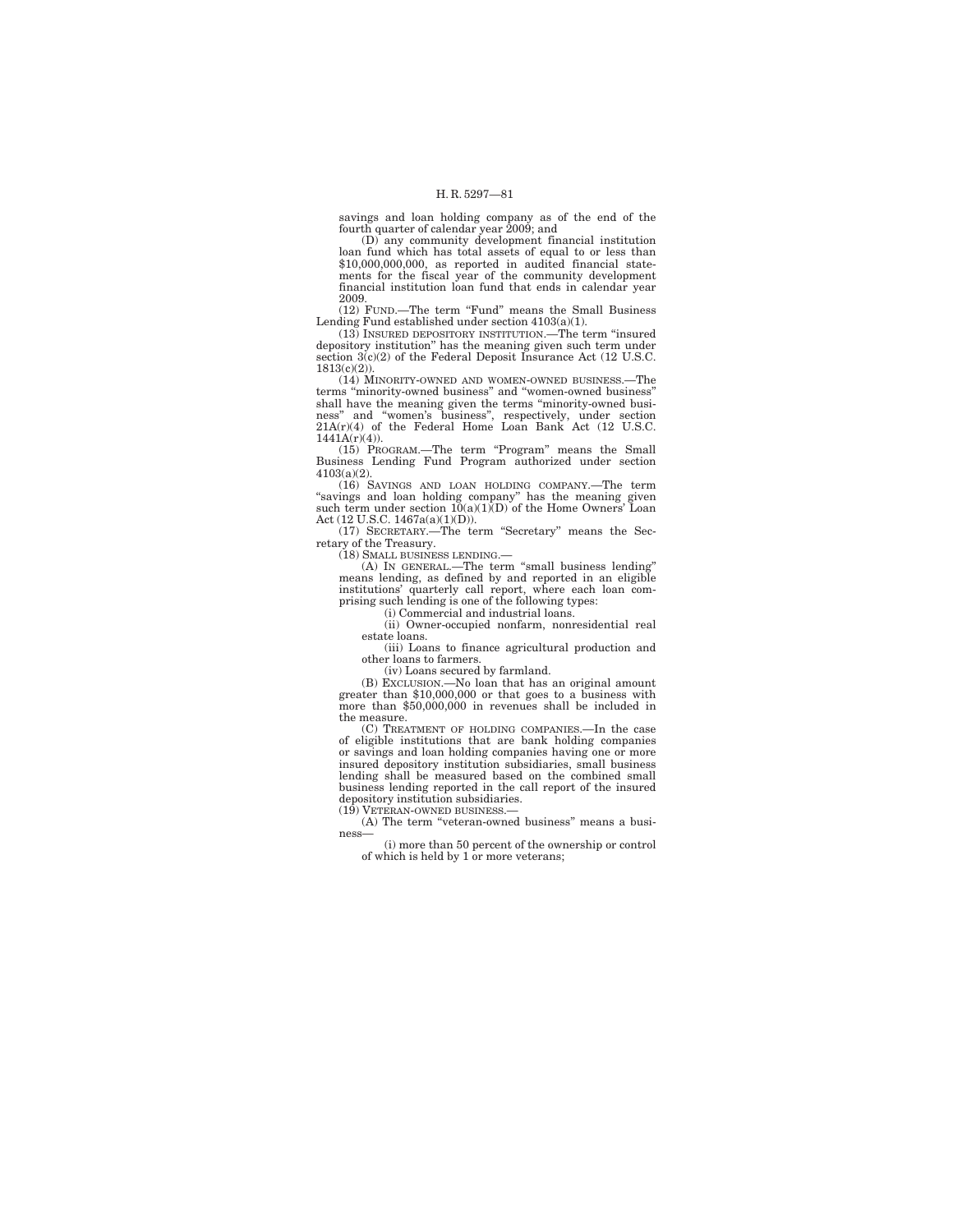savings and loan holding company as of the end of the fourth quarter of calendar year 2009; and

(D) any community development financial institution loan fund which has total assets of equal to or less than \$10,000,000,000, as reported in audited financial state-ments for the fiscal year of the community development financial institution loan fund that ends in calendar year

2009. (12) FUND.—The term ''Fund'' means the Small Business Lending Fund established under section 4103(a)(1).

 $(13)$  INSURED DEPOSITORY INSTITUTION.—The term "insured depository institution'' has the meaning given such term under section  $3(c)(2)$  of the Federal Deposit Insurance Act (12 U.S.C. 1813(c)(2)).

(14) MINORITY-OWNED AND WOMEN-OWNED BUSINESS.—The terms ''minority-owned business'' and ''women-owned business'' shall have the meaning given the terms "minority-owned business" and "women's business", respectively, under section  $21A(r)(4)$  of the Federal Home Loan Bank Act (12 U.S.C. 1441A(r)(4)).

(15) PROGRAM.—The term ''Program'' means the Small Business Lending Fund Program authorized under section 4103(a)(2).

(16) SAVINGS AND LOAN HOLDING COMPANY.—The term "savings and loan holding company" has the meaning given such term under section  $10(a)(1)$ (D) of the Home Owners' Loan Act (12 U.S.C. 1467a(a)(1)(D)).

(17) SECRETARY.—The term ''Secretary'' means the Secretary of the Treasury.

(18) SMALL BUSINESS LENDING.—

(A) IN GENERAL.—The term ''small business lending'' means lending, as defined by and reported in an eligible institutions' quarterly call report, where each loan comprising such lending is one of the following types:

(i) Commercial and industrial loans.

(ii) Owner-occupied nonfarm, nonresidential real

estate loans.

(iii) Loans to finance agricultural production and other loans to farmers.

(iv) Loans secured by farmland.

(B) EXCLUSION.—No loan that has an original amount greater than \$10,000,000 or that goes to a business with more than \$50,000,000 in revenues shall be included in the measure.

(C) TREATMENT OF HOLDING COMPANIES.—In the case of eligible institutions that are bank holding companies or savings and loan holding companies having one or more insured depository institution subsidiaries, small business lending shall be measured based on the combined small business lending reported in the call report of the insured depository institution subsidiaries.

(19) VETERAN-OWNED BUSINESS.—

(A) The term ''veteran-owned business'' means a business—

(i) more than 50 percent of the ownership or control of which is held by 1 or more veterans;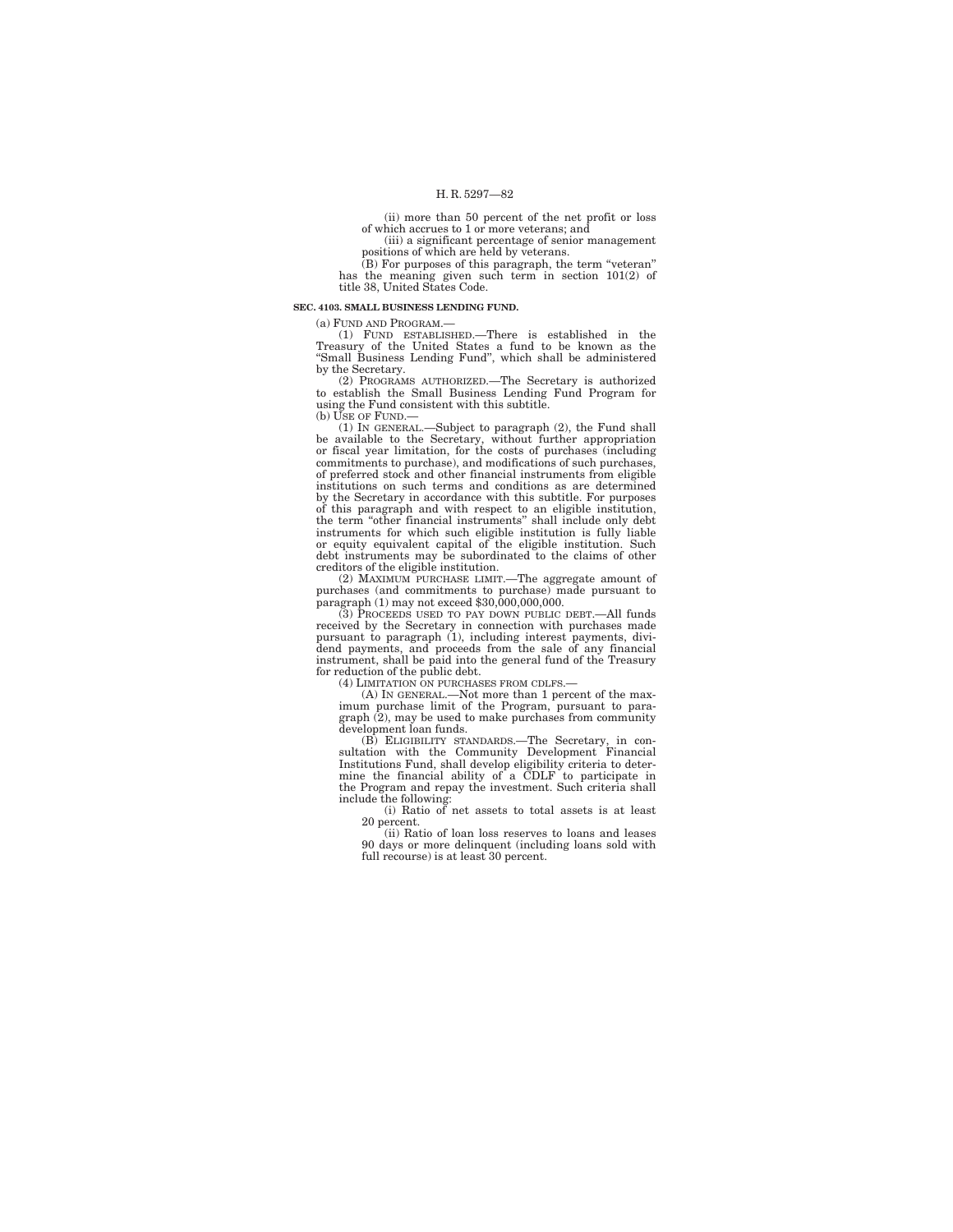(ii) more than 50 percent of the net profit or loss of which accrues to 1 or more veterans; and

(iii) a significant percentage of senior management positions of which are held by veterans.

(B) For purposes of this paragraph, the term "veteran" has the meaning given such term in section 101(2) of title 38, United States Code.

**SEC. 4103. SMALL BUSINESS LENDING FUND.** 

(a) FUND AND PROGRAM.—

(1) FUND ESTABLISHED.—There is established in the Treasury of the United States a fund to be known as the ''Small Business Lending Fund'', which shall be administered by the Secretary.

(2) PROGRAMS AUTHORIZED.—The Secretary is authorized to establish the Small Business Lending Fund Program for using the Fund consistent with this subtitle.

(b) USE OF FUND.

(1) IN GENERAL.—Subject to paragraph (2), the Fund shall be available to the Secretary, without further appropriation or fiscal year limitation, for the costs of purchases (including commitments to purchase), and modifications of such purchases, of preferred stock and other financial instruments from eligible institutions on such terms and conditions as are determined by the Secretary in accordance with this subtitle. For purposes of this paragraph and with respect to an eligible institution, the term ''other financial instruments'' shall include only debt instruments for which such eligible institution is fully liable or equity equivalent capital of the eligible institution. Such debt instruments may be subordinated to the claims of other creditors of the eligible institution.

(2) MAXIMUM PURCHASE LIMIT.—The aggregate amount of purchases (and commitments to purchase) made pursuant to paragraph (1) may not exceed \$30,000,000,000.

(3) PROCEEDS USED TO PAY DOWN PUBLIC DEBT.—All funds received by the Secretary in connection with purchases made<br>pursuant to paragraph (1), including interest payments, divi-<br>dend payments, and proceeds from the sale of any financial<br>instrument, shall be paid into the genera for reduction of the public debt.

(4) LIMITATION ON PURCHASES FROM CDLFS.—

(A) IN GENERAL.—Not more than 1 percent of the maximum purchase limit of the Program, pursuant to paragraph (2), may be used to make purchases from community

development loan funds. (B) ELIGIBILITY STANDARDS.—The Secretary, in con-sultation with the Community Development Financial Institutions Fund, shall develop eligibility criteria to determine the financial ability of a CDLF to participate in the Program and repay the investment. Such criteria shall include the following:

(i) Ratio of net assets to total assets is at least 20 percent.

(ii) Ratio of loan loss reserves to loans and leases 90 days or more delinquent (including loans sold with full recourse) is at least 30 percent.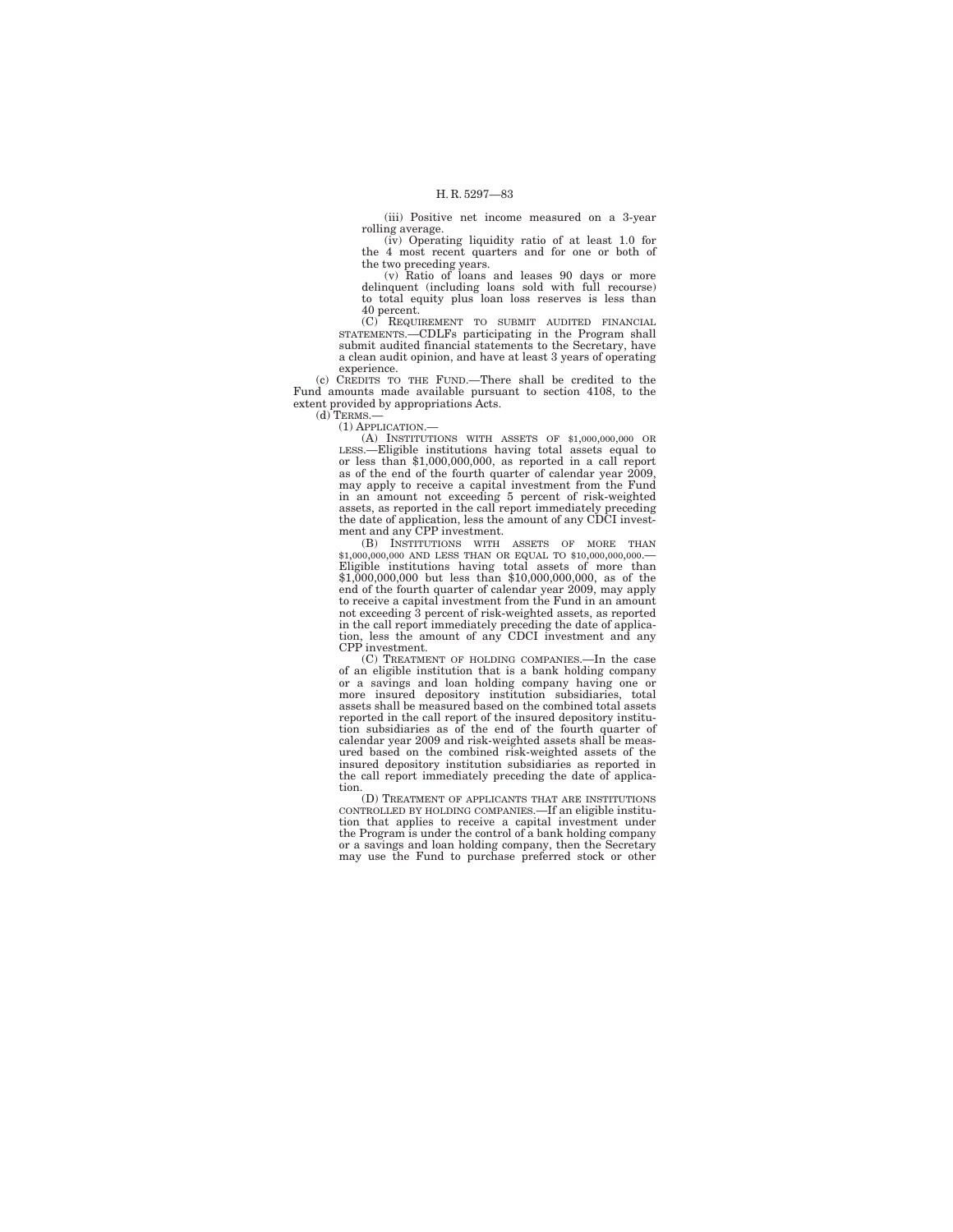(iii) Positive net income measured on a 3-year rolling average.

(iv) Operating liquidity ratio of at least 1.0 for the 4 most recent quarters and for one or both of

the two preceding years. (v) Ratio of loans and leases 90 days or more delinquent (including loans sold with full recourse) to total equity plus loan loss reserves is less than 40 percent.

(C) REQUIREMENT TO SUBMIT AUDITED FINANCIAL STATEMENTS.—CDLFs participating in the Program shall submit audited financial statements to the Secretary, have a clean audit opinion, and have at least 3 years of operating experience.

(c) CREDITS TO THE FUND.—There shall be credited to the Fund amounts made available pursuant to section 4108, to the extent provided by appropriations Acts.  $(d)$ TERMS. $-$ 

(1) APPLICATION.—

(A) INSTITUTIONS WITH ASSETS OF \$1,000,000,000 OR LESS.—Eligible institutions having total assets equal to or less than \$1,000,000,000, as reported in a call report as of the end of the fourth quarter of calendar year 2009, may apply to receive a capital investment from the Fund in an amount not exceeding 5 percent of risk-weighted assets, as reported in the call report immediately preceding the date of application, less the amount of any CDCI investment and any CPP investment.

(B) INSTITUTIONS WITH ASSETS OF MORE THAN \$1,000,000,000 AND LESS THAN OR EQUAL TO \$10,000,000,000.— Eligible institutions having total assets of more than \$1,000,000,000 but less than \$10,000,000,000, as of the end of the fourth quarter of calendar year 2009, may apply to receive a capital investment from the Fund in an amount not exceeding 3 percent of risk-weighted assets, as reported in the call report immediately preceding the date of applica-tion, less the amount of any CDCI investment and any CPP investment.

(C) TREATMENT OF HOLDING COMPANIES.—In the case of an eligible institution that is a bank holding company or a savings and loan holding company having one or more insured depository institution subsidiaries, total assets shall be measured based on the combined total assets reported in the call report of the insured depository institution subsidiaries as of the end of the fourth quarter of calendar year 2009 and risk-weighted assets shall be measured based on the combined risk-weighted assets of the insured depository institution subsidiaries as reported in the call report immediately preceding the date of application.

(D) TREATMENT OF APPLICANTS THAT ARE INSTITUTIONS CONTROLLED BY HOLDING COMPANIES.—If an eligible institution that applies to receive a capital investment under the Program is under the control of a bank holding company or a savings and loan holding company, then the Secretary may use the Fund to purchase preferred stock or other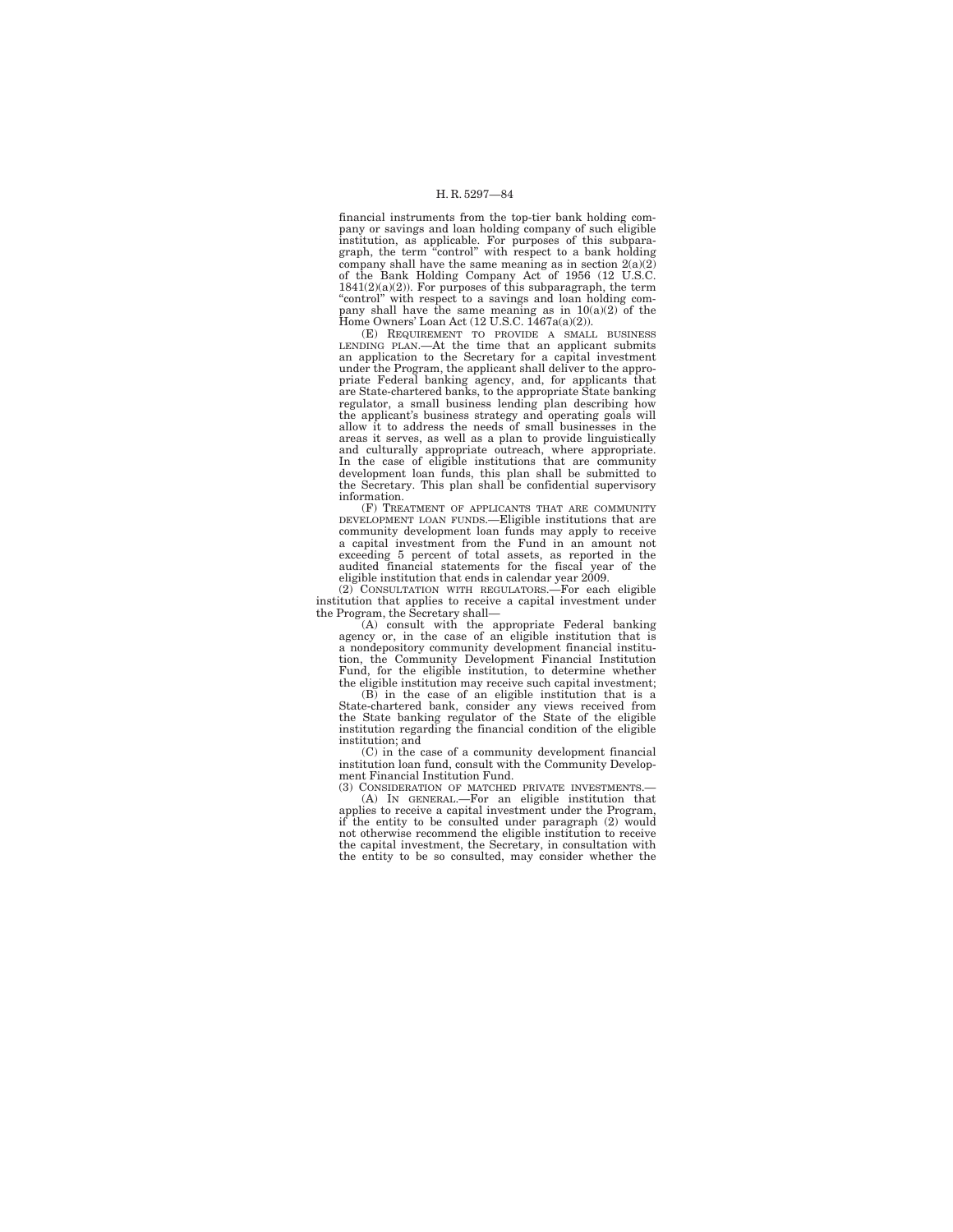financial instruments from the top-tier bank holding company or savings and loan holding company of such eligible institution, as applicable. For purposes of this subpara-graph, the term ''control'' with respect to a bank holding company shall have the same meaning as in section 2(a)(2) of the Bank Holding Company Act of 1956 (12 U.S.C.  $1841(2)(a)(2)$ ). For purposes of this subparagraph, the term "control" with respect to a savings and loan holding com-<br>pany shall have the same meaning as in  $10(a)(2)$  of the Home Owners' Loan Act (12 U.S.C. 1467a(a)(2)).

(E) REQUIREMENT TO PROVIDE A SMALL BUSINESS LENDING PLAN.—At the time that an applicant submits an application to the Secretary for a capital investment under the Program, the applicant shall deliver to the appropriate Federal banking agency, and, for applicants that are State-chartered banks, to the appropriate State banking regulator, a small business lending plan describing how the applicant's business strategy and operating goals will allow it to address the needs of small businesses in the areas it serves, as well as a plan to provide linguistically and culturally appropriate outreach, where appropriate. In the case of eligible institutions that are community development loan funds, this plan shall be submitted to the Secretary. This plan shall be confidential supervisory information.

(F) TREATMENT OF APPLICANTS THAT ARE COMMUNITY DEVELOPMENT LOAN FUNDS.—Eligible institutions that are community development loan funds may apply to receive a capital investment from the Fund in an amount not exceeding 5 percent of total assets, as reported in the audited financial statements for the fiscal year of the eligible institution that ends in calendar year 2009.

(2) CONSULTATION WITH REGULATORS.—For each eligible institution that applies to receive a capital investment under the Program, the Secretary shall—

(A) consult with the appropriate Federal banking agency or, in the case of an eligible institution that is a nondepository community development financial institution, the Community Development Financial Institution Fund, for the eligible institution, to determine whether the eligible institution may receive such capital investment;

(B) in the case of an eligible institution that is a State-chartered bank, consider any views received from the State banking regulator of the State of the eligible institution regarding the financial condition of the eligible institution; and

(C) in the case of a community development financial institution loan fund, consult with the Community Development Financial Institution Fund.

(3) CONSIDERATION OF MATCHED PRIVATE INVESTMENTS. (A) IN GENERAL.—For an eligible institution that applies to receive a capital investment under the Program, if the entity to be consulted under paragraph (2) would not otherwise recommend the eligible institution to receive the capital investment, the Secretary, in consultation with the entity to be so consulted, may consider whether the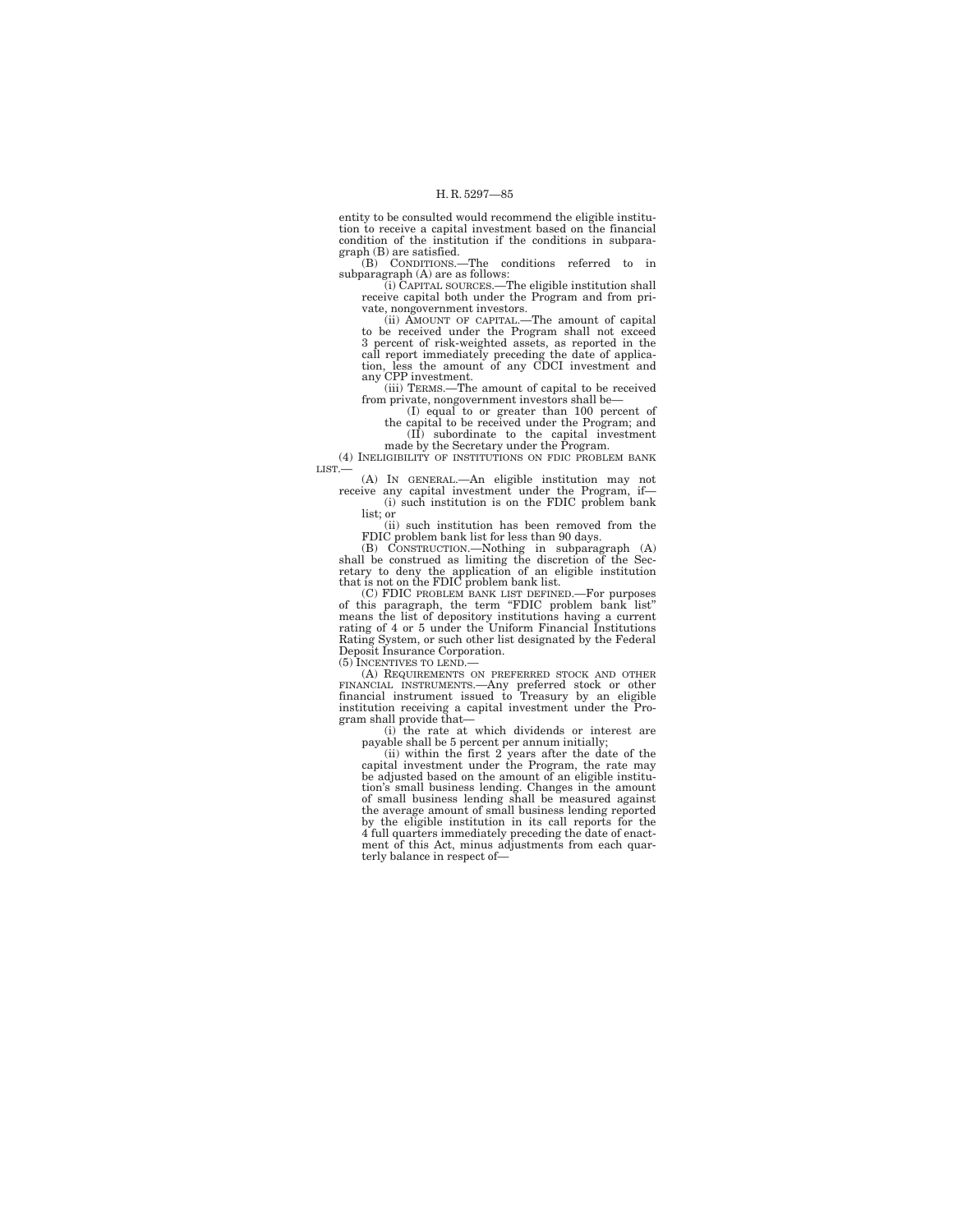entity to be consulted would recommend the eligible institution to receive a capital investment based on the financial condition of the institution if the conditions in subparagraph (B) are satisfied.

(B) CONDITIONS.—The conditions referred to in

subparagraph (A) are as follows: (i) CAPITAL SOURCES.—The eligible institution shall receive capital both under the Program and from pri-

vate, nongovernment investors. (ii) AMOUNT OF CAPITAL.—The amount of capital to be received under the Program shall not exceed 3 percent of risk-weighted assets, as reported in the call report immediately preceding the date of applica-tion, less the amount of any CDCI investment and any CPP investment.

(iii) TERMS.—The amount of capital to be received

from private, nongovernment investors shall be—<br>
(I) equal to or greater than 100 percent of<br>
the capital to be received under the Program; and<br>
(II) subordinate to the capital investment<br>
made by the Secretary under the P

LIST.—

(A) IN GENERAL.—An eligible institution may not receive any capital investment under the Program, if— (i) such institution is on the FDIC problem bank

list; or (ii) such institution has been removed from the

FDIC problem bank list for less than 90 days.<br>
(B) Construction.—Nothing in subparagraph (A)<br>
shall be construed as limiting the discretion of the Sec-<br>
retary to deny the application of an eligible institution<br>
that is n

means the list of depository institutions having a current rating of 4 or 5 under the Uniform Financial Institutions Rating System, or such other list designated by the Federal Deposit Insurance Corporation.

(5) INCENTIVES TO LEND.—

(A) REQUIREMENTS ON PREFERRED STOCK AND OTHER FINANCIAL INSTRUMENTS.—Any preferred stock or other financial instrument issued to Treasury by an eligible institution receiving a capital investment under the Pro-gram shall provide that—

(i) the rate at which dividends or interest are<br>payable shall be 5 percent per annum initially;<br>(ii) within the first 2 years after the date of the<br>capital investment under the Program, the rate may<br>be adjusted based on th tion's small business lending. Changes in the amount of small business lending shall be measured against the average amount of small business lending reported by the eligible institution in its call reports for the 4 full quarters immediately preceding the date of enactment of this Act, minus adjustments from each quarterly balance in respect of—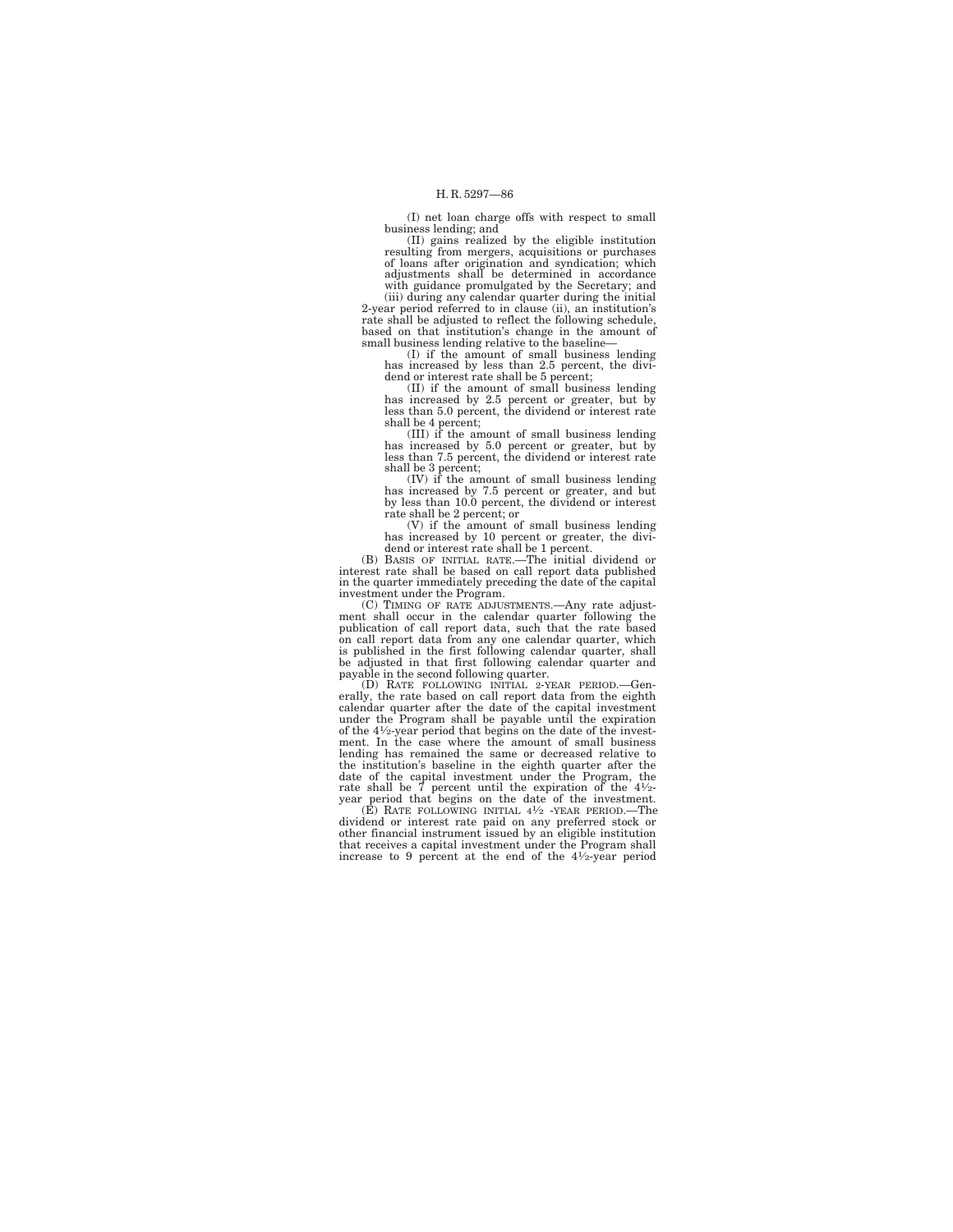(I) net loan charge offs with respect to small business lending; and

(II) gains realized by the eligible institution resulting from mergers, acquisitions or purchases of loans after origination and syndication; which adjustments shall be determined in accordance with guidance promulgated by the Secretary; and

(iii) during any calendar quarter during the initial 2-year period referred to in clause (ii), an institution's rate shall be adjusted to reflect the following schedule, based on that institution's change in the amount of small business lending relative to the baseline-

(I) if the amount of small business lending has increased by less than 2.5 percent, the dividend or interest rate shall be 5 percent;

(II) if the amount of small business lending has increased by 2.5 percent or greater, but by less than 5.0 percent, the dividend or interest rate shall be 4 percent; (III) if the amount of small business lending

has increased by 5.0 percent or greater, but by less than 7.5 percent, the dividend or interest rate shall be 3 percent;

(IV) if the amount of small business lending has increased by 7.5 percent or greater, and but by less than 10.0 percent, the dividend or interest rate shall be 2 percent; or

(V) if the amount of small business lending has increased by 10 percent or greater, the divi-dend or interest rate shall be 1 percent.

(B) BASIS OF INITIAL RATE.—The initial dividend or interest rate shall be based on call report data published in the quarter immediately preceding the date of the capital investment under the Program.

(C) TIMING OF RATE ADJUSTMENTS.—Any rate adjustment shall occur in the calendar quarter following the publication of call report data, such that the rate based on call report data from any one calendar quarter, which is published in the first following calendar quarter, shall be adjusted in that first following calendar quarter and payable in the second following quarter.

(D) RATE FOLLOWING INITIAL 2-YEAR PERIOD.—Gen-erally, the rate based on call report data from the eighth calendar quarter after the date of the capital investment under the Program shall be payable until the expiration of the 41⁄2-year period that begins on the date of the investment. In the case where the amount of small business lending has remained the same or decreased relative to the institution's baseline in the eighth quarter after the date of the capital investment under the Program, the rate shall be  $\vec{7}$  percent until the expiration of the 41⁄2-<br>year period that begins on the date of the investment.<br>(E) RATE FOLLOWING INITIAL 4<sup>1</sup>⁄2 -YEAR PERIOD.—The

dividend or interest rate paid on any preferred stock or other financial instrument issued by an eligible institution that receives a capital investment under the Program shall increase to 9 percent at the end of the 41⁄2-year period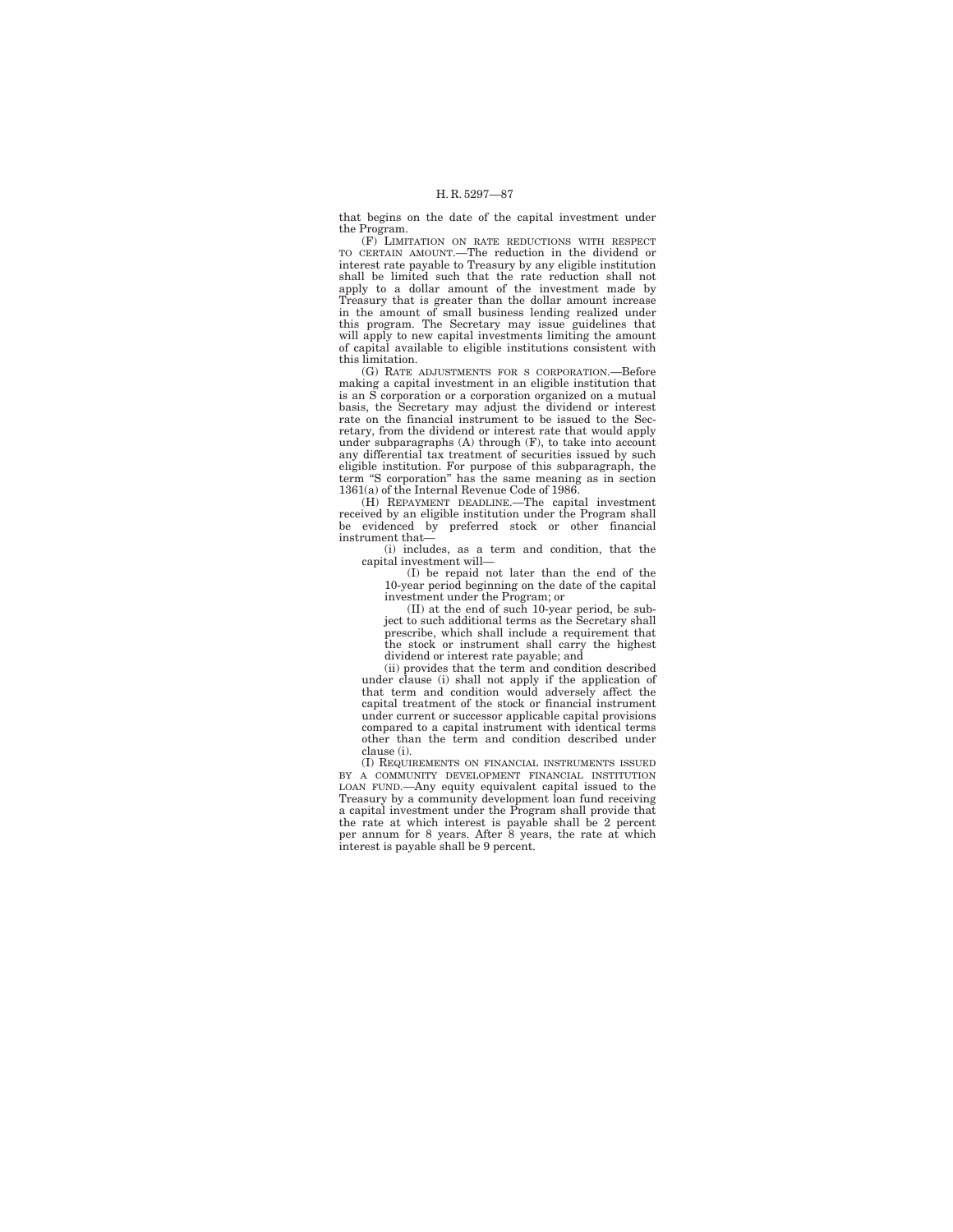that begins on the date of the capital investment under the Program.

(F) LIMITATION ON RATE REDUCTIONS WITH RESPECT TO CERTAIN AMOUNT.—The reduction in the dividend or interest rate payable to Treasury by any eligible institution shall be limited such that the rate reduction shall not apply to a dollar amount of the investment made by Treasury that is greater than the dollar amount increase in the amount of small business lending realized under this program. The Secretary may issue guidelines that will apply to new capital investments limiting the amount of capital available to eligible institutions consistent with this limitation.

(G) RATE ADJUSTMENTS FOR S CORPORATION.—Before making a capital investment in an eligible institution that is an S corporation or a corporation organized on a mutual basis, the Secretary may adjust the dividend or interest rate on the financial instrument to be issued to the Secretary, from the dividend or interest rate that would apply under subparagraphs  $(A)$  through  $(F)$ , to take into account any differential tax treatment of securities issued by such eligible institution. For purpose of this subparagraph, the term ''S corporation'' has the same meaning as in section 1361(a) of the Internal Revenue Code of 1986.

(H) REPAYMENT DEADLINE.—The capital investment received by an eligible institution under the Program shall be evidenced by preferred stock or other financial instrument that—

(i) includes, as a term and condition, that the capital investment will—

(I) be repaid not later than the end of the 10-year period beginning on the date of the capital investment under the Program; or

(II) at the end of such 10-year period, be subject to such additional terms as the Secretary shall prescribe, which shall include a requirement that the stock or instrument shall carry the highest dividend or interest rate payable; and

(ii) provides that the term and condition described under clause (i) shall not apply if the application of that term and condition would adversely affect the capital treatment of the stock or financial instrument under current or successor applicable capital provisions compared to a capital instrument with identical terms other than the term and condition described under clause (i).

(I) REQUIREMENTS ON FINANCIAL INSTRUMENTS ISSUED BY A COMMUNITY DEVELOPMENT FINANCIAL INSTITUTION LOAN FUND.—Any equity equivalent capital issued to the Treasury by a community development loan fund receiving a capital investment under the Program shall provide that the rate at which interest is payable shall be 2 percent per annum for 8 years. After 8 years, the rate at which interest is payable shall be 9 percent.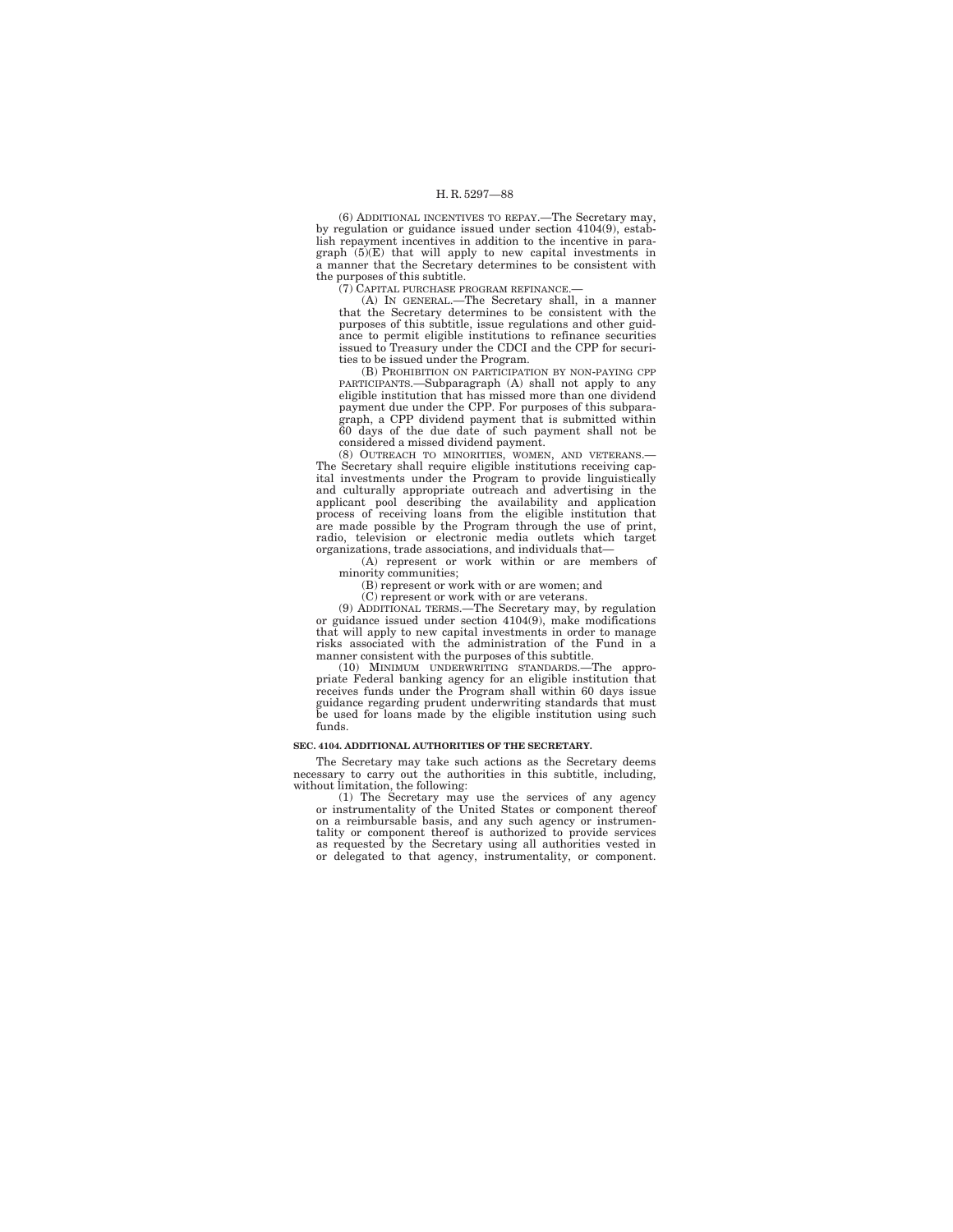(6) ADDITIONAL INCENTIVES TO REPAY.—The Secretary may, by regulation or guidance issued under section 4104(9), establish repayment incentives in addition to the incentive in paragraph (5)(E) that will apply to new capital investments in a manner that the Secretary determines to be consistent with the purposes of this subtitle.

(7) CAPITAL PURCHASE PROGRAM REFINANCE.—

(A) IN GENERAL.—The Secretary shall, in a manner that the Secretary determines to be consistent with the purposes of this subtitle, issue regulations and other guidance to permit eligible institutions to refinance securities issued to Treasury under the CDCI and the CPP for securities to be issued under the Program.

(B) PROHIBITION ON PARTICIPATION BY NON-PAYING CPP PARTICIPANTS.—Subparagraph (A) shall not apply to any eligible institution that has missed more than one dividend payment due under the CPP. For purposes of this subparagraph, a CPP dividend payment that is submitted within 60 days of the due date of such payment shall not be considered a missed dividend payment.

(8) OUTREACH TO MINORITIES, WOMEN, AND VETERANS.— The Secretary shall require eligible institutions receiving capital investments under the Program to provide linguistically and culturally appropriate outreach and advertising in the applicant pool describing the availability and application process of receiving loans from the eligible institution that are made possible by the Program through the use of print, radio, television or electronic media outlets which target organizations, trade associations, and individuals that—

(A) represent or work within or are members of minority communities;

(B) represent or work with or are women; and

(C) represent or work with or are veterans.

(9) ADDITIONAL TERMS.—The Secretary may, by regulation or guidance issued under section 4104(9), make modifications that will apply to new capital investments in order to manage risks associated with the administration of the Fund in a manner consistent with the purposes of this subtitle.

(10) MINIMUM UNDERWRITING STANDARDS.—The appropriate Federal banking agency for an eligible institution that receives funds under the Program shall within 60 days issue guidance regarding prudent underwriting standards that must be used for loans made by the eligible institution using such funds.

## **SEC. 4104. ADDITIONAL AUTHORITIES OF THE SECRETARY.**

The Secretary may take such actions as the Secretary deems necessary to carry out the authorities in this subtitle, including, without limitation, the following:

(1) The Secretary may use the services of any agency or instrumentality of the United States or component thereof on a reimbursable basis, and any such agency or instrumentality or component thereof is authorized to provide services as requested by the Secretary using all authorities vested in or delegated to that agency, instrumentality, or component.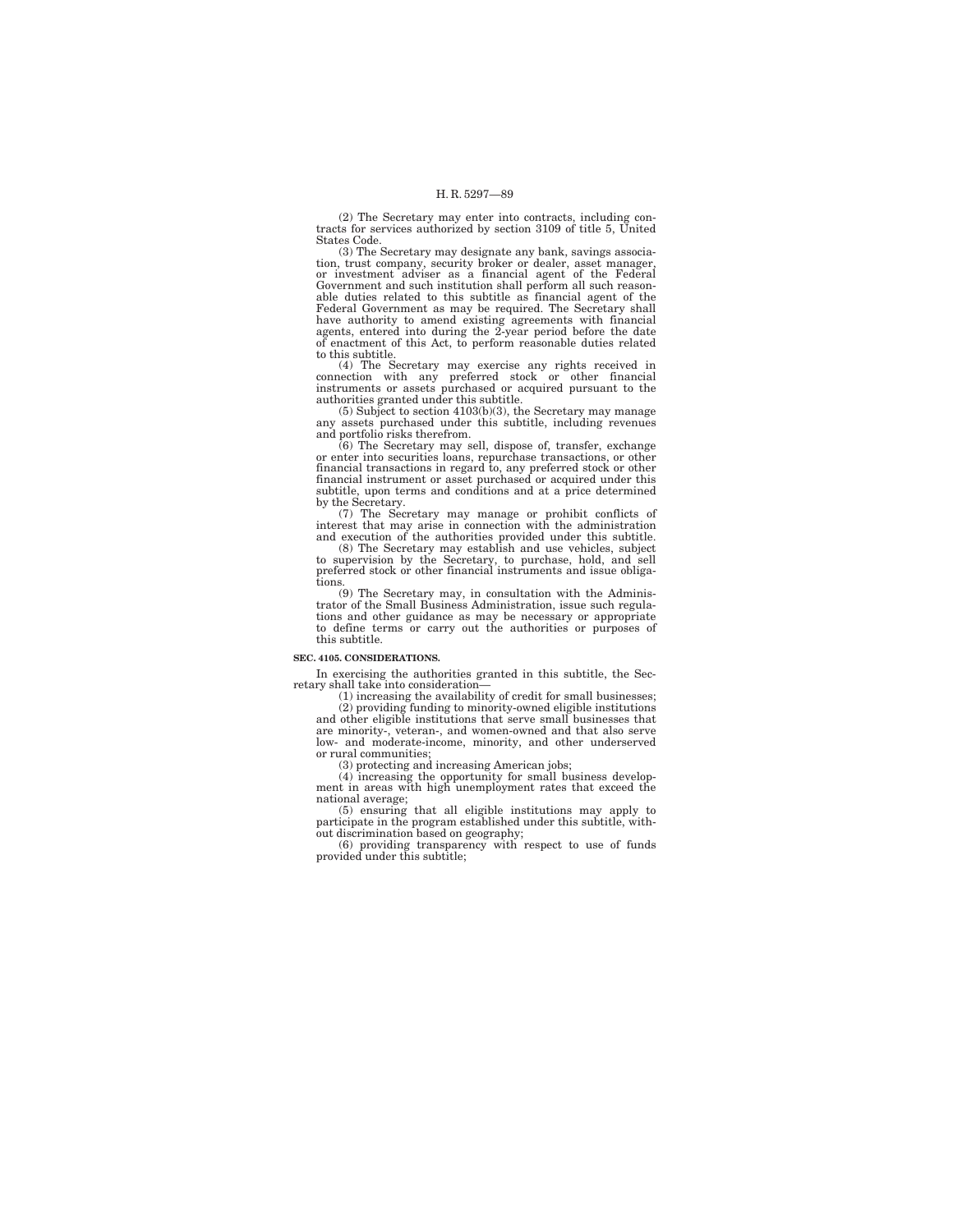(2) The Secretary may enter into contracts, including con-tracts for services authorized by section 3109 of title 5, United States Code.

(3) The Secretary may designate any bank, savings association, trust company, security broker or dealer, asset manager, or investment adviser as a financial agent of the Federal Government and such institution shall perform all such reasonable duties related to this subtitle as financial agent of the Federal Government as may be required. The Secretary shall have authority to amend existing agreements with financial agents, entered into during the 2-year period before the date of enactment of this Act, to perform reasonable duties related to this subtitle.

(4) The Secretary may exercise any rights received in connection with any preferred stock or other financial instruments or assets purchased or acquired pursuant to the authorities granted under this subtitle.

(5) Subject to section 4103(b)(3), the Secretary may manage any assets purchased under this subtitle, including revenues and portfolio risks therefrom.

(6) The Secretary may sell, dispose of, transfer, exchange or enter into securities loans, repurchase transactions, or other financial transactions in regard to, any preferred stock or other financial instrument or asset purchased or acquired under this subtitle, upon terms and conditions and at a price determined by the Secretary.

(7) The Secretary may manage or prohibit conflicts of interest that may arise in connection with the administration and execution of the authorities provided under this subtitle.

(8) The Secretary may establish and use vehicles, subject to supervision by the Secretary, to purchase, hold, and sell preferred stock or other financial instruments and issue obliga-

tions. (9) The Secretary may, in consultation with the Adminis-trator of the Small Business Administration, issue such regulations and other guidance as may be necessary or appropriate to define terms or carry out the authorities or purposes of this subtitle.

# **SEC. 4105. CONSIDERATIONS.**

In exercising the authorities granted in this subtitle, the Secretary shall take into consideration—

(1) increasing the availability of credit for small businesses; (2) providing funding to minority-owned eligible institutions and other eligible institutions that serve small businesses that are minority-, veteran-, and women-owned and that also serve low- and moderate-income, minority, and other underserved

or rural communities; (3) protecting and increasing American jobs;

(4) increasing the opportunity for small business development in areas with high unemployment rates that exceed the national average;

(5) ensuring that all eligible institutions may apply to participate in the program established under this subtitle, with-

out discrimination based on geography; (6) providing transparency with respect to use of funds provided under this subtitle;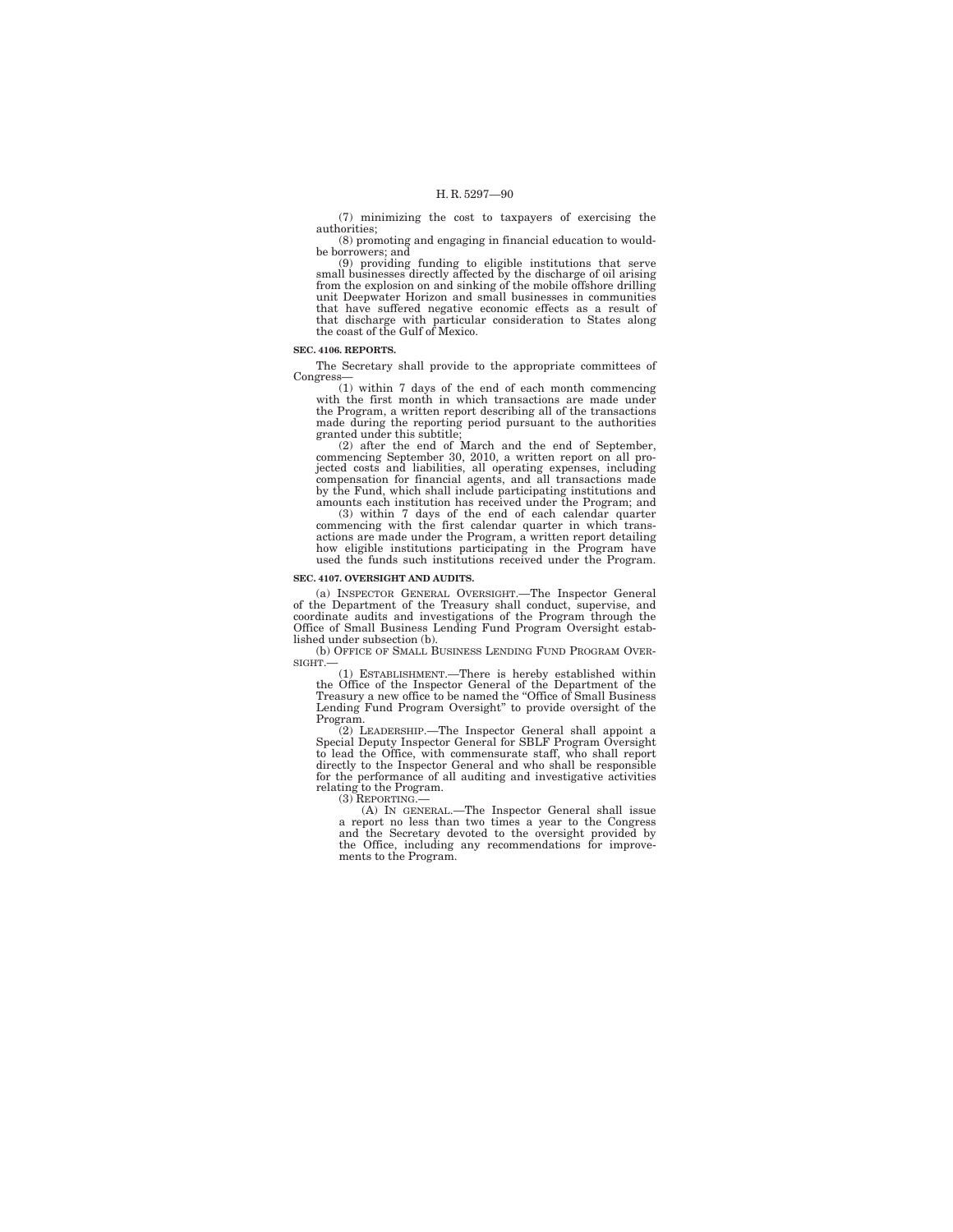(7) minimizing the cost to taxpayers of exercising the authorities;

(8) promoting and engaging in financial education to wouldbe borrowers; and (9) providing funding to eligible institutions that serve

small businesses directly affected by the discharge of oil arising from the explosion on and sinking of the mobile offshore drilling unit Deepwater Horizon and small businesses in communities that have suffered negative economic effects as a result of that discharge with particular consideration to States along the coast of the Gulf of Mexico.

## **SEC. 4106. REPORTS.**

The Secretary shall provide to the appropriate committees of Congress—

(1) within 7 days of the end of each month commencing with the first month in which transactions are made under the Program, a written report describing all of the transactions made during the reporting period pursuant to the authorities granted under this subtitle;

(2) after the end of March and the end of September, commencing September 30, 2010, a written report on all projected costs and liabilities, all operating expenses, including compensation for financial agents, and all transactions made by the Fund, which shall include participating institutions and amounts each institution has received under the Program; and

(3) within 7 days of the end of each calendar quarter commencing with the first calendar quarter in which transactions are made under the Program, a written report detailing how eligible institutions participating in the Program have used the funds such institutions received under the Program.

### **SEC. 4107. OVERSIGHT AND AUDITS.**

(a) INSPECTOR GENERAL OVERSIGHT.—The Inspector General of the Department of the Treasury shall conduct, supervise, and coordinate audits and investigations of the Program through the Office of Small Business Lending Fund Program Oversight established under subsection (b).

(b) OFFICE OF SMALL BUSINESS LENDING FUND PROGRAM OVER-SIGHT.—

(1) ESTABLISHMENT.—There is hereby established within the Office of the Inspector General of the Department of the Treasury a new office to be named the ''Office of Small Business Lending Fund Program Oversight'' to provide oversight of the Program.

(2) LEADERSHIP.—The Inspector General shall appoint a Special Deputy Inspector General for SBLF Program Oversight to lead the Office, with commensurate staff, who shall report directly to the Inspector General and who shall be responsible for the performance of all auditing and investigative activities relating to the Program. (3) REPORTING.—

(A) IN GENERAL.—The Inspector General shall issue a report no less than two times a year to the Congress and the Secretary devoted to the oversight provided by the Office, including any recommendations for improvements to the Program.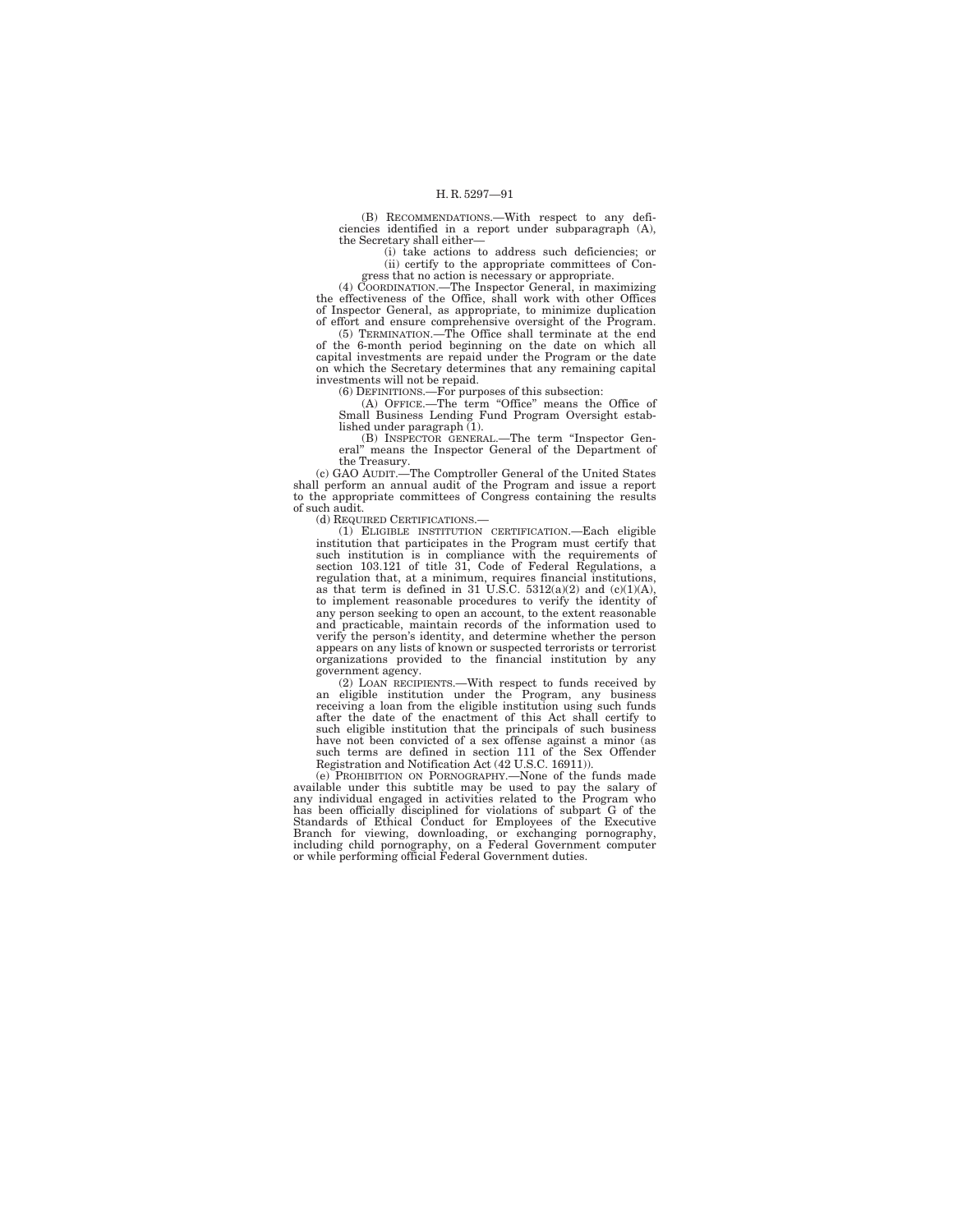(B) RECOMMENDATIONS.—With respect to any deficiencies identified in a report under subparagraph (A), the Secretary shall either—

(i) take actions to address such deficiencies; or (ii) certify to the appropriate committees of Congress that no action is necessary or appropriate.

(4) COORDINATION.—The Inspector General, in maximizing the effectiveness of the Office, shall work with other Offices of Inspector General, as appropriate, to minimize duplication of effort and ensure comprehensive oversight of the Program.

(5) TERMINATION.—The Office shall terminate at the end of the 6-month period beginning on the date on which all capital investments are repaid under the Program or the date on which the Secretary determines that any remaining capital

investments will not be repaid.<br>
(6) DEFINITIONS.—For purposes of this subsection:<br>
(A) OFFICE.—The term "Office" means the Office of<br>
Small Business Lending Fund Program Oversight established under paragraph (1).

(B) INSPECTOR GENERAL.—The term ''Inspector Gen-eral'' means the Inspector General of the Department of

the Treasury. (c) GAO AUDIT.—The Comptroller General of the United States shall perform an annual audit of the Program and issue a report to the appropriate committees of Congress containing the results of such audit.

(d) REQUIRED CERTIFICATIONS.—

(1) ELIGIBLE INSTITUTION CERTIFICATION.—Each eligible institution that participates in the Program must certify that such institution is in compliance with the requirements of section 103.121 of title 31, Code of Federal Regulations, a regulation that, at a minimum, requires financial institutions, as that term is defined in 31 U.S.C.  $5312(a)(2)$  and  $(c)(1)(A)$ , to implement reasonable procedures to verify the identity of any person seeking to open an account, to the extent reasonable and practicable, maintain records of the information used to verify the person's identity, and determine whether the person appears on any lists of known or suspected terrorists or terrorist organizations provided to the financial institution by any government agency.

(2) LOAN RECIPIENTS.—With respect to funds received by an eligible institution under the Program, any business receiving a loan from the eligible institution using such funds after the date of the enactment of this Act shall certify to such eligible institution that the principals of such business have not been convicted of a sex offense against a minor (as such terms are defined in section 111 of the Sex Offender Registration and Notification Act (42 U.S.C. 16911)).

(e) PROHIBITION ON PORNOGRAPHY.—None of the funds made available under this subtitle may be used to pay the salary of any individual engaged in activities related to the Program who has been officially disciplined for violations of subpart G of the Standards of Ethical Conduct for Employees of the Executive<br>Branch for viewing, downloading, or exchanging pornography,<br>including child pornography, on a Federal Government computer<br>or while performing official Federal Gov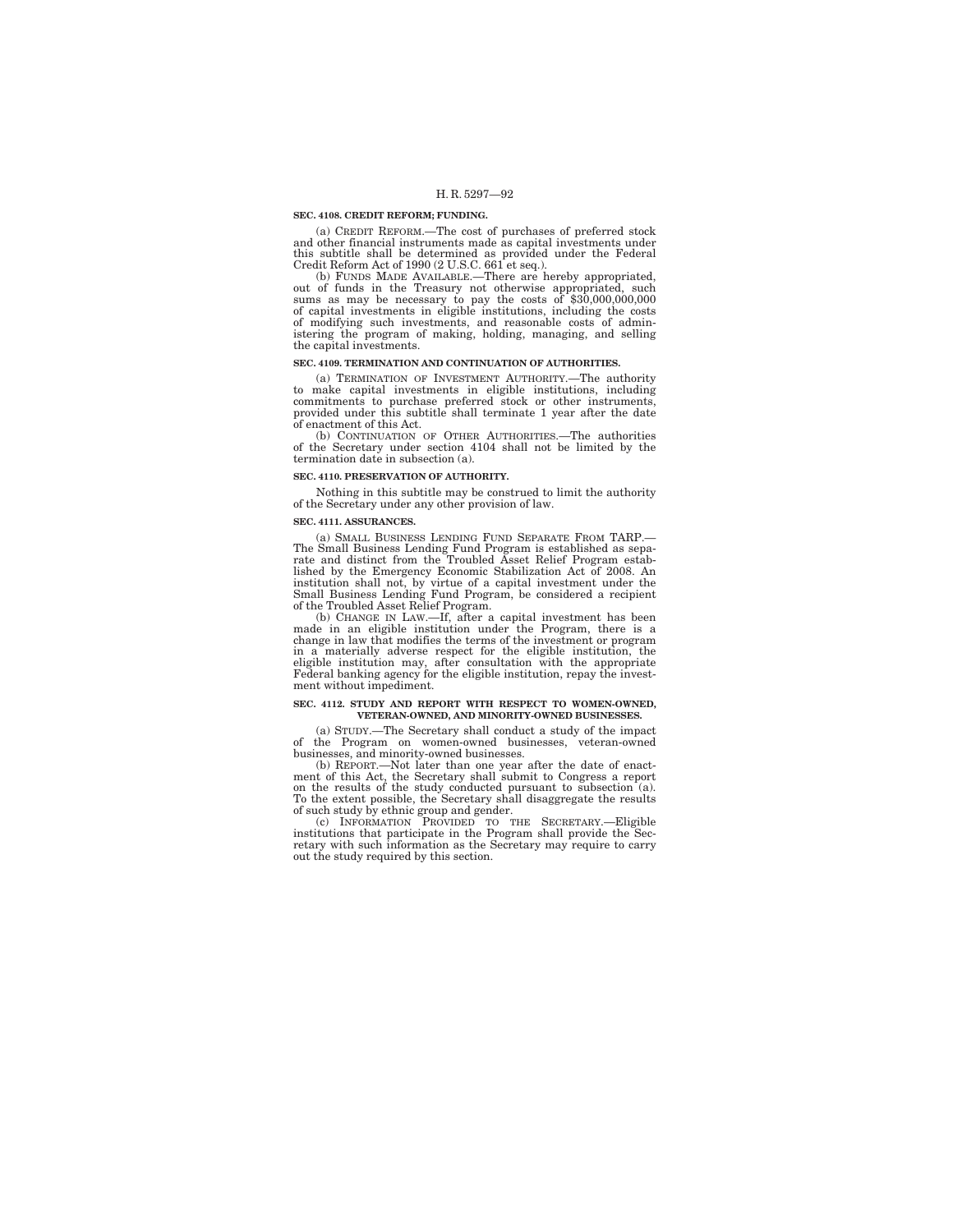#### **SEC. 4108. CREDIT REFORM; FUNDING.**

(a) CREDIT REFORM.—The cost of purchases of preferred stock and other financial instruments made as capital investments under this subtitle shall be determined as provided under the Federal

Credit Reform Act of 1990 (2 U.S.C. 661 et seq.).<br>
(b) FUNDS MADE AVAILABLE.—There are hereby appropriated,<br>
out of funds in the Treasury not otherwise appropriated, such<br>
sums as may be necessary to pay the costs of \$30,0 of capital investments in eligible institutions, including the costs of modifying such investments, and reasonable costs of admin-istering the program of making, holding, managing, and selling the capital investments.

### **SEC. 4109. TERMINATION AND CONTINUATION OF AUTHORITIES.**

(a) TERMINATION OF INVESTMENT AUTHORITY.—The authority to make capital investments in eligible institutions, including commitments to purchase preferred stock or other instruments, provided under this subtitle shall terminate 1 year after the date of enactment of this Act.

(b) CONTINUATION OF OTHER AUTHORITIES.—The authorities of the Secretary under section 4104 shall not be limited by the termination date in subsection (a).

## **SEC. 4110. PRESERVATION OF AUTHORITY.**

Nothing in this subtitle may be construed to limit the authority of the Secretary under any other provision of law.

#### **SEC. 4111. ASSURANCES.**

(a) SMALL BUSINESS LENDING FUND SEPARATE FROM TARP.— The Small Business Lending Fund Program is established as separate and distinct from the Troubled Asset Relief Program estab-lished by the Emergency Economic Stabilization Act of 2008. An institution shall not, by virtue of a capital investment under the Small Business Lending Fund Program, be considered a recipient

of the Troubled Asset Relief Program. (b) CHANGE IN LAW.—If, after a capital investment has been made in an eligible institution under the Program, there is a change in law that modifies the terms of the investment or program in a materially adverse respect for the eligible institution, the eligible institution may, after consultation with the appropriate Federal banking agency for the eligible institution, repay the investment without impediment.

### **SEC. 4112. STUDY AND REPORT WITH RESPECT TO WOMEN-OWNED, VETERAN-OWNED, AND MINORITY-OWNED BUSINESSES.**

(a) STUDY.—The Secretary shall conduct a study of the impact of the Program on women-owned businesses, veteran-owned businesses, and minority-owned businesses.

(b) REPORT.—Not later than one year after the date of enact-ment of this Act, the Secretary shall submit to Congress a report on the results of the study conducted pursuant to subsection (a). To the extent possible, the Secretary shall disaggregate the results

of such study by ethnic group and gender.<br>
(c) INFORMATION PROVIDED TO THE SECRETARY.—Eligible<br>
institutions that participate in the Program shall provide the Sec-<br>
retary with such information as the Secretary may require out the study required by this section.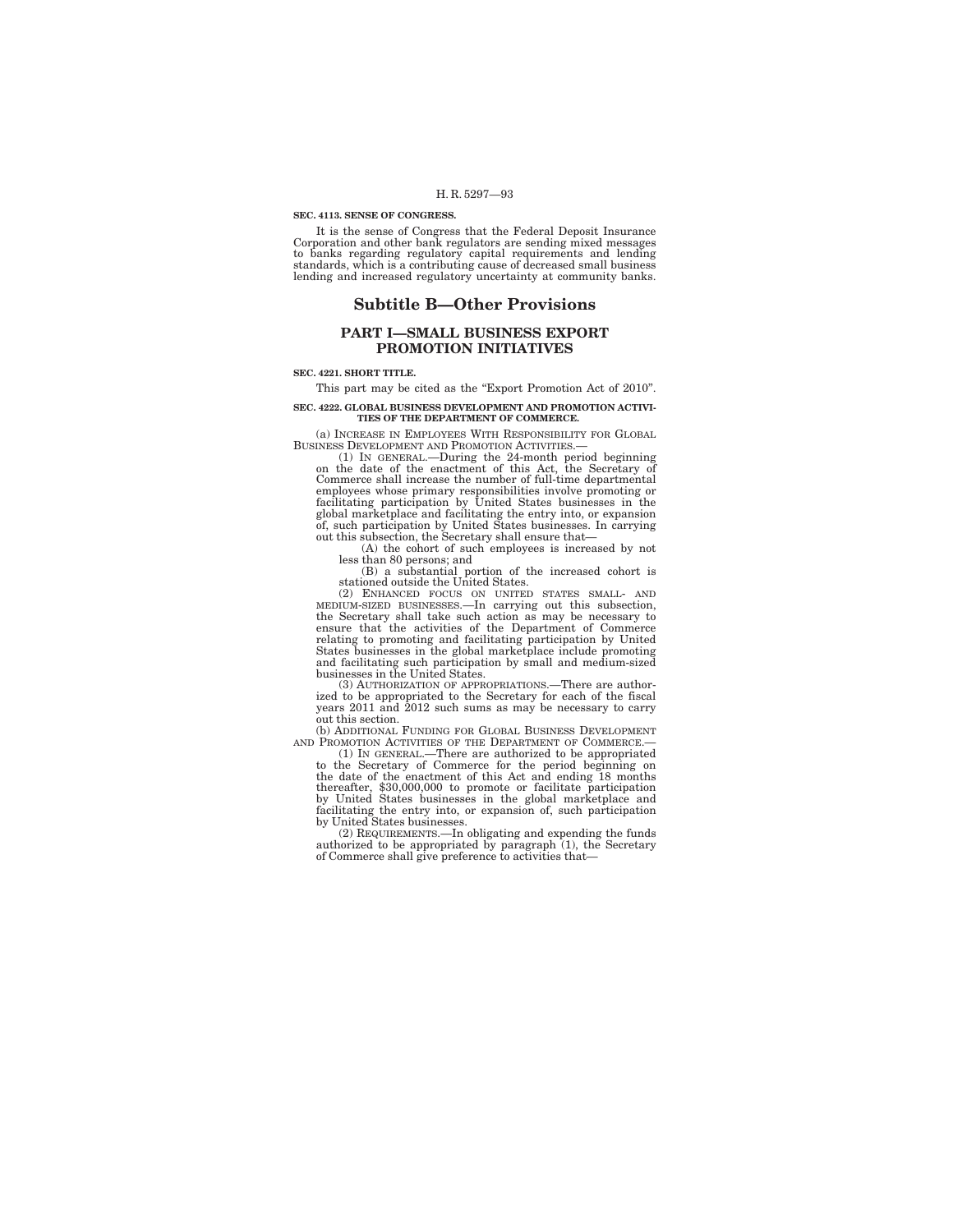#### **SEC. 4113. SENSE OF CONGRESS.**

It is the sense of Congress that the Federal Deposit Insurance Corporation and other bank regulators are sending mixed messages to banks regarding regulatory capital requirements and lending standards, which is a contributing cause of decreased small business lending and increased regulatory uncertainty at community banks.

# **Subtitle B—Other Provisions**

# **PART I—SMALL BUSINESS EXPORT PROMOTION INITIATIVES**

### **SEC. 4221. SHORT TITLE.**

This part may be cited as the "Export Promotion Act of 2010".

## **SEC. 4222. GLOBAL BUSINESS DEVELOPMENT AND PROMOTION ACTIVI-TIES OF THE DEPARTMENT OF COMMERCE.**

(a) INCREASE IN EMPLOYEES WITH RESPONSIBILITY FOR GLOBAL

BUSINESS DEVELOPMENT AND PROMOTION ACTIVITIES.— (1) IN GENERAL.—During the 24-month period beginning on the date of the enactment of this Act, the Secretary of Commerce shall increase the number of full-time departmental employees whose primary responsibilities involve promoting or facilitating participation by United States businesses in the global marketplace and facilitating the entry into, or expansion of, such participation by United States businesses. In carrying out this subsection, the Secretary shall ensure that—

(A) the cohort of such employees is increased by not

less than 80 persons; and (B) a substantial portion of the increased cohort is

stationed outside the United States.<br>
(2) ENHANCED FOCUS ON UNITED STATES SMALL- AND<br>
MEDIUM-SIZED BUSINESSES.—In carrying out this subsection,<br>
the Secretary shall take such action as may be necessary to<br>
ensure that the States businesses in the global marketplace include promoting and facilitating such participation by small and medium-sized businesses in the United States.

(3) AUTHORIZATION OF APPROPRIATIONS.—There are authorized to be appropriated to the Secretary for each of the fiscal years 2011 and 2012 such sums as may be necessary to carry out this section. (b) ADDITIONAL FUNDING FOR GLOBAL BUSINESS DEVELOPMENT

AND PROMOTION ACTIVITIES OF THE DEPARTMENT OF COMMERCE.— (1) IN GENERAL.—There are authorized to be appropriated

to the Secretary of Commerce for the period beginning on the date of the enactment of this Act and ending 18 months thereafter, \$30,000,000 to promote or facilitate participation by United States businesses in the global marketplace and facilitating the entry into, or expansion of, such participation by United States businesses.

(2) REQUIREMENTS.—In obligating and expending the funds authorized to be appropriated by paragraph (1), the Secretary of Commerce shall give preference to activities that—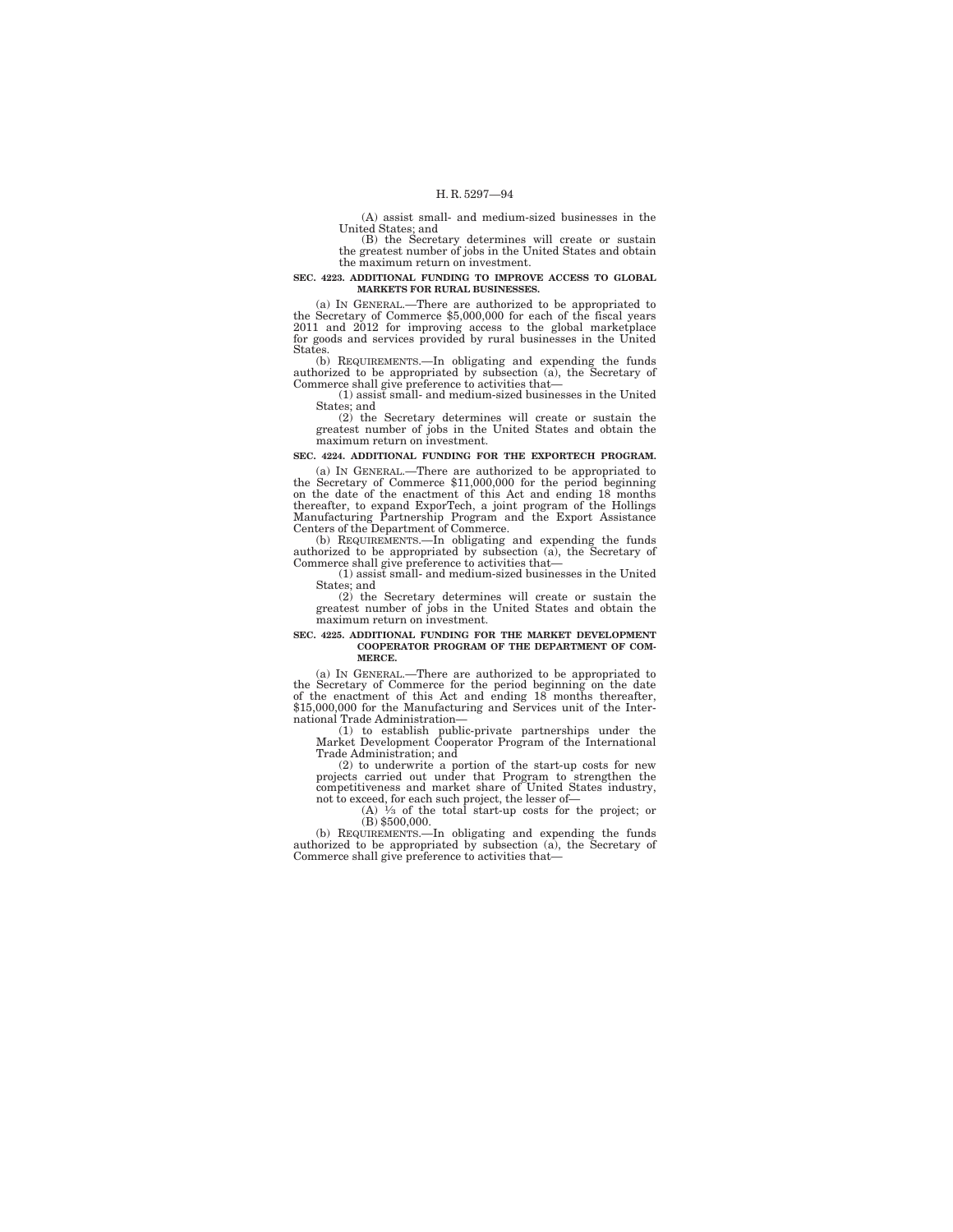(A) assist small- and medium-sized businesses in the United States; and

(B) the Secretary determines will create or sustain the greatest number of jobs in the United States and obtain the maximum return on investment.

#### **SEC. 4223. ADDITIONAL FUNDING TO IMPROVE ACCESS TO GLOBAL MARKETS FOR RURAL BUSINESSES.**

(a) IN GENERAL.—There are authorized to be appropriated to the Secretary of Commerce \$5,000,000 for each of the fiscal years 2011 and 2012 for improving access to the global marketplace for goods and services provided by rural businesses in the United States.

(b) REQUIREMENTS.—In obligating and expending the funds authorized to be appropriated by subsection (a), the Secretary of Commerce shall give preference to activities that—

(1) assist small- and medium-sized businesses in the United States; and

(2) the Secretary determines will create or sustain the greatest number of jobs in the United States and obtain the maximum return on investment.

**SEC. 4224. ADDITIONAL FUNDING FOR THE EXPORTECH PROGRAM.** 

(a) IN GENERAL.—There are authorized to be appropriated to the Secretary of Commerce  $$11,000,000$  for the period beginning on the date of the enactment of this Act and ending 18 months thereafter, to expand ExporTech, a Manufacturing Partnership Program and the Export Assistance Centers of the Department of Commerce.

(b) REQUIREMENTS.—In obligating and expending the funds authorized to be appropriated by subsection (a), the Secretary of Commerce shall give preference to activities that—

(1) assist small- and medium-sized businesses in the United States; and

(2) the Secretary determines will create or sustain the greatest number of jobs in the United States and obtain the maximum return on investment.

# **SEC. 4225. ADDITIONAL FUNDING FOR THE MARKET DEVELOPMENT COOPERATOR PROGRAM OF THE DEPARTMENT OF COM-MERCE.**

(a) IN GENERAL.—There are authorized to be appropriated to the Secretary of Commerce for the period beginning on the date of the enactment of this Act and ending 18 months thereafter, \$15,000,000 for the Manufacturing and Services unit of the International Trade Administration—

(1) to establish public-private partnerships under the Market Development Cooperator Program of the International Trade Administration; and

(2) to underwrite a portion of the start-up costs for new projects carried out under that Program to strengthen the competitiveness and market share of United States industry, not to exceed, for each such project, the lesser of—<br>(A)  $\frac{1}{3}$  of the total start-up costs for the project; or

(B) \$500,000.

(b) REQUIREMENTS.—In obligating and expending the funds authorized to be appropriated by subsection (a), the Secretary of Commerce shall give preference to activities that—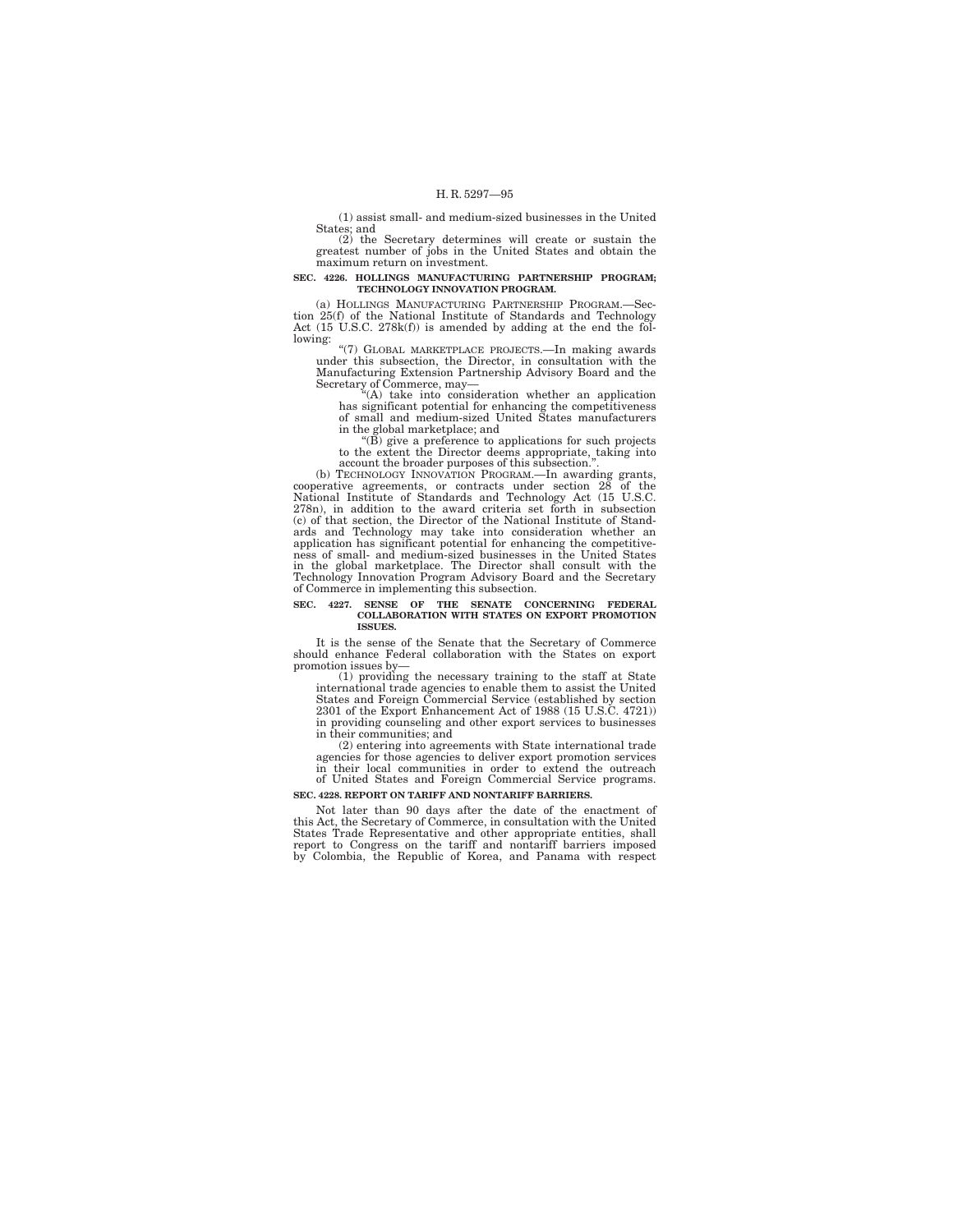(1) assist small- and medium-sized businesses in the United States; and

(2) the Secretary determines will create or sustain the greatest number of jobs in the United States and obtain the maximum return on investment.

#### **SEC. 4226. HOLLINGS MANUFACTURING PARTNERSHIP PROGRAM; TECHNOLOGY INNOVATION PROGRAM.**

(a) HOLLINGS MANUFACTURING PARTNERSHIP PROGRAM.—Section 25(f) of the National Institute of Standards and Technology Act (15 U.S.C. 278k(f)) is amended by adding at the end the following:

''(7) GLOBAL MARKETPLACE PROJECTS.—In making awards under this subsection, the Director, in consultation with the Manufacturing Extension Partnership Advisory Board and the Secretary of Commerce, may—<br>"(A) take into consideration whether an application"

has significant potential for enhancing the competitiveness of small and medium-sized United States manufacturers

in the global marketplace; and<br>
"(B) give a preference to applications for such projects<br>
to the extent the Director deems appropriate, taking into<br>
account the broader purposes of this subsection.".

(b) TECHNOLOGY INNOVATION PROGRAM.—In awarding grants, cooperative agreements, or contracts under section 28 of the National Institute of Standards and Technology Act (15 U.S.C. 278n), in addition to the award criteria set forth in subsection (c) of that section, the Director of the National Institute of Stand-<br>(c) of that section, the Director of the National Institute of Stand-<br>angle and Technol ness of small- and medium-sized businesses in the United States in the global marketplace. The Director shall consult with the Technology Innovation Program Advisory Board and the Secretary of Commerce in implementing this subsection.

#### **SEC. 4227. SENSE OF THE SENATE CONCERNING FEDERAL COLLABORATION WITH STATES ON EXPORT PROMOTION ISSUES.**

It is the sense of the Senate that the Secretary of Commerce should enhance Federal collaboration with the States on export promotion issues by—

(1) providing the necessary training to the staff at State international trade agencies to enable them to assist the United States and Foreign Commercial Service (established by section 2301 of the Export Enhancement Act of 1988 (15 U.S.C. 4721)) in providing counseling and other export services to businesses in their communities; and

(2) entering into agreements with State international trade agencies for those agencies to deliver export promotion services in their local communities in order to extend the outreach of United States and Foreign Commercial Service programs.

### **SEC. 4228. REPORT ON TARIFF AND NONTARIFF BARRIERS.**

Not later than 90 days after the date of the enactment of this Act, the Secretary of Commerce, in consultation with the United States Trade Representative and other appropriate entities, shall report to Congress on the tariff and nontariff barriers imposed by Colombia, the Republic of Korea, and Panama with respect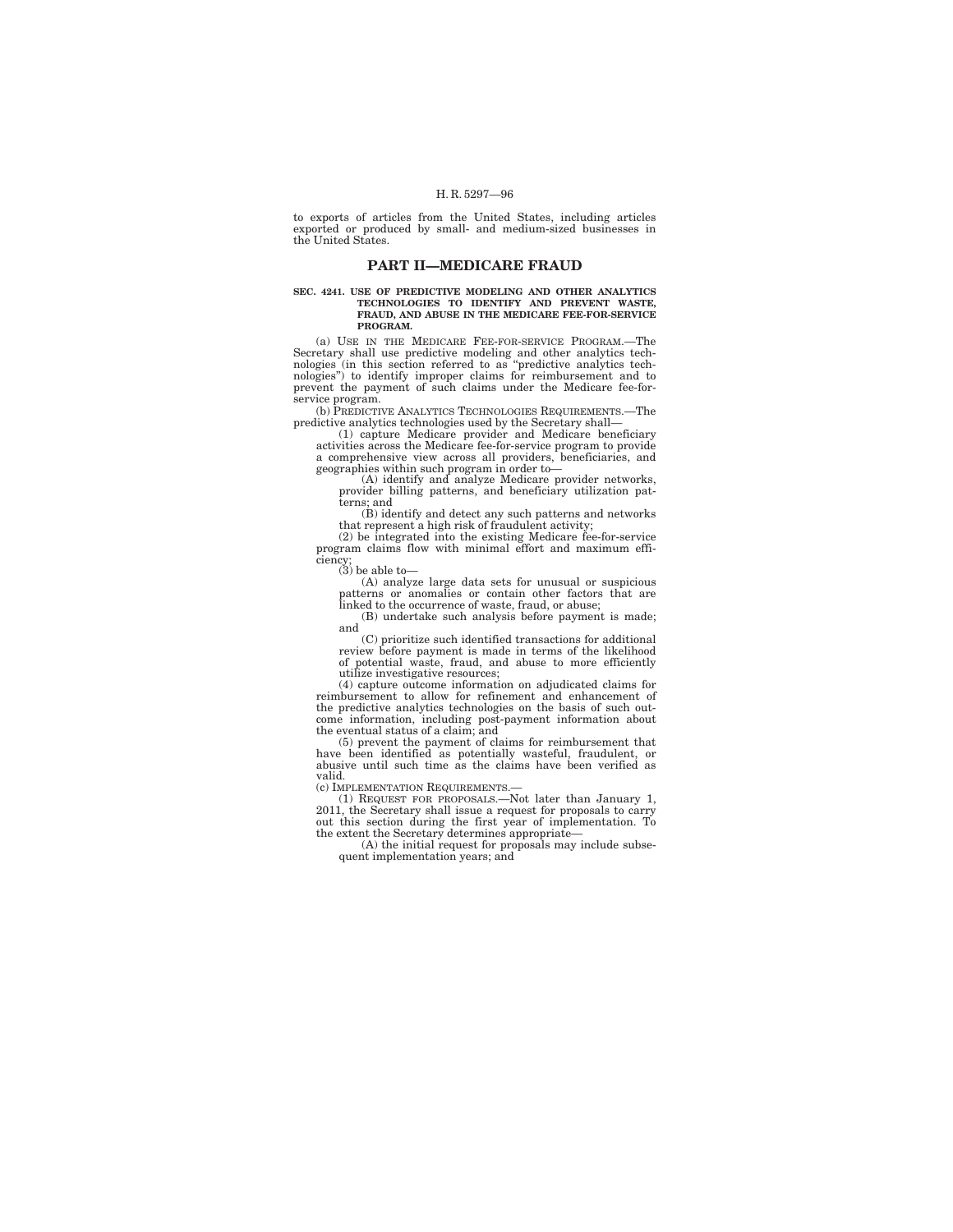to exports of articles from the United States, including articles exported or produced by small- and medium-sized businesses in the United States.

# **PART II—MEDICARE FRAUD**

#### **SEC. 4241. USE OF PREDICTIVE MODELING AND OTHER ANALYTICS TECHNOLOGIES TO IDENTIFY AND PREVENT WASTE, FRAUD, AND ABUSE IN THE MEDICARE FEE-FOR-SERVICE PROGRAM.**

(a) USE IN THE MEDICARE FEE-FOR-SERVICE PROGRAM.—The Secretary shall use predictive modeling and other analytics technologies (in this section referred to as ''predictive analytics technologies'') to identify improper claims for reimbursement and to prevent the payment of such claims under the Medicare fee-forservice program.

(b) PREDICTIVE ANALYTICS TECHNOLOGIES REQUIREMENTS.—The predictive analytics technologies used by the Secretary shall—

(1) capture Medicare provider and Medicare beneficiary activities across the Medicare fee-for-service program to provide a comprehensive view across all providers, beneficiaries, and geographies within such program in order to—

(A) identify and analyze Medicare provider networks, provider billing patterns, and beneficiary utilization patterns; and

(B) identify and detect any such patterns and networks that represent a high risk of fraudulent activity;

(2) be integrated into the existing Medicare fee-for-service program claims flow with minimal effort and maximum efficiency;

 $(3)$  be able to-

(A) analyze large data sets for unusual or suspicious patterns or anomalies or contain other factors that are linked to the occurrence of waste, fraud, or abuse;

(B) undertake such analysis before payment is made; and

(C) prioritize such identified transactions for additional review before payment is made in terms of the likelihood of potential waste, fraud, and abuse to more efficiently utilize investigative resources;

(4) capture outcome information on adjudicated claims for reimbursement to allow for refinement and enhancement of the predictive analytics technologies on the basis of such outcome information, including post-payment information about the eventual status of a claim; and

(5) prevent the payment of claims for reimbursement that have been identified as potentially wasteful, fraudulent, or abusive until such time as the claims have been verified as valid.

(c) IMPLEMENTATION REQUIREMENTS.—

(1) REQUEST FOR PROPOSALS.—Not later than January 1, 2011, the Secretary shall issue a request for proposals to carry out this section during the first year of implementation. To the extent the Secretary determines appropriate—

(A) the initial request for proposals may include subsequent implementation years; and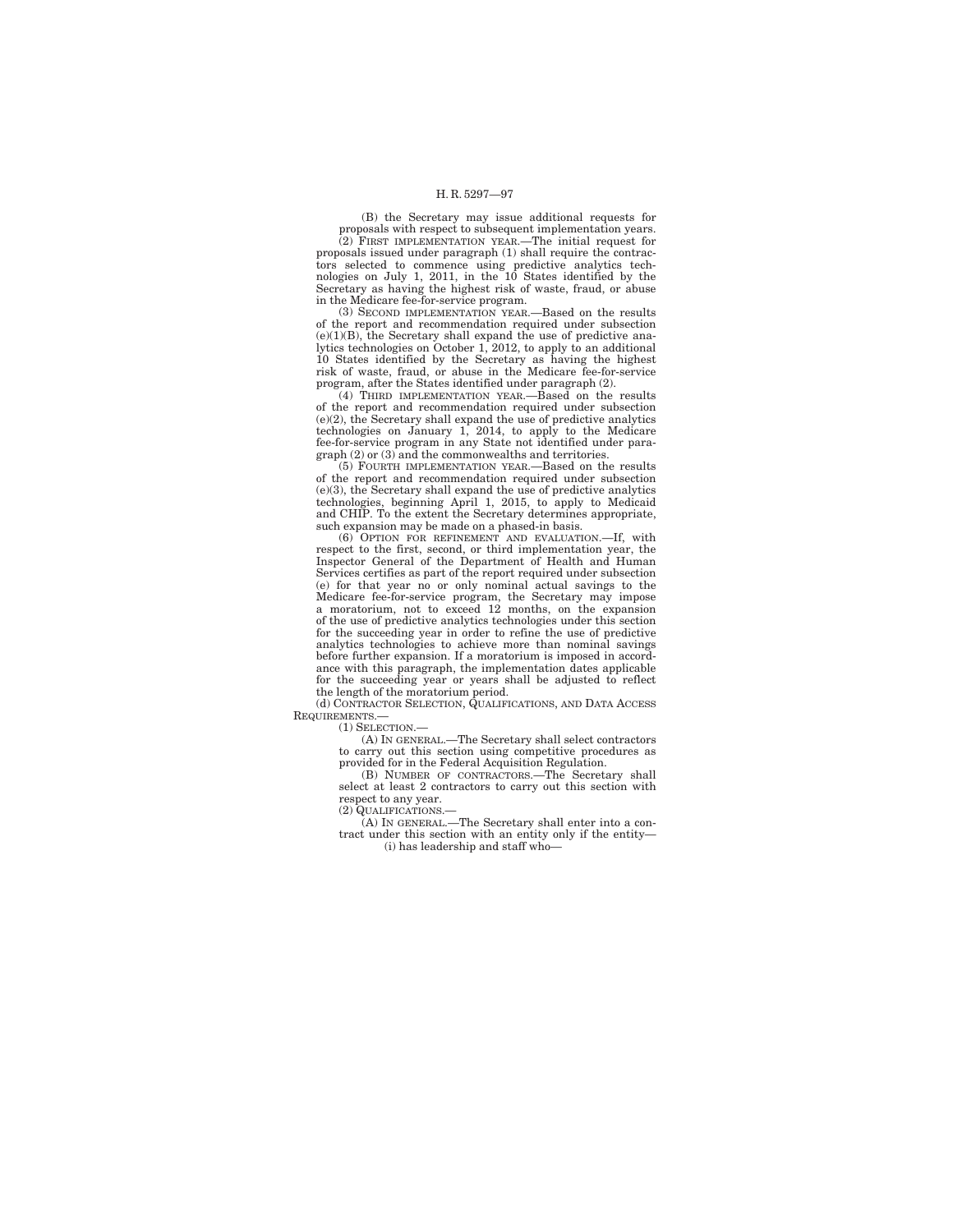(B) the Secretary may issue additional requests for proposals with respect to subsequent implementation years.

(2) FIRST IMPLEMENTATION YEAR.—The initial request for proposals issued under paragraph (1) shall require the contractors selected to commence using predictive analytics tech-nologies on July 1, 2011, in the 10 States identified by the Secretary as having the highest risk of waste, fraud, or abuse in the Medicare fee-for-service program.

(3) SECOND IMPLEMENTATION YEAR.—Based on the results of the report and recommendation required under subsection  $(e)(1)(B)$ , the Secretary shall expand the use of predictive analytics technologies on October 1, 2012, to apply to an additional 10 States identified by the Secretary as having the highest risk of waste, fraud, or abuse in the Medicare fee-for-service program, after the States identified under paragraph (2).

(4) THIRD IMPLEMENTATION YEAR.—Based on the results of the report and recommendation required under subsection (e)(2), the Secretary shall expand the use of predictive analytics technologies on January 1, 2014, to apply to the Medicare fee-for-service program in any State not identified under paragraph (2) or (3) and the commonwealths and territories.

(5) FOURTH IMPLEMENTATION YEAR.—Based on the results of the report and recommendation required under subsection (e)(3), the Secretary shall expand the use of predictive analytics technologies, beginning April 1, 2015, to apply to Medicaid and CHIP. To the extent the Secretary determines appropriate, such expansion may be made on a phased-in basis.

(6) OPTION FOR REFINEMENT AND EVALUATION.—If, with respect to the first, second, or third implementation year, the Inspector General of the Department of Health and Human Services certifies as part of the report required under subsection (e) for that year no or only nominal actual savings to the Medicare fee-for-service program, the Secretary may impose a moratorium, not to exceed 12 months, on the expansion of the use of predictive analytics technologies under this section for the succeeding year in order to refine the use of predictive analytics technologies to achieve more than nominal savings before further expansion. If a moratorium is imposed in accordance with this paragraph, the implementation dates applicable for the succeeding year or years shall be adjusted to reflect the length of the moratorium period.

(d) CONTRACTOR SELECTION, QUALIFICATIONS, AND DATA ACCESS REQUIREMENTS -

(1) SELECTION.—

(A) IN GENERAL.—The Secretary shall select contractors to carry out this section using competitive procedures as provided for in the Federal Acquisition Regulation.

(B) NUMBER OF CONTRACTORS.—The Secretary shall select at least 2 contractors to carry out this section with respect to any year.

(2) QUALIFICATIONS.—

(A) IN GENERAL.—The Secretary shall enter into a contract under this section with an entity only if the entity— (i) has leadership and staff who—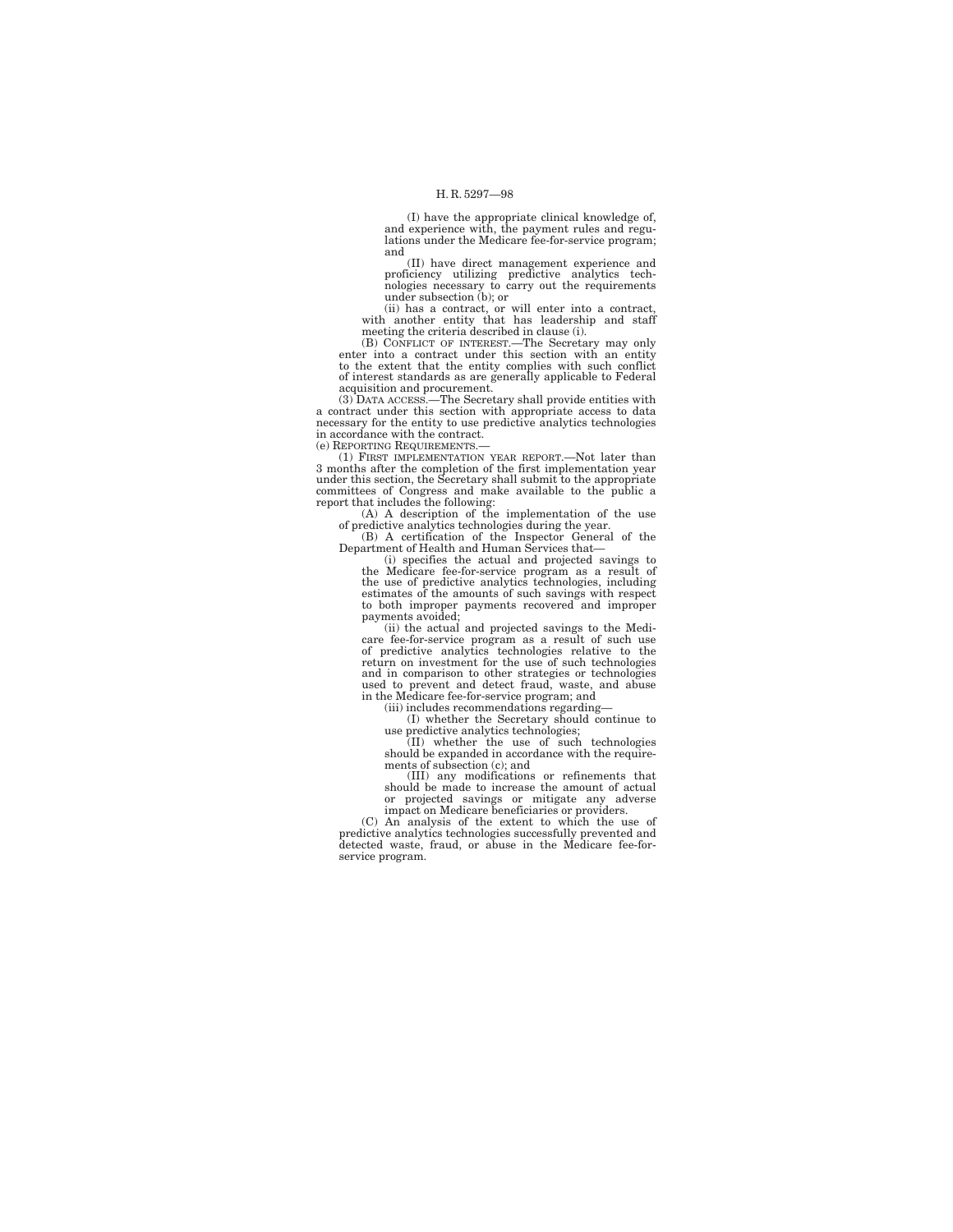(I) have the appropriate clinical knowledge of, and experience with, the payment rules and regulations under the Medicare fee-for-service program; and

(II) have direct management experience and proficiency utilizing predictive analytics tech-nologies necessary to carry out the requirements under subsection (b); or

(ii) has a contract, or will enter into a contract, with another entity that has leadership and staff meeting the criteria described in clause (i).

(B) CONFLICT OF INTEREST.—The Secretary may only enter into a contract under this section with an entity to the extent that the entity complies with such conflict of interest standards as are generally applicable to Federal acquisition and procurement. (3) DATA ACCESS.—The Secretary shall provide entities with

a contract under this section with appropriate access to data necessary for the entity to use predictive analytics technologies in accordance with the contract.

(e) REPORTING REQUIREMENTS.—

(1) FIRST IMPLEMENTATION YEAR REPORT.—Not later than 3 months after the completion of the first implementation year under this section, the Secretary shall submit to the appropriate committees of Congress and make available to the public a

report that includes the following: (A) A description of the implementation of the use of predictive analytics technologies during the year.

(B) A certification of the Inspector General of the Department of Health and Human Services that—

(i) specifies the actual and projected savings to the Medicare fee-for-service program as a result of the use of predictive analytics technologies, including estimates of the amounts of such savings with respect to both improper payments recovered and improper payments avoided;

(ii) the actual and projected savings to the Medi-care fee-for-service program as a result of such use of predictive analytics technologies relative to the return on investment for the use of such technologies and in comparison to other strategies or technologies used to prevent and detect fraud, waste, and abuse in the Medicare fee-for-service program; and

(iii) includes recommendations regarding— (I) whether the Secretary should continue to

use predictive analytics technologies; (II) whether the use of such technologies should be expanded in accordance with the requirements of subsection (c); and

(III) any modifications or refinements that should be made to increase the amount of actual or projected savings or mitigate any adverse impact on Medicare beneficiaries or providers.

(C) An analysis of the extent to which the use of predictive analytics technologies successfully prevented and detected waste, fraud, or abuse in the Medicare fee-forservice program.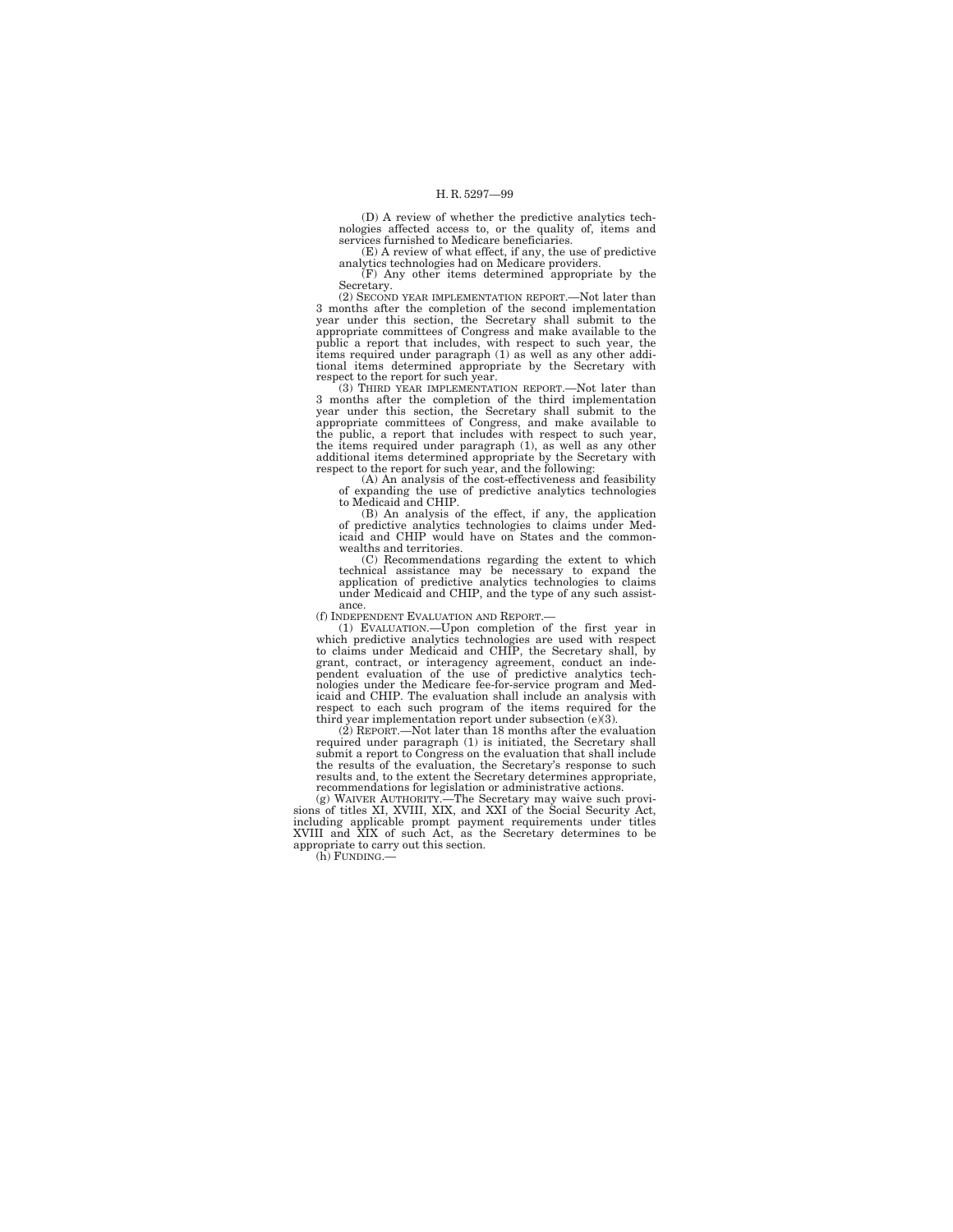(D) A review of whether the predictive analytics technologies affected access to, or the quality of, items and services furnished to Medicare beneficiaries.

(E) A review of what effect, if any, the use of predictive analytics technologies had on Medicare providers.

(F) Any other items determined appropriate by the Secretary.

(2) SECOND YEAR IMPLEMENTATION REPORT.—Not later than 3 months after the completion of the second implementation year under this section, the Secretary shall submit to the appropriate committees of Congress and make available to the public a report that includes, with respect to such year, the items required under paragraph (1) as well as any other additional items determined appropriate by the Secretary with

respect to the report for such year. (3) THIRD YEAR IMPLEMENTATION REPORT.—Not later than 3 months after the completion of the third implementation year under this section, the Secretary shall submit to the appropriate committees of Congress, and make available to the public, a report that includes with respect to such year, the items required under paragraph (1), as well as any other additional items determined appropriate by the Secretary with respect to the report for such year, and the following:

(A) An analysis of the cost-effectiveness and feasibility of expanding the use of predictive analytics technologies to Medicaid and CHIP.

(B) An analysis of the effect, if any, the application of predictive analytics technologies to claims under Medicaid and CHIP would have on States and the commonwealths and territories.

(C) Recommendations regarding the extent to which technical assistance may be necessary to expand the application of predictive analytics technologies to claims under Medicaid and CHIP, and the type of any such assistance.

(f) INDEPENDENT EVALUATION AND REPORT.—

(1) EVALUATION.—Upon completion of the first year in which predictive analytics technologies are used with respect to claims under Medicaid and CHIP, the Secretary shall, by grant, contract, or interagency agreement, conduct an independent evaluation of the use of predictive analytics technologies under the Medicare fee-for-service program and Medicari analytis with respect to each such program of the items required for the respect to each such prog

(2) REPORT.—Not later than 18 months after the evaluation required under paragraph (1) is initiated, the Secretary shall submit a report to Congress on the evaluation that shall include the results of the evaluation, the Secretary's response to such results and, to the extent the Secretary determines appropriate, recommendations for legislation or administrative actions.

(g) WAIVER AUTHORITY.—The Secretary may waive such provi-sions of titles XI, XVIII, XIX, and XXI of the Social Security Act, including applicable prompt payment requirements under titles XVIII and XIX of such Act, as the Secretary determines to be appropriate to carry out this section.

(h) FUNDING.—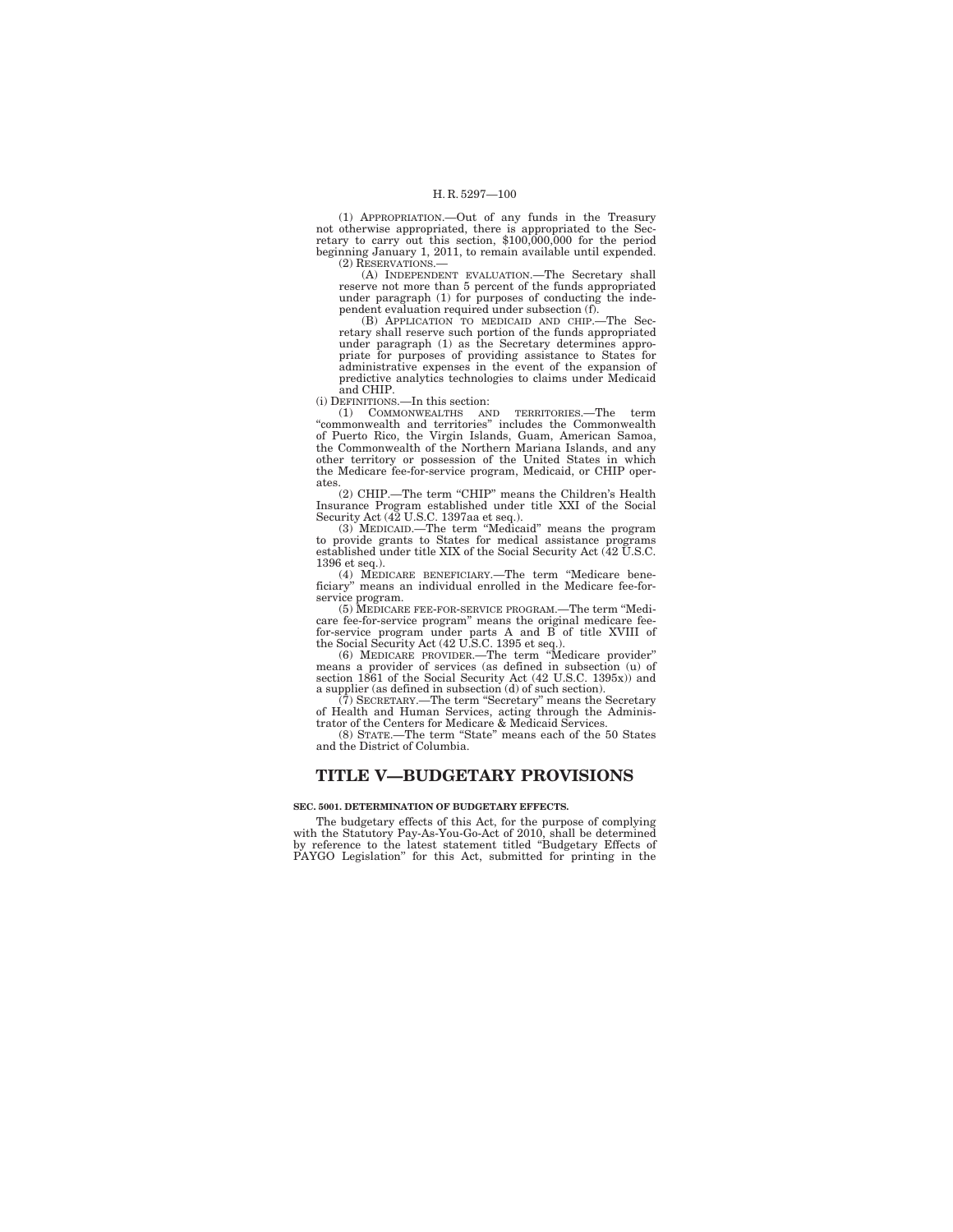(1) APPROPRIATION.—Out of any funds in the Treasury not otherwise appropriated, there is appropriated to the Sec-retary to carry out this section, \$100,000,000 for the period beginning January 1, 2011, to remain available until expended.  $(2)$  RESERVATIONS.

(A) INDEPENDENT EVALUATION.—The Secretary shall reserve not more than 5 percent of the funds appropriated under paragraph (1) for purposes of conducting the independent evaluation required under subsection (f).

(B) APPLICATION TO MEDICAID AND CHIP.—The Sec-retary shall reserve such portion of the funds appropriated under paragraph (1) as the Secretary determines appropriate for purposes of providing assistance to States for administrative expenses in the event of the expansion of predictive analytics technologies to claims under Medicaid and CHIP.

(i) DEFINITIONS.—In this section:

(1) COMMONWEALTHS AND TERRITORIES.—The term ''commonwealth and territories'' includes the Commonwealth of Puerto Rico, the Virgin Islands, Guam, American Samoa, the Commonwealth of the Northern Mariana Islands, and any other territory or possession of the United States in which the Medicare fee-for-service program, Medicaid, or CHIP operates.

(2) CHIP.—The term "CHIP" means the Children's Health Insurance Program established under title XXI of the Social Security Act (42 U.S.C. 1397aa et seq.).

(3) MEDICAID.—The term ''Medicaid'' means the program to provide grants to States for medical assistance programs established under title XIX of the Social Security Act (42 U.S.C. 1396 et seq.).

(4) MEDICARE BENEFICIARY.—The term ''Medicare beneficiary'' means an individual enrolled in the Medicare fee-for-

service program. (5) MEDICARE FEE-FOR-SERVICE PROGRAM.—The term ''Medicare fee-for-service program'' means the original medicare feefor-service program under parts A and B of title XVIII of the Social Security Act (42 U.S.C. 1395 et seq.). (6) MEDICARE PROVIDER.—The term ''Medicare provider''

means a provider of services (as defined in subsection (u) of section 1861 of the Social Security Act (42 U.S.C. 1395x)) and a supplier (as defined in subsection (d) of such section).

(7) SECRETARY.—The term ''Secretary'' means the Secretary of Health and Human Services, acting through the Adminis-trator of the Centers for Medicare & Medicaid Services.

(8) STATE.—The term ''State'' means each of the 50 States and the District of Columbia.

# **TITLE V—BUDGETARY PROVISIONS**

## **SEC. 5001. DETERMINATION OF BUDGETARY EFFECTS.**

The budgetary effects of this Act, for the purpose of complying with the Statutory Pay-As-You-Go-Act of 2010, shall be determined by reference to the latest statement titled ''Budgetary Effects of PAYGO Legislation'' for this Act, submitted for printing in the